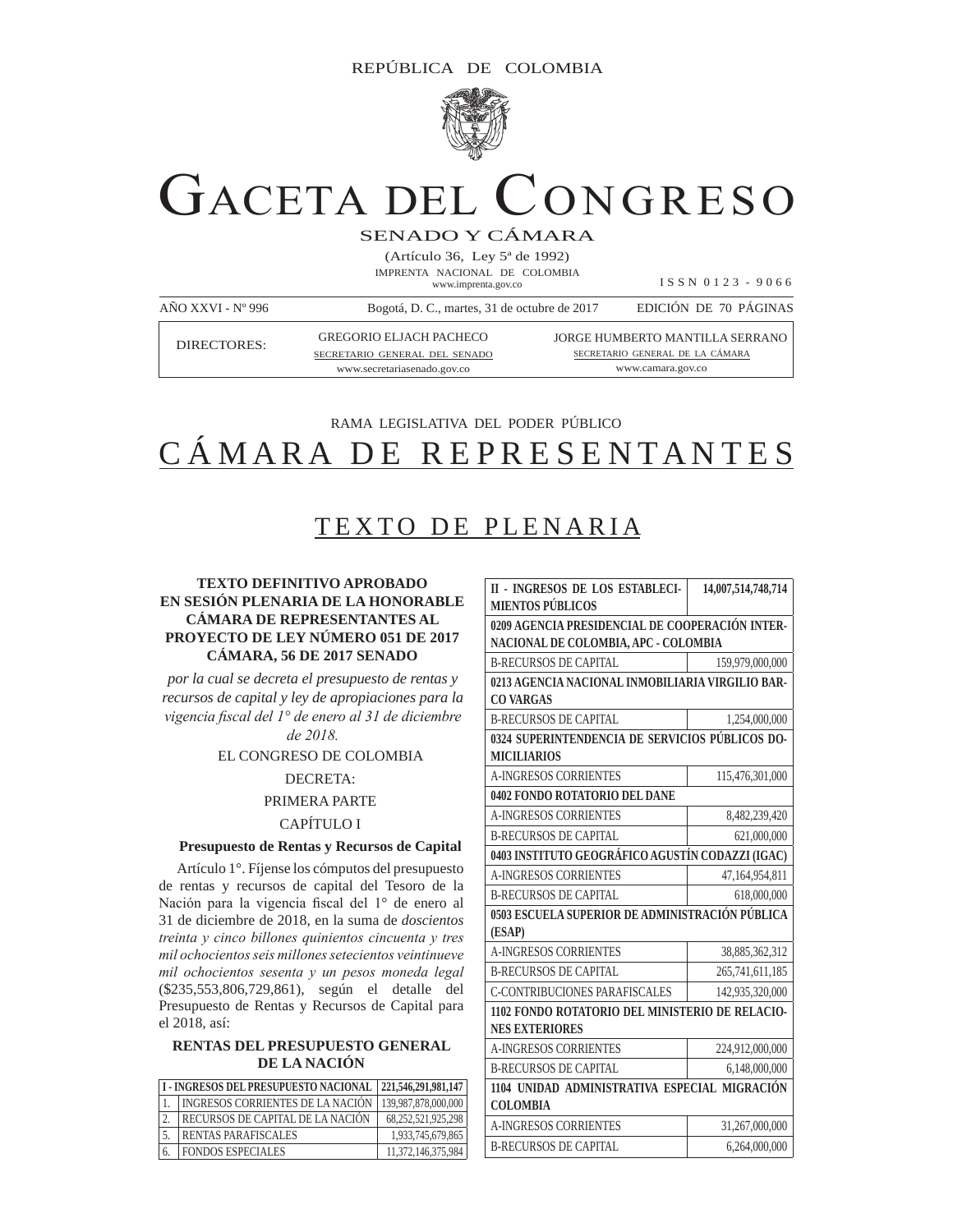

# GACETA DEL CONGRESO

SENADO Y CÁMARA

(Artículo 36, Ley 5ª de 1992) IMPRENTA NACIONAL DE COLOMBIA www.imprenta.gov.co

I S S N 0 1 2 3 - 9 0 6 6

| $A\tilde{N}O$ XXVI - $N^{\circ}$ 996 | Bogotá, D. C., martes, 31 de octubre de 2017                    | EDICIÓN DE 70 PÁGINAS                                                     |
|--------------------------------------|-----------------------------------------------------------------|---------------------------------------------------------------------------|
| DIRECTORES:                          | <b>GREGORIO ELJACH PACHECO</b><br>SECRETARIO GENERAL DEL SENADO | <b>JORGE HUMBERTO MANTILLA SERRANO</b><br>SECRETARIO GENERAL DE LA CÁMARA |
|                                      | www.secretariasenado.gov.co                                     | www.camara.gov.co                                                         |

# RAMA LEGISLATIVA DEL PODER PÚBLICO CÁMARA DE REPRESENTANTES

## TEXTO DE PLENARIA

### **TEXTO DEFINITIVO APROBADO EN SESIÓN PLENARIA DE LA HONORABLE CÁMARA DE REPRESENTANTES AL PROYECTO DE LEY NÚMERO 051 DE 2017 CÁMARA, 56 DE 2017 SENADO**

*por la cual se decreta el presupuesto de rentas y recursos de capital y ley de apropiaciones para la Vigencia fiscal del 1<sup>°</sup> de enero al 31 de diciembre* 

de 2018.

### EL CONGRESO DE COLOMBIA

### DECRETA:

### PRIMERA PARTE

### CAPÍTULO I

### **Presupuesto de Rentas y Recursos de Capital**

Artículo 1°. Fíjense los cómputos del presupuesto de rentas y recursos de capital del Tesoro de la Nación para la vigencia fiscal del  $1^\circ$  de enero al 31 de diciembre de 2018, en la suma de *doscientos treinta y cinco billones quinientos cincuenta y tres mil ochocientos seis millones setecientos veintinueve mil ochocientos sesenta y un pesos moneda legal* (\$235,553,806,729,861), según el detalle del Presupuesto de Rentas y Recursos de Capital para el 2018, así:

### **RENTAS DEL PRESUPUESTO GENERAL DE LA NACIÓN**

| I - INGRESOS DEL PRESUPUESTO NACIONAL 221,546,291,981,147 |                     |
|-----------------------------------------------------------|---------------------|
| <b>INGRESOS CORRIENTES DE LA NACIÓN</b>                   | 139.987.878.000.000 |
| RECURSOS DE CAPITAL DE LA NACIÓN                          | 68,252,521,925,298  |
| <b>RENTAS PARAFISCALES</b>                                | 1,933,745,679,865   |
| <b>FONDOS ESPECIALES</b>                                  | 11,372,146,375,984  |

| <b>II - INGRESOS DE LOS ESTABLECI-</b>           | 14,007,514,748,714 |  |  |  |  |  |
|--------------------------------------------------|--------------------|--|--|--|--|--|
| <b>MIENTOS PÚBLICOS</b>                          |                    |  |  |  |  |  |
| 0209 AGENCIA PRESIDENCIAL DE COOPERACIÓN INTER-  |                    |  |  |  |  |  |
| NACIONAL DE COLOMBIA, APC - COLOMBIA             |                    |  |  |  |  |  |
| <b>B-RECURSOS DE CAPITAL</b>                     | 159,979,000,000    |  |  |  |  |  |
| 0213 AGENCIA NACIONAL INMOBILIARIA VIRGILIO BAR- |                    |  |  |  |  |  |
| <b>CO VARGAS</b>                                 |                    |  |  |  |  |  |
| <b>B-RECURSOS DE CAPITAL</b>                     | 1,254,000,000      |  |  |  |  |  |
| 0324 SUPERINTENDENCIA DE SERVICIOS PÚBLICOS DO-  |                    |  |  |  |  |  |
| <b>MICILIARIOS</b>                               |                    |  |  |  |  |  |
| <b>A-INGRESOS CORRIENTES</b>                     | 115,476,301,000    |  |  |  |  |  |
| 0402 FONDO ROTATORIO DEL DANE                    |                    |  |  |  |  |  |
| <b>A-INGRESOS CORRIENTES</b>                     | 8,482,239,420      |  |  |  |  |  |
| <b>B-RECURSOS DE CAPITAL</b>                     | 621,000,000        |  |  |  |  |  |
| 0403 INSTITUTO GEOGRÁFICO AGUSTÍN CODAZZI (IGAC) |                    |  |  |  |  |  |
| <b>A-INGRESOS CORRIENTES</b>                     | 47,164,954,811     |  |  |  |  |  |
| <b>B-RECURSOS DE CAPITAL</b>                     | 618,000,000        |  |  |  |  |  |
| 0503 ESCUELA SUPERIOR DE ADMINISTRACIÓN PÚBLICA  |                    |  |  |  |  |  |
| (ESAP)                                           |                    |  |  |  |  |  |
| <b>A-INGRESOS CORRIENTES</b>                     | 38,885,362,312     |  |  |  |  |  |
| <b>B-RECURSOS DE CAPITAL</b>                     | 265,741,611,185    |  |  |  |  |  |
| <b>C-CONTRIBUCIONES PARAFISCALES</b>             | 142,935,320,000    |  |  |  |  |  |
| 1102 FONDO ROTATORIO DEL MINISTERIO DE RELACIO-  |                    |  |  |  |  |  |
| <b>NES EXTERIORES</b>                            |                    |  |  |  |  |  |
| <b>A-INGRESOS CORRIENTES</b>                     | 224,912,000,000    |  |  |  |  |  |
| <b>B-RECURSOS DE CAPITAL</b>                     | 6,148,000,000      |  |  |  |  |  |
| 1104 UNIDAD ADMINISTRATIVA ESPECIAL MIGRACIÓN    |                    |  |  |  |  |  |
| <b>COLOMBIA</b>                                  |                    |  |  |  |  |  |
| <b>A-INGRESOS CORRIENTES</b>                     | 31,267,000,000     |  |  |  |  |  |
| <b>B-RECURSOS DE CAPITAL</b>                     | 6,264,000,000      |  |  |  |  |  |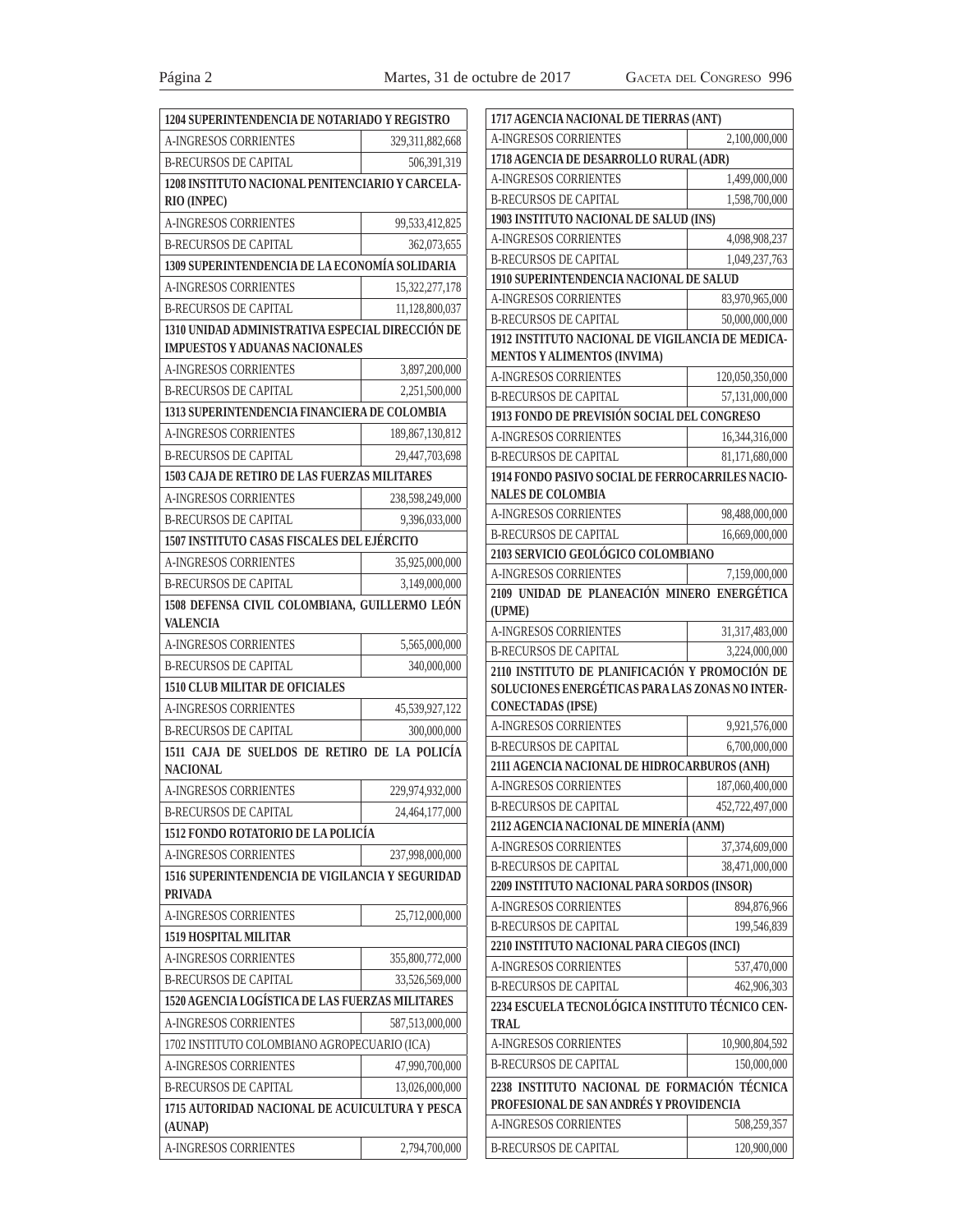| 1204 SUPERINTENDENCIA DE NOTARIADO Y REGISTRO                   |                    |
|-----------------------------------------------------------------|--------------------|
| <b>A-INGRESOS CORRIENTES</b>                                    | 329, 311, 882, 668 |
| <b>B-RECURSOS DE CAPITAL</b>                                    | 506,391,319        |
| 1208 INSTITUTO NACIONAL PENITENCIARIO Y CARCELA-                |                    |
| <b>RIO (INPEC)</b>                                              |                    |
| A-INGRESOS CORRIENTES                                           | 99,533,412,825     |
| <b>B-RECURSOS DE CAPITAL</b>                                    | 362,073,655        |
| 1309 SUPERINTENDENCIA DE LA ECONOMÍA SOLIDARIA                  |                    |
| A-INGRESOS CORRIENTES                                           | 15,322,277,178     |
| <b>B-RECURSOS DE CAPITAL</b>                                    | 11,128,800,037     |
| 1310 UNIDAD ADMINISTRATIVA ESPECIAL DIRECCIÓN DE                |                    |
| <b>IMPUESTOS Y ADUANAS NACIONALES</b>                           |                    |
| <b>A-INGRESOS CORRIENTES</b>                                    | 3,897,200,000      |
| <b>B-RECURSOS DE CAPITAL</b>                                    | 2,251,500,000      |
| 1313 SUPERINTENDENCIA FINANCIERA DE COLOMBIA                    |                    |
| <b>A-INGRESOS CORRIENTES</b>                                    | 189,867,130,812    |
| <b>B-RECURSOS DE CAPITAL</b>                                    | 29,447,703,698     |
| 1503 CAJA DE RETIRO DE LAS FUERZAS MILITARES                    |                    |
| <b>A-INGRESOS CORRIENTES</b>                                    | 238,598,249,000    |
| <b>B-RECURSOS DE CAPITAL</b>                                    | 9,396,033,000      |
| 1507 INSTITUTO CASAS FISCALES DEL EJÉRCITO                      |                    |
| <b>A-INGRESOS CORRIENTES</b>                                    | 35,925,000,000     |
| <b>B-RECURSOS DE CAPITAL</b>                                    | 3,149,000,000      |
| 1508 DEFENSA CIVIL COLOMBIANA, GUILLERMO LEÓN                   |                    |
| <b>VALENCIA</b>                                                 |                    |
| <b>A-INGRESOS CORRIENTES</b>                                    | 5,565,000,000      |
| <b>B-RECURSOS DE CAPITAL</b>                                    | 340,000,000        |
| <b>1510 CLUB MILITAR DE OFICIALES</b>                           |                    |
| A-INGRESOS CORRIENTES                                           | 45,539,927,122     |
| <b>B-RECURSOS DE CAPITAL</b>                                    | 300,000,000        |
| 1511 CAJA DE SUELDOS DE RETIRO DE LA POLICÍA<br><b>NACIONAL</b> |                    |
| A-INGRESOS CORRIENTES                                           | 229,974,932,000    |
| <b>B-RECURSOS DE CAPITAL</b>                                    | 24,464,177,000     |
| 1512 FONDO ROTATORIO DE LA POLICÍA                              |                    |
| <b>A-INGRESOS CORRIENTES</b>                                    | 237,998,000,000    |
| 1516 SUPERINTENDENCIA DE VIGILANCIA Y SEGURIDAD                 |                    |
| <b>PRIVADA</b>                                                  |                    |
| <b>A-INGRESOS CORRIENTES</b>                                    | 25,712,000,000     |
| 1519 HOSPITAL MILITAR                                           |                    |
| <b>A-INGRESOS CORRIENTES</b>                                    | 355,800,772,000    |
| <b>B-RECURSOS DE CAPITAL</b>                                    | 33,526,569,000     |
| 1520 AGENCIA LOGÍSTICA DE LAS FUERZAS MILITARES                 |                    |
| <b>A-INGRESOS CORRIENTES</b>                                    | 587,513,000,000    |
| 1702 INSTITUTO COLOMBIANO AGROPECUARIO (ICA)                    |                    |
| <b>A-INGRESOS CORRIENTES</b>                                    | 47,990,700,000     |
| <b>B-RECURSOS DE CAPITAL</b>                                    | 13,026,000,000     |
| 1715 AUTORIDAD NACIONAL DE ACUICULTURA Y PESCA                  |                    |
| (AUNAP)                                                         |                    |
| A-INGRESOS CORRIENTES                                           | 2,794,700,000      |

| 1717 AGENCIA NACIONAL DE TIERRAS (ANT)                                                  |                 |
|-----------------------------------------------------------------------------------------|-----------------|
| <b>A-INGRESOS CORRIENTES</b>                                                            | 2,100,000,000   |
| 1718 AGENCIA DE DESARROLLO RURAL (ADR)                                                  |                 |
| A-INGRESOS CORRIENTES                                                                   | 1,499,000,000   |
| <b>B-RECURSOS DE CAPITAL</b>                                                            | 1,598,700,000   |
| 1903 INSTITUTO NACIONAL DE SALUD (INS)                                                  |                 |
| <b>A-INGRESOS CORRIENTES</b>                                                            | 4,098,908,237   |
| <b>B-RECURSOS DE CAPITAL</b>                                                            | 1,049,237,763   |
| 1910 SUPERINTENDENCIA NACIONAL DE SALUD                                                 |                 |
| A-INGRESOS CORRIENTES                                                                   | 83,970,965,000  |
| <b>B-RECURSOS DE CAPITAL</b>                                                            | 50,000,000,000  |
| 1912 INSTITUTO NACIONAL DE VIGILANCIA DE MEDICA-                                        |                 |
| <b>MENTOS Y ALIMENTOS (INVIMA)</b>                                                      |                 |
| <b>A-INGRESOS CORRIENTES</b>                                                            | 120,050,350,000 |
| <b>B-RECURSOS DE CAPITAL</b>                                                            | 57,131,000,000  |
| 1913 FONDO DE PREVISIÓN SOCIAL DEL CONGRESO                                             |                 |
| <b>A-INGRESOS CORRIENTES</b>                                                            | 16,344,316,000  |
| <b>B-RECURSOS DE CAPITAL</b>                                                            | 81,171,680,000  |
| 1914 FONDO PASIVO SOCIAL DE FERROCARRILES NACIO-<br><b>NALES DE COLOMBIA</b>            |                 |
| A-INGRESOS CORRIENTES                                                                   |                 |
| <b>B-RECURSOS DE CAPITAL</b>                                                            | 98,488,000,000  |
| 2103 SERVICIO GEOLÓGICO COLOMBIANO                                                      | 16,669,000,000  |
| <b>A-INGRESOS CORRIENTES</b>                                                            | 7,159,000,000   |
| 2109 UNIDAD DE PLANEACIÓN MINERO ENERGÉTICA                                             |                 |
| (UPME)                                                                                  |                 |
| <b>A-INGRESOS CORRIENTES</b>                                                            | 31,317,483,000  |
| <b>B-RECURSOS DE CAPITAL</b>                                                            | 3,224,000,000   |
| 2110 INSTITUTO DE PLANIFICACIÓN Y PROMOCIÓN DE                                          |                 |
| SOLUCIONES ENERGÉTICAS PARA LAS ZONAS NO INTER-                                         |                 |
| <b>CONECTADAS (IPSE)</b>                                                                |                 |
| <b>A-INGRESOS CORRIENTES</b>                                                            | 9,921,576,000   |
| <b>B-RECURSOS DE CAPITAL</b>                                                            | 6,700,000,000   |
| 2111 AGENCIA NACIONAL DE HIDROCARBUROS (ANH)                                            |                 |
| A-INGRESOS CORRIENTES                                                                   | 187,060,400,000 |
| <b>B-RECURSOS DE CAPITAL</b>                                                            | 452,722,497,000 |
| 2112 AGENCIA NACIONAL DE MINERÍA (ANM)                                                  |                 |
| <b>A-INGRESOS CORRIENTES</b>                                                            | 37,374,609,000  |
| <b>B-RECURSOS DE CAPITAL</b>                                                            | 38,471,000,000  |
| 2209 INSTITUTO NACIONAL PARA SORDOS (INSOR)                                             |                 |
| <b>A-INGRESOS CORRIENTES</b>                                                            | 894,876,966     |
| <b>B-RECURSOS DE CAPITAL</b>                                                            | 199,546,839     |
| 2210 INSTITUTO NACIONAL PARA CIEGOS (INCI)                                              |                 |
| A-INGRESOS CORRIENTES                                                                   | 537,470,000     |
| <b>B-RECURSOS DE CAPITAL</b>                                                            | 462,906,303     |
| 2234 ESCUELA TECNOLÓGICA INSTITUTO TÉCNICO CEN-                                         |                 |
| <b>TRAL</b>                                                                             |                 |
| <b>A-INGRESOS CORRIENTES</b>                                                            | 10,900,804,592  |
| <b>B-RECURSOS DE CAPITAL</b>                                                            | 150,000,000     |
| 2238 INSTITUTO NACIONAL DE FORMACIÓN TÉCNICA<br>PROFESIONAL DE SAN ANDRÉS Y PROVIDENCIA |                 |
| A-INGRESOS CORRIENTES                                                                   | 508,259,357     |
|                                                                                         |                 |
| <b>B-RECURSOS DE CAPITAL</b>                                                            | 120,900,000     |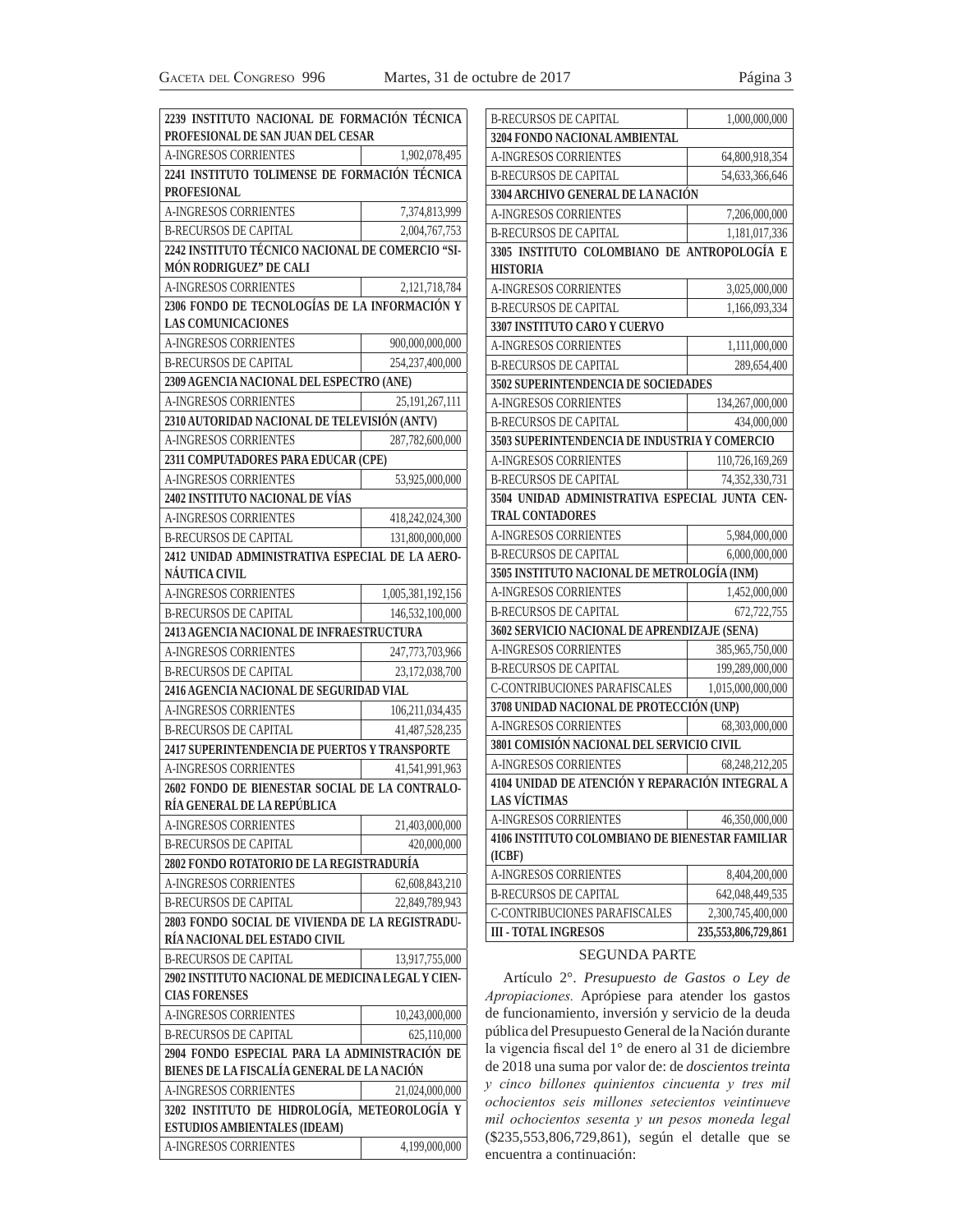| 2239 INSTITUTO NACIONAL DE FORMACIÓN TÉCNICA<br>PROFESIONAL DE SAN JUAN DEL CESAR |                   | <b>B-RECURSOS DE CAPITAL</b>                                                                        | 1,000,000,000       |
|-----------------------------------------------------------------------------------|-------------------|-----------------------------------------------------------------------------------------------------|---------------------|
| <b>A-INGRESOS CORRIENTES</b>                                                      | 1,902,078,495     | 3204 FONDO NACIONAL AMBIENTAL                                                                       |                     |
| 2241 INSTITUTO TOLIMENSE DE FORMACIÓN TÉCNICA                                     |                   | A-INGRESOS CORRIENTES                                                                               | 64,800,918,354      |
| <b>PROFESIONAL</b>                                                                |                   | <b>B-RECURSOS DE CAPITAL</b><br>3304 ARCHIVO GENERAL DE LA NACIÓN                                   | 54, 633, 366, 646   |
| <b>A-INGRESOS CORRIENTES</b>                                                      | 7,374,813,999     | <b>A-INGRESOS CORRIENTES</b>                                                                        | 7,206,000,000       |
| <b>B-RECURSOS DE CAPITAL</b>                                                      | 2,004,767,753     | <b>B-RECURSOS DE CAPITAL</b>                                                                        | 1,181,017,336       |
| 2242 INSTITUTO TÉCNICO NACIONAL DE COMERCIO "SI-                                  |                   | 3305 INSTITUTO COLOMBIANO DE ANTROPOLOGÍA E                                                         |                     |
| MÓN RODRIGUEZ" DE CALI                                                            |                   | <b>HISTORIA</b>                                                                                     |                     |
| <b>A-INGRESOS CORRIENTES</b>                                                      | 2,121,718,784     | <b>A-INGRESOS CORRIENTES</b>                                                                        | 3,025,000,000       |
| 2306 FONDO DE TECNOLOGÍAS DE LA INFORMACIÓN Y                                     |                   | <b>B-RECURSOS DE CAPITAL</b>                                                                        | 1,166,093,334       |
| <b>LAS COMUNICACIONES</b>                                                         |                   | 3307 INSTITUTO CARO Y CUERVO                                                                        |                     |
| <b>A-INGRESOS CORRIENTES</b>                                                      | 900,000,000,000   | <b>A-INGRESOS CORRIENTES</b>                                                                        | 1,111,000,000       |
| <b>B-RECURSOS DE CAPITAL</b>                                                      | 254,237,400,000   | <b>B-RECURSOS DE CAPITAL</b>                                                                        | 289,654,400         |
| 2309 AGENCIA NACIONAL DEL ESPECTRO (ANE)                                          |                   | 3502 SUPERINTENDENCIA DE SOCIEDADES                                                                 |                     |
| <b>A-INGRESOS CORRIENTES</b>                                                      | 25, 191, 267, 111 | A-INGRESOS CORRIENTES                                                                               | 134,267,000,000     |
| 2310 AUTORIDAD NACIONAL DE TELEVISIÓN (ANTV)                                      |                   | <b>B-RECURSOS DE CAPITAL</b>                                                                        | 434,000,000         |
| A-INGRESOS CORRIENTES                                                             | 287,782,600,000   | 3503 SUPERINTENDENCIA DE INDUSTRIA Y COMERCIO                                                       |                     |
| 2311 COMPUTADORES PARA EDUCAR (CPE)                                               |                   | <b>A-INGRESOS CORRIENTES</b>                                                                        | 110,726,169,269     |
| <b>A-INGRESOS CORRIENTES</b>                                                      | 53,925,000,000    | <b>B-RECURSOS DE CAPITAL</b>                                                                        | 74,352,330,731      |
| 2402 INSTITUTO NACIONAL DE VÍAS                                                   |                   | 3504 UNIDAD ADMINISTRATIVA ESPECIAL JUNTA CEN-                                                      |                     |
| <b>A-INGRESOS CORRIENTES</b>                                                      | 418,242,024,300   | <b>TRAL CONTADORES</b>                                                                              |                     |
| <b>B-RECURSOS DE CAPITAL</b>                                                      | 131,800,000,000   | <b>A-INGRESOS CORRIENTES</b>                                                                        | 5,984,000,000       |
| 2412 UNIDAD ADMINISTRATIVA ESPECIAL DE LA AERO-                                   |                   | <b>B-RECURSOS DE CAPITAL</b>                                                                        | 6,000,000,000       |
| NÁUTICA CIVIL                                                                     |                   | 3505 INSTITUTO NACIONAL DE METROLOGÍA (INM)                                                         |                     |
| A-INGRESOS CORRIENTES                                                             | 1,005,381,192,156 | <b>A-INGRESOS CORRIENTES</b>                                                                        | 1,452,000,000       |
| <b>B-RECURSOS DE CAPITAL</b>                                                      | 146,532,100,000   | <b>B-RECURSOS DE CAPITAL</b>                                                                        | 672,722,755         |
| 2413 AGENCIA NACIONAL DE INFRAESTRUCTURA                                          |                   | 3602 SERVICIO NACIONAL DE APRENDIZAJE (SENA)                                                        |                     |
| A-INGRESOS CORRIENTES                                                             | 247,773,703,966   | A-INGRESOS CORRIENTES                                                                               | 385,965,750,000     |
| <b>B-RECURSOS DE CAPITAL</b>                                                      | 23,172,038,700    | <b>B-RECURSOS DE CAPITAL</b>                                                                        | 199,289,000,000     |
| 2416 AGENCIA NACIONAL DE SEGURIDAD VIAL                                           |                   | C-CONTRIBUCIONES PARAFISCALES                                                                       | 1,015,000,000,000   |
| <b>A-INGRESOS CORRIENTES</b>                                                      | 106,211,034,435   | 3708 UNIDAD NACIONAL DE PROTECCIÓN (UNP)                                                            |                     |
| <b>B-RECURSOS DE CAPITAL</b>                                                      | 41.487.528.235    | A-INGRESOS CORRIENTES                                                                               | 68,303,000,000      |
| 2417 SUPERINTENDENCIA DE PUERTOS Y TRANSPORTE                                     |                   | 3801 COMISIÓN NACIONAL DEL SERVICIO CIVIL                                                           |                     |
| <b>A-INGRESOS CORRIENTES</b>                                                      | 41,541,991,963    | <b>A-INGRESOS CORRIENTES</b>                                                                        | 68, 248, 212, 205   |
| 2602 FONDO DE BIENESTAR SOCIAL DE LA CONTRALO-<br>RÍA GENERAL DE LA REPÚBLICA     |                   | 4104 UNIDAD DE ATENCIÓN Y REPARACIÓN INTEGRAL A<br><b>LAS VÍCTIMAS</b>                              |                     |
| A-INGRESOS CORRIENTES                                                             | 21,403,000,000    | A-INGRESOS CORRIENTES                                                                               | 46,350,000,000      |
| <b>B-RECURSOS DE CAPITAL</b>                                                      | 420,000,000       | 4106 INSTITUTO COLOMBIANO DE BIENESTAR FAMILIAR                                                     |                     |
| 2802 FONDO ROTATORIO DE LA REGISTRADURÍA                                          |                   | (ICBF)                                                                                              |                     |
| <b>A-INGRESOS CORRIENTES</b>                                                      | 62,608,843,210    | A-INGRESOS CORRIENTES                                                                               | 8,404,200,000       |
| <b>B-RECURSOS DE CAPITAL</b>                                                      | 22,849,789,943    | <b>B-RECURSOS DE CAPITAL</b>                                                                        | 642,048,449,535     |
| 2803 FONDO SOCIAL DE VIVIENDA DE LA REGISTRADU-                                   |                   | C-CONTRIBUCIONES PARAFISCALES                                                                       | 2,300,745,400,000   |
| RÍA NACIONAL DEL ESTADO CIVIL                                                     |                   | <b>III - TOTAL INGRESOS</b>                                                                         | 235,553,806,729,861 |
| <b>B-RECURSOS DE CAPITAL</b>                                                      | 13,917,755,000    | <b>SEGUNDA PARTE</b>                                                                                |                     |
| 2902 INSTITUTO NACIONAL DE MEDICINA LEGAL Y CIEN-                                 |                   | Artículo 2°. Presupuesto de Gastos o Ley de                                                         |                     |
| <b>CIAS FORENSES</b>                                                              |                   | Apropiaciones. Aprópiese para atender los gastos                                                    |                     |
| <b>A-INGRESOS CORRIENTES</b>                                                      | 10,243,000,000    | de funcionamiento, inversión y servicio de la deuda                                                 |                     |
| <b>B-RECURSOS DE CAPITAL</b>                                                      | 625,110,000       | pública del Presupuesto General de la Nación durante                                                |                     |
| 2904 FONDO ESPECIAL PARA LA ADMINISTRACIÓN DE                                     |                   | la vigencia fiscal del 1º de enero al 31 de diciembre                                               |                     |
| BIENES DE LA FISCALÍA GENERAL DE LA NACIÓN                                        |                   | de 2018 una suma por valor de: de doscientos treinta                                                |                     |
| A-INGRESOS CORRIENTES                                                             | 21,024,000,000    | y cinco billones quinientos cincuenta y tres mil                                                    |                     |
| 3202 INSTITUTO DE HIDROLOGÍA, METEOROLOGÍA Y                                      |                   | ochocientos seis millones setecientos veintinueve                                                   |                     |
| <b>ESTUDIOS AMBIENTALES (IDEAM)</b>                                               |                   | mil ochocientos sesenta y un pesos moneda legal<br>(\$235,553,806,729,861), según el detalle que se |                     |
| A-INGRESOS CORRIENTES                                                             | 4,199,000,000     | encuentra a continuación:                                                                           |                     |
|                                                                                   |                   |                                                                                                     |                     |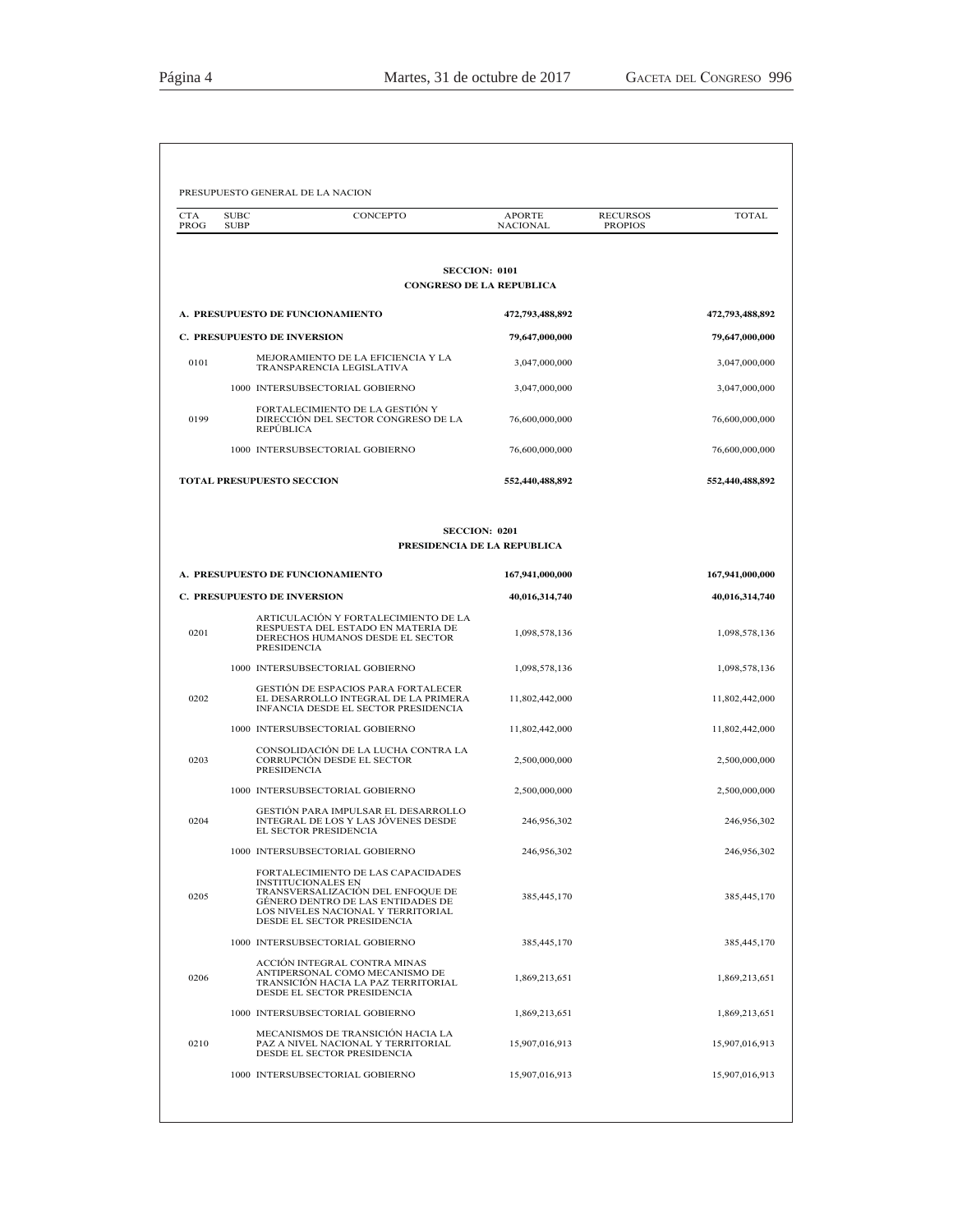| <b>CTA</b><br>PROG | <b>SUBC</b><br><b>SUBP</b> | CONCEPTO                                                                                                                                                                                                       | <b>APORTE</b><br>NACIONAL       | <b>RECURSOS</b><br><b>PROPIOS</b> | <b>TOTAL</b>    |
|--------------------|----------------------------|----------------------------------------------------------------------------------------------------------------------------------------------------------------------------------------------------------------|---------------------------------|-----------------------------------|-----------------|
|                    |                            |                                                                                                                                                                                                                |                                 |                                   |                 |
|                    |                            | <b>SECCION: 0101</b>                                                                                                                                                                                           | <b>CONGRESO DE LA REPUBLICA</b> |                                   |                 |
|                    |                            | A. PRESUPUESTO DE FUNCIONAMIENTO                                                                                                                                                                               | 472,793,488,892                 |                                   | 472,793,488,892 |
|                    |                            | <b>C. PRESUPUESTO DE INVERSION</b>                                                                                                                                                                             | 79,647,000,000                  |                                   | 79,647,000,000  |
| 0101               |                            | MEJORAMIENTO DE LA EFICIENCIA Y LA<br>TRANSPARENCIA LEGISLATIVA                                                                                                                                                | 3,047,000,000                   |                                   | 3,047,000,000   |
|                    |                            | 1000 INTERSUBSECTORIAL GOBIERNO                                                                                                                                                                                | 3,047,000,000                   |                                   | 3,047,000,000   |
| 0199               |                            | FORTALECIMIENTO DE LA GESTIÓN Y<br>DIRECCIÓN DEL SECTOR CONGRESO DE LA<br>REPÚBLICA                                                                                                                            | 76,600,000,000                  |                                   | 76,600,000,000  |
|                    |                            | 1000 INTERSUBSECTORIAL GOBIERNO                                                                                                                                                                                | 76,600,000,000                  |                                   | 76,600,000,000  |
|                    |                            | <b>TOTAL PRESUPUESTO SECCION</b>                                                                                                                                                                               | 552,440,488,892                 |                                   | 552,440,488,892 |
|                    |                            | <b>SECCION: 0201</b><br>PRESIDENCIA DE LA REPUBLICA                                                                                                                                                            |                                 |                                   |                 |
|                    |                            | A. PRESUPUESTO DE FUNCIONAMIENTO                                                                                                                                                                               | 167,941,000,000                 |                                   | 167,941,000,000 |
|                    |                            | C. PRESUPUESTO DE INVERSION                                                                                                                                                                                    | 40,016,314,740                  |                                   | 40,016,314,740  |
| 0201               |                            | ARTICULACIÓN Y FORTALECIMIENTO DE LA<br>RESPUESTA DEL ESTADO EN MATERIA DE<br>DERECHOS HUMANOS DESDE EL SECTOR<br><b>PRESIDENCIA</b>                                                                           | 1,098,578,136                   |                                   | 1,098,578,136   |
|                    |                            | 1000 INTERSUBSECTORIAL GOBIERNO                                                                                                                                                                                | 1,098,578,136                   |                                   | 1,098,578,136   |
| 0202               |                            | <b>GESTIÓN DE ESPACIOS PARA FORTALECER</b><br>EL DESARROLLO INTEGRAL DE LA PRIMERA<br>INFANCIA DESDE EL SECTOR PRESIDENCIA                                                                                     | 11,802,442,000                  |                                   | 11,802,442,000  |
|                    |                            | 1000 INTERSUBSECTORIAL GOBIERNO                                                                                                                                                                                | 11,802,442,000                  |                                   | 11,802,442,000  |
| 0203               |                            | CONSOLIDACIÓN DE LA LUCHA CONTRA LA<br>CORRUPCIÓN DESDE EL SECTOR<br><b>PRESIDENCIA</b>                                                                                                                        | 2,500,000,000                   |                                   | 2,500,000,000   |
|                    |                            | 1000 INTERSUBSECTORIAL GOBIERNO                                                                                                                                                                                | 2,500,000,000                   |                                   | 2,500,000,000   |
| 0204               |                            | GESTIÓN PARA IMPULSAR EL DESARROLLO<br>INTEGRAL DE LOS Y LAS JÓVENES DESDE<br>EL SECTOR PRESIDENCIA                                                                                                            | 246,956,302                     |                                   | 246,956,302     |
|                    |                            | 1000 INTERSUBSECTORIAL GOBIERNO                                                                                                                                                                                | 246,956,302                     |                                   | 246,956,302     |
| 0205               |                            | FORTALECIMIENTO DE LAS CAPACIDADES<br><b>INSTITUCIONALES EN</b><br>TRANSVERSALIZACIÓN DEL ENFOQUE DE<br>GÉNERO DENTRO DE LAS ENTIDADES DE<br>LOS NIVELES NACIONAL Y TERRITORIAL<br>DESDE EL SECTOR PRESIDENCIA | 385, 445, 170                   |                                   | 385,445,170     |
|                    |                            | 1000 INTERSUBSECTORIAL GOBIERNO                                                                                                                                                                                | 385,445,170                     |                                   | 385,445,170     |
| 0206               |                            | ACCIÓN INTEGRAL CONTRA MINAS<br>ANTIPERSONAL COMO MECANISMO DE<br>TRANSICIÓN HACIA LA PAZ TERRITORIAL<br>DESDE EL SECTOR PRESIDENCIA                                                                           | 1,869,213,651                   |                                   | 1,869,213,651   |
|                    |                            | 1000 INTERSUBSECTORIAL GOBIERNO                                                                                                                                                                                | 1,869,213,651                   |                                   | 1,869,213,651   |
| 0210               |                            | MECANISMOS DE TRANSICIÓN HACIA LA<br>PAZ A NIVEL NACIONAL Y TERRITORIAL<br>DESDE EL SECTOR PRESIDENCIA                                                                                                         | 15,907,016,913                  |                                   | 15,907,016,913  |
|                    |                            | 1000 INTERSUBSECTORIAL GOBIERNO                                                                                                                                                                                | 15,907,016,913                  |                                   | 15,907,016,913  |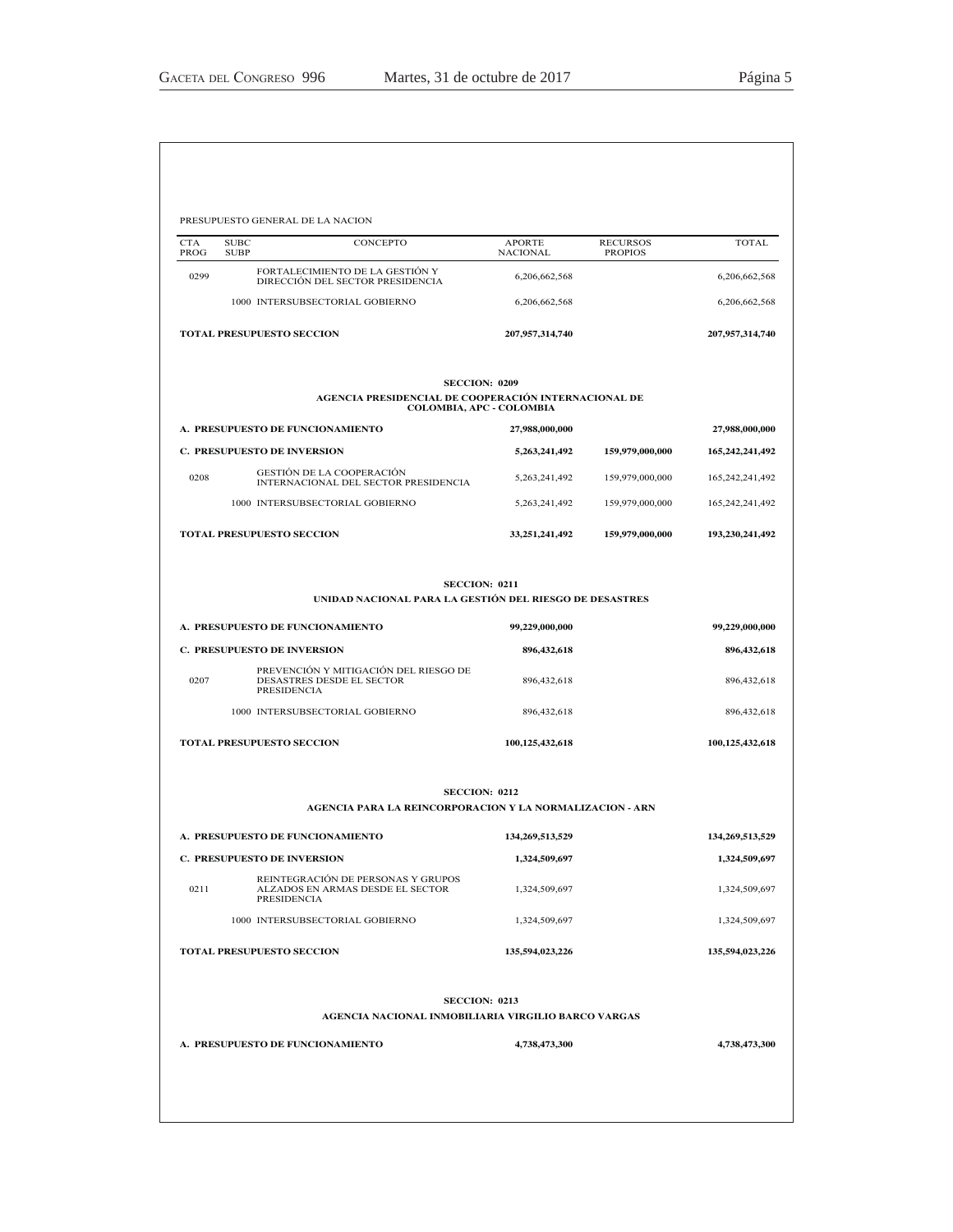| <b>CTA</b><br>PROG | <b>SUBC</b><br><b>SUBP</b> | CONCEPTO                                                                              | <b>APORTE</b><br><b>NACIONAL</b> | <b>RECURSOS</b><br><b>PROPIOS</b> | <b>TOTAL</b>    |
|--------------------|----------------------------|---------------------------------------------------------------------------------------|----------------------------------|-----------------------------------|-----------------|
| 0299               |                            | FORTALECIMIENTO DE LA GESTIÓN Y<br>DIRECCIÓN DEL SECTOR PRESIDENCIA                   | 6,206,662,568                    |                                   | 6,206,662,568   |
|                    |                            | 1000 INTERSUBSECTORIAL GOBIERNO                                                       | 6,206,662,568                    |                                   | 6,206,662,568   |
|                    |                            | <b>TOTAL PRESUPUESTO SECCION</b>                                                      | 207,957,314,740                  |                                   | 207,957,314,740 |
|                    |                            | AGENCIA PRESIDENCIAL DE COOPERACIÓN INTERNACIONAL DE                                  | <b>SECCION: 0209</b>             |                                   |                 |
|                    |                            |                                                                                       | COLOMBIA, APC - COLOMBIA         |                                   |                 |
|                    |                            | A. PRESUPUESTO DE FUNCIONAMIENTO                                                      | 27,988,000,000                   |                                   | 27,988,000,000  |
|                    |                            | <b>C. PRESUPUESTO DE INVERSION</b><br>GESTIÓN DE LA COOPERACIÓN                       | 5,263,241,492                    | 159,979,000,000                   | 165,242,241,492 |
| 0208               |                            | INTERNACIONAL DEL SECTOR PRESIDENCIA                                                  | 5,263,241,492                    | 159,979,000,000                   | 165,242,241,492 |
|                    |                            | 1000 INTERSUBSECTORIAL GOBIERNO                                                       | 5,263,241,492                    | 159,979,000,000                   | 165,242,241,492 |
|                    |                            | <b>TOTAL PRESUPUESTO SECCION</b>                                                      | 33, 251, 241, 492                | 159,979,000,000                   | 193,230,241,492 |
|                    |                            | UNIDAD NACIONAL PARA LA GESTIÓN DEL RIESGO DE DESASTRES                               | <b>SECCION: 0211</b>             |                                   |                 |
|                    |                            | A. PRESUPUESTO DE FUNCIONAMIENTO                                                      | 99,229,000,000                   |                                   | 99,229,000,000  |
|                    |                            | <b>C. PRESUPUESTO DE INVERSION</b>                                                    | 896,432,618                      |                                   | 896,432,618     |
| 0207               |                            | PREVENCIÓN Y MITIGACIÓN DEL RIESGO DE<br>DESASTRES DESDE EL SECTOR<br>PRESIDENCIA     | 896,432,618                      |                                   | 896,432,618     |
|                    |                            | 1000 INTERSUBSECTORIAL GOBIERNO                                                       | 896,432,618                      |                                   | 896,432,618     |
|                    |                            | <b>TOTAL PRESUPUESTO SECCION</b>                                                      | 100,125,432,618                  |                                   | 100,125,432,618 |
|                    |                            |                                                                                       | <b>SECCION: 0212</b>             |                                   |                 |
|                    |                            | AGENCIA PARA LA REINCORPORACION Y LA NORMALIZACION - ARN                              |                                  |                                   |                 |
|                    |                            | A. PRESUPUESTO DE FUNCIONAMIENTO                                                      | 134,269,513,529                  |                                   | 134,269,513,529 |
|                    |                            | <b>C. PRESUPUESTO DE INVERSION</b>                                                    | 1,324,509,697                    |                                   | 1,324,509,697   |
| 0211               |                            | REINTEGRACIÓN DE PERSONAS Y GRUPOS<br>ALZADOS EN ARMAS DESDE EL SECTOR<br>PRESIDENCIA | 1,324,509,697                    |                                   | 1,324,509,697   |
|                    |                            | 1000 INTERSUBSECTORIAL GOBIERNO                                                       | 1,324,509,697                    |                                   | 1,324,509,697   |
|                    |                            | <b>TOTAL PRESUPUESTO SECCION</b>                                                      | 135,594,023,226                  |                                   | 135,594,023,226 |
|                    |                            | AGENCIA NACIONAL INMOBILIARIA VIRGILIO BARCO VARGAS                                   | <b>SECCION: 0213</b>             |                                   |                 |
|                    |                            | A. PRESUPUESTO DE FUNCIONAMIENTO                                                      | 4,738,473,300                    |                                   | 4,738,473,300   |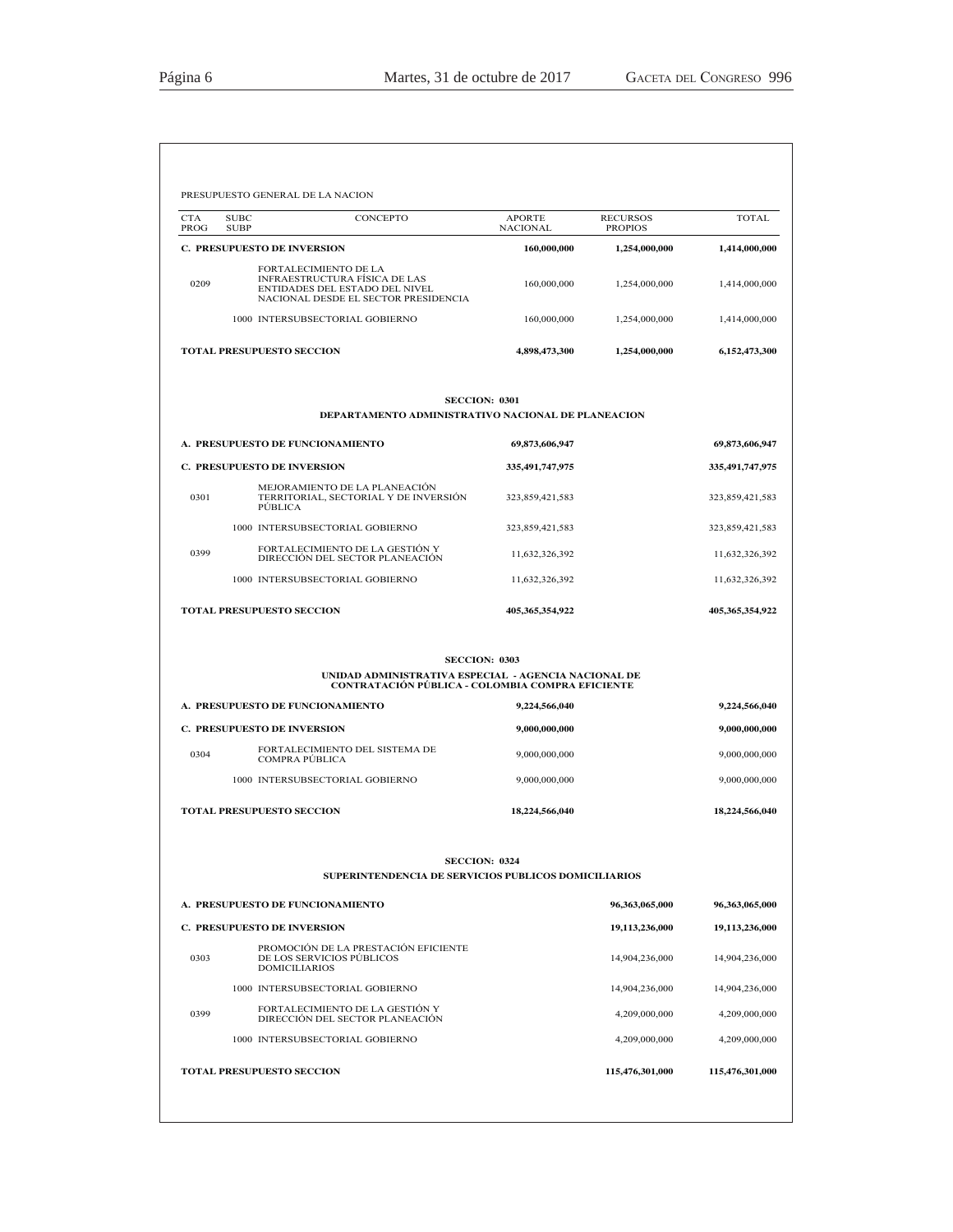| <b>CTA</b><br>PROG | CONCEPTO<br><b>SUBC</b><br><b>SUBP</b>                                                                                                  | <b>APORTE</b><br><b>NACIONAL</b> | <b>RECURSOS</b><br><b>PROPIOS</b> | <b>TOTAL</b>                                                                                           |
|--------------------|-----------------------------------------------------------------------------------------------------------------------------------------|----------------------------------|-----------------------------------|--------------------------------------------------------------------------------------------------------|
|                    | <b>C. PRESUPUESTO DE INVERSION</b>                                                                                                      | 160,000,000                      | 1,254,000,000                     | 1,414,000,000                                                                                          |
| 0209               | FORTALECIMIENTO DE LA<br><b>INFRAESTRUCTURA FÍSICA DE LAS</b><br>ENTIDADES DEL ESTADO DEL NIVEL<br>NACIONAL DESDE EL SECTOR PRESIDENCIA | 160,000,000                      | 1,254,000,000                     | 1,414,000,000                                                                                          |
|                    | 1000 INTERSUBSECTORIAL GOBIERNO                                                                                                         | 160,000,000                      | 1,254,000,000                     | 1,414,000,000                                                                                          |
|                    | <b>TOTAL PRESUPUESTO SECCION</b>                                                                                                        | 4,898,473,300                    | 1,254,000,000                     | 6,152,473,300                                                                                          |
|                    | <b>SECCION: 0301</b><br>DEPARTAMENTO ADMINISTRATIVO NACIONAL DE PLANEACION                                                              |                                  |                                   |                                                                                                        |
|                    | A. PRESUPUESTO DE FUNCIONAMIENTO                                                                                                        | 69,873,606,947                   |                                   | 69,873,606,947                                                                                         |
|                    | <b>C. PRESUPUESTO DE INVERSION</b>                                                                                                      | 335,491,747,975                  |                                   | 335,491,747,975                                                                                        |
| 0301               | MEJORAMIENTO DE LA PLANEACIÓN<br>TERRITORIAL, SECTORIAL Y DE INVERSIÓN<br><b>PUBLICA</b>                                                | 323,859,421,583                  |                                   | 323,859,421,583                                                                                        |
|                    | 1000 INTERSUBSECTORIAL GOBIERNO                                                                                                         | 323,859,421,583                  |                                   | 323,859,421,583                                                                                        |
| 0399               | FORTALECIMIENTO DE LA GESTIÓN Y<br>DIRECCIÓN DEL SECTOR PLANEACIÓN                                                                      | 11,632,326,392                   |                                   | 11,632,326,392                                                                                         |
|                    | 1000 INTERSUBSECTORIAL GOBIERNO                                                                                                         | 11,632,326,392                   |                                   | 11,632,326,392                                                                                         |
|                    | TOTAL PRESUPUESTO SECCION                                                                                                               | 405,365,354,922                  |                                   | 405,365,354,922                                                                                        |
|                    | <b>SECCION: 0303</b><br>UNIDAD ADMINISTRATIVA ESPECIAL - AGENCIA NACIONAL DE                                                            |                                  |                                   |                                                                                                        |
|                    | <b>CONTRATACIÓN PÚBLICA - COLOMBIA COMPRA EFICIENTE</b><br>A. PRESUPUESTO DE FUNCIONAMIENTO                                             |                                  |                                   |                                                                                                        |
|                    | <b>C. PRESUPUESTO DE INVERSION</b>                                                                                                      | 9,224,566,040<br>9,000,000,000   |                                   | 9,224,566,040<br>9,000,000,000                                                                         |
| 0304               | FORTALECIMIENTO DEL SISTEMA DE                                                                                                          | 9,000,000,000                    |                                   | 9,000,000,000                                                                                          |
|                    | COMPRA PÚBLICA<br>1000 INTERSUBSECTORIAL GOBIERNO                                                                                       | 9,000,000,000                    |                                   | 9,000,000,000                                                                                          |
|                    | <b>TOTAL PRESUPUESTO SECCION</b>                                                                                                        | 18,224,566,040                   |                                   | 18,224,566,040                                                                                         |
|                    |                                                                                                                                         |                                  |                                   |                                                                                                        |
|                    |                                                                                                                                         |                                  |                                   |                                                                                                        |
|                    | <b>SECCION: 0324</b><br>SUPERINTENDENCIA DE SERVICIOS PUBLICOS DOMICILIARIOS                                                            |                                  |                                   |                                                                                                        |
|                    | A. PRESUPUESTO DE FUNCIONAMIENTO                                                                                                        |                                  | 96,363,065,000                    |                                                                                                        |
|                    | <b>C. PRESUPUESTO DE INVERSION</b>                                                                                                      |                                  | 19,113,236,000                    |                                                                                                        |
| 0303               | PROMOCIÓN DE LA PRESTACIÓN EFICIENTE<br>DE LOS SERVICIOS PÚBLICOS<br><b>DOMICILIARIOS</b>                                               |                                  | 14,904,236,000                    |                                                                                                        |
|                    | 1000 INTERSUBSECTORIAL GOBIERNO                                                                                                         |                                  | 14,904,236,000                    |                                                                                                        |
| 0399               | FORTALECIMIENTO DE LA GESTIÓN Y<br>DIRECCIÓN DEL SECTOR PLANEACIÓN                                                                      |                                  | 4,209,000,000                     |                                                                                                        |
|                    | 1000 INTERSUBSECTORIAL GOBIERNO                                                                                                         |                                  | 4,209,000,000                     | 96,363,065,000<br>19,113,236,000<br>14,904,236,000<br>14,904,236,000<br>4,209,000,000<br>4,209,000,000 |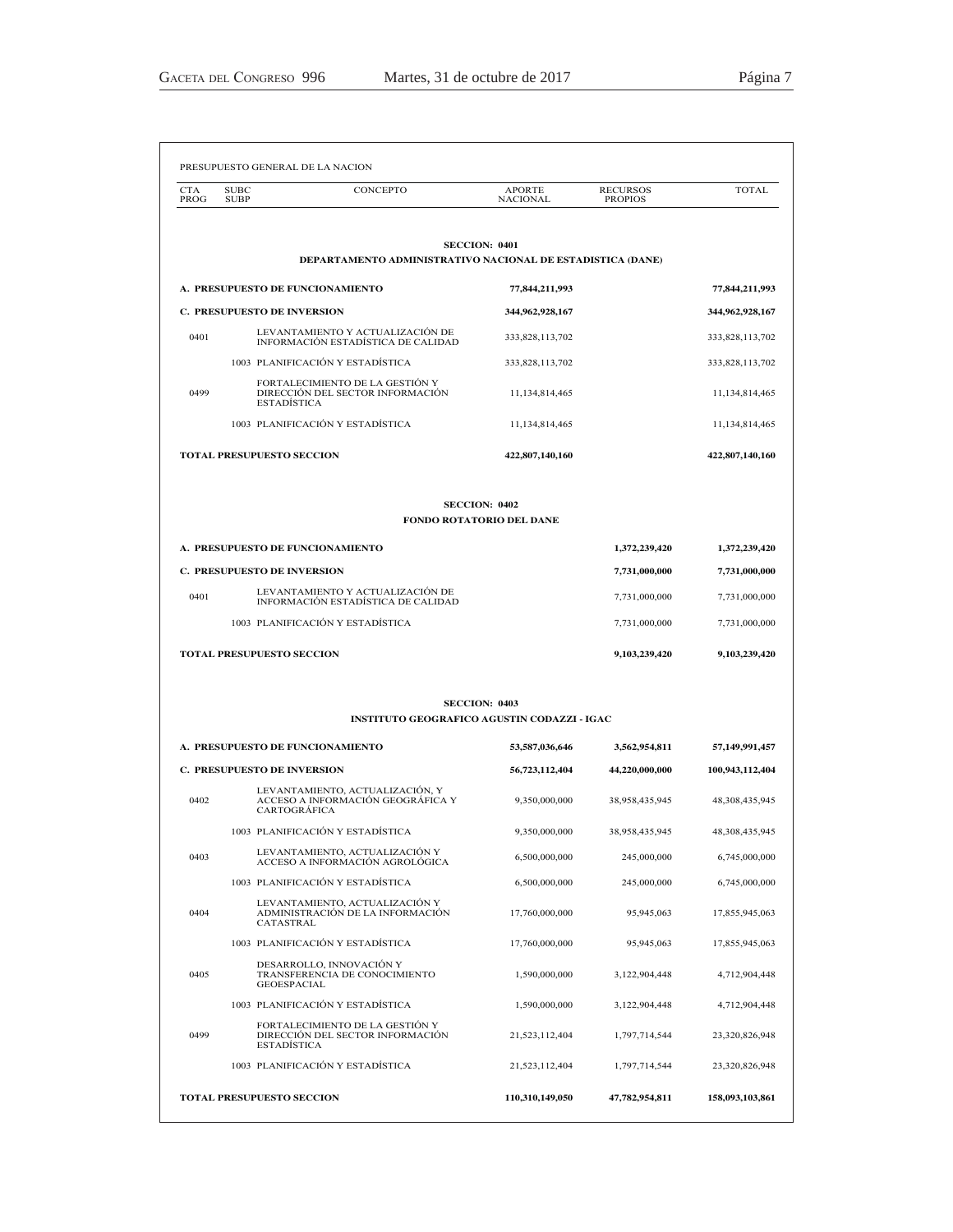| <b>CTA</b><br>PROG | <b>SUBC</b><br><b>SUBP</b> | CONCEPTO                                                                                    | APORTE<br><b>NACIONAL</b>                        | <b>RECURSOS</b><br><b>PROPIOS</b> | <b>TOTAL</b>      |
|--------------------|----------------------------|---------------------------------------------------------------------------------------------|--------------------------------------------------|-----------------------------------|-------------------|
|                    |                            |                                                                                             | <b>SECCION: 0401</b>                             |                                   |                   |
|                    |                            | DEPARTAMENTO ADMINISTRATIVO NACIONAL DE ESTADISTICA (DANE)                                  |                                                  |                                   |                   |
|                    |                            | A. PRESUPUESTO DE FUNCIONAMIENTO                                                            | 77,844,211,993                                   |                                   | 77,844,211,993    |
|                    |                            | <b>C. PRESUPUESTO DE INVERSION</b>                                                          | 344,962,928,167                                  |                                   | 344,962,928,167   |
| 0401               |                            | LEVANTAMIENTO Y ACTUALIZACIÓN DE<br>INFORMACIÓN ESTADÍSTICA DE CALIDAD                      | 333,828,113,702                                  |                                   | 333,828,113,702   |
|                    |                            | 1003 PLANIFICACIÓN Y ESTADÍSTICA                                                            | 333,828,113,702                                  |                                   | 333,828,113,702   |
| 0499               |                            | FORTALECIMIENTO DE LA GESTIÓN Y<br>DIRECCIÓN DEL SECTOR INFORMACIÓN<br><b>ESTADÍSTICA</b>   | 11,134,814,465                                   |                                   | 11,134,814,465    |
|                    |                            | 1003 PLANIFICACIÓN Y ESTADÍSTICA                                                            | 11,134,814,465                                   |                                   | 11,134,814,465    |
|                    |                            | <b>TOTAL PRESUPUESTO SECCION</b>                                                            | 422,807,140,160                                  |                                   | 422,807,140,160   |
|                    |                            |                                                                                             | <b>SECCION: 0402</b><br>FONDO ROTATORIO DEL DANE |                                   |                   |
|                    |                            |                                                                                             |                                                  |                                   |                   |
|                    |                            | A. PRESUPUESTO DE FUNCIONAMIENTO                                                            |                                                  | 1,372,239,420                     | 1,372,239,420     |
|                    |                            | <b>C. PRESUPUESTO DE INVERSION</b><br>LEVANTAMIENTO Y ACTUALIZACIÓN DE                      |                                                  | 7,731,000,000                     | 7,731,000,000     |
| 0401               |                            | INFORMACIÓN ESTADÍSTICA DE CALIDAD                                                          |                                                  | 7,731,000,000                     | 7,731,000,000     |
|                    |                            | 1003 PLANIFICACIÓN Y ESTADÍSTICA                                                            |                                                  | 7,731,000,000                     | 7,731,000,000     |
|                    |                            | <b>TOTAL PRESUPUESTO SECCION</b>                                                            |                                                  | 9,103,239,420                     | 9,103,239,420     |
|                    |                            | <b>INSTITUTO GEOGRAFICO AGUSTIN CODAZZI - IGAC</b>                                          | <b>SECCION: 0403</b>                             |                                   |                   |
|                    |                            | A. PRESUPUESTO DE FUNCIONAMIENTO                                                            | 53,587,036,646                                   | 3,562,954,811                     | 57,149,991,457    |
|                    |                            | <b>C. PRESUPUESTO DE INVERSION</b>                                                          | 56,723,112,404                                   | 44,220,000,000                    | 100,943,112,404   |
| 0402               |                            | LEVANTAMIENTO, ACTUALIZACIÓN, Y<br>ACCESO A INFORMACIÓN GEOGRÁFICA Y<br><b>CARTOGRÁFICA</b> | 9,350,000,000                                    | 38,958,435,945                    | 48, 308, 435, 945 |
|                    |                            | 1003 PLANIFICACIÓN Y ESTADÍSTICA                                                            | 9,350,000,000                                    | 38,958,435,945                    | 48, 308, 435, 945 |
| 0403               |                            | LEVANTAMIENTO, ACTUALIZACIÓN Y<br>ACCESO A INFORMACIÓN AGROLÓGICA                           | 6,500,000,000                                    | 245,000,000                       | 6,745,000,000     |
|                    |                            | 1003 PLANIFICACIÓN Y ESTADÍSTICA                                                            | 6,500,000,000                                    | 245,000,000                       | 6,745,000,000     |
| 0404               |                            | LEVANTAMIENTO, ACTUALIZACIÓN Y<br>ADMINISTRACIÓN DE LA INFORMACIÓN<br>CATASTRAL             | 17,760,000,000                                   | 95,945,063                        | 17,855,945,063    |
|                    |                            | 1003 PLANIFICACIÓN Y ESTADÍSTICA                                                            | 17,760,000,000                                   | 95,945,063                        | 17,855,945,063    |
| 0405               |                            | DESARROLLO, INNOVACIÓN Y<br>TRANSFERENCIA DE CONOCIMIENTO<br><b>GEOESPACIAL</b>             | 1.590.000.000                                    | 3,122,904,448                     | 4,712,904,448     |
|                    |                            | 1003 PLANIFICACIÓN Y ESTADÍSTICA                                                            | 1,590,000,000                                    | 3,122,904,448                     | 4,712,904,448     |
| 0499               |                            | FORTALECIMIENTO DE LA GESTIÓN Y<br>DIRECCIÓN DEL SECTOR INFORMACIÓN<br>ESTADÍSTICA          | 21,523,112,404                                   | 1,797,714,544                     | 23,320,826,948    |
|                    |                            | 1003 PLANIFICACIÓN Y ESTADÍSTICA                                                            | 21,523,112,404                                   | 1,797,714,544                     | 23,320,826,948    |
|                    |                            | TOTAL PRESUPUESTO SECCION                                                                   | 110,310,149,050                                  | 47,782,954,811                    | 158,093,103,861   |
|                    |                            |                                                                                             |                                                  |                                   |                   |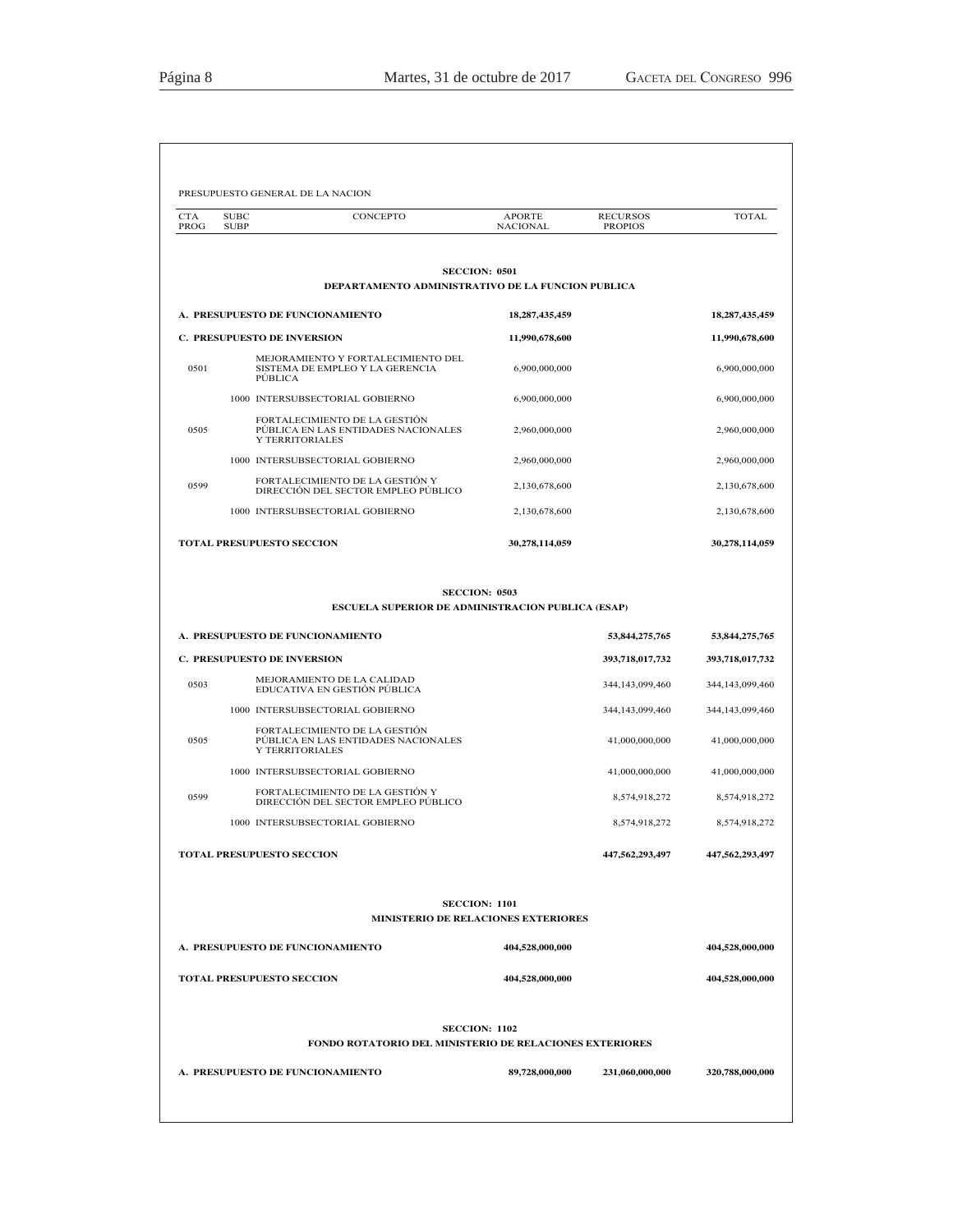|                    | PRESUPUESTO GENERAL DE LA NACION                                                        |                                  |                                   |                    |
|--------------------|-----------------------------------------------------------------------------------------|----------------------------------|-----------------------------------|--------------------|
| <b>CTA</b><br>PROG | CONCEPTO<br><b>SUBC</b><br><b>SUBP</b>                                                  | <b>APORTE</b><br><b>NACIONAL</b> | <b>RECURSOS</b><br><b>PROPIOS</b> | <b>TOTAL</b>       |
|                    |                                                                                         |                                  |                                   |                    |
|                    | DEPARTAMENTO ADMINISTRATIVO DE LA FUNCION PUBLICA                                       | <b>SECCION: 0501</b>             |                                   |                    |
|                    | A. PRESUPUESTO DE FUNCIONAMIENTO                                                        | 18, 287, 435, 459                |                                   | 18,287,435,459     |
|                    | <b>C. PRESUPUESTO DE INVERSION</b>                                                      | 11,990,678,600                   |                                   | 11,990,678,600     |
| 0501               | MEJORAMIENTO Y FORTALECIMIENTO DEL<br>SISTEMA DE EMPLEO Y LA GERENCIA<br>PÚBLICA        | 6,900,000,000                    |                                   | 6,900,000,000      |
|                    | 1000 INTERSUBSECTORIAL GOBIERNO                                                         | 6,900,000,000                    |                                   | 6,900,000,000      |
| 0505               | FORTALECIMIENTO DE LA GESTIÓN<br>PÚBLICA EN LAS ENTIDADES NACIONALES<br>Y TERRITORIALES | 2,960,000,000                    |                                   | 2,960,000,000      |
|                    | 1000 INTERSUBSECTORIAL GOBIERNO                                                         | 2,960,000,000                    |                                   | 2,960,000,000      |
| 0599               | FORTALECIMIENTO DE LA GESTIÓN Y<br>DIRECCIÓN DEL SECTOR EMPLEO PÚBLICO                  | 2,130,678,600                    |                                   | 2,130,678,600      |
|                    | 1000 INTERSUBSECTORIAL GOBIERNO                                                         | 2,130,678,600                    |                                   | 2,130,678,600      |
|                    | <b>TOTAL PRESUPUESTO SECCION</b>                                                        | 30,278,114,059                   |                                   | 30,278,114,059     |
|                    | ESCUELA SUPERIOR DE ADMINISTRACION PUBLICA (ESAP)                                       | <b>SECCION: 0503</b>             |                                   |                    |
|                    | A. PRESUPUESTO DE FUNCIONAMIENTO                                                        |                                  | 53,844,275,765                    | 53,844,275,765     |
|                    | <b>C. PRESUPUESTO DE INVERSION</b>                                                      |                                  | 393,718,017,732                   | 393,718,017,732    |
| 0503               | MEJORAMIENTO DE LA CALIDAD<br>EDUCATIVA EN GESTIÓN PÚBLICA                              |                                  | 344, 143, 099, 460                | 344, 143, 099, 460 |
|                    | 1000 INTERSUBSECTORIAL GOBIERNO                                                         |                                  | 344, 143, 099, 460                | 344, 143, 099, 460 |
| 0505               | FORTALECIMIENTO DE LA GESTIÓN<br>PÚBLICA EN LAS ENTIDADES NACIONALES<br>Y TERRITORIALES |                                  | 41,000,000,000                    | 41,000,000,000     |
|                    | 1000 INTERSUBSECTORIAL GOBIERNO                                                         |                                  | 41,000,000,000                    | 41,000,000,000     |
| 0599               | FORTALECIMIENTO DE LA GESTIÓN Y<br>DIRECCIÓN DEL SECTOR EMPLEO PÚBLICO                  |                                  | 8,574,918,272                     | 8,574,918,272      |
|                    | 1000 INTERSUBSECTORIAL GOBIERNO                                                         |                                  | 8,574,918,272                     | 8,574,918,272      |
|                    | <b>TOTAL PRESUPUESTO SECCION</b>                                                        |                                  | 447,562,293,497                   | 447,562,293,497    |
|                    | MINISTERIO DE RELACIONES EXTERIORES                                                     | <b>SECCION: 1101</b>             |                                   |                    |
|                    | A. PRESUPUESTO DE FUNCIONAMIENTO                                                        | 404,528,000,000                  |                                   | 404,528,000,000    |
|                    | <b>TOTAL PRESUPUESTO SECCION</b>                                                        | 404,528,000,000                  |                                   | 404,528,000,000    |
|                    | FONDO ROTATORIO DEL MINISTERIO DE RELACIONES EXTERIORES                                 | <b>SECCION: 1102</b>             |                                   |                    |
|                    |                                                                                         |                                  |                                   |                    |
|                    | A. PRESUPUESTO DE FUNCIONAMIENTO                                                        | 89,728,000,000                   | 231,060,000,000                   | 320,788,000,000    |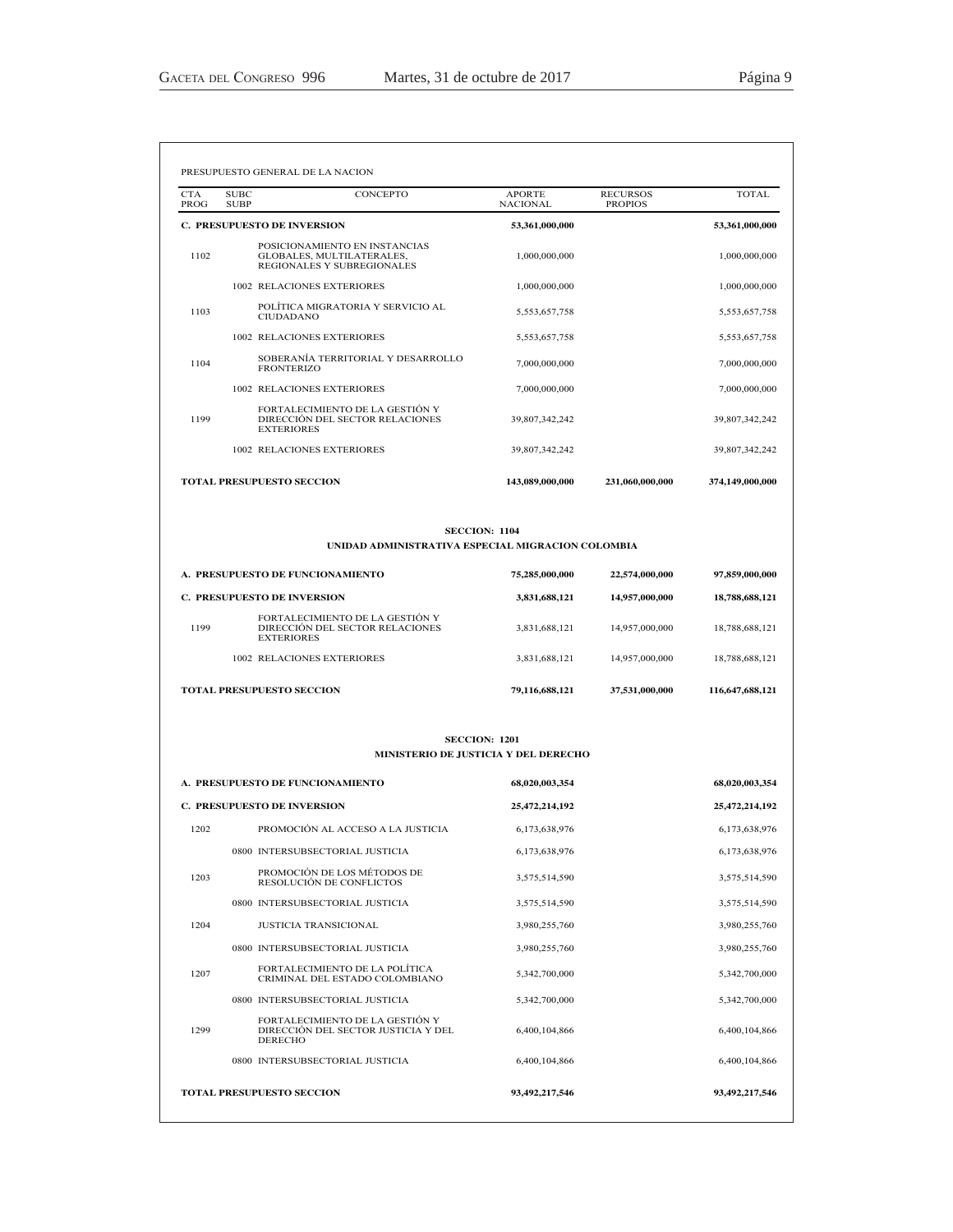| <b>CTA</b><br>PROG | <b>SUBC</b><br><b>SUBP</b> | <b>CONCEPTO</b>                                                                          | <b>APORTE</b><br><b>NACIONAL</b> | <b>RECURSOS</b><br><b>PROPIOS</b> | TOTAL.          |
|--------------------|----------------------------|------------------------------------------------------------------------------------------|----------------------------------|-----------------------------------|-----------------|
|                    |                            | <b>C. PRESUPUESTO DE INVERSION</b>                                                       | 53,361,000,000                   |                                   | 53,361,000,000  |
| 1102               |                            | POSICIONAMIENTO EN INSTANCIAS<br>GLOBALES, MULTILATERALES,<br>REGIONALES Y SUBREGIONALES | 1,000,000,000                    |                                   | 1,000,000,000   |
|                    |                            | 1002 RELACIONES EXTERIORES                                                               | 1,000,000,000                    |                                   | 1,000,000,000   |
| 1103               |                            | POLÍTICA MIGRATORIA Y SERVICIO AL<br><b>CIUDADANO</b>                                    | 5,553,657,758                    |                                   | 5,553,657,758   |
|                    |                            | <b>1002 RELACIONES EXTERIORES</b>                                                        | 5,553,657,758                    |                                   | 5,553,657,758   |
| 1104               |                            | SOBERANÍA TERRITORIAL Y DESARROLLO<br><b>FRONTERIZO</b>                                  | 7,000,000,000                    |                                   | 7,000,000,000   |
|                    |                            | <b>1002 RELACIONES EXTERIORES</b>                                                        | 7,000,000,000                    |                                   | 7,000,000,000   |
| 1199               |                            | FORTALECIMIENTO DE LA GESTIÓN Y<br>DIRECCIÓN DEL SECTOR RELACIONES<br><b>EXTERIORES</b>  | 39,807,342,242                   |                                   | 39,807,342,242  |
|                    |                            | <b>1002 RELACIONES EXTERIORES</b>                                                        | 39,807,342,242                   |                                   | 39,807,342,242  |
|                    |                            | <b>TOTAL PRESUPUESTO SECCION</b>                                                         | 143,089,000,000                  | 231,060,000,000                   | 374,149,000,000 |

### **SECCION: 1104**

### UNIDAD ADMINISTRATIVA ESPECIAL MIGRACION COLOMBIA

| A. PRESUPUESTO DE FUNCIONAMIENTO |                                                                                         | 75,285,000,000 | 22,574,000,000 | 97,859,000,000  |  |
|----------------------------------|-----------------------------------------------------------------------------------------|----------------|----------------|-----------------|--|
|                                  | <b>C. PRESUPUESTO DE INVERSION</b>                                                      | 3,831,688,121  | 14,957,000,000 | 18,788,688,121  |  |
| 1199                             | FORTALECIMIENTO DE LA GESTIÓN Y<br>DIRECCIÓN DEL SECTOR RELACIONES<br><b>EXTERIORES</b> | 3,831,688,121  | 14,957,000,000 | 18,788,688,121  |  |
|                                  | 1002 RELACIONES EXTERIORES                                                              | 3,831,688,121  | 14,957,000,000 | 18,788,688,121  |  |
| <b>TOTAL PRESUPUESTO SECCION</b> |                                                                                         | 79,116,688,121 | 37,531,000,000 | 116,647,688,121 |  |

### **SECCION: 1201** MINISTERIO DE JUSTICIA Y DEL DERECHO

| A. PRESUPUESTO DE FUNCIONAMIENTO |                                                                                          | 68,020,003,354 | 68,020,003,354 |
|----------------------------------|------------------------------------------------------------------------------------------|----------------|----------------|
|                                  | <b>C. PRESUPUESTO DE INVERSION</b>                                                       | 25,472,214,192 | 25,472,214,192 |
| 1202                             | PROMOCIÓN AL ACCESO A LA JUSTICIA                                                        | 6,173,638,976  | 6,173,638,976  |
|                                  | 0800 INTERSUBSECTORIAL JUSTICIA                                                          | 6,173,638,976  | 6,173,638,976  |
| 1203                             | PROMOCIÓN DE LOS MÉTODOS DE<br>RESOLUCIÓN DE CONFLICTOS                                  | 3,575,514,590  | 3,575,514,590  |
|                                  | 0800 INTERSUBSECTORIAL JUSTICIA                                                          | 3,575,514,590  | 3,575,514,590  |
| 1204                             | <b>JUSTICIA TRANSICIONAL</b>                                                             | 3,980,255,760  | 3,980,255,760  |
|                                  | 0800 INTERSUBSECTORIAL JUSTICIA                                                          | 3,980,255,760  | 3,980,255,760  |
| 1207                             | FORTAL ECIMIENTO DE LA POLÍTICA<br>CRIMINAL DEL ESTADO COLOMBIANO                        | 5,342,700,000  | 5,342,700,000  |
|                                  | 0800 INTERSUBSECTORIAL JUSTICIA                                                          | 5,342,700,000  | 5,342,700,000  |
| 1299                             | FORTALECIMIENTO DE LA GESTIÓN Y<br>DIRECCIÓN DEL SECTOR JUSTICIA Y DEL<br><b>DERECHO</b> | 6.400.104.866  | 6,400,104,866  |
|                                  | 0800 INTERSUBSECTORIAL JUSTICIA                                                          | 6,400,104,866  | 6,400,104,866  |
|                                  | <b>TOTAL PRESUPUESTO SECCION</b>                                                         | 93,492,217,546 | 93,492,217,546 |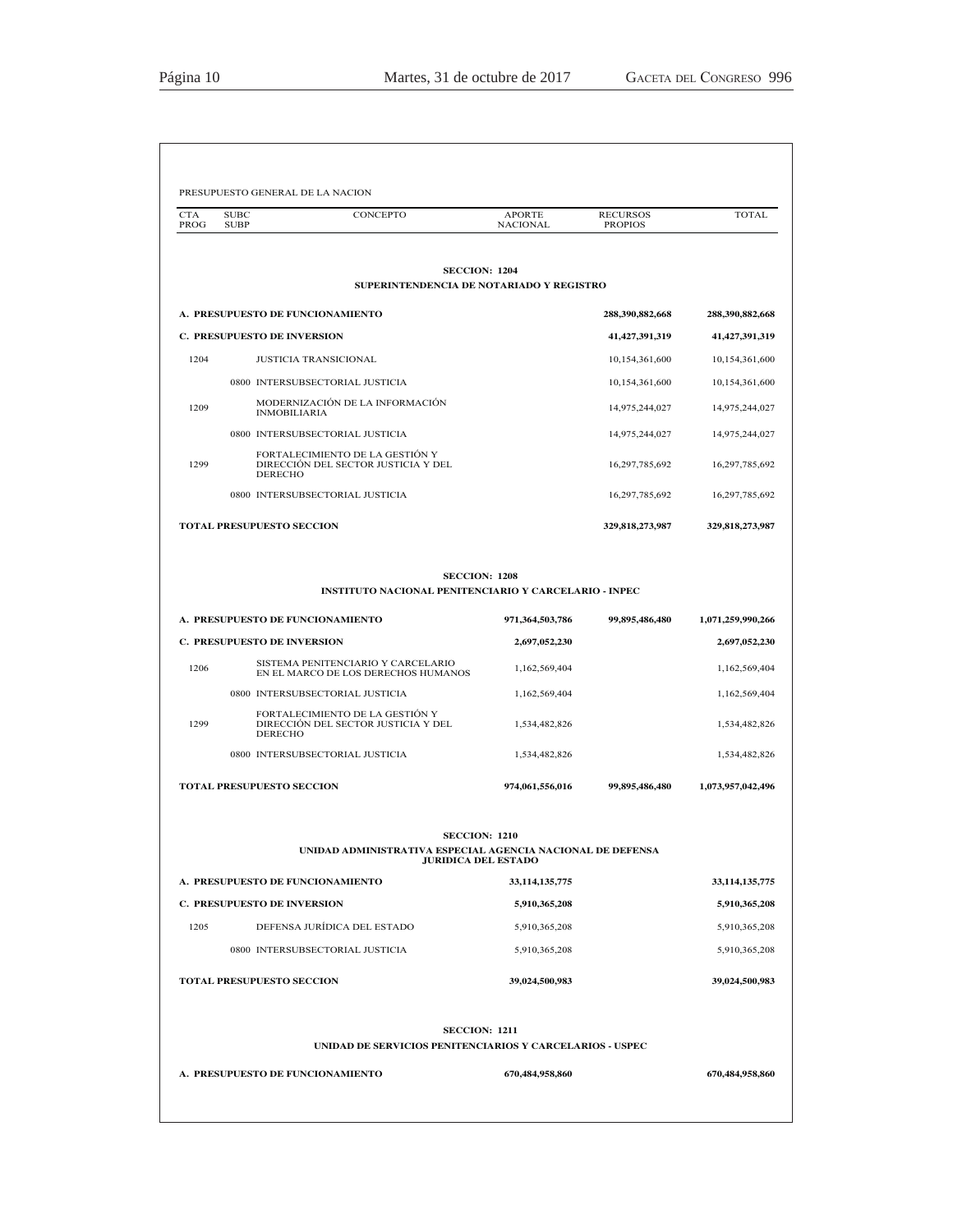| <b>CTA</b><br>PROG | <b>SUBC</b><br>CONCEPTO<br><b>SUBP</b>                                                                                      | <b>APORTE</b><br><b>NACIONAL</b>                                                                        | <b>RECURSOS</b><br><b>PROPIOS</b> | <b>TOTAL</b>                   |
|--------------------|-----------------------------------------------------------------------------------------------------------------------------|---------------------------------------------------------------------------------------------------------|-----------------------------------|--------------------------------|
|                    |                                                                                                                             | <b>SECCION: 1204</b>                                                                                    |                                   |                                |
|                    |                                                                                                                             | SUPERINTENDENCIA DE NOTARIADO Y REGISTRO                                                                |                                   |                                |
|                    | A. PRESUPUESTO DE FUNCIONAMIENTO                                                                                            |                                                                                                         | 288,390,882,668                   | 288,390,882,668                |
|                    | <b>C. PRESUPUESTO DE INVERSION</b>                                                                                          |                                                                                                         | 41, 427, 391, 319                 | 41,427,391,319                 |
| 1204               | <b>JUSTICIA TRANSICIONAL</b>                                                                                                |                                                                                                         | 10,154,361,600                    | 10,154,361,600                 |
|                    | 0800 INTERSUBSECTORIAL JUSTICIA                                                                                             |                                                                                                         | 10,154,361,600                    | 10,154,361,600                 |
| 1209               | MODERNIZACIÓN DE LA INFORMACIÓN<br><b>INMOBILIARIA</b>                                                                      |                                                                                                         | 14,975,244,027                    | 14,975,244,027                 |
|                    | 0800 INTERSUBSECTORIAL JUSTICIA                                                                                             |                                                                                                         | 14,975,244,027                    | 14,975,244,027                 |
| 1299               | FORTALECIMIENTO DE LA GESTIÓN Y<br>DIRECCIÓN DEL SECTOR JUSTICIA Y DEL<br><b>DERECHO</b>                                    |                                                                                                         | 16,297,785,692                    | 16,297,785,692                 |
|                    | 0800 INTERSUBSECTORIAL JUSTICIA                                                                                             |                                                                                                         | 16,297,785,692                    | 16,297,785,692                 |
|                    | TOTAL PRESUPUESTO SECCION                                                                                                   |                                                                                                         | 329,818,273,987                   | 329,818,273,987                |
|                    | A. PRESUPUESTO DE FUNCIONAMIENTO                                                                                            | <b>SECCION: 1208</b><br><b>INSTITUTO NACIONAL PENITENCIARIO Y CARCELARIO - INPEC</b><br>971,364,503,786 | 99,895,486,480                    | 1,071,259,990,266              |
|                    | <b>C. PRESUPUESTO DE INVERSION</b>                                                                                          | 2,697,052,230                                                                                           |                                   | 2,697,052,230                  |
| 1206               | SISTEMA PENITENCIARIO Y CARCELARIO                                                                                          |                                                                                                         |                                   |                                |
|                    | EN EL MARCO DE LOS DERECHOS HUMANOS                                                                                         | 1,162,569,404                                                                                           |                                   | 1,162,569,404                  |
| 1299               | 0800 INTERSUBSECTORIAL JUSTICIA<br>FORTALECIMIENTO DE LA GESTIÓN Y<br>DIRECCIÓN DEL SECTOR JUSTICIA Y DEL<br><b>DERECHO</b> | 1,162,569,404<br>1,534,482,826                                                                          |                                   | 1,162,569,404<br>1,534,482,826 |
|                    | 0800 INTERSUBSECTORIAL JUSTICIA                                                                                             | 1,534,482,826                                                                                           |                                   | 1,534,482,826                  |
|                    | TOTAL PRESUPUESTO SECCION                                                                                                   | 974,061,556,016                                                                                         | 99,895,486,480                    | 1,073,957,042,496              |
|                    |                                                                                                                             | <b>SECCION: 1210</b>                                                                                    |                                   |                                |
|                    |                                                                                                                             | UNIDAD ADMINISTRATIVA ESPECIAL AGENCIA NACIONAL DE DEFENSA<br><b>JURIDICA DEL ESTADO</b>                |                                   |                                |
|                    | A. PRESUPUESTO DE FUNCIONAMIENTO                                                                                            | 33,114,135,775                                                                                          |                                   | 33,114,135,775                 |
|                    | <b>C. PRESUPUESTO DE INVERSION</b>                                                                                          | 5,910,365,208                                                                                           |                                   | 5,910,365,208                  |
| 1205               | DEFENSA JURÍDICA DEL ESTADO                                                                                                 | 5,910,365,208                                                                                           |                                   | 5,910,365,208                  |
|                    | 0800 INTERSUBSECTORIAL JUSTICIA                                                                                             | 5,910,365,208                                                                                           |                                   | 5,910,365,208                  |
|                    | TOTAL PRESUPUESTO SECCION                                                                                                   | 39,024,500,983                                                                                          |                                   | 39,024,500,983                 |
|                    |                                                                                                                             |                                                                                                         |                                   |                                |
|                    |                                                                                                                             | <b>SECCION: 1211</b><br>UNIDAD DE SERVICIOS PENITENCIARIOS Y CARCELARIOS - USPEC                        |                                   |                                |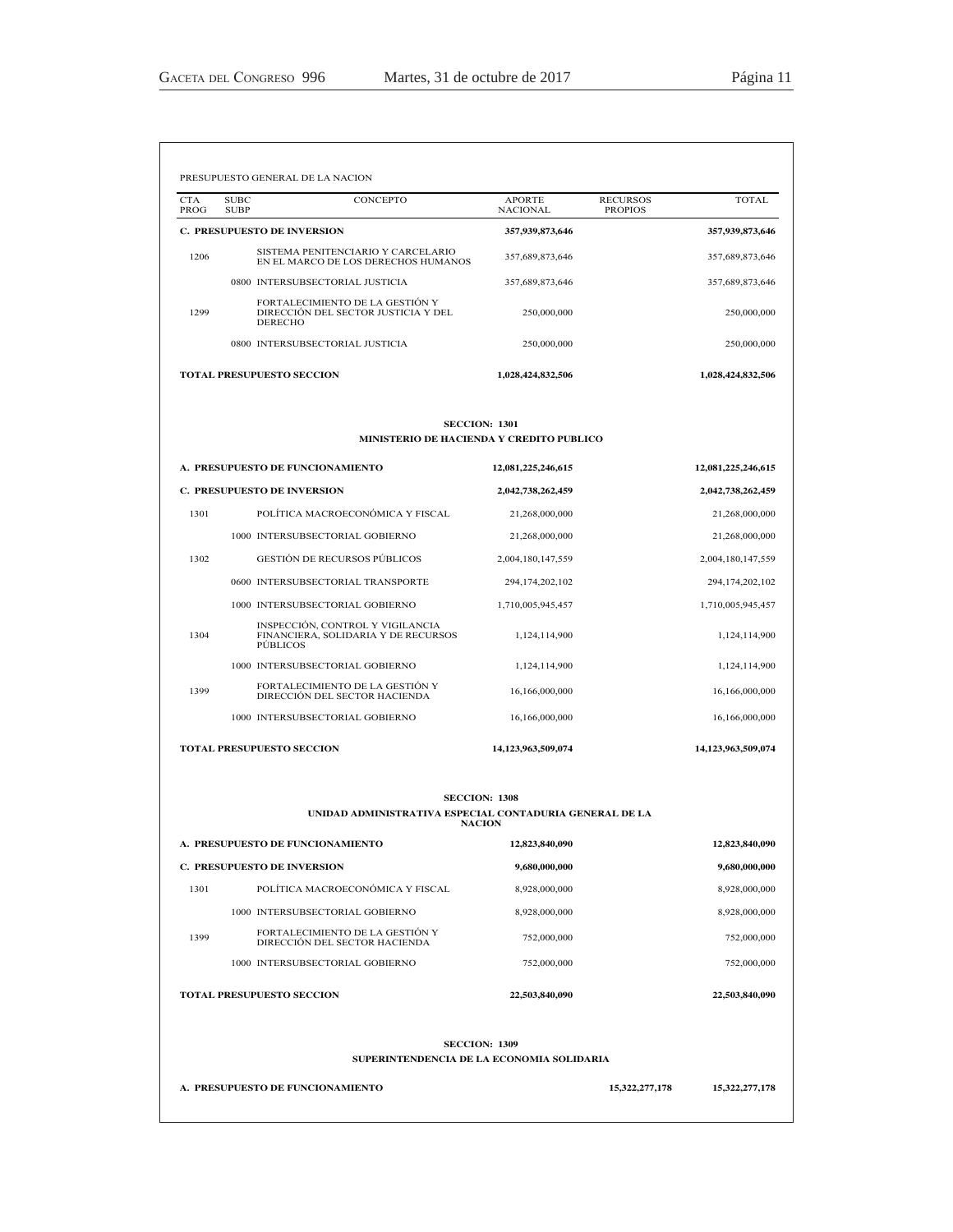| <b>CTA</b><br>PROG | <b>SUBC</b><br><b>SUBP</b>         | CONCEPTO                                                                  | <b>APORTE</b><br><b>NACIONAL</b>    | <b>RECURSOS</b><br><b>PROPIOS</b> | <b>TOTAL</b>                        |
|--------------------|------------------------------------|---------------------------------------------------------------------------|-------------------------------------|-----------------------------------|-------------------------------------|
|                    | <b>C. PRESUPUESTO DE INVERSION</b> |                                                                           | 357,939,873,646                     |                                   | 357,939,873,646                     |
| 1206               |                                    | SISTEMA PENITENCIARIO Y CARCELARIO<br>EN EL MARCO DE LOS DERECHOS HUMANOS | 357,689,873,646                     |                                   | 357,689,873,646                     |
|                    |                                    | 0800 INTERSUBSECTORIAL JUSTICIA                                           | 357,689,873,646                     |                                   | 357,689,873,646                     |
| 1299               | <b>DERECHO</b>                     | FORTALECIMIENTO DE LA GESTIÓN Y<br>DIRECCIÓN DEL SECTOR JUSTICIA Y DEL    | 250,000,000                         |                                   | 250,000,000                         |
|                    |                                    | 0800 INTERSUBSECTORIAL JUSTICIA                                           | 250,000,000                         |                                   | 250,000,000                         |
|                    | <b>TOTAL PRESUPUESTO SECCION</b>   |                                                                           | 1,028,424,832,506                   |                                   | 1,028,424,832,506                   |
|                    |                                    |                                                                           | <b>SECCION: 1301</b>                |                                   |                                     |
|                    |                                    | <b>MINISTERIO DE HACIENDA Y CREDITO PUBLICO</b>                           |                                     |                                   |                                     |
|                    |                                    | A. PRESUPUESTO DE FUNCIONAMIENTO                                          | 12,081,225,246,615                  |                                   | 12,081,225,246,615                  |
|                    | <b>C. PRESUPUESTO DE INVERSION</b> |                                                                           | 2,042,738,262,459                   |                                   | 2,042,738,262,459                   |
| 1301               |                                    | POLÍTICA MACROECONÓMICA Y FISCAL<br>1000 INTERSUBSECTORIAL GOBIERNO       | 21,268,000,000                      |                                   | 21,268,000,000                      |
| 1302               |                                    | <b>GESTIÓN DE RECURSOS PÚBLICOS</b>                                       | 21,268,000,000<br>2,004,180,147,559 |                                   | 21,268,000,000<br>2,004,180,147,559 |
|                    |                                    | 0600 INTERSUBSECTORIAL TRANSPORTE                                         | 294,174,202,102                     |                                   | 294,174,202,102                     |
|                    |                                    | 1000 INTERSUBSECTORIAL GOBIERNO                                           | 1,710,005,945,457                   |                                   | 1,710,005,945,457                   |
| 1304               | <b>PÚBLICOS</b>                    | INSPECCIÓN, CONTROL Y VIGILANCIA<br>FINANCIERA, SOLIDARIA Y DE RECURSOS   | 1,124,114,900                       |                                   | 1,124,114,900                       |
|                    |                                    | 1000 INTERSUBSECTORIAL GOBIERNO                                           | 1,124,114,900                       |                                   | 1,124,114,900                       |
| 1399               |                                    | FORTALECIMIENTO DE LA GESTIÓN Y<br>DIRECCIÓN DEL SECTOR HACIENDA          | 16,166,000,000                      |                                   | 16,166,000,000                      |
|                    |                                    | 1000 INTERSUBSECTORIAL GOBIERNO                                           | 16,166,000,000                      |                                   | 16,166,000,000                      |
|                    | <b>TOTAL PRESUPUESTO SECCION</b>   |                                                                           | 14,123,963,509,074                  |                                   | 14,123,963,509,074                  |
|                    |                                    |                                                                           | <b>SECCION: 1308</b>                |                                   |                                     |
|                    |                                    | UNIDAD ADMINISTRATIVA ESPECIAL CONTADURIA GENERAL DE LA                   | <b>NACION</b>                       |                                   |                                     |
|                    |                                    | A. PRESUPUESTO DE FUNCIONAMIENTO                                          | 12,823,840,090                      |                                   | 12,823,840,090                      |
|                    | <b>C. PRESUPUESTO DE INVERSION</b> |                                                                           | 9,680,000,000                       |                                   | 9,680,000,000                       |
| 1301               |                                    | POLÍTICA MACROECONÓMICA Y FISCAL                                          | 8,928,000,000                       |                                   | 8,928,000,000                       |
|                    |                                    | 1000 INTERSUBSECTORIAL GOBIERNO                                           | 8,928,000,000                       |                                   | 8,928,000,000                       |
| 1399               |                                    | FORTALECIMIENTO DE LA GESTIÓN Y<br>DIRECCIÓN DEL SECTOR HACIENDA          | 752,000,000                         |                                   | 752,000,000                         |
|                    |                                    | 1000 INTERSUBSECTORIAL GOBIERNO                                           | 752,000,000                         |                                   | 752,000,000                         |
|                    | <b>TOTAL PRESUPUESTO SECCION</b>   |                                                                           | 22,503,840,090                      |                                   | 22,503,840,090                      |
|                    |                                    |                                                                           | <b>SECCION: 1309</b>                |                                   |                                     |
|                    |                                    | SUPERINTENDENCIA DE LA ECONOMIA SOLIDARIA                                 |                                     |                                   |                                     |
|                    |                                    |                                                                           |                                     |                                   |                                     |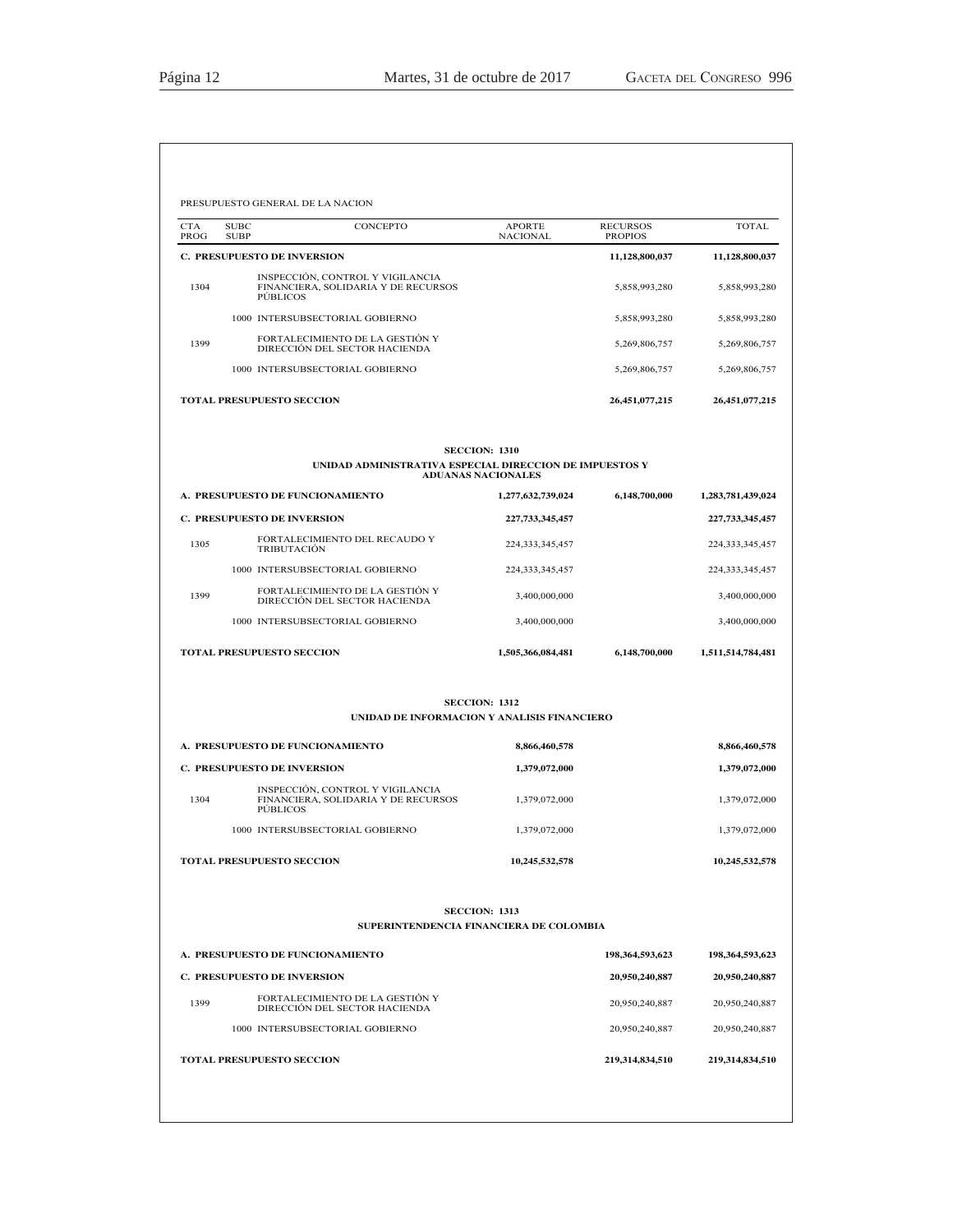| <b>TOTAL</b>                         | <b>RECURSOS</b><br><b>PROPIOS</b> | <b>APORTE</b><br><b>NACIONAL</b>     | CONCEPTO                                                                                   | <b>SUBC</b><br><b>SUBP</b> | <b>CTA</b><br>PROG |
|--------------------------------------|-----------------------------------|--------------------------------------|--------------------------------------------------------------------------------------------|----------------------------|--------------------|
| 11,128,800,037                       | 11,128,800,037                    |                                      | <b>C. PRESUPUESTO DE INVERSION</b>                                                         |                            |                    |
| 5,858,993,280                        | 5,858,993,280                     |                                      | INSPECCIÓN, CONTROL Y VIGILANCIA<br>FINANCIERA, SOLIDARIA Y DE RECURSOS<br><b>PÚBLICOS</b> |                            | 1304               |
| 5,858,993,280                        | 5,858,993,280                     |                                      | 1000 INTERSUBSECTORIAL GOBIERNO                                                            |                            |                    |
| 5,269,806,757                        | 5,269,806,757                     |                                      | FORTALECIMIENTO DE LA GESTIÓN Y<br>DIRECCIÓN DEL SECTOR HACIENDA                           |                            | 1399               |
| 5,269,806,757                        | 5,269,806,757                     |                                      | 1000 INTERSUBSECTORIAL GOBIERNO                                                            |                            |                    |
| 26,451,077,215                       | 26,451,077,215                    |                                      | <b>TOTAL PRESUPUESTO SECCION</b>                                                           |                            |                    |
|                                      |                                   | <b>SECCION: 1310</b>                 | UNIDAD ADMINISTRATIVA ESPECIAL DIRECCION DE IMPUESTOS Y                                    |                            |                    |
|                                      |                                   | <b>ADUANAS NACIONALES</b>            |                                                                                            |                            |                    |
| 1,283,781,439,024<br>227,733,345,457 | 6,148,700,000                     | 1,277,632,739,024<br>227,733,345,457 | A. PRESUPUESTO DE FUNCIONAMIENTO<br><b>C. PRESUPUESTO DE INVERSION</b>                     |                            |                    |
| 224, 333, 345, 457                   |                                   | 224, 333, 345, 457                   | FORTALECIMIENTO DEL RECAUDO Y<br><b>TRIBUTACIÓN</b>                                        |                            | 1305               |
| 224, 333, 345, 457                   |                                   | 224, 333, 345, 457                   | 1000 INTERSUBSECTORIAL GOBIERNO                                                            |                            |                    |
| 3,400,000,000                        |                                   | 3,400,000,000                        | FORTALECIMIENTO DE LA GESTIÓN Y<br>DIRECCIÓN DEL SECTOR HACIENDA                           |                            | 1399               |
| 3,400,000,000                        |                                   | 3,400,000,000                        | 1000 INTERSUBSECTORIAL GOBIERNO                                                            |                            |                    |
| 1,511,514,784,481                    | 6,148,700,000                     | 1,505,366,084,481                    | <b>TOTAL PRESUPUESTO SECCION</b>                                                           |                            |                    |
|                                      |                                   | <b>SECCION: 1312</b>                 | UNIDAD DE INFORMACION Y ANALISIS FINANCIERO                                                |                            |                    |
|                                      |                                   | 8,866,460,578                        | A. PRESUPUESTO DE FUNCIONAMIENTO                                                           |                            |                    |
| 8,866,460,578                        |                                   | 1,379,072,000                        | <b>C. PRESUPUESTO DE INVERSION</b>                                                         |                            |                    |
| 1,379,072,000                        |                                   |                                      | INSPECCIÓN, CONTROL Y VIGILANCIA                                                           |                            | 1304               |
| 1,379,072,000                        |                                   | 1,379,072,000                        | FINANCIERA, SOLIDARIA Y DE RECURSOS<br><b>PÚBLICOS</b>                                     |                            |                    |
| 1,379,072,000                        |                                   | 1,379,072,000                        | 1000 INTERSUBSECTORIAL GOBIERNO                                                            |                            |                    |
| 10,245,532,578                       |                                   | 10,245,532,578                       | TOTAL PRESUPUESTO SECCION                                                                  |                            |                    |
|                                      |                                   | <b>SECCION: 1313</b>                 |                                                                                            |                            |                    |
|                                      |                                   |                                      | SUPERINTENDENCIA FINANCIERA DE COLOMBIA                                                    |                            |                    |
| 198,364,593,623                      | 198,364,593,623                   |                                      | A. PRESUPUESTO DE FUNCIONAMIENTO                                                           |                            |                    |
| 20,950,240,887                       | 20,950,240,887                    |                                      | <b>C. PRESUPUESTO DE INVERSION</b><br>FORTALECIMIENTO DE LA GESTIÓN Y                      |                            |                    |
| 20,950,240,887<br>20,950,240,887     | 20,950,240,887<br>20,950,240,887  |                                      | DIRECCIÓN DEL SECTOR HACIENDA<br>1000 INTERSUBSECTORIAL GOBIERNO                           |                            | 1399               |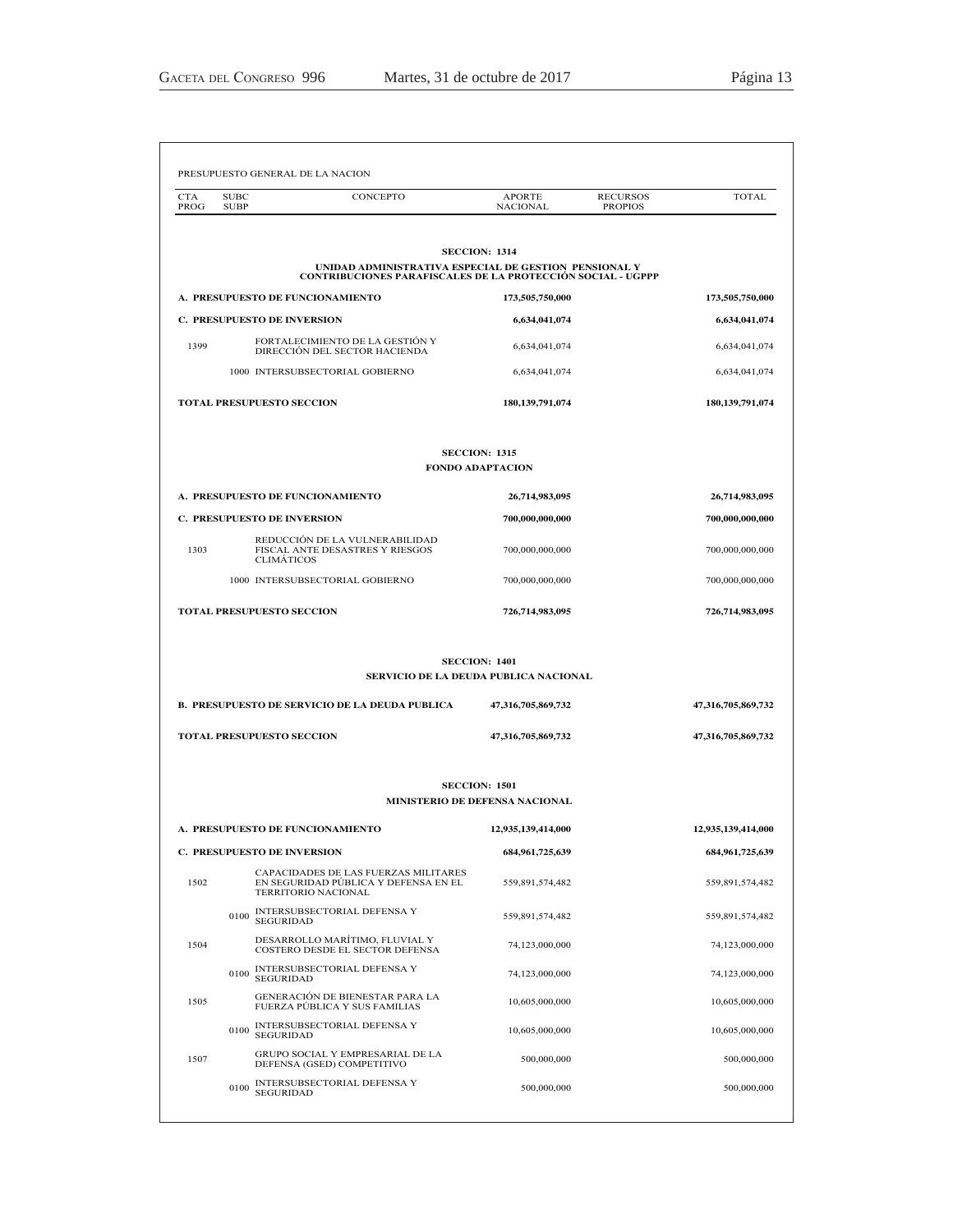| <b>CTA</b><br>PROG | <b>SUBC</b><br>CONCEPTO<br><b>SUBP</b>                                                                                      | <b>APORTE</b><br><b>NACIONAL</b>                              | <b>RECURSOS</b><br><b>PROPIOS</b> | <b>TOTAL</b>       |
|--------------------|-----------------------------------------------------------------------------------------------------------------------------|---------------------------------------------------------------|-----------------------------------|--------------------|
|                    |                                                                                                                             |                                                               |                                   |                    |
|                    | UNIDAD ADMINISTRATIVA ESPECIAL DE GESTION PENSIONAL Y<br><b>CONTRIBUCIONES PARAFISCALES DE LA PROTECCIÓN SOCIAL - UGPPP</b> | <b>SECCION: 1314</b>                                          |                                   |                    |
|                    | A. PRESUPUESTO DE FUNCIONAMIENTO                                                                                            | 173,505,750,000                                               |                                   | 173,505,750,000    |
|                    | <b>C. PRESUPUESTO DE INVERSION</b>                                                                                          | 6,634,041,074                                                 |                                   | 6,634,041,074      |
| 1399               | FORTALECIMIENTO DE LA GESTIÓN Y<br>DIRECCIÓN DEL SECTOR HACIENDA                                                            | 6,634,041,074                                                 |                                   | 6,634,041,074      |
|                    | 1000 INTERSUBSECTORIAL GOBIERNO                                                                                             | 6,634,041,074                                                 |                                   | 6,634,041,074      |
|                    | TOTAL PRESUPUESTO SECCION                                                                                                   | 180, 139, 791, 074                                            |                                   | 180, 139, 791, 074 |
|                    |                                                                                                                             | <b>SECCION: 1315</b><br><b>FONDO ADAPTACION</b>               |                                   |                    |
|                    | A. PRESUPUESTO DE FUNCIONAMIENTO                                                                                            | 26,714,983,095                                                |                                   | 26,714,983,095     |
|                    | <b>C. PRESUPUESTO DE INVERSION</b>                                                                                          | 700,000,000,000                                               |                                   | 700,000,000,000    |
| 1303               | REDUCCIÓN DE LA VULNERABILIDAD<br>FISCAL ANTE DESASTRES Y RIESGOS<br><b>CLIMÁTICOS</b>                                      | 700,000,000,000                                               |                                   | 700,000,000,000    |
|                    | 1000 INTERSUBSECTORIAL GOBIERNO                                                                                             | 700,000,000,000                                               |                                   | 700,000,000,000    |
|                    |                                                                                                                             |                                                               |                                   |                    |
|                    | TOTAL PRESUPUESTO SECCION                                                                                                   | 726,714,983,095                                               |                                   | 726,714,983,095    |
|                    |                                                                                                                             | <b>SECCION: 1401</b><br>SERVICIO DE LA DEUDA PUBLICA NACIONAL |                                   |                    |
|                    | <b>B. PRESUPUESTO DE SERVICIO DE LA DEUDA PUBLICA</b>                                                                       | 47,316,705,869,732                                            |                                   | 47,316,705,869,732 |
|                    | <b>TOTAL PRESUPUESTO SECCION</b>                                                                                            | 47,316,705,869,732                                            |                                   | 47,316,705,869,732 |
|                    |                                                                                                                             | <b>SECCION: 1501</b><br><b>MINISTERIO DE DEFENSA NACIONAL</b> |                                   |                    |
|                    | A. PRESUPUESTO DE FUNCIONAMIENTO                                                                                            | 12,935,139,414,000                                            |                                   | 12,935,139,414,000 |
|                    | <b>C. PRESUPUESTO DE INVERSION</b>                                                                                          | 684, 961, 725, 639                                            |                                   | 684, 961, 725, 639 |
| 1502               | CAPACIDADES DE LAS FUERZAS MILITARES<br>EN SEGURIDAD PÚBLICA Y DEFENSA EN EL<br>TERRITORIO NACIONAL                         | 559,891,574,482                                               |                                   | 559,891,574,482    |
|                    | INTERSUBSECTORIAL DEFENSA Y<br>0100<br><b>SEGURIDAD</b>                                                                     | 559,891,574,482                                               |                                   | 559,891,574,482    |
| 1504               | DESARROLLO MARÍTIMO, FLUVIAL Y<br>COSTERO DESDE EL SECTOR DEFENSA                                                           | 74,123,000,000                                                |                                   | 74,123,000,000     |
|                    | INTERSUBSECTORIAL DEFENSA Y<br>0100<br><b>SEGURIDAD</b>                                                                     | 74,123,000,000                                                |                                   | 74,123,000,000     |
| 1505               | GENERACIÓN DE BIENESTAR PARA LA<br>FUERZA PÚBLICA Y SUS FAMILIAS                                                            | 10,605,000,000                                                |                                   | 10,605,000,000     |
|                    | INTERSUBSECTORIAL DEFENSA Y<br>0100<br><b>SEGURIDAD</b>                                                                     | 10,605,000,000                                                |                                   | 10,605,000,000     |
| 1507               | GRUPO SOCIAL Y EMPRESARIAL DE LA<br>DEFENSA (GSED) COMPETITIVO                                                              | 500,000,000                                                   |                                   | 500,000,000        |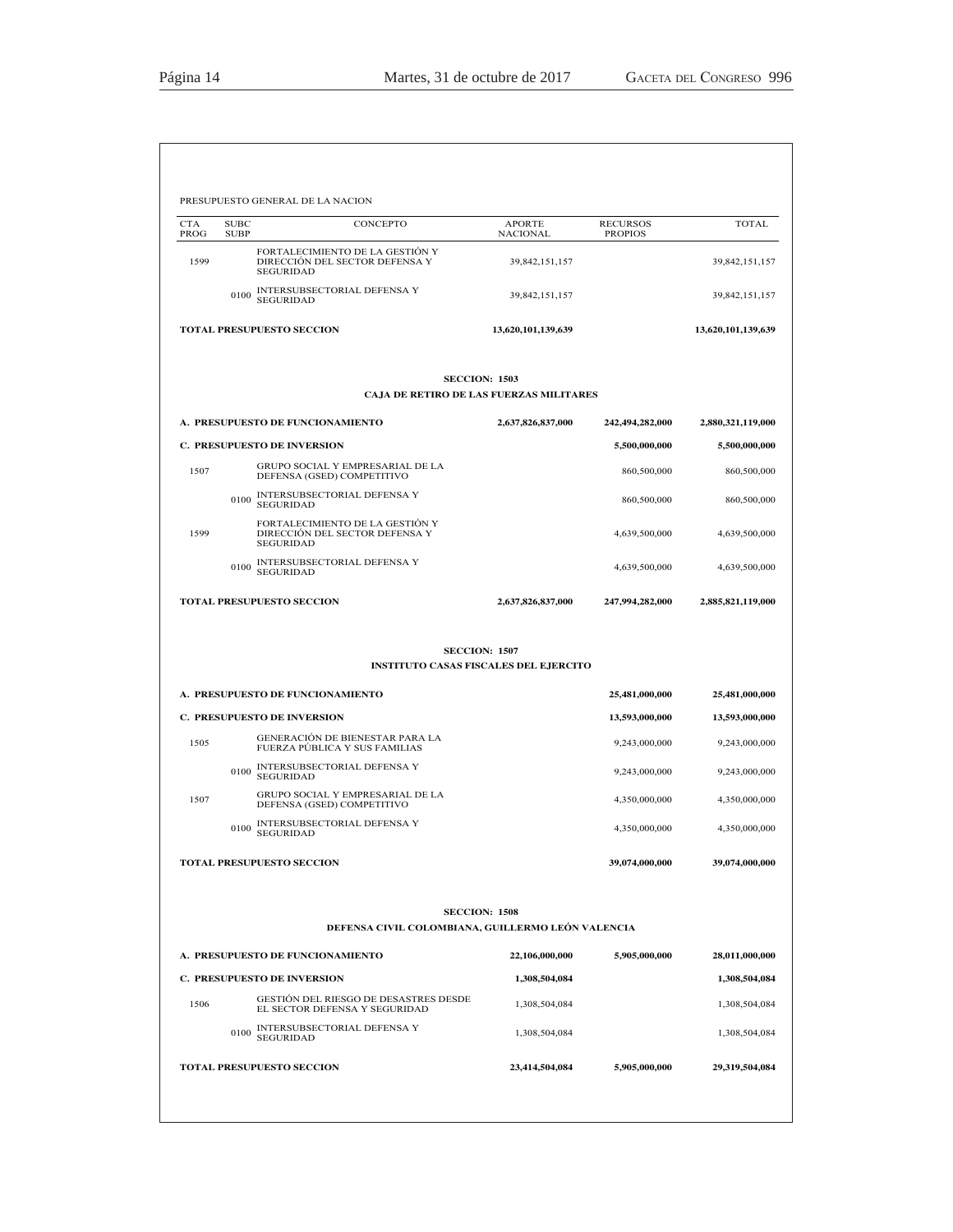| <b>CTA</b><br>PROG | <b>SUBC</b><br><b>SUBP</b> | CONCEPTO                                                                                                     | <b>APORTE</b><br><b>NACIONAL</b> | <b>RECURSOS</b><br><b>PROPIOS</b> | <b>TOTAL</b>                                                       |
|--------------------|----------------------------|--------------------------------------------------------------------------------------------------------------|----------------------------------|-----------------------------------|--------------------------------------------------------------------|
| 1599               |                            | FORTALECIMIENTO DE LA GESTIÓN Y<br>DIRECCIÓN DEL SECTOR DEFENSA Y<br><b>SEGURIDAD</b>                        | 39,842,151,157                   |                                   | 39,842,151,157                                                     |
|                    | 0100                       | INTERSUBSECTORIAL DEFENSA Y<br><b>SEGURIDAD</b>                                                              | 39,842,151,157                   |                                   | 39,842,151,157                                                     |
|                    |                            | <b>TOTAL PRESUPUESTO SECCION</b>                                                                             | 13,620,101,139,639               |                                   | 13,620,101,139,639                                                 |
|                    |                            | <b>SECCION: 1503</b><br>CAJA DE RETIRO DE LAS FUERZAS MILITARES                                              |                                  |                                   |                                                                    |
|                    |                            | <b>A. PRESUPUESTO DE FUNCIONAMIENTO</b>                                                                      | 2,637,826,837,000                | 242,494,282,000                   | 2,880,321,119,000                                                  |
|                    |                            | <b>C. PRESUPUESTO DE INVERSION</b>                                                                           |                                  | 5,500,000,000                     | 5,500,000,000                                                      |
| 1507               |                            | GRUPO SOCIAL Y EMPRESARIAL DE LA<br>DEFENSA (GSED) COMPETITIVO                                               |                                  | 860,500,000                       | 860,500,000                                                        |
|                    | 0100                       | INTERSUBSECTORIAL DEFENSA Y<br><b>SEGURIDAD</b>                                                              |                                  | 860,500,000                       | 860,500,000                                                        |
| 1599               |                            | FORTALECIMIENTO DE LA GESTIÓN Y<br>DIRECCIÓN DEL SECTOR DEFENSA Y<br><b>SEGURIDAD</b>                        |                                  | 4,639,500,000                     | 4,639,500,000                                                      |
|                    | 0100                       | INTERSUBSECTORIAL DEFENSA Y<br><b>SEGURIDAD</b>                                                              |                                  | 4,639,500,000                     | 4,639,500,000                                                      |
|                    |                            | <b>TOTAL PRESUPUESTO SECCION</b>                                                                             | 2,637,826,837,000                | 247,994,282,000                   | 2,885,821,119,000                                                  |
|                    |                            |                                                                                                              |                                  |                                   |                                                                    |
|                    |                            | <b>SECCION: 1507</b><br><b>INSTITUTO CASAS FISCALES DEL EJERCITO</b>                                         |                                  |                                   |                                                                    |
|                    |                            | A. PRESUPUESTO DE FUNCIONAMIENTO                                                                             |                                  | 25,481,000,000                    |                                                                    |
|                    |                            | <b>C. PRESUPUESTO DE INVERSION</b>                                                                           |                                  | 13,593,000,000                    |                                                                    |
| 1505               |                            | GENERACIÓN DE BIENESTAR PARA LA<br>FUERZA PÚBLICA Y SUS FAMILIAS                                             |                                  | 9,243,000,000                     |                                                                    |
|                    | 0100                       | INTERSUBSECTORIAL DEFENSA Y<br><b>SEGURIDAD</b>                                                              |                                  | 9,243,000,000                     | 25,481,000,000<br>13,593,000,000<br>9,243,000,000<br>9,243,000,000 |
| 1507               |                            | GRUPO SOCIAL Y EMPRESARIAL DE LA<br>DEFENSA (GSED) COMPETITIVO                                               |                                  | 4,350,000,000                     |                                                                    |
|                    | 0100                       | INTERSUBSECTORIAL DEFENSA Y<br><b>SEGURIDAD</b>                                                              |                                  | 4,350,000,000                     |                                                                    |
|                    |                            | <b>TOTAL PRESUPUESTO SECCION</b>                                                                             |                                  | 39,074,000,000                    | 4,350,000,000<br>4,350,000,000<br>39,074,000,000                   |
|                    |                            | <b>SECCION: 1508</b>                                                                                         |                                  |                                   |                                                                    |
|                    |                            | DEFENSA CIVIL COLOMBIANA, GUILLERMO LEÓN VALENCIA                                                            |                                  |                                   |                                                                    |
|                    |                            | A. PRESUPUESTO DE FUNCIONAMIENTO                                                                             | 22,106,000,000                   | 5,905,000,000                     |                                                                    |
| 1506               |                            | <b>C. PRESUPUESTO DE INVERSION</b><br>GESTION DEL RIESGO DE DESASTRES DESDE<br>EL SECTOR DEFENSA Y SEGURIDAD | 1,308,504,084<br>1,308,504,084   |                                   |                                                                    |
|                    | 0100                       | INTERSUBSECTORIAL DEFENSA Y<br><b>SEGURIDAD</b>                                                              | 1,308,504,084                    |                                   | 28,011,000,000<br>1,308,504,084<br>1,308,504,084<br>1,308,504,084  |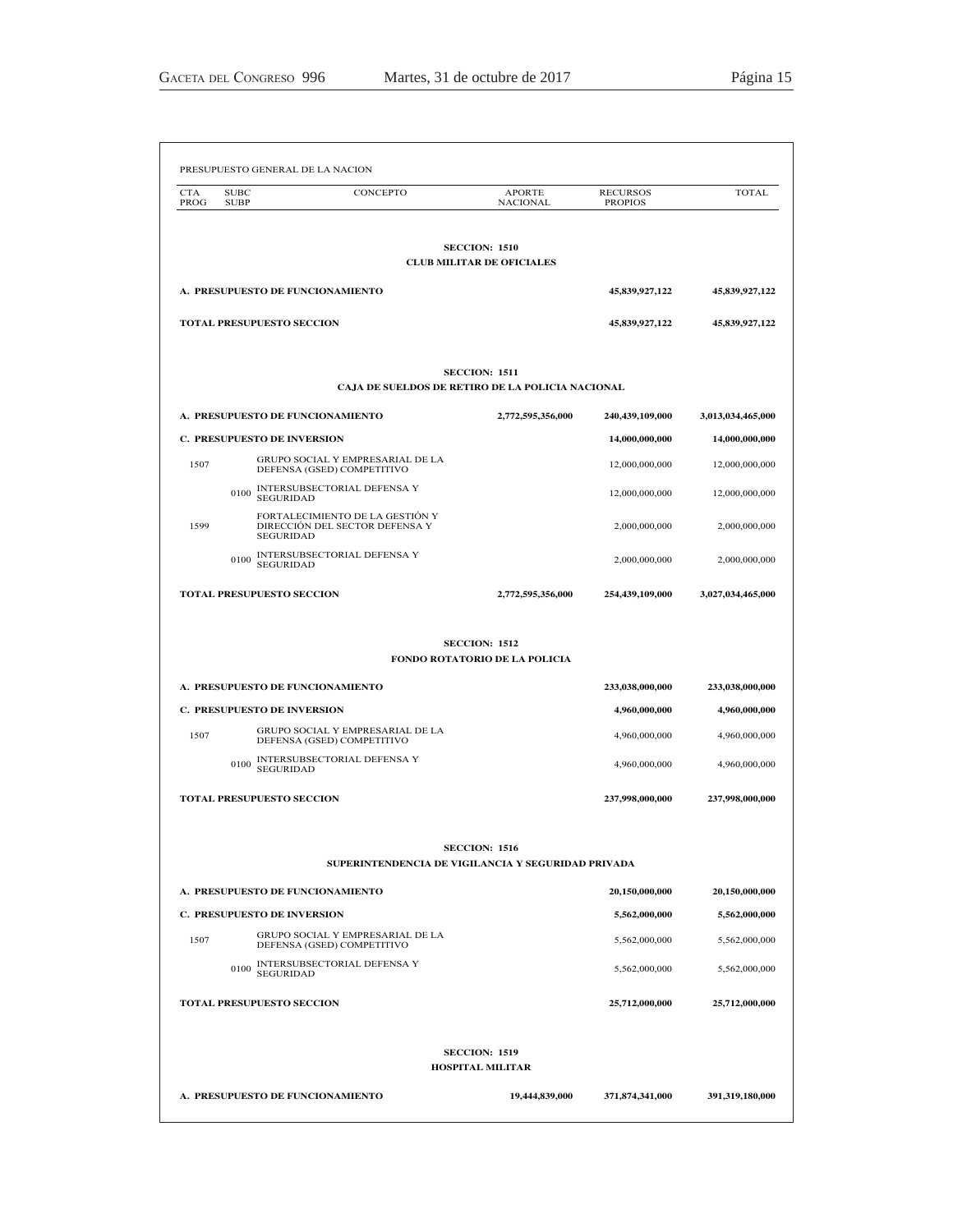| <b>CTA</b><br>PROG | <b>SUBC</b><br><b>SUBP</b>         | CONCEPTO                                                          | <b>APORTE</b><br><b>NACIONAL</b>                         | <b>RECURSOS</b><br><b>PROPIOS</b> | TOTAL             |
|--------------------|------------------------------------|-------------------------------------------------------------------|----------------------------------------------------------|-----------------------------------|-------------------|
|                    |                                    |                                                                   |                                                          |                                   |                   |
|                    |                                    |                                                                   | <b>SECCION: 1510</b><br><b>CLUB MILITAR DE OFICIALES</b> |                                   |                   |
|                    |                                    | A. PRESUPUESTO DE FUNCIONAMIENTO                                  |                                                          | 45,839,927,122                    | 45,839,927,122    |
|                    | <b>TOTAL PRESUPUESTO SECCION</b>   |                                                                   |                                                          | 45,839,927,122                    | 45,839,927,122    |
|                    |                                    | CAJA DE SUELDOS DE RETIRO DE LA POLICIA NACIONAL                  | <b>SECCION: 1511</b>                                     |                                   |                   |
|                    |                                    | A. PRESUPUESTO DE FUNCIONAMIENTO                                  | 2,772,595,356,000                                        | 240,439,109,000                   | 3,013,034,465,000 |
|                    | <b>C. PRESUPUESTO DE INVERSION</b> |                                                                   |                                                          | 14,000,000,000                    | 14,000,000,000    |
| 1507               |                                    | GRUPO SOCIAL Y EMPRESARIAL DE LA<br>DEFENSA (GSED) COMPETITIVO    |                                                          | 12,000,000,000                    | 12,000,000,000    |
|                    | 0100<br><b>SEGURIDAD</b>           | INTERSUBSECTORIAL DEFENSA Y                                       |                                                          | 12,000,000,000                    | 12,000,000,000    |
| 1599               | <b>SEGURIDAD</b>                   | FORTALECIMIENTO DE LA GESTIÓN Y<br>DIRECCIÓN DEL SECTOR DEFENSA Y |                                                          | 2,000,000,000                     | 2,000,000,000     |
|                    | 0100<br><b>SEGURIDAD</b>           | INTERSUBSECTORIAL DEFENSA Y                                       |                                                          | 2,000,000,000                     | 2,000,000,000     |
|                    | <b>TOTAL PRESUPUESTO SECCION</b>   |                                                                   | 2,772,595,356,000                                        | 254,439,109,000                   | 3,027,034,465,000 |
|                    |                                    |                                                                   | <b>SECCION: 1512</b>                                     |                                   |                   |
|                    |                                    |                                                                   | FONDO ROTATORIO DE LA POLICIA                            |                                   |                   |
|                    |                                    | A. PRESUPUESTO DE FUNCIONAMIENTO                                  |                                                          | 233,038,000,000                   | 233,038,000,000   |
|                    | <b>C. PRESUPUESTO DE INVERSION</b> | GRUPO SOCIAL Y EMPRESARIAL DE LA                                  |                                                          | 4,960,000,000                     | 4,960,000,000     |
| 1507               |                                    | DEFENSA (GSED) COMPETITIVO<br><b>INTERSUBSECTORIAL DEFENSA Y</b>  |                                                          | 4,960,000,000                     | 4,960,000,000     |
|                    | 0100<br><b>SEGURIDAD</b>           |                                                                   |                                                          | 4,960,000,000                     | 4,960,000,000     |
|                    | <b>TOTAL PRESUPUESTO SECCION</b>   |                                                                   |                                                          | 237,998,000,000                   | 237,998,000,000   |
|                    |                                    | SUPERINTENDENCIA DE VIGILANCIA Y SEGURIDAD PRIVADA                | <b>SECCION: 1516</b>                                     |                                   |                   |
|                    |                                    | A. PRESUPUESTO DE FUNCIONAMIENTO                                  |                                                          | 20,150,000,000                    | 20.150.000.000    |
|                    | <b>C. PRESUPUESTO DE INVERSION</b> |                                                                   |                                                          | 5,562,000,000                     | 5,562,000,000     |
| 1507               |                                    | GRUPO SOCIAL Y EMPRESARIAL DE LA<br>DEFENSA (GSED) COMPETITIVO    |                                                          | 5,562,000,000                     | 5,562,000,000     |
|                    | 0100<br><b>SEGURIDAD</b>           | INTERSUBSECTORIAL DEFENSA Y                                       |                                                          | 5,562,000,000                     | 5,562,000,000     |
|                    | <b>TOTAL PRESUPUESTO SECCION</b>   |                                                                   |                                                          | 25,712,000,000                    | 25,712,000,000    |
|                    |                                    |                                                                   | <b>SECCION: 1519</b>                                     |                                   |                   |
|                    |                                    |                                                                   | <b>HOSPITAL MILITAR</b>                                  |                                   |                   |
|                    |                                    | A. PRESUPUESTO DE FUNCIONAMIENTO                                  | 19,444,839,000                                           | 371,874,341,000                   | 391,319,180,000   |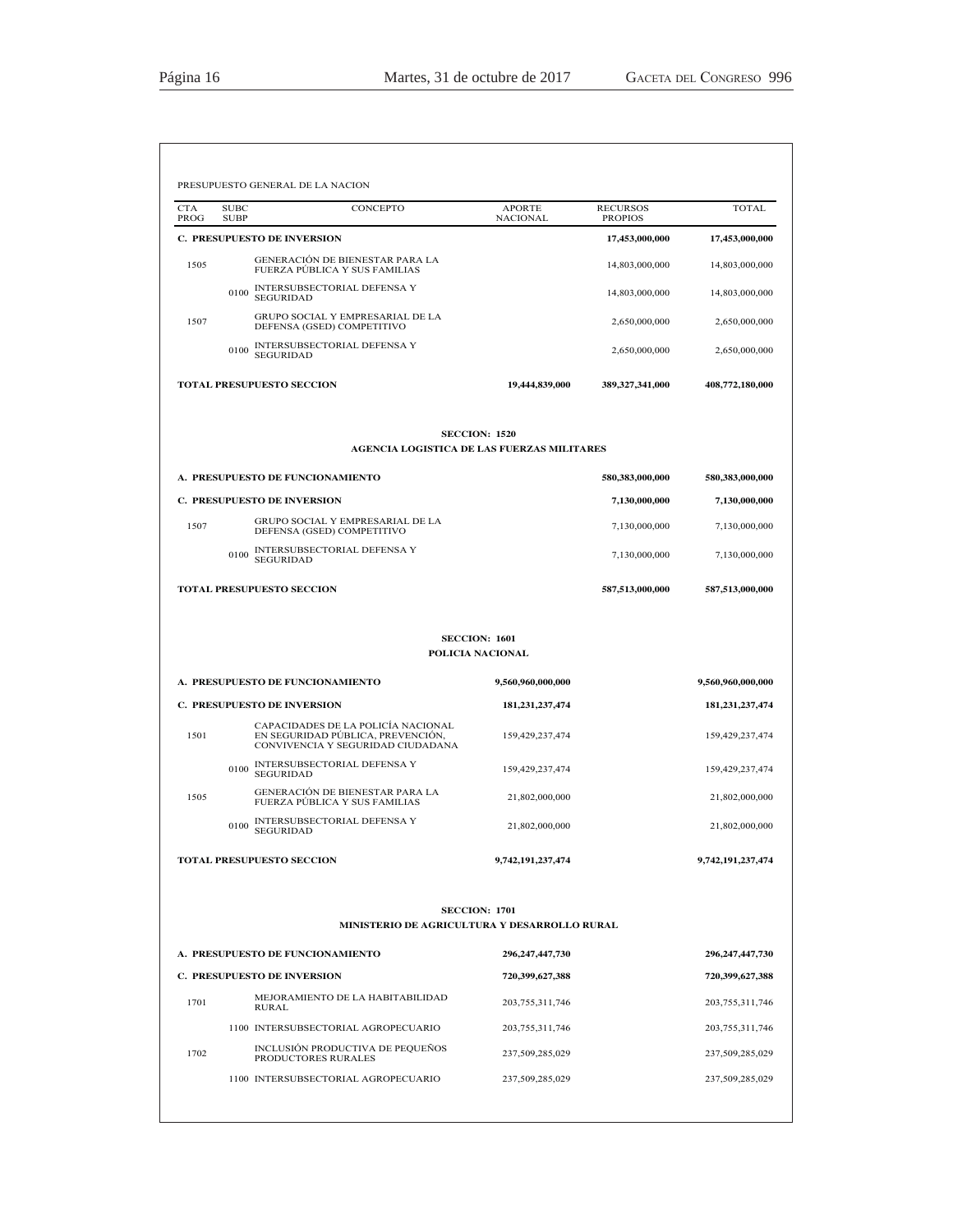| <b>CTA</b><br>PROG | <b>SUBC</b><br><b>SUBP</b> | CONCEPTO                                                                                                     | <b>APORTE</b><br><b>NACIONAL</b>         | <b>RECURSOS</b><br><b>PROPIOS</b> | <b>TOTAL</b>       |
|--------------------|----------------------------|--------------------------------------------------------------------------------------------------------------|------------------------------------------|-----------------------------------|--------------------|
|                    |                            | <b>C. PRESUPUESTO DE INVERSION</b>                                                                           |                                          | 17,453,000,000                    | 17,453,000,000     |
| 1505               |                            | <b>GENERACIÓN DE BIENESTAR PARA LA</b><br>FUERZA PÚBLICA Y SUS FAMILIAS                                      |                                          | 14,803,000,000                    | 14,803,000,000     |
|                    | 0100                       | INTERSUBSECTORIAL DEFENSA Y<br><b>SEGURIDAD</b>                                                              |                                          | 14,803,000,000                    | 14,803,000,000     |
| 1507               |                            | GRUPO SOCIAL Y EMPRESARIAL DE LA<br>DEFENSA (GSED) COMPETITIVO                                               |                                          | 2.650,000,000                     | 2,650,000,000      |
|                    | 0100                       | INTERSUBSECTORIAL DEFENSA Y<br><b>SEGURIDAD</b>                                                              |                                          | 2,650,000,000                     | 2,650,000,000      |
|                    |                            | <b>TOTAL PRESUPUESTO SECCION</b>                                                                             | 19,444,839,000                           | 389,327,341,000                   | 408,772,180,000    |
|                    |                            | AGENCIA LOGISTICA DE LAS FUERZAS MILITARES                                                                   | <b>SECCION: 1520</b>                     |                                   |                    |
|                    |                            | A. PRESUPUESTO DE FUNCIONAMIENTO                                                                             |                                          | 580,383,000,000                   | 580,383,000,000    |
|                    |                            | <b>C. PRESUPUESTO DE INVERSION</b>                                                                           |                                          | 7,130,000,000                     | 7,130,000,000      |
| 1507               |                            | GRUPO SOCIAL Y EMPRESARIAL DE LA<br>DEFENSA (GSED) COMPETITIVO                                               |                                          | 7,130,000,000                     | 7,130,000,000      |
|                    | 0100                       | INTERSUBSECTORIAL DEFENSA Y<br><b>SEGURIDAD</b>                                                              |                                          | 7,130,000,000                     | 7,130,000,000      |
|                    |                            | <b>TOTAL PRESUPUESTO SECCION</b>                                                                             |                                          | 587,513,000,000                   | 587,513,000,000    |
|                    |                            |                                                                                                              | <b>SECCION: 1601</b><br>POLICIA NACIONAL |                                   |                    |
|                    |                            | A. PRESUPUESTO DE FUNCIONAMIENTO                                                                             | 9,560,960,000,000                        |                                   | 9,560,960,000,000  |
|                    |                            | <b>C. PRESUPUESTO DE INVERSION</b>                                                                           | 181,231,237,474                          |                                   | 181, 231, 237, 474 |
| 1501               |                            | CAPACIDADES DE LA POLICÍA NACIONAL<br>EN SEGURIDAD PÚBLICA, PREVENCIÓN,<br>CONVIVENCIA Y SEGURIDAD CIUDADANA | 159,429,237,474                          |                                   | 159,429,237,474    |
|                    | 0100                       | INTERSUBSECTORIAL DEFENSA Y<br><b>SEGURIDAD</b>                                                              | 159, 429, 237, 474                       |                                   | 159,429,237,474    |
| 1505               |                            | GENERACIÓN DE BIENESTAR PARA LA<br>FUERZA PÚBLICA Y SUS FAMILIAS                                             | 21,802,000,000                           |                                   | 21,802,000,000     |
|                    | 0100                       | INTERSUBSECTORIAL DEFENSA Y<br><b>SEGURIDAD</b>                                                              | 21,802,000,000                           |                                   | 21,802,000,000     |
|                    |                            | <b>TOTAL PRESUPUESTO SECCION</b>                                                                             | 9,742,191,237,474                        |                                   | 9,742,191,237,474  |
|                    |                            | MINISTERIO DE AGRICULTURA Y DESARROLLO RURAL                                                                 | <b>SECCION: 1701</b>                     |                                   |                    |
|                    |                            | A. PRESUPUESTO DE FUNCIONAMIENTO                                                                             | 296, 247, 447, 730                       |                                   | 296, 247, 447, 730 |
|                    |                            | <b>C. PRESUPUESTO DE INVERSION</b>                                                                           | 720,399,627,388                          |                                   | 720,399,627,388    |
| 1701               |                            | MEJORAMIENTO DE LA HABITABILIDAD<br><b>RURAL</b>                                                             | 203, 755, 311, 746                       |                                   | 203, 755, 311, 746 |
|                    |                            | 1100 INTERSUBSECTORIAL AGROPECUARIO                                                                          | 203, 755, 311, 746                       |                                   | 203, 755, 311, 746 |
|                    |                            |                                                                                                              |                                          |                                   |                    |
| 1702               |                            | INCLUSIÓN PRODUCTIVA DE PEQUEÑOS<br>PRODUCTORES RURALES                                                      | 237,509,285,029                          |                                   | 237,509,285,029    |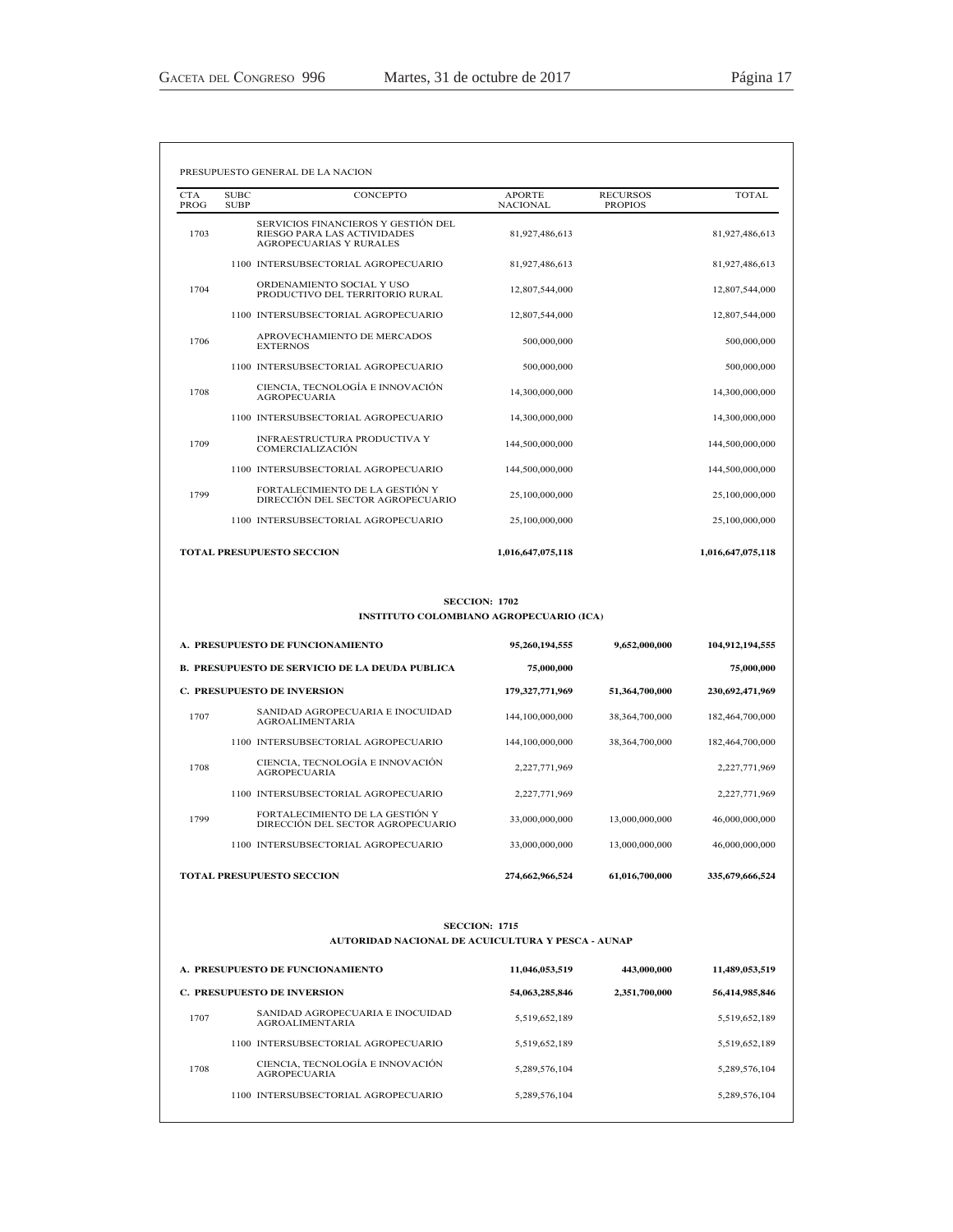| <b>CTA</b><br>PROG | <b>SUBC</b><br><b>SUBP</b> | <b>CONCEPTO</b>                                                                                      | <b>APORTE</b><br><b>NACIONAL</b> | <b>RECURSOS</b><br><b>PROPIOS</b> | <b>TOTAL</b>      |
|--------------------|----------------------------|------------------------------------------------------------------------------------------------------|----------------------------------|-----------------------------------|-------------------|
| 1703               |                            | SERVICIOS FINANCIEROS Y GESTIÓN DEL<br>RIESGO PARA LAS ACTIVIDADES<br><b>AGROPECUARIAS Y RURALES</b> | 81,927,486,613                   |                                   | 81,927,486,613    |
|                    |                            | 1100 INTERSUBSECTORIAL AGROPECUARIO                                                                  | 81,927,486,613                   |                                   | 81,927,486,613    |
| 1704               |                            | ORDENAMIENTO SOCIAL Y USO<br>PRODUCTIVO DEL TERRITORIO RURAL                                         | 12,807,544,000                   |                                   | 12,807,544,000    |
|                    |                            | 1100 INTERSUBSECTORIAL AGROPECUARIO                                                                  | 12,807,544,000                   |                                   | 12,807,544,000    |
| 1706               |                            | APROVECHAMIENTO DE MERCADOS<br><b>EXTERNOS</b>                                                       | 500,000,000                      |                                   | 500,000,000       |
|                    |                            | 1100 INTERSUBSECTORIAL AGROPECUARIO                                                                  | 500,000,000                      |                                   | 500,000,000       |
| 1708               |                            | CIENCIA, TECNOLOGÍA E INNOVACIÓN<br><b>AGROPECUARIA</b>                                              | 14,300,000,000                   |                                   | 14,300,000,000    |
|                    |                            | 1100 INTERSUBSECTORIAL AGROPECUARIO                                                                  | 14,300,000,000                   |                                   | 14,300,000,000    |
| 1709               |                            | INFRAESTRUCTURA PRODUCTIVA Y<br><b>COMERCIALIZACIÓN</b>                                              | 144,500,000,000                  |                                   | 144,500,000,000   |
|                    |                            | 1100 INTERSUBSECTORIAL AGROPECUARIO                                                                  | 144,500,000,000                  |                                   | 144,500,000,000   |
| 1799               |                            | FORTALECIMIENTO DE LA GESTIÓN Y<br>DIRECCIÓN DEL SECTOR AGROPECUARIO                                 | 25,100,000,000                   |                                   | 25,100,000,000    |
|                    |                            | 1100 INTERSUBSECTORIAL AGROPECUARIO                                                                  | 25,100,000,000                   |                                   | 25,100,000,000    |
|                    |                            | <b>TOTAL PRESUPUESTO SECCION</b>                                                                     | 1,016,647,075,118                |                                   | 1,016,647,075,118 |

### INSTITUTO COLOMBIANO AGROPECUARIO (ICA)

| A. PRESUPUESTO DE FUNCIONAMIENTO<br><b>B. PRESUPUESTO DE SERVICIO DE LA DEUDA PUBLICA</b><br><b>C. PRESUPUESTO DE INVERSION</b> |                                                                      | 95,260,194,555     | 9,652,000,000  | 104,912,194,555 |  |
|---------------------------------------------------------------------------------------------------------------------------------|----------------------------------------------------------------------|--------------------|----------------|-----------------|--|
|                                                                                                                                 |                                                                      | 75,000,000         |                | 75,000,000      |  |
|                                                                                                                                 |                                                                      | 179, 327, 771, 969 | 51,364,700,000 | 230,692,471,969 |  |
| 1707                                                                                                                            | SANIDAD AGROPECUARIA E INOCUIDAD<br><b>AGROALIMENTARIA</b>           | 144,100,000,000    | 38,364,700,000 | 182,464,700,000 |  |
|                                                                                                                                 | 1100 INTERSUBSECTORIAL AGROPECUARIO                                  | 144,100,000,000    | 38,364,700,000 | 182.464.700.000 |  |
| 1708                                                                                                                            | CIENCIA, TECNOLOGÍA E INNOVACIÓN<br><b>AGROPECUARIA</b>              | 2,227,771,969      |                | 2,227,771,969   |  |
|                                                                                                                                 | 1100 INTERSUBSECTORIAL AGROPECUARIO                                  | 2,227,771,969      |                | 2,227,771,969   |  |
| 1799                                                                                                                            | FORTALECIMIENTO DE LA GESTIÓN Y<br>DIRECCIÓN DEL SECTOR AGROPECUARIO | 33,000,000,000     | 13,000,000,000 | 46,000,000,000  |  |
|                                                                                                                                 | 1100 INTERSUBSECTORIAL AGROPECUARIO                                  | 33,000,000,000     | 13,000,000,000 | 46,000,000,000  |  |
|                                                                                                                                 | <b>TOTAL PRESUPUESTO SECCION</b>                                     | 274,662,966,524    | 61,016,700,000 | 335,679,666,524 |  |

### **SECCION: 1715** AUTORIDAD NACIONAL DE ACUICULTURA Y PESCA - AUNAP

| A. PRESUPUESTO DE FUNCIONAMIENTO   |                                                            | 11,046,053,519 | 443,000,000   | 11,489,053,519 |
|------------------------------------|------------------------------------------------------------|----------------|---------------|----------------|
| <b>C. PRESUPUESTO DE INVERSION</b> |                                                            | 54,063,285,846 | 2,351,700,000 | 56,414,985,846 |
| 1707                               | SANIDAD AGROPECUARIA E INOCUIDAD<br><b>AGROALIMENTARIA</b> | 5,519,652,189  |               | 5,519,652,189  |
|                                    | 1100 INTERSUBSECTORIAL AGROPECUARIO                        | 5,519,652,189  |               | 5,519,652,189  |
| 1708                               | CIENCIA, TECNOLOGÍA E INNOVACIÓN<br><b>AGROPECUARIA</b>    | 5,289,576,104  |               | 5,289,576,104  |
|                                    | 1100 INTERSUBSECTORIAL AGROPECUARIO                        | 5,289,576,104  |               | 5,289,576,104  |
|                                    |                                                            |                |               |                |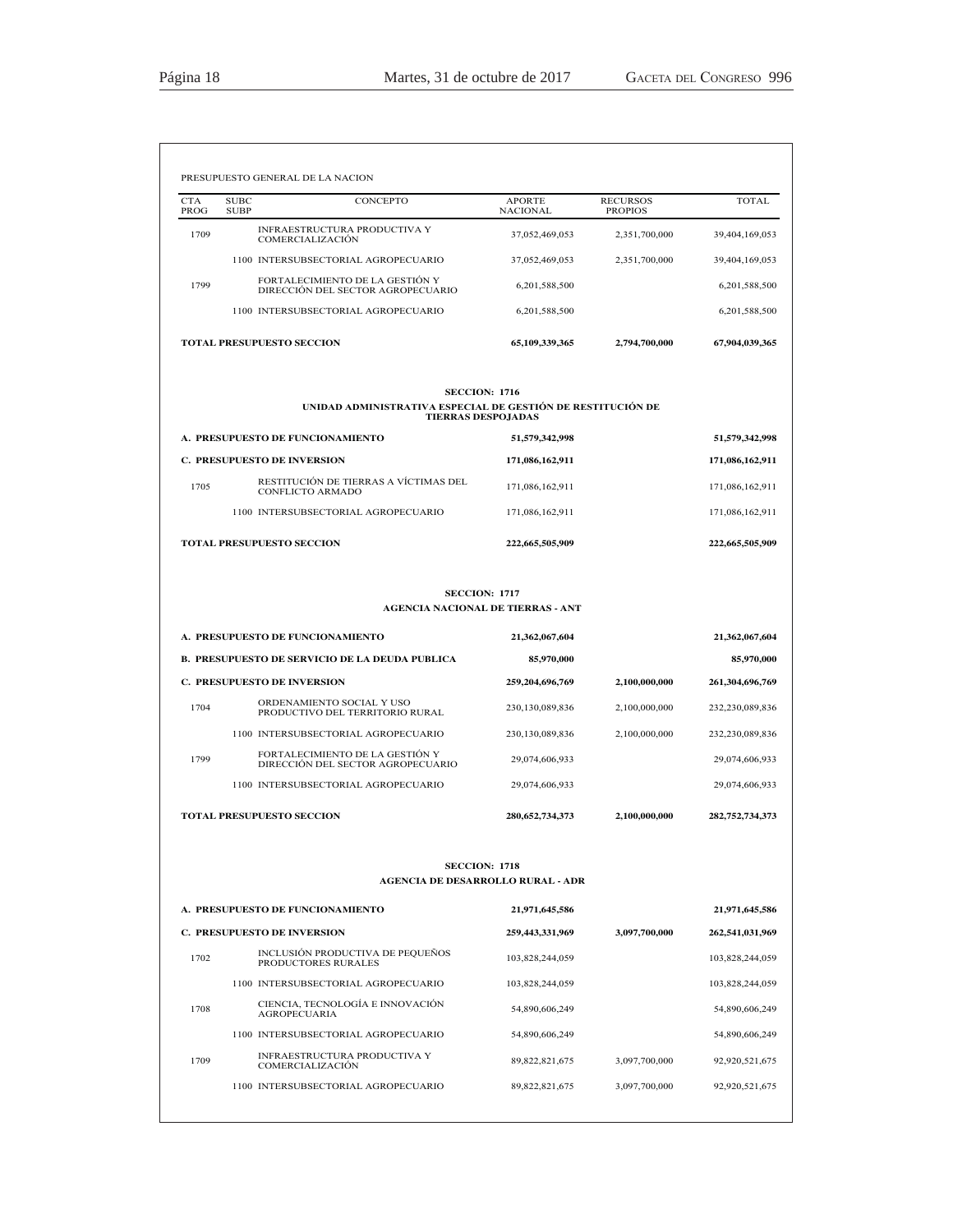| <b>CTA</b><br>PROG | <b>SUBC</b><br><b>SUBP</b> | CONCEPTO                                                               | <b>APORTE</b><br><b>NACIONAL</b>                                                   | <b>RECURSOS</b><br><b>PROPIOS</b> | <b>TOTAL</b>                                                                                                                  |
|--------------------|----------------------------|------------------------------------------------------------------------|------------------------------------------------------------------------------------|-----------------------------------|-------------------------------------------------------------------------------------------------------------------------------|
| 1709               |                            | INFRAESTRUCTURA PRODUCTIVA Y<br><b>COMERCIALIZACIÓN</b>                | 37,052,469,053                                                                     | 2,351,700,000                     | 39,404,169,053                                                                                                                |
|                    |                            | 1100 INTERSUBSECTORIAL AGROPECUARIO                                    | 37,052,469,053                                                                     | 2,351,700,000                     | 39,404,169,053                                                                                                                |
| 1799               |                            | FORTALECIMIENTO DE LA GESTIÓN Y<br>DIRECCIÓN DEL SECTOR AGROPECUARIO   | 6,201,588,500                                                                      |                                   | 6,201,588,500                                                                                                                 |
|                    |                            | 1100 INTERSUBSECTORIAL AGROPECUARIO                                    | 6,201,588,500                                                                      |                                   | 6,201,588,500                                                                                                                 |
|                    |                            | <b>TOTAL PRESUPUESTO SECCION</b>                                       | 65,109,339,365                                                                     | 2,794,700,000                     | 67,904,039,365                                                                                                                |
|                    |                            | UNIDAD ADMINISTRATIVA ESPECIAL DE GESTIÓN DE RESTITUCIÓN DE            | <b>SECCION: 1716</b><br><b>TIERRAS DESPOJADAS</b>                                  |                                   |                                                                                                                               |
|                    |                            | A. PRESUPUESTO DE FUNCIONAMIENTO                                       | 51,579,342,998                                                                     |                                   | 51,579,342,998                                                                                                                |
|                    |                            | <b>C. PRESUPUESTO DE INVERSION</b>                                     | 171,086,162,911                                                                    |                                   | 171,086,162,911                                                                                                               |
| 1705               |                            | RESTITUCIÓN DE TIERRAS A VÍCTIMAS DEL<br>CONFLICTO ARMADO              | 171,086,162,911                                                                    |                                   | 171,086,162,911                                                                                                               |
|                    |                            | 1100 INTERSUBSECTORIAL AGROPECUARIO                                    | 171,086,162,911                                                                    |                                   | 171,086,162,911                                                                                                               |
|                    |                            | <b>TOTAL PRESUPUESTO SECCION</b>                                       | 222,665,505,909                                                                    |                                   | 222,665,505,909                                                                                                               |
|                    |                            | A. PRESUPUESTO DE FUNCIONAMIENTO                                       | <b>SECCION: 1717</b><br><b>AGENCIA NACIONAL DE TIERRAS - ANT</b><br>21,362,067,604 |                                   | 21,362,067,604                                                                                                                |
|                    |                            | <b>B. PRESUPUESTO DE SERVICIO DE LA DEUDA PUBLICA</b>                  | 85,970,000                                                                         |                                   | 85,970,000                                                                                                                    |
|                    |                            | <b>C. PRESUPUESTO DE INVERSION</b>                                     | 259,204,696,769                                                                    | 2,100,000,000                     | 261,304,696,769                                                                                                               |
| 1704               |                            | ORDENAMIENTO SOCIAL Y USO<br>PRODUCTIVO DEL TERRITORIO RURAL           | 230,130,089,836                                                                    | 2,100,000,000                     | 232,230,089,836                                                                                                               |
|                    |                            | 1100 INTERSUBSECTORIAL AGROPECUARIO                                    | 230,130,089,836                                                                    | 2,100,000,000                     | 232,230,089,836                                                                                                               |
| 1799               |                            | FORTALECIMIENTO DE LA GESTIÓN Y<br>DIRECCIÓN DEL SECTOR AGROPECUARIO   | 29,074,606,933                                                                     |                                   | 29,074,606,933                                                                                                                |
|                    |                            | 1100 INTERSUBSECTORIAL AGROPECUARIO                                    | 29,074,606,933                                                                     |                                   | 29,074,606,933                                                                                                                |
|                    |                            |                                                                        |                                                                                    |                                   |                                                                                                                               |
|                    |                            | <b>TOTAL PRESUPUESTO SECCION</b>                                       | 280, 652, 734, 373                                                                 | 2.100.000.000                     | 282,752,734,373                                                                                                               |
|                    |                            |                                                                        | <b>SECCION: 1718</b>                                                               |                                   |                                                                                                                               |
|                    |                            |                                                                        | <b>AGENCIA DE DESARROLLO RURAL - ADR</b>                                           |                                   |                                                                                                                               |
|                    |                            | A. PRESUPUESTO DE FUNCIONAMIENTO                                       | 21,971,645,586                                                                     |                                   |                                                                                                                               |
| 1702               |                            | <b>C. PRESUPUESTO DE INVERSION</b><br>INCLUSIÓN PRODUCTIVA DE PEQUEÑOS | 259,443,331,969                                                                    | 3,097,700,000                     |                                                                                                                               |
|                    |                            | PRODUCTORES RURALES<br>1100 INTERSUBSECTORIAL AGROPECUARIO             | 103,828,244,059<br>103,828,244,059                                                 |                                   |                                                                                                                               |
| 1708               |                            | CIENCIA, TECNOLOGÍA E INNOVACIÓN                                       | 54,890,606,249                                                                     |                                   |                                                                                                                               |
|                    |                            | <b>AGROPECUARIA</b><br>1100 INTERSUBSECTORIAL AGROPECUARIO             | 54,890,606,249                                                                     |                                   |                                                                                                                               |
| 1709               |                            | INFRAESTRUCTURA PRODUCTIVA Y<br>COMERCIALIZACIÓN                       | 89, 822, 821, 675                                                                  | 3,097,700,000                     | 21,971,645,586<br>262,541,031,969<br>103,828,244,059<br>103,828,244,059<br>54,890,606,249<br>54,890,606,249<br>92,920,521,675 |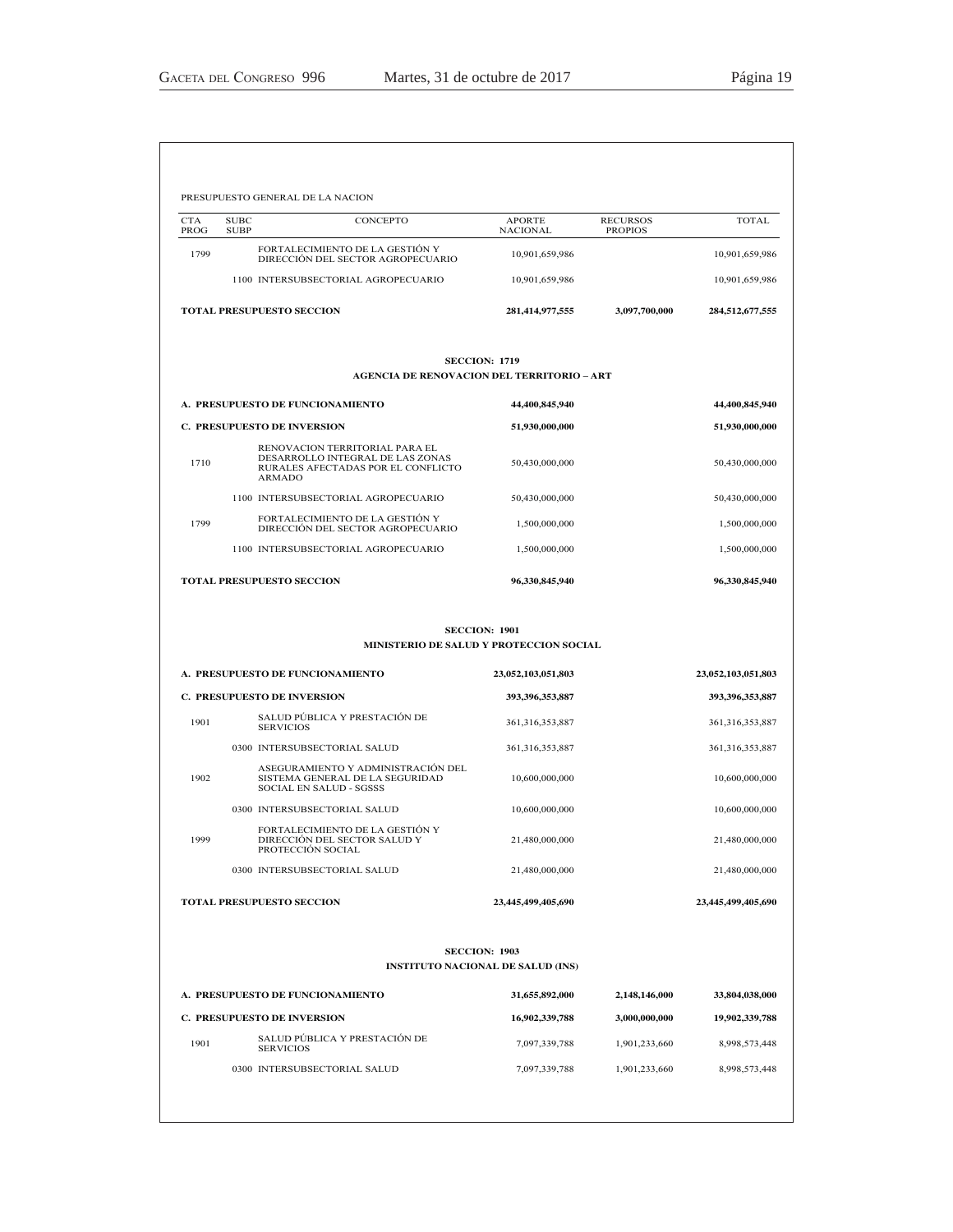| <b>CTA</b> | <b>SUBC</b><br>CONCEPTO                                                                                            | <b>APORTE</b>                                                    | <b>RECURSOS</b> | TOTAL                                                                |
|------------|--------------------------------------------------------------------------------------------------------------------|------------------------------------------------------------------|-----------------|----------------------------------------------------------------------|
| PROG       | <b>SUBP</b>                                                                                                        | <b>NACIONAL</b>                                                  | <b>PROPIOS</b>  |                                                                      |
| 1799       | FORTALECIMIENTO DE LA GESTIÓN Y<br>DIRECCIÓN DEL SECTOR AGROPECUARIO                                               | 10,901,659,986                                                   |                 | 10,901,659,986                                                       |
|            | 1100 INTERSUBSECTORIAL AGROPECUARIO                                                                                | 10,901,659,986                                                   |                 | 10,901,659,986                                                       |
|            | <b>TOTAL PRESUPUESTO SECCION</b>                                                                                   | 281,414,977,555                                                  | 3,097,700,000   | 284,512,677,555                                                      |
|            | <b>AGENCIA DE RENOVACION DEL TERRITORIO – ART</b>                                                                  | <b>SECCION: 1719</b>                                             |                 |                                                                      |
|            | A. PRESUPUESTO DE FUNCIONAMIENTO                                                                                   | 44,400,845,940                                                   |                 | 44,400,845,940                                                       |
|            | <b>C. PRESUPUESTO DE INVERSION</b>                                                                                 | 51,930,000,000                                                   |                 | 51,930,000,000                                                       |
| 1710       | RENOVACION TERRITORIAL PARA EL<br>DESARROLLO INTEGRAL DE LAS ZONAS<br>RURALES AFECTADAS POR EL CONFLICTO<br>ARMADO | 50,430,000,000                                                   |                 | 50,430,000,000                                                       |
|            | 1100 INTERSUBSECTORIAL AGROPECUARIO                                                                                | 50,430,000,000                                                   |                 | 50,430,000,000                                                       |
| 1799       | FORTALECIMIENTO DE LA GESTIÓN Y<br>DIRECCIÓN DEL SECTOR AGROPECUARIO                                               | 1,500,000,000                                                    |                 | 1,500,000,000                                                        |
|            | 1100 INTERSUBSECTORIAL AGROPECUARIO                                                                                | 1,500,000,000                                                    |                 | 1,500,000,000                                                        |
|            | <b>TOTAL PRESUPUESTO SECCION</b>                                                                                   | 96,330,845,940                                                   |                 | 96,330,845,940                                                       |
|            | MINISTERIO DE SALUD Y PROTECCION SOCIAL                                                                            | <b>SECCION: 1901</b>                                             |                 |                                                                      |
|            | A. PRESUPUESTO DE FUNCIONAMIENTO                                                                                   | 23,052,103,051,803                                               |                 | 23,052,103,051,803                                                   |
|            | <b>C. PRESUPUESTO DE INVERSION</b>                                                                                 | 393,396,353,887                                                  |                 | 393,396,353,887                                                      |
| 1901       | SALUD PÚBLICA Y PRESTACIÓN DE<br><b>SERVICIOS</b>                                                                  | 361,316,353,887                                                  |                 | 361, 316, 353, 887                                                   |
|            | 0300 INTERSUBSECTORIAL SALUD                                                                                       | 361, 316, 353, 887                                               |                 | 361, 316, 353, 887                                                   |
|            | ASEGURAMIENTO Y ADMINISTRACIÓN DEL                                                                                 |                                                                  |                 |                                                                      |
| 1902       | SISTEMA GENERAL DE LA SEGURIDAD<br><b>SOCIAL EN SALUD - SGSSS</b>                                                  | 10,600,000,000                                                   |                 |                                                                      |
|            | 0300 INTERSUBSECTORIAL SALUD                                                                                       | 10,600,000,000                                                   |                 |                                                                      |
| 1999       | FORTALECIMIENTO DE LA GESTIÓN Y<br>DIRECCIÓN DEL SECTOR SALUD Y<br>PROTECCIÓN SOCIAL                               | 21,480,000,000                                                   |                 |                                                                      |
|            | 0300 INTERSUBSECTORIAL SALUD                                                                                       | 21,480,000,000                                                   |                 | 10,600,000,000<br>10,600,000,000<br>21,480,000,000<br>21,480,000,000 |
|            | <b>TOTAL PRESUPUESTO SECCION</b>                                                                                   | 23,445,499,405,690                                               |                 | 23,445,499,405,690                                                   |
|            |                                                                                                                    | <b>SECCION: 1903</b><br><b>INSTITUTO NACIONAL DE SALUD (INS)</b> |                 |                                                                      |
|            | A. PRESUPUESTO DE FUNCIONAMIENTO                                                                                   | 31,655,892,000                                                   | 2,148,146,000   | 33,804,038,000                                                       |
|            | <b>C. PRESUPUESTO DE INVERSION</b>                                                                                 | 16,902,339,788                                                   | 3,000,000,000   | 19,902,339,788                                                       |
| 1901       | SALUD PÚBLICA Y PRESTACIÓN DE<br><b>SERVICIOS</b>                                                                  | 7,097,339,788                                                    | 1,901,233,660   | 8,998,573,448                                                        |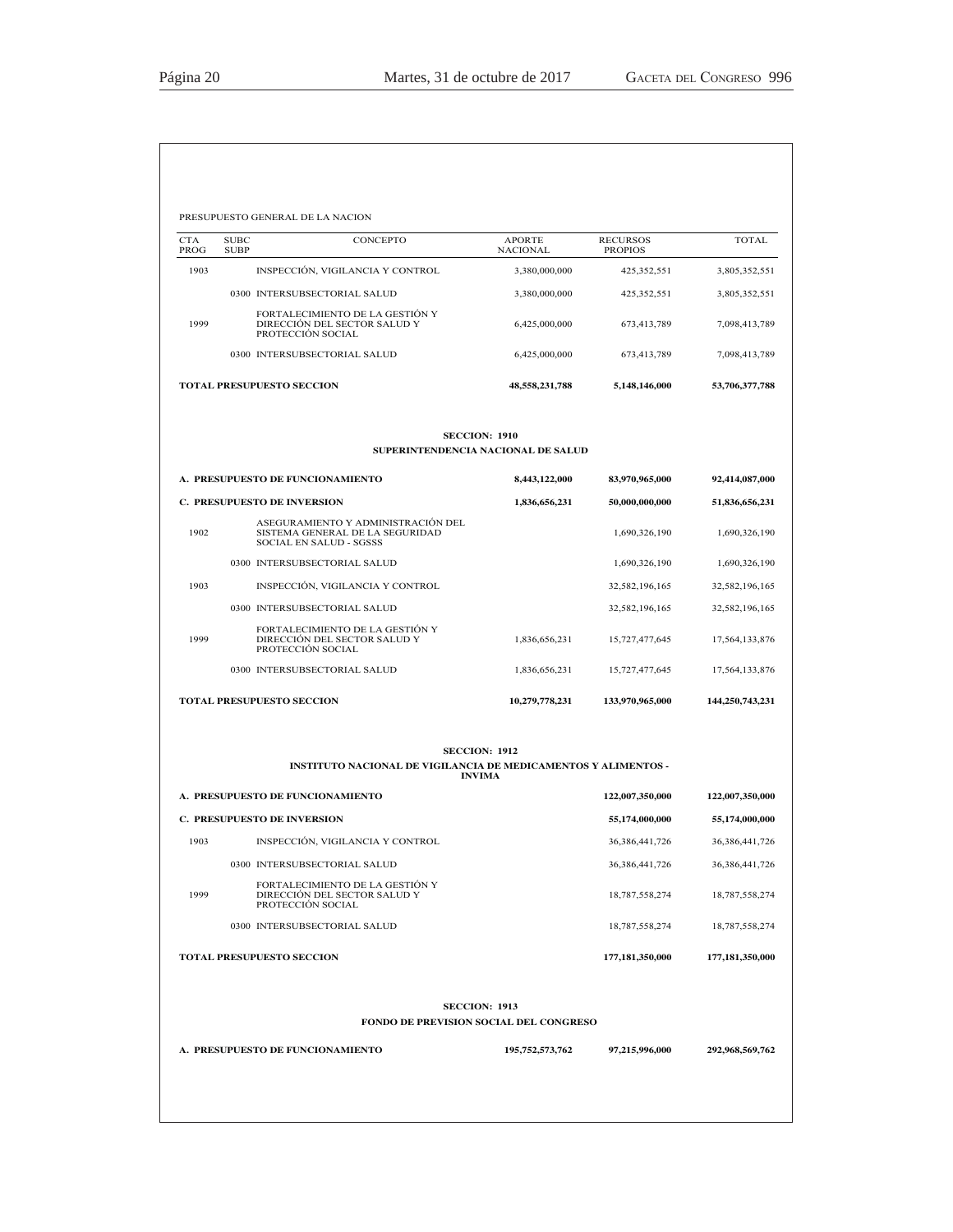| <b>CTA</b><br>PROG | <b>SUBC</b><br><b>SUBP</b> | CONCEPTO                                                                                         | APORTE<br><b>NACIONAL</b>                                      | <b>RECURSOS</b><br><b>PROPIOS</b> | TOTAL             |
|--------------------|----------------------------|--------------------------------------------------------------------------------------------------|----------------------------------------------------------------|-----------------------------------|-------------------|
| 1903               |                            | INSPECCIÓN, VIGILANCIA Y CONTROL                                                                 | 3,380,000,000                                                  | 425,352,551                       | 3,805,352,551     |
|                    |                            | 0300 INTERSUBSECTORIAL SALUD                                                                     | 3,380,000,000                                                  | 425,352,551                       | 3,805,352,551     |
| 1999               |                            | FORTALECIMIENTO DE LA GESTIÓN Y<br>DIRECCIÓN DEL SECTOR SALUD Y<br>PROTECCIÓN SOCIAL             | 6,425,000,000                                                  | 673,413,789                       | 7,098,413,789     |
|                    |                            | 0300 INTERSUBSECTORIAL SALUD                                                                     | 6,425,000,000                                                  | 673,413,789                       | 7,098,413,789     |
|                    |                            | <b>TOTAL PRESUPUESTO SECCION</b>                                                                 | 48,558,231,788                                                 | 5,148,146,000                     | 53,706,377,788    |
|                    |                            |                                                                                                  | <b>SECCION: 1910</b><br>SUPERINTENDENCIA NACIONAL DE SALUD     |                                   |                   |
|                    |                            | A. PRESUPUESTO DE FUNCIONAMIENTO                                                                 | 8,443,122,000                                                  | 83,970,965,000                    | 92,414,087,000    |
|                    |                            | <b>C. PRESUPUESTO DE INVERSION</b>                                                               | 1,836,656,231                                                  | 50,000,000,000                    | 51,836,656,231    |
| 1902               |                            | ASEGURAMIENTO Y ADMINISTRACIÓN DEL<br>SISTEMA GENERAL DE LA SEGURIDAD<br>SOCIAL EN SALUD - SGSSS |                                                                | 1,690,326,190                     | 1,690,326,190     |
|                    |                            | 0300 INTERSUBSECTORIAL SALUD                                                                     |                                                                | 1,690,326,190                     | 1,690,326,190     |
| 1903               |                            | INSPECCIÓN, VIGILANCIA Y CONTROL                                                                 |                                                                | 32,582,196,165                    | 32,582,196,165    |
|                    |                            | 0300 INTERSUBSECTORIAL SALUD                                                                     |                                                                | 32,582,196,165                    | 32,582,196,165    |
| 1999               |                            | FORTALECIMIENTO DE LA GESTIÓN Y<br>DIRECCIÓN DEL SECTOR SALUD Y<br>PROTECCIÓN SOCIAL             | 1,836,656,231                                                  | 15,727,477,645                    | 17,564,133,876    |
|                    |                            | 0300 INTERSUBSECTORIAL SALUD                                                                     | 1,836,656,231                                                  | 15,727,477,645                    | 17,564,133,876    |
|                    |                            | TOTAL PRESUPUESTO SECCION                                                                        | 10,279,778,231                                                 | 133,970,965,000                   | 144,250,743,231   |
|                    |                            | INSTITUTO NACIONAL DE VIGILANCIA DE MEDICAMENTOS Y ALIMENTOS -                                   | <b>SECCION: 1912</b>                                           |                                   |                   |
|                    |                            | A. PRESUPUESTO DE FUNCIONAMIENTO                                                                 | <b>INVIMA</b>                                                  | 122,007,350,000                   | 122,007,350,000   |
|                    |                            | <b>C. PRESUPUESTO DE INVERSION</b>                                                               |                                                                | 55,174,000,000                    | 55,174,000,000    |
| 1903               |                            | INSPECCIÓN, VIGILANCIA Y CONTROL                                                                 |                                                                | 36, 386, 441, 726                 | 36, 386, 441, 726 |
|                    |                            | 0300 INTERSUBSECTORIAL SALUD                                                                     |                                                                | 36, 386, 441, 726                 | 36, 386, 441, 726 |
| 1999               |                            | FORTALECIMIENTO DE LA GESTIÓN Y<br>DIRECCIÓN DEL SECTOR SALUD Y<br>PROTECCIÓN SOCIAL             |                                                                | 18,787,558,274                    | 18,787,558,274    |
|                    |                            | 0300 INTERSUBSECTORIAL SALUD                                                                     |                                                                | 18,787,558,274                    | 18,787,558,274    |
|                    |                            | <b>TOTAL PRESUPUESTO SECCION</b>                                                                 |                                                                | 177,181,350,000                   | 177,181,350,000   |
|                    |                            |                                                                                                  | <b>SECCION: 1913</b><br>FONDO DE PREVISION SOCIAL DEL CONGRESO |                                   |                   |
|                    |                            | A. PRESUPUESTO DE FUNCIONAMIENTO                                                                 | 195,752,573,762                                                | 97,215,996,000                    | 292,968,569,762   |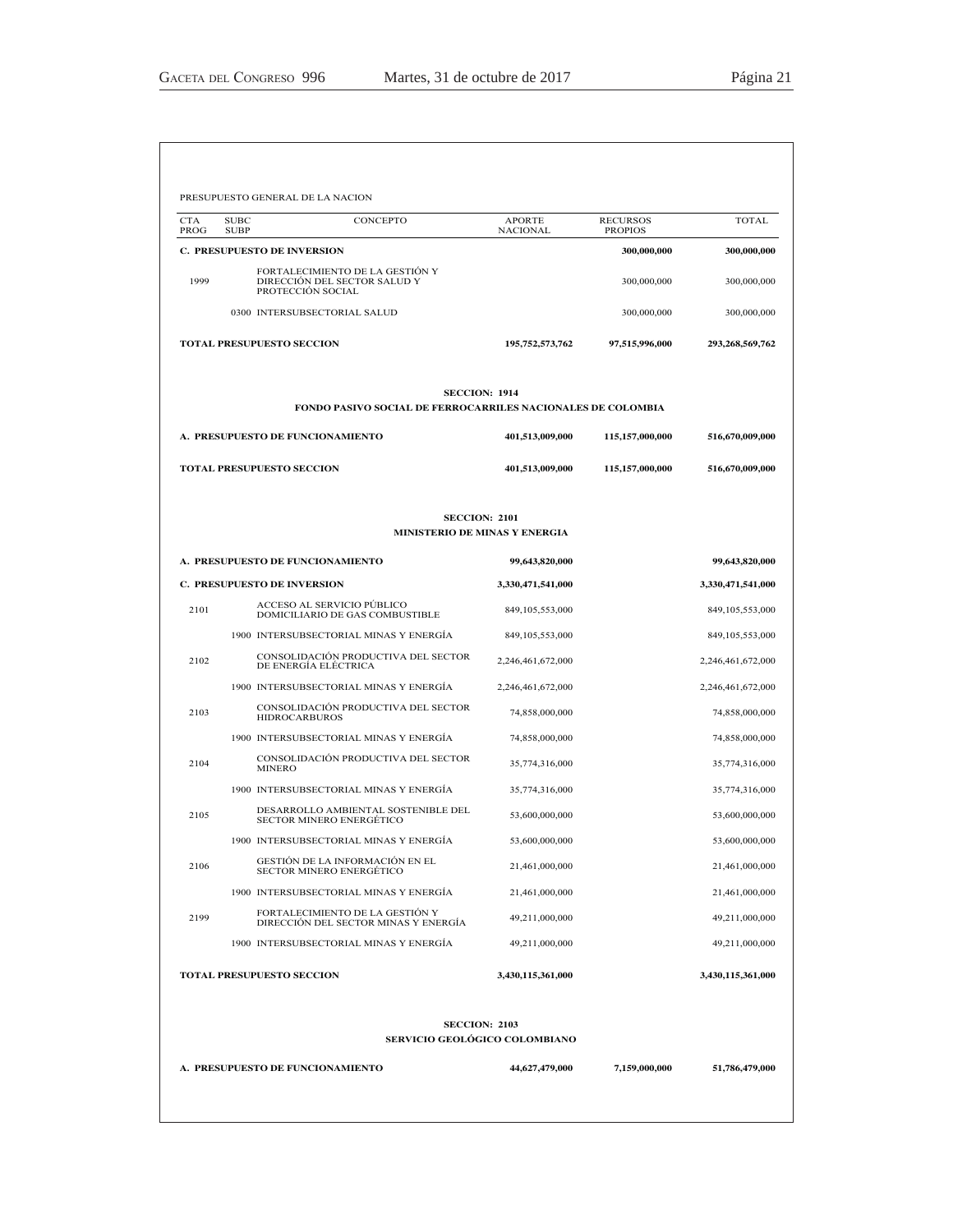| <b>CTA</b><br>PROG | <b>SUBC</b><br><b>SUBP</b>         | CONCEPTO                                                                             | <b>APORTE</b><br><b>NACIONAL</b> | <b>RECURSOS</b><br><b>PROPIOS</b> | TOTAL              |
|--------------------|------------------------------------|--------------------------------------------------------------------------------------|----------------------------------|-----------------------------------|--------------------|
|                    | <b>C. PRESUPUESTO DE INVERSION</b> |                                                                                      |                                  | 300,000,000                       | 300,000,000        |
| 1999               |                                    | FORTALECIMIENTO DE LA GESTIÓN Y<br>DIRECCIÓN DEL SECTOR SALUD Y<br>PROTECCIÓN SOCIAL |                                  | 300,000,000                       | 300,000,000        |
|                    |                                    | 0300 INTERSUBSECTORIAL SALUD                                                         |                                  | 300,000,000                       | 300,000,000        |
|                    | <b>TOTAL PRESUPUESTO SECCION</b>   |                                                                                      | 195,752,573,762                  | 97,515,996,000                    | 293,268,569,762    |
|                    |                                    | <b>SECCION: 1914</b><br>FONDO PASIVO SOCIAL DE FERROCARRILES NACIONALES DE COLOMBIA  |                                  |                                   |                    |
|                    | A. PRESUPUESTO DE FUNCIONAMIENTO   |                                                                                      | 401,513,009,000                  | 115,157,000,000                   | 516,670,009,000    |
|                    | <b>TOTAL PRESUPUESTO SECCION</b>   |                                                                                      | 401,513,009,000                  | 115,157,000,000                   | 516,670,009,000    |
|                    |                                    | <b>SECCION: 2101</b><br>MINISTERIO DE MINAS Y ENERGIA                                |                                  |                                   |                    |
|                    | A. PRESUPUESTO DE FUNCIONAMIENTO   |                                                                                      | 99,643,820,000                   |                                   | 99,643,820,000     |
|                    | <b>C. PRESUPUESTO DE INVERSION</b> |                                                                                      | 3,330,471,541,000                |                                   | 3,330,471,541,000  |
| 2101               |                                    | ACCESO AL SERVICIO PÚBLICO<br>DOMICILIARIO DE GAS COMBUSTIBLE                        | 849,105,553,000                  |                                   | 849, 105, 553, 000 |
|                    |                                    | 1900 INTERSUBSECTORIAL MINAS Y ENERGÍA                                               | 849,105,553,000                  |                                   | 849, 105, 553, 000 |
| 2102               |                                    | CONSOLIDACIÓN PRODUCTIVA DEL SECTOR<br>DE ENERGÍA ELÉCTRICA                          | 2,246,461,672,000                |                                   | 2,246,461,672,000  |
|                    |                                    | 1900 INTERSUBSECTORIAL MINAS Y ENERGÍA                                               | 2,246,461,672,000                |                                   | 2,246,461,672,000  |
| 2103               | <b>HIDROCARBUROS</b>               | CONSOLIDACIÓN PRODUCTIVA DEL SECTOR                                                  | 74,858,000,000                   |                                   | 74,858,000,000     |
|                    |                                    | 1900 INTERSUBSECTORIAL MINAS Y ENERGÍA                                               | 74,858,000,000                   |                                   | 74,858,000,000     |
| 2104               | <b>MINERO</b>                      | CONSOLIDACIÓN PRODUCTIVA DEL SECTOR                                                  | 35,774,316,000                   |                                   | 35,774,316,000     |
|                    |                                    | 1900 INTERSUBSECTORIAL MINAS Y ENERGÍA                                               | 35,774,316,000                   |                                   | 35,774,316,000     |
| 2105               |                                    | DESARROLLO AMBIENTAL SOSTENIBLE DEL<br><b>SECTOR MINERO ENERGÉTICO</b>               | 53,600,000,000                   |                                   | 53,600,000,000     |
|                    |                                    | 1900 INTERSUBSECTORIAL MINAS Y ENERGÍA                                               | 53,600,000,000                   |                                   | 53,600,000,000     |
| 2106               |                                    | GESTION DE LA INFORMACION EN EL<br><b>SECTOR MINERO ENERGÉTICO</b>                   | 21,461,000,000                   |                                   | 21,461,000,000     |
|                    |                                    | 1900 INTERSUBSECTORIAL MINAS Y ENERGÍA                                               | 21,461,000,000                   |                                   | 21,461,000,000     |
| 2199               |                                    | FORTALECIMIENTO DE LA GESTIÓN Y<br>DIRECCIÓN DEL SECTOR MINAS Y ENERGÍA              | 49,211,000,000                   |                                   | 49,211,000,000     |
|                    |                                    | 1900 INTERSUBSECTORIAL MINAS Y ENERGÍA                                               | 49,211,000,000                   |                                   | 49,211,000,000     |
|                    | TOTAL PRESUPUESTO SECCION          |                                                                                      | 3,430,115,361,000                |                                   | 3,430,115,361,000  |
|                    |                                    | <b>SECCION: 2103</b>                                                                 |                                  |                                   |                    |
|                    |                                    | SERVICIO GEOLÓGICO COLOMBIANO                                                        |                                  |                                   |                    |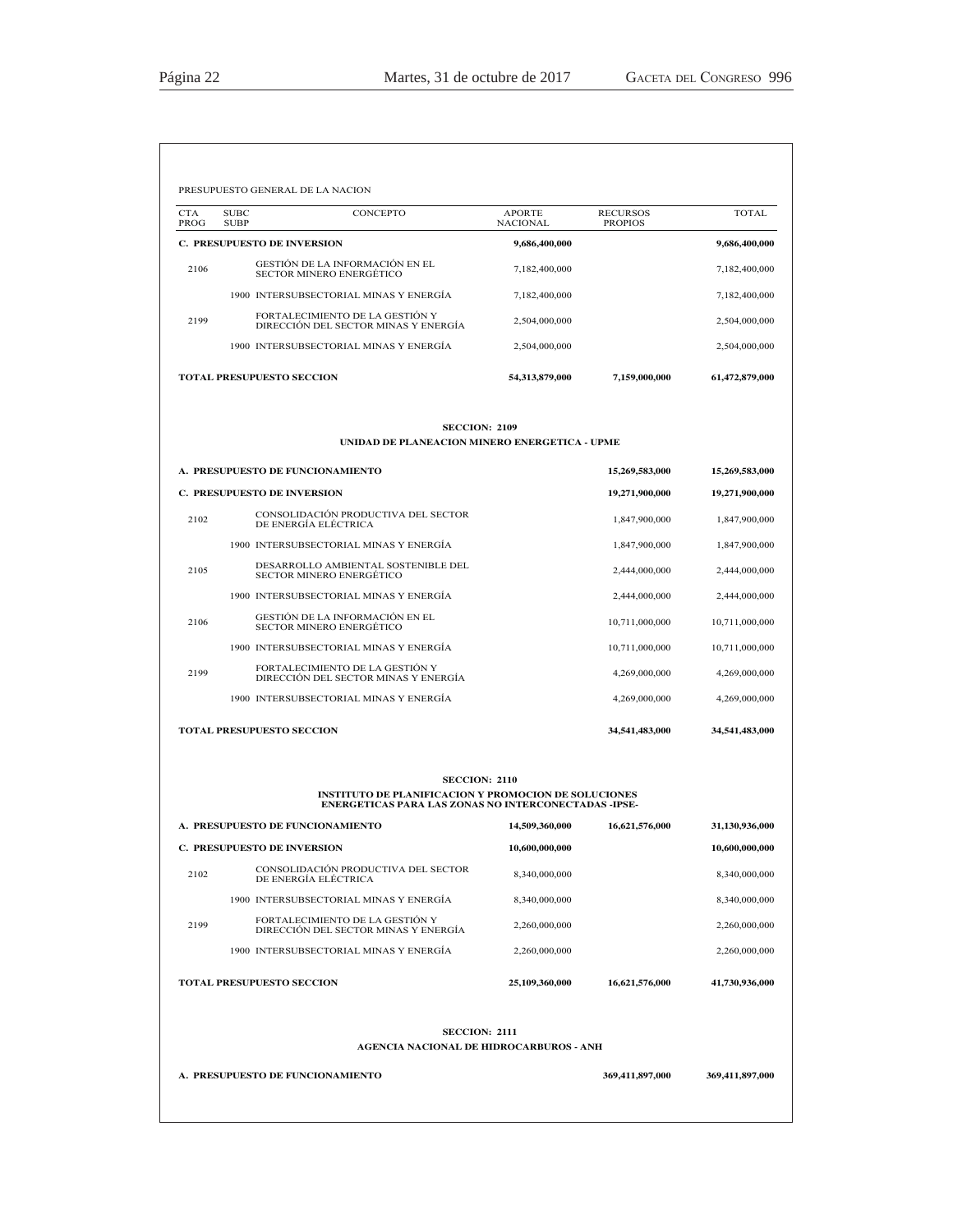| <b>CTA</b><br>PROG | <b>SUBC</b><br><b>SUBP</b> | CONCEPTO                                                                                                                                           | <b>APORTE</b><br><b>NACIONAL</b> | <b>RECURSOS</b><br><b>PROPIOS</b> | <b>TOTAL</b>   |
|--------------------|----------------------------|----------------------------------------------------------------------------------------------------------------------------------------------------|----------------------------------|-----------------------------------|----------------|
|                    |                            | <b>C. PRESUPUESTO DE INVERSION</b>                                                                                                                 | 9,686,400,000                    |                                   | 9,686,400,000  |
| 2106               |                            | GESTIÓN DE LA INFORMACIÓN EN EL<br><b>SECTOR MINERO ENERGÉTICO</b>                                                                                 | 7,182,400,000                    |                                   | 7,182,400,000  |
|                    |                            | 1900 INTERSUBSECTORIAL MINAS Y ENERGÍA                                                                                                             | 7,182,400,000                    |                                   | 7,182,400,000  |
| 2199               |                            | FORTALECIMIENTO DE LA GESTIÓN Y<br>DIRECCIÓN DEL SECTOR MINAS Y ENERGÍA                                                                            | 2,504,000,000                    |                                   | 2,504,000,000  |
|                    |                            | 1900 INTERSUBSECTORIAL MINAS Y ENERGÍA                                                                                                             | 2,504,000,000                    |                                   | 2,504,000,000  |
|                    |                            | <b>TOTAL PRESUPUESTO SECCION</b>                                                                                                                   | 54,313,879,000                   | 7,159,000,000                     | 61,472,879,000 |
|                    |                            | <b>SECCION: 2109</b><br>UNIDAD DE PLANEACION MINERO ENERGETICA - UPME                                                                              |                                  |                                   |                |
|                    |                            | A. PRESUPUESTO DE FUNCIONAMIENTO                                                                                                                   |                                  | 15,269,583,000                    | 15,269,583,000 |
|                    |                            | C. PRESUPUESTO DE INVERSION                                                                                                                        |                                  | 19,271,900,000                    | 19,271,900,000 |
| 2102               |                            | CONSOLIDACIÓN PRODUCTIVA DEL SECTOR<br>DE ENERGÍA ELÉCTRICA                                                                                        |                                  | 1,847,900,000                     | 1,847,900,000  |
|                    |                            | 1900 INTERSUBSECTORIAL MINAS Y ENERGÍA                                                                                                             |                                  | 1,847,900,000                     | 1,847,900,000  |
| 2105               |                            | DESARROLLO AMBIENTAL SOSTENIBLE DEL<br><b>SECTOR MINERO ENERGÉTICO</b>                                                                             |                                  | 2.444,000,000                     | 2,444,000,000  |
|                    |                            | 1900 INTERSUBSECTORIAL MINAS Y ENERGÍA                                                                                                             |                                  | 2,444,000,000                     | 2,444,000,000  |
| 2106               |                            | GESTIÓN DE LA INFORMACIÓN EN EL<br><b>SECTOR MINERO ENERGÉTICO</b>                                                                                 |                                  | 10,711,000,000                    | 10,711,000,000 |
|                    |                            | 1900 INTERSUBSECTORIAL MINAS Y ENERGÍA                                                                                                             |                                  | 10,711,000,000                    | 10,711,000,000 |
| 2199               |                            | FORTALECIMIENTO DE LA GESTIÓN Y<br>DIRECCIÓN DEL SECTOR MINAS Y ENERGÍA                                                                            |                                  | 4,269,000,000                     | 4,269,000,000  |
|                    |                            | 1900 INTERSUBSECTORIAL MINAS Y ENERGÍA                                                                                                             |                                  | 4,269,000,000                     | 4,269,000,000  |
|                    |                            | <b>TOTAL PRESUPUESTO SECCION</b>                                                                                                                   |                                  | 34,541,483,000                    | 34,541,483,000 |
|                    |                            | <b>SECCION: 2110</b><br><b>INSTITUTO DE PLANIFICACION Y PROMOCION DE SOLUCIONES</b><br><b>ENERGETICAS PARA LAS ZONAS NO INTERCONECTADAS -IPSE-</b> |                                  |                                   |                |
|                    |                            | A. PRESUPUESTO DE FUNCIONAMIENTO                                                                                                                   | 14,509,360,000                   | 16,621,576,000                    | 31,130,936,000 |
|                    |                            | C. PRESUPUESTO DE INVERSION                                                                                                                        | 10,600,000,000                   |                                   | 10,600,000,000 |
| 2102               |                            | CONSOLIDACIÓN PRODUCTIVA DEL SECTOR<br>DE ENERGÍA ELÉCTRICA                                                                                        | 8,340,000,000                    |                                   | 8,340,000,000  |
|                    |                            | 1900 INTERSUBSECTORIAL MINAS Y ENERGÍA                                                                                                             | 8,340,000,000                    |                                   | 8,340,000,000  |
| 2199               |                            | FORTALECIMIENTO DE LA GESTIÓN Y<br>DIRECCIÓN DEL SECTOR MINAS Y ENERGÍA                                                                            | 2,260,000,000                    |                                   | 2,260,000,000  |
|                    |                            | 1900 INTERSUBSECTORIAL MINAS Y ENERGÍA                                                                                                             | 2,260,000,000                    |                                   | 2,260,000,000  |
|                    |                            | <b>TOTAL PRESUPUESTO SECCION</b>                                                                                                                   | 25,109,360,000                   | 16,621,576,000                    | 41,730,936,000 |
|                    |                            | <b>SECCION: 2111</b><br><b>AGENCIA NACIONAL DE HIDROCARBUROS - ANH</b>                                                                             |                                  |                                   |                |
|                    |                            |                                                                                                                                                    |                                  |                                   |                |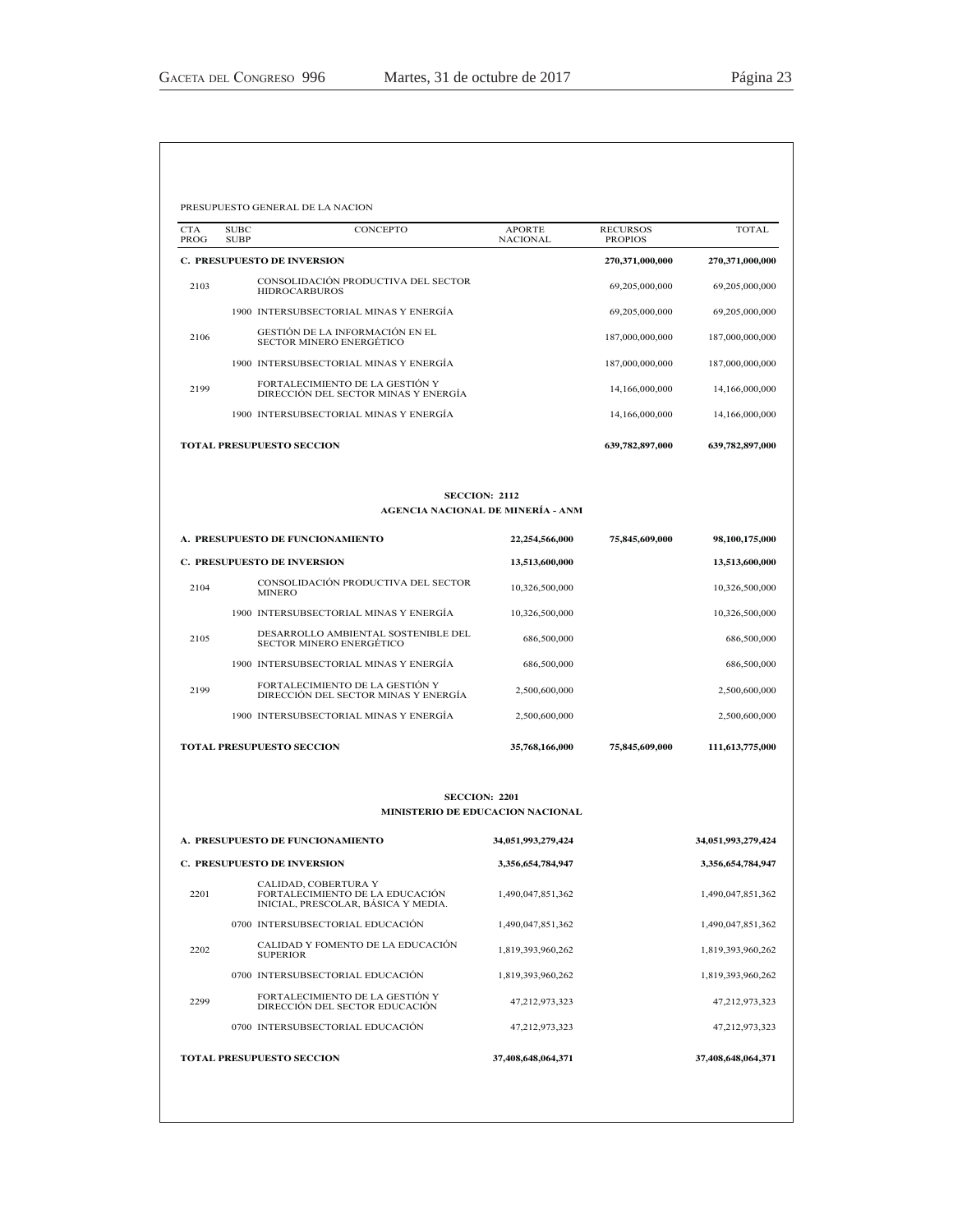| PROG | <b>SUBC</b><br>CONCEPTO<br><b>SUBP</b>                                                         | <b>APORTE</b><br><b>NACIONAL</b>                                | <b>RECURSOS</b><br><b>PROPIOS</b> | <b>TOTAL</b>       |
|------|------------------------------------------------------------------------------------------------|-----------------------------------------------------------------|-----------------------------------|--------------------|
|      | <b>C. PRESUPUESTO DE INVERSION</b>                                                             |                                                                 | 270,371,000,000                   | 270,371,000,000    |
| 2103 | CONSOLIDACIÓN PRODUCTIVA DEL SECTOR<br><b>HIDROCARBUROS</b>                                    |                                                                 | 69,205,000,000                    | 69,205,000,000     |
|      | 1900 INTERSUBSECTORIAL MINAS Y ENERGÍA                                                         |                                                                 | 69,205,000,000                    | 69,205,000,000     |
| 2106 | GESTIÓN DE LA INFORMACIÓN EN EL<br><b>SECTOR MINERO ENERGÉTICO</b>                             |                                                                 | 187,000,000,000                   | 187,000,000,000    |
|      | 1900 INTERSUBSECTORIAL MINAS Y ENERGÍA                                                         |                                                                 | 187,000,000,000                   | 187,000,000,000    |
| 2199 | FORTALECIMIENTO DE LA GESTIÓN Y<br>DIRECCIÓN DEL SECTOR MINAS Y ENERGÍA                        |                                                                 | 14,166,000,000                    | 14,166,000,000     |
|      | 1900 INTERSUBSECTORIAL MINAS Y ENERGÍA                                                         |                                                                 | 14,166,000,000                    | 14,166,000,000     |
|      | <b>TOTAL PRESUPUESTO SECCION</b>                                                               |                                                                 | 639,782,897,000                   | 639,782,897,000    |
|      |                                                                                                | <b>SECCION: 2112</b><br>AGENCIA NACIONAL DE MINERÍA - ANM       |                                   |                    |
|      | A. PRESUPUESTO DE FUNCIONAMIENTO                                                               | 22,254,566,000                                                  | 75,845,609,000                    | 98,100,175,000     |
|      | <b>C. PRESUPUESTO DE INVERSION</b>                                                             | 13,513,600,000                                                  |                                   | 13,513,600,000     |
| 2104 | CONSOLIDACIÓN PRODUCTIVA DEL SECTOR<br><b>MINERO</b>                                           | 10,326,500,000                                                  |                                   | 10,326,500,000     |
|      | 1900 INTERSUBSECTORIAL MINAS Y ENERGÍA                                                         | 10,326,500,000                                                  |                                   | 10,326,500,000     |
| 2105 | DESARROLLO AMBIENTAL SOSTENIBLE DEL<br><b>SECTOR MINERO ENERGÉTICO</b>                         | 686,500,000                                                     |                                   | 686,500,000        |
|      | 1900 INTERSUBSECTORIAL MINAS Y ENERGÍA                                                         | 686,500,000                                                     |                                   | 686,500,000        |
| 2199 | FORTALECIMIENTO DE LA GESTIÓN Y<br>DIRECCIÓN DEL SECTOR MINAS Y ENERGÍA                        | 2,500,600,000                                                   |                                   | 2,500,600,000      |
|      | 1900 INTERSUBSECTORIAL MINAS Y ENERGÍA                                                         | 2,500,600,000                                                   |                                   | 2,500,600,000      |
|      | <b>TOTAL PRESUPUESTO SECCION</b>                                                               | 35,768,166,000                                                  | 75,845,609,000                    | 111,613,775,000    |
|      |                                                                                                | <b>SECCION: 2201</b><br><b>MINISTERIO DE EDUCACION NACIONAL</b> |                                   |                    |
|      | A. PRESUPUESTO DE FUNCIONAMIENTO                                                               | 34,051,993,279,424                                              |                                   | 34,051,993,279,424 |
|      | <b>C. PRESUPUESTO DE INVERSION</b>                                                             | 3,356,654,784,947                                               |                                   | 3,356,654,784,947  |
| 2201 | CALIDAD, COBERTURA Y<br>FORTALECIMIENTO DE LA EDUCACIÓN<br>INICIAL, PRESCOLAR, BÁSICA Y MEDIA. | 1,490,047,851,362                                               |                                   | 1,490,047,851,362  |
|      | 0700 INTERSUBSECTORIAL EDUCACIÓN                                                               | 1,490,047,851,362                                               |                                   | 1,490,047,851,362  |
|      | CALIDAD Y FOMENTO DE LA EDUCACIÓN<br><b>SUPERIOR</b>                                           | 1,819,393,960,262                                               |                                   | 1,819,393,960,262  |
| 2202 |                                                                                                |                                                                 |                                   | 1,819,393,960,262  |
|      | 0700 INTERSUBSECTORIAL EDUCACIÓN                                                               | 1,819,393,960,262                                               |                                   |                    |
| 2299 | FORTALECIMIENTO DE LA GESTIÓN Y<br>DIRECCIÓN DEL SECTOR EDUCACIÓN                              | 47,212,973,323                                                  |                                   | 47,212,973,323     |
|      | 0700 INTERSUBSECTORIAL EDUCACIÓN                                                               | 47,212,973,323                                                  |                                   | 47,212,973,323     |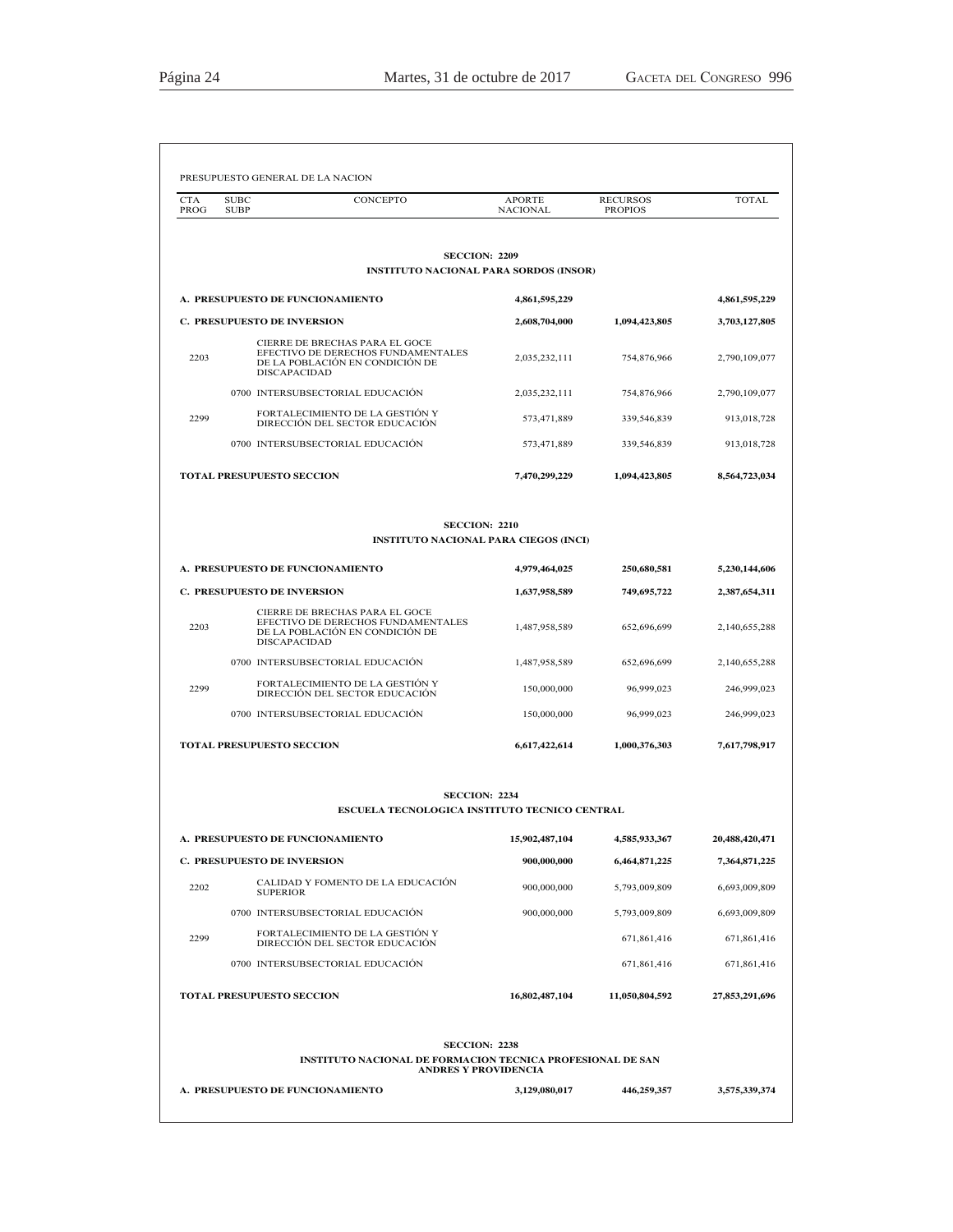| <b>CTA</b><br>PROG | CONCEPTO<br><b>SUBC</b><br><b>SUBP</b>                                                                                         | <b>APORTE</b><br><b>NACIONAL</b> | <b>RECURSOS</b><br><b>PROPIOS</b> | <b>TOTAL</b>   |
|--------------------|--------------------------------------------------------------------------------------------------------------------------------|----------------------------------|-----------------------------------|----------------|
|                    |                                                                                                                                |                                  |                                   |                |
|                    | <b>SECCION: 2209</b><br><b>INSTITUTO NACIONAL PARA SORDOS (INSOR)</b>                                                          |                                  |                                   |                |
|                    | A. PRESUPUESTO DE FUNCIONAMIENTO                                                                                               | 4,861,595,229                    |                                   | 4,861,595,229  |
|                    | C. PRESUPUESTO DE INVERSION                                                                                                    | 2,608,704,000                    | 1,094,423,805                     | 3,703,127,805  |
| 2203               | CIERRE DE BRECHAS PARA EL GOCE<br>EFECTIVO DE DERECHOS FUNDAMENTALES<br>DE LA POBLACIÓN EN CONDICIÓN DE<br><b>DISCAPACIDAD</b> | 2,035,232,111                    | 754,876,966                       | 2,790,109,077  |
|                    | 0700 INTERSUBSECTORIAL EDUCACIÓN                                                                                               | 2,035,232,111                    | 754,876,966                       | 2,790,109,077  |
| 2299               | FORTALECIMIENTO DE LA GESTIÓN Y<br>DIRECCIÓN DEL SECTOR EDUCACIÓN                                                              | 573,471,889                      | 339,546,839                       | 913,018,728    |
|                    | 0700 INTERSUBSECTORIAL EDUCACIÓN                                                                                               | 573,471,889                      | 339,546,839                       | 913,018,728    |
|                    | TOTAL PRESUPUESTO SECCION                                                                                                      | 7,470,299,229                    | 1,094,423,805                     | 8,564,723,034  |
|                    | <b>SECCION: 2210</b><br><b>INSTITUTO NACIONAL PARA CIEGOS (INCI)</b>                                                           |                                  |                                   |                |
|                    | A. PRESUPUESTO DE FUNCIONAMIENTO                                                                                               | 4,979,464,025                    | 250,680,581                       | 5,230,144,606  |
|                    | <b>C. PRESUPUESTO DE INVERSION</b>                                                                                             | 1,637,958,589                    | 749,695,722                       | 2,387,654,311  |
| 2203               | CIERRE DE BRECHAS PARA EL GOCE<br>EFECTIVO DE DERECHOS FUNDAMENTALES<br>DE LA POBLACIÓN EN CONDICIÓN DE<br><b>DISCAPACIDAD</b> | 1,487,958,589                    | 652,696,699                       | 2,140,655,288  |
|                    | 0700 INTERSUBSECTORIAL EDUCACIÓN                                                                                               | 1,487,958,589                    | 652,696,699                       | 2,140,655,288  |
| 2299               | FORTALECIMIENTO DE LA GESTIÓN Y<br>DIRECCIÓN DEL SECTOR EDUCACIÓN                                                              | 150,000,000                      | 96,999,023                        | 246,999,023    |
|                    | 0700 INTERSUBSECTORIAL EDUCACIÓN                                                                                               | 150,000,000                      | 96,999,023                        | 246,999,023    |
|                    | <b>TOTAL PRESUPUESTO SECCION</b>                                                                                               | 6,617,422,614                    | 1,000,376,303                     | 7,617,798,917  |
|                    | <b>SECCION: 2234</b><br>ESCUELA TECNOLOGICA INSTITUTO TECNICO CENTRAL                                                          |                                  |                                   |                |
|                    | A. PRESUPUESTO DE FUNCIONAMIENTO                                                                                               | 15,902,487,104                   | 4,585,933,367                     | 20,488,420,471 |
|                    | C. PRESUPUESTO DE INVERSION                                                                                                    | 900,000,000                      | 6,464,871,225                     | 7,364,871,225  |
| 2202               | CALIDAD Y FOMENTO DE LA EDUCACIÓN<br><b>SUPERIOR</b>                                                                           | 900,000,000                      | 5,793,009,809                     | 6,693,009,809  |
|                    | 0700 INTERSUBSECTORIAL EDUCACIÓN                                                                                               | 900,000,000                      | 5,793,009,809                     | 6,693,009,809  |
| 2299               | FORTALECIMIENTO DE LA GESTIÓN Y<br>DIRECCIÓN DEL SECTOR EDUCACIÓN                                                              |                                  | 671,861,416                       | 671,861,416    |
|                    | 0700 INTERSUBSECTORIAL EDUCACIÓN                                                                                               |                                  | 671,861,416                       | 671,861,416    |
|                    | <b>TOTAL PRESUPUESTO SECCION</b>                                                                                               | 16,802,487,104                   | 11,050,804,592                    | 27,853,291,696 |
|                    | <b>SECCION: 2238</b>                                                                                                           |                                  |                                   |                |
|                    | <b>INSTITUTO NACIONAL DE FORMACION TECNICA PROFESIONAL DE SAN</b>                                                              | <b>ANDRES Y PROVIDENCIA</b>      |                                   |                |
|                    | A. PRESUPUESTO DE FUNCIONAMIENTO                                                                                               | 3,129,080,017                    | 446,259,357                       | 3,575,339,374  |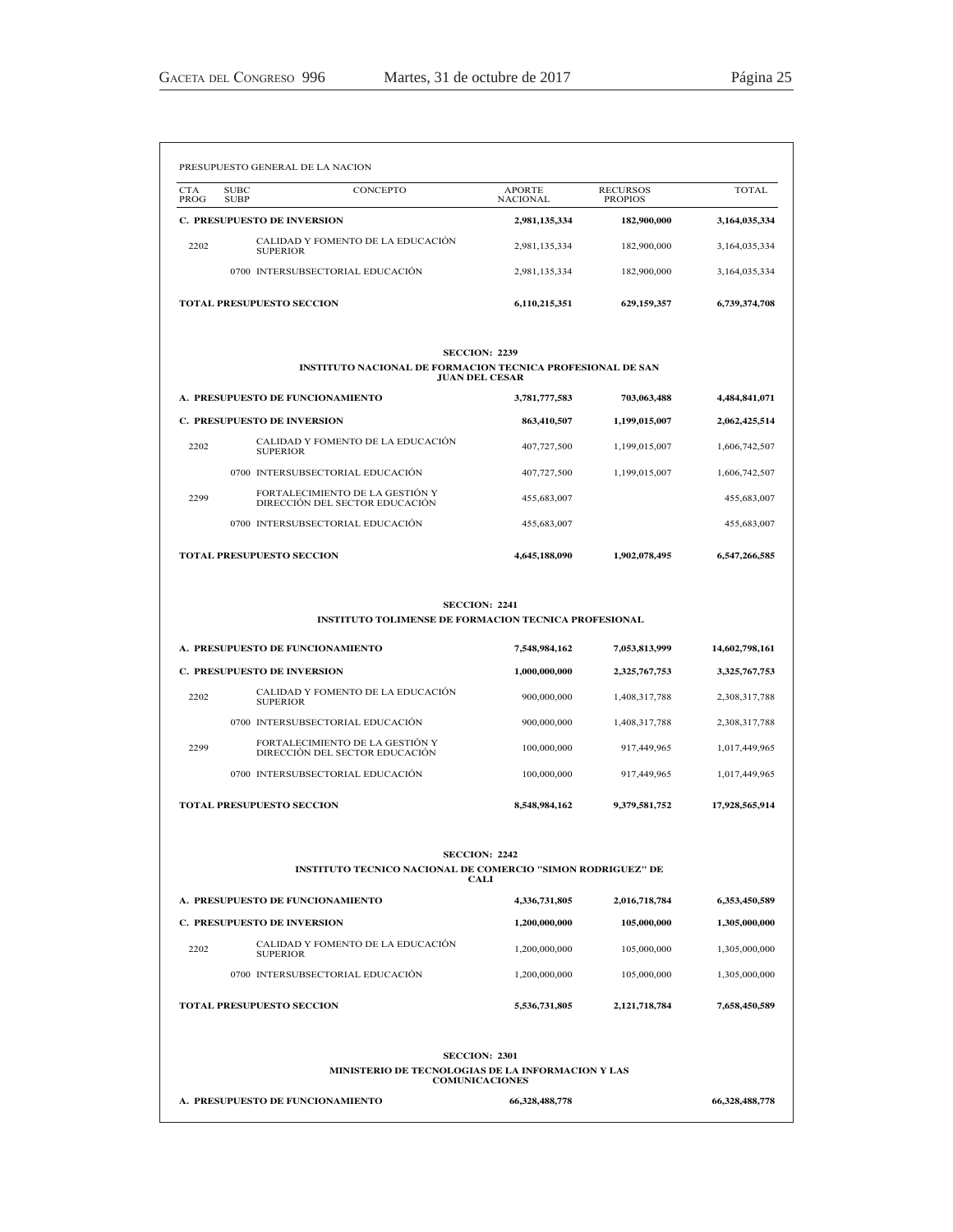|      | <b>C. PRESUPUESTO DE INVERSION</b>                                                                        | 1,000,000,000  | 2,325,767,753 | 3,325,767,753  |
|------|-----------------------------------------------------------------------------------------------------------|----------------|---------------|----------------|
| 2202 | CALIDAD Y FOMENTO DE LA EDUCACIÓN<br><b>SUPERIOR</b>                                                      | 900,000,000    | 1,408,317,788 | 2,308,317,788  |
|      | 0700 INTERSUBSECTORIAL EDUCACIÓN                                                                          | 900,000,000    | 1,408,317,788 | 2,308,317,788  |
| 2299 | FORTALECIMIENTO DE LA GESTIÓN Y<br>DIRECCIÓN DEL SECTOR EDUCACIÓN                                         | 100,000,000    | 917,449,965   | 1,017,449,965  |
|      | 0700 INTERSUBSECTORIAL EDUCACIÓN                                                                          | 100,000,000    | 917,449,965   | 1,017,449,965  |
|      | <b>TOTAL PRESUPUESTO SECCION</b>                                                                          | 8,548,984,162  | 9,379,581,752 | 17,928,565,914 |
|      | <b>SECCION: 2242</b><br><b>INSTITUTO TECNICO NACIONAL DE COMERCIO "SIMON RODRIGUEZ" DE</b><br><b>CALI</b> |                |               |                |
|      | A. PRESUPUESTO DE FUNCIONAMIENTO                                                                          | 4,336,731,805  | 2,016,718,784 | 6,353,450,589  |
|      | <b>C. PRESUPUESTO DE INVERSION</b>                                                                        | 1,200,000,000  | 105,000,000   | 1,305,000,000  |
| 2202 | CALIDAD Y FOMENTO DE LA EDUCACIÓN<br><b>SUPERIOR</b>                                                      | 1,200,000,000  | 105,000,000   | 1,305,000,000  |
|      | 0700 INTERSUBSECTORIAL EDUCACIÓN                                                                          | 1,200,000,000  | 105,000,000   | 1,305,000,000  |
|      | <b>TOTAL PRESUPUESTO SECCION</b>                                                                          | 5,536,731,805  | 2,121,718,784 | 7,658,450,589  |
|      | <b>SECCION: 2301</b><br>MINISTERIO DE TECNOLOGIAS DE LA INFORMACION Y LAS                                 |                |               |                |
|      | <b>COMUNICACIONES</b><br>A. PRESUPUESTO DE FUNCIONAMIENTO                                                 | 66,328,488,778 |               | 66,328,488,778 |

### **SECCION: 2241 INSTITUTO TOLIMENSE DE FORMACION TECNICA PROFESIONAL**

**A. PRESUPUESTO DE FUNCIONAMIENTO 7,548,984,162 7,053,813,999 14,602,798,161**

|      |                                                                                     | .             |               |               |
|------|-------------------------------------------------------------------------------------|---------------|---------------|---------------|
|      |                                                                                     |               |               |               |
|      | <b>SECCION: 2239</b>                                                                |               |               |               |
|      | INSTITUTO NACIONAL DE FORMACION TECNICA PROFESIONAL DE SAN<br><b>JUAN DEL CESAR</b> |               |               |               |
|      | A. PRESUPUESTO DE FUNCIONAMIENTO                                                    | 3,781,777,583 | 703,063,488   | 4,484,841,071 |
|      | <b>C. PRESUPUESTO DE INVERSION</b>                                                  | 863,410,507   | 1,199,015,007 | 2,062,425,514 |
| 2202 | CALIDAD Y FOMENTO DE LA EDUCACIÓN<br><b>SUPERIOR</b>                                | 407,727,500   | 1,199,015,007 | 1,606,742,507 |
|      | 0700 INTERSUBSECTORIAL EDUCACIÓN                                                    | 407,727,500   | 1,199,015,007 | 1,606,742,507 |
| 2299 | FORTALECIMIENTO DE LA GESTIÓN Y<br>DIRECCIÓN DEL SECTOR EDUCACIÓN                   | 455,683,007   |               | 455,683,007   |
|      | 0700 INTERSUBSECTORIAL EDUCACIÓN                                                    | 455,683,007   |               | 455,683,007   |
|      | <b>TOTAL PRESUPUESTO SECCION</b>                                                    | 4,645,188,090 | 1,902,078,495 | 6,547,266,585 |

|                                    |                                  | PRESUPUESTO GENERAL DE LA NACION                     |                                  |                                   |               |
|------------------------------------|----------------------------------|------------------------------------------------------|----------------------------------|-----------------------------------|---------------|
| <b>CTA</b><br>PROG                 | <b>SUBC</b><br><b>SUBP</b>       | <b>CONCEPTO</b>                                      | <b>APORTE</b><br><b>NACIONAL</b> | <b>RECURSOS</b><br><b>PROPIOS</b> | TOTAL         |
| <b>C. PRESUPUESTO DE INVERSION</b> |                                  | 2,981,135,334                                        | 182,900,000                      | 3,164,035,334                     |               |
| 2202                               |                                  | CALIDAD Y FOMENTO DE LA EDUCACIÓN<br><b>SUPERIOR</b> | 2,981,135,334                    | 182,900,000                       | 3,164,035,334 |
|                                    |                                  | 0700 INTERSUBSECTORIAL EDUCACIÓN                     | 2,981,135,334                    | 182,900,000                       | 3,164,035,334 |
|                                    | <b>TOTAL PRESUPUESTO SECCION</b> |                                                      | 6,110,215,351                    | 629.159.357                       | 6,739,374,708 |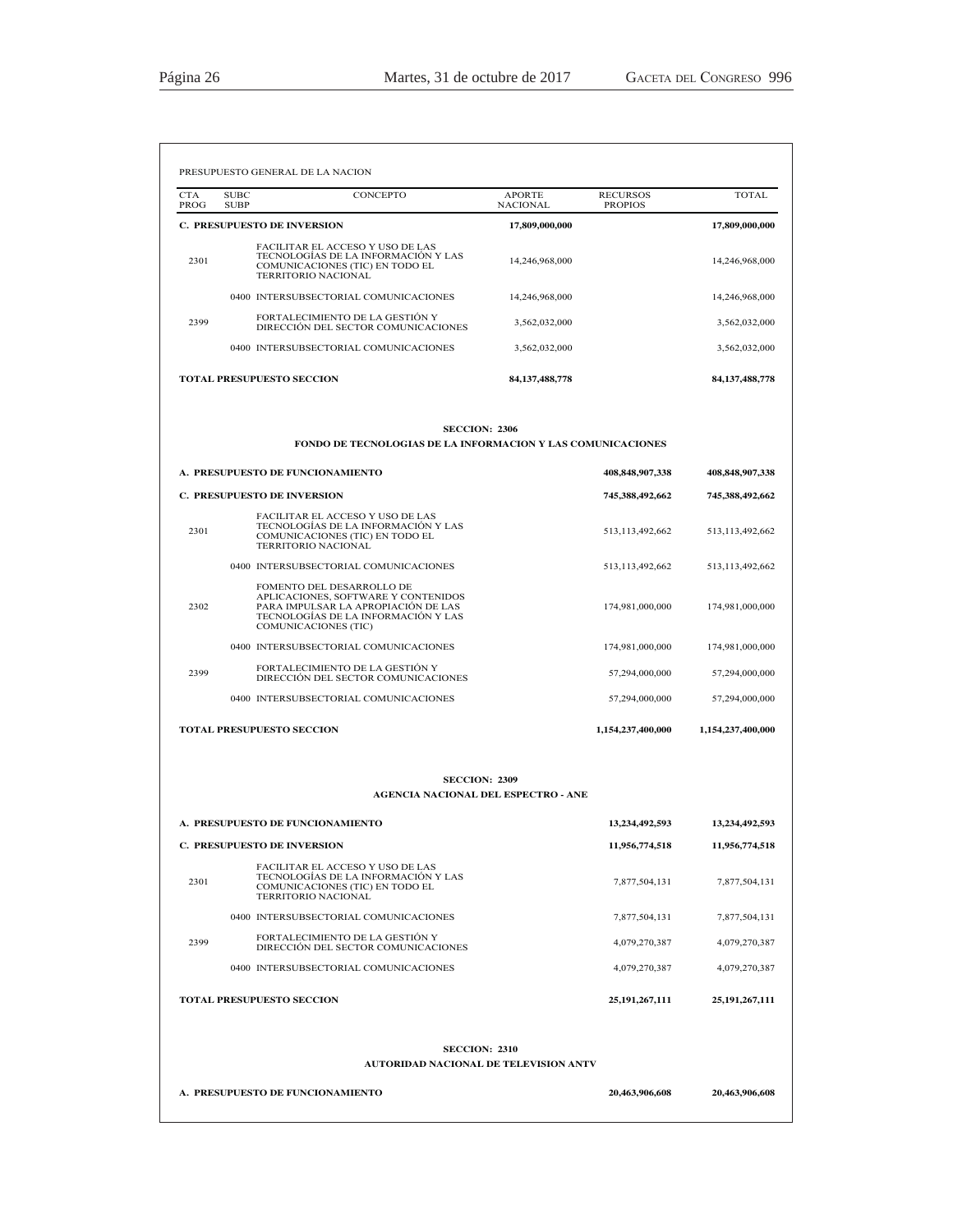| <b>CTA</b><br>PROG                 | <b>SUBC</b><br><b>SUBP</b>         | CONCEPTO                                                                                                                                                               | APORTE<br><b>NACIONAL</b> | <b>RECURSOS</b><br><b>PROPIOS</b> | TOTAL              |
|------------------------------------|------------------------------------|------------------------------------------------------------------------------------------------------------------------------------------------------------------------|---------------------------|-----------------------------------|--------------------|
|                                    | <b>C. PRESUPUESTO DE INVERSION</b> |                                                                                                                                                                        | 17,809,000,000            |                                   | 17,809,000,000     |
| 2301                               |                                    | <b>FACILITAR EL ACCESO Y USO DE LAS</b><br>TECNOLOGIAS DE LA INFORMACIÓN Y LAS<br>COMUNICACIONES (TIC) EN TODO EL<br>TERRITORIO NACIONAL                               | 14,246,968,000            |                                   | 14,246,968,000     |
|                                    |                                    | 0400 INTERSUBSECTORIAL COMUNICACIONES                                                                                                                                  | 14,246,968,000            |                                   | 14,246,968,000     |
| 2399                               |                                    | FORTALECIMIENTO DE LA GESTIÓN Y<br>DIRECCIÓN DEL SECTOR COMUNICACIONES                                                                                                 | 3,562,032,000             |                                   | 3,562,032,000      |
|                                    |                                    | 0400 INTERSUBSECTORIAL COMUNICACIONES                                                                                                                                  | 3,562,032,000             |                                   | 3,562,032,000      |
|                                    | <b>TOTAL PRESUPUESTO SECCION</b>   |                                                                                                                                                                        | 84, 137, 488, 778         |                                   | 84, 137, 488, 778  |
|                                    |                                    | <b>SECCION: 2306</b>                                                                                                                                                   |                           |                                   |                    |
|                                    |                                    | <b>FONDO DE TECNOLOGIAS DE LA INFORMACION Y LAS COMUNICACIONES</b>                                                                                                     |                           |                                   |                    |
|                                    |                                    | A. PRESUPUESTO DE FUNCIONAMIENTO                                                                                                                                       |                           | 408,848,907,338                   | 408,848,907,338    |
| <b>C. PRESUPUESTO DE INVERSION</b> |                                    |                                                                                                                                                                        |                           | 745,388,492,662                   | 745,388,492,662    |
| 2301                               |                                    | <b>FACILITAR EL ACCESO Y USO DE LAS</b><br>TECNOLOGÍAS DE LA INFORMACIÓN Y LAS<br>COMUNICACIONES (TIC) EN TODO EL<br>TERRITORIO NACIONAL                               |                           | 513, 113, 492, 662                | 513, 113, 492, 662 |
|                                    |                                    | 0400 INTERSUBSECTORIAL COMUNICACIONES                                                                                                                                  |                           | 513, 113, 492, 662                | 513, 113, 492, 662 |
| 2302                               |                                    | FOMENTO DEL DESARROLLO DE<br>APLICACIONES, SOFTWARE Y CONTENIDOS<br>PARA IMPULSAR LA APROPIACIÓN DE LAS<br>TECNOLOGÍAS DE LA INFORMACIÓN Y LAS<br>COMUNICACIONES (TIC) |                           | 174,981,000,000                   | 174,981,000,000    |
|                                    |                                    | 0400 INTERSUBSECTORIAL COMUNICACIONES                                                                                                                                  |                           | 174,981,000,000                   | 174,981,000,000    |
| 2399                               |                                    | FORTALECIMIENTO DE LA GESTIÓN Y<br>DIRECCIÓN DEL SECTOR COMUNICACIONES                                                                                                 |                           | 57,294,000,000                    | 57,294,000,000     |
|                                    |                                    | 0400 INTERSUBSECTORIAL COMUNICACIONES                                                                                                                                  |                           | 57,294,000,000                    | 57,294,000,000     |
|                                    | <b>TOTAL PRESUPUESTO SECCION</b>   |                                                                                                                                                                        |                           | 1,154,237,400,000                 | 1,154,237,400,000  |
|                                    |                                    | <b>SECCION: 2309</b><br><b>AGENCIA NACIONAL DEL ESPECTRO - ANE</b>                                                                                                     |                           |                                   |                    |
|                                    |                                    | A. PRESUPUESTO DE FUNCIONAMIENTO                                                                                                                                       |                           | 13,234,492,593                    | 13.234.492.593     |
|                                    | C. PRESUPUESTO DE INVERSION        |                                                                                                                                                                        |                           | 11,956,774,518                    | 11,956,774,518     |
| 2301                               |                                    | FACILITAR EL ACCESO Y USO DE LAS<br>TECNOLOGÍAS DE LA INFORMACIÓN Y LAS<br>COMUNICACIONES (TIC) EN TODO EL<br>TERRITORIO NACIONAL                                      |                           | 7,877,504,131                     | 7,877,504,131      |
|                                    |                                    | 0400 INTERSUBSECTORIAL COMUNICACIONES                                                                                                                                  |                           | 7,877,504,131                     | 7,877,504,131      |
| 2399                               |                                    | FORTALECIMIENTO DE LA GESTIÓN Y<br>DIRECCIÓN DEL SECTOR COMUNICACIONES                                                                                                 |                           | 4,079,270,387                     | 4,079,270,387      |
|                                    |                                    | 0400 INTERSUBSECTORIAL COMUNICACIONES                                                                                                                                  |                           | 4,079,270,387                     | 4,079,270,387      |
|                                    | TOTAL PRESUPUESTO SECCION          |                                                                                                                                                                        |                           | 25, 191, 267, 111                 | 25,191,267,111     |
|                                    |                                    | <b>SECCION: 2310</b><br><b>AUTORIDAD NACIONAL DE TELEVISION ANTV</b>                                                                                                   |                           |                                   |                    |
|                                    |                                    |                                                                                                                                                                        |                           |                                   |                    |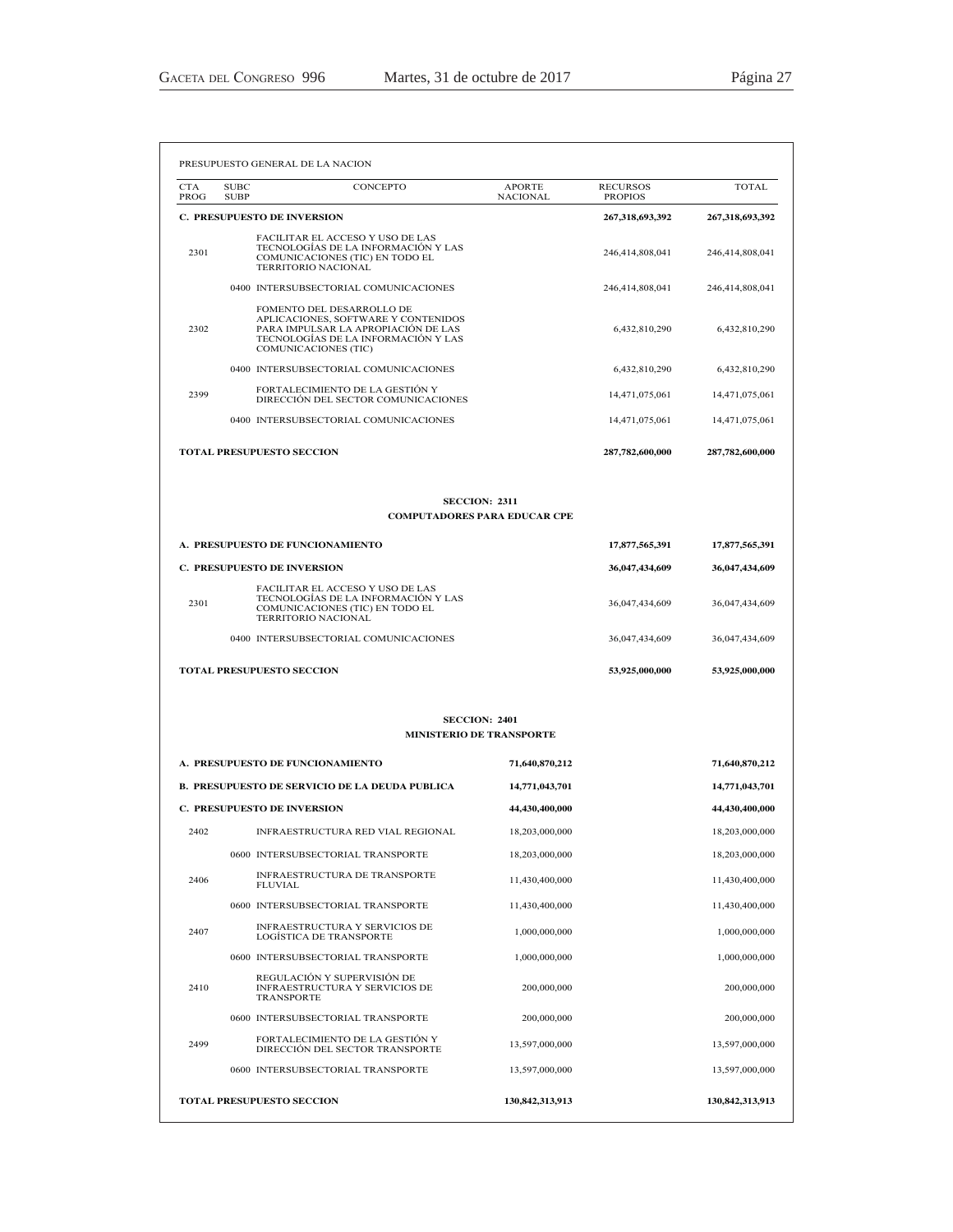|                                  | <b>SUBC</b><br>CONCEPTO<br><b>SUBP</b>                                                                                                                                 | <b>APORTE</b><br><b>NACIONAL</b>                            | <b>RECURSOS</b><br><b>PROPIOS</b> | TOTAL                            |
|----------------------------------|------------------------------------------------------------------------------------------------------------------------------------------------------------------------|-------------------------------------------------------------|-----------------------------------|----------------------------------|
|                                  | <b>C. PRESUPUESTO DE INVERSION</b>                                                                                                                                     |                                                             | 267,318,693,392                   | 267,318,693,392                  |
| 2301                             | FACILITAR EL ACCESO Y USO DE LAS<br>TECNOLOGÍAS DE LA INFORMACIÓN Y LAS<br>COMUNICACIONES (TIC) EN TODO EL<br>TERRITORIO NACIONAL                                      |                                                             | 246,414,808,041                   | 246,414,808,041                  |
|                                  | 0400 INTERSUBSECTORIAL COMUNICACIONES                                                                                                                                  |                                                             | 246,414,808,041                   | 246,414,808,041                  |
| 2302                             | FOMENTO DEL DESARROLLO DE<br>APLICACIONES, SOFTWARE Y CONTENIDOS<br>PARA IMPULSAR LA APROPIACIÓN DE LAS<br>TECNOLOGÍAS DE LA INFORMACIÓN Y LAS<br>COMUNICACIONES (TIC) |                                                             | 6,432,810,290                     | 6,432,810,290                    |
|                                  | 0400 INTERSUBSECTORIAL COMUNICACIONES                                                                                                                                  |                                                             | 6,432,810,290                     | 6,432,810,290                    |
| 2399                             | FORTALECIMIENTO DE LA GESTIÓN Y<br>DIRECCIÓN DEL SECTOR COMUNICACIONES                                                                                                 |                                                             | 14,471,075,061                    | 14,471,075,061                   |
|                                  | 0400 INTERSUBSECTORIAL COMUNICACIONES                                                                                                                                  |                                                             | 14,471,075,061                    | 14,471,075,061                   |
|                                  | <b>TOTAL PRESUPUESTO SECCION</b>                                                                                                                                       |                                                             | 287,782,600,000                   | 287,782,600,000                  |
|                                  |                                                                                                                                                                        | <b>SECCION: 2311</b><br><b>COMPUTADORES PARA EDUCAR CPE</b> |                                   |                                  |
|                                  |                                                                                                                                                                        |                                                             |                                   |                                  |
|                                  | A. PRESUPUESTO DE FUNCIONAMIENTO                                                                                                                                       |                                                             | 17,877,565,391                    | 17,877,565,391                   |
|                                  | <b>C. PRESUPUESTO DE INVERSION</b><br>FACILITAR EL ACCESO Y USO DE LAS                                                                                                 |                                                             | 36,047,434,609                    | 36,047,434,609                   |
| 2301                             | TECNOLOGIAS DE LA INFORMACIÓN Y LAS<br>COMUNICACIONES (TIC) EN TODO EL<br>TERRITORIO NACIONAL                                                                          |                                                             | 36,047,434,609                    | 36,047,434,609                   |
|                                  | 0400 INTERSUBSECTORIAL COMUNICACIONES                                                                                                                                  |                                                             | 36,047,434,609                    | 36,047,434,609                   |
|                                  | <b>TOTAL PRESUPUESTO SECCION</b>                                                                                                                                       |                                                             | 53,925,000,000                    | 53,925,000,000                   |
|                                  |                                                                                                                                                                        | <b>SECCION: 2401</b><br><b>MINISTERIO DE TRANSPORTE</b>     |                                   |                                  |
|                                  |                                                                                                                                                                        |                                                             |                                   |                                  |
| A. PRESUPUESTO DE FUNCIONAMIENTO |                                                                                                                                                                        | 71,640,870,212                                              |                                   | 71,640,870,212                   |
|                                  |                                                                                                                                                                        |                                                             |                                   |                                  |
|                                  | <b>B. PRESUPUESTO DE SERVICIO DE LA DEUDA PUBLICA</b>                                                                                                                  | 14,771,043,701                                              |                                   | 14,771,043,701                   |
| 2402                             | <b>C. PRESUPUESTO DE INVERSION</b><br>INFRAESTRUCTURA RED VIAL REGIONAL                                                                                                | 44,430,400,000<br>18,203,000,000                            |                                   | 44,430,400,000<br>18,203,000,000 |
|                                  | 0600 INTERSUBSECTORIAL TRANSPORTE                                                                                                                                      | 18,203,000,000                                              |                                   | 18,203,000,000                   |
| 2406                             | INFRAESTRUCTURA DE TRANSPORTE                                                                                                                                          | 11,430,400,000                                              |                                   | 11,430,400,000                   |
|                                  | <b>FLUVIAL</b><br>0600 INTERSUBSECTORIAL TRANSPORTE                                                                                                                    | 11,430,400,000                                              |                                   | 11,430,400,000                   |
| 2407                             | INFRAESTRUCTURA Y SERVICIOS DE<br><b>LOGÍSTICA DE TRANSPORTE</b>                                                                                                       | 1,000,000,000                                               |                                   | 1,000,000,000                    |
|                                  | 0600 INTERSUBSECTORIAL TRANSPORTE                                                                                                                                      | 1,000,000,000                                               |                                   | 1,000,000,000                    |
| 2410                             | REGULACIÓN Y SUPERVISIÓN DE<br>INFRAESTRUCTURA Y SERVICIOS DE<br>TRANSPORTE                                                                                            | 200,000,000                                                 |                                   |                                  |
|                                  | 0600 INTERSUBSECTORIAL TRANSPORTE                                                                                                                                      | 200,000,000                                                 |                                   | 200,000,000<br>200,000,000       |
| 2499                             | FORTALECIMIENTO DE LA GESTIÓN Y<br>DIRECCIÓN DEL SECTOR TRANSPORTE                                                                                                     | 13,597,000,000                                              |                                   |                                  |
|                                  | 0600 INTERSUBSECTORIAL TRANSPORTE                                                                                                                                      | 13,597,000,000                                              |                                   | 13,597,000,000<br>13,597,000,000 |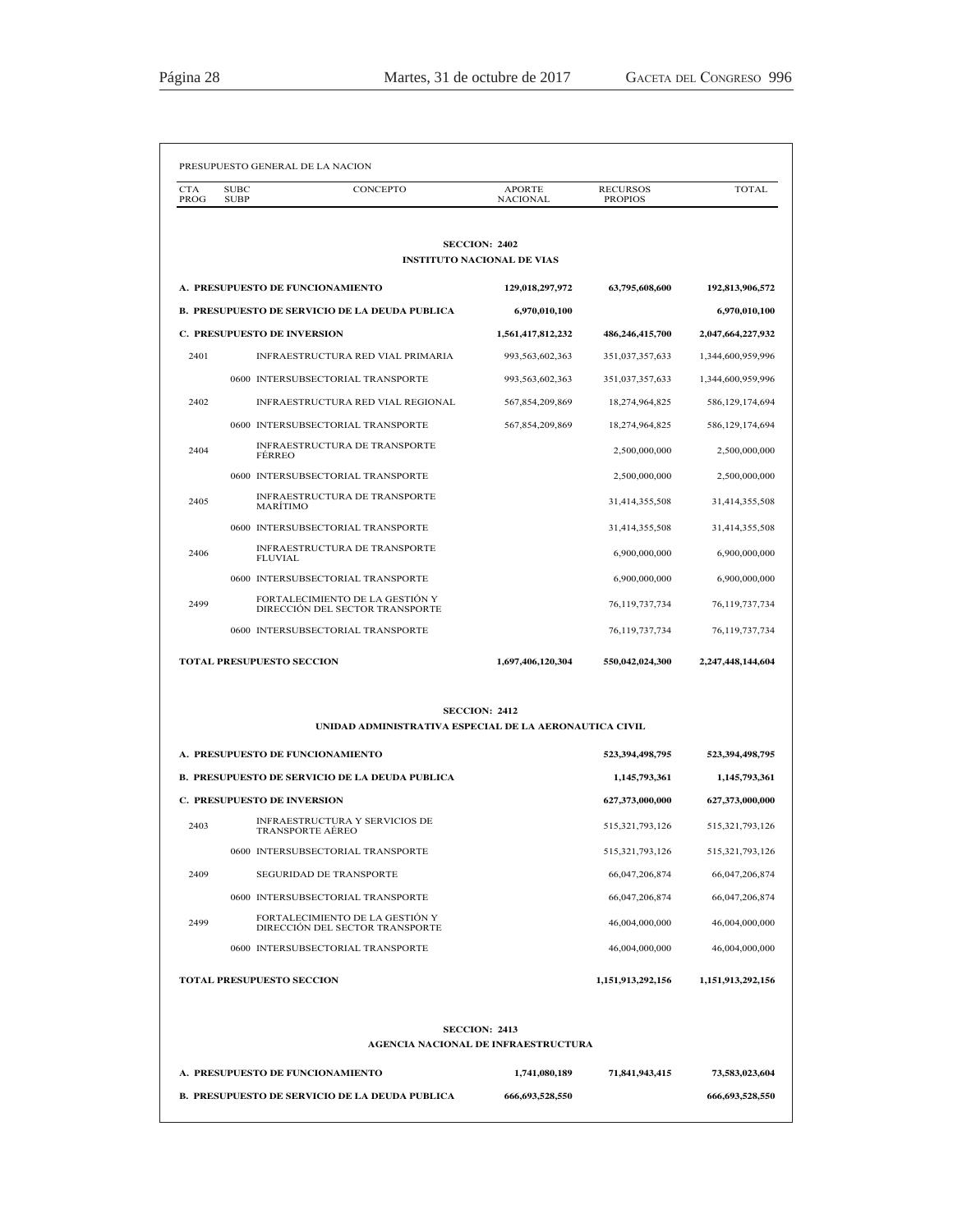| аяна |  |
|------|--|
|      |  |

| <b>CTA</b><br>PROG | <b>SUBC</b><br><b>SUBP</b>         | CONCEPTO                                                           | <b>APORTE</b><br><b>NACIONAL</b>                            | <b>RECURSOS</b><br><b>PROPIOS</b> | <b>TOTAL</b>       |
|--------------------|------------------------------------|--------------------------------------------------------------------|-------------------------------------------------------------|-----------------------------------|--------------------|
|                    |                                    |                                                                    | <b>SECCION: 2402</b><br><b>INSTITUTO NACIONAL DE VIAS</b>   |                                   |                    |
|                    | A. PRESUPUESTO DE FUNCIONAMIENTO   |                                                                    | 129,018,297,972                                             | 63,795,608,600                    | 192,813,906,572    |
|                    |                                    | <b>B. PRESUPUESTO DE SERVICIO DE LA DEUDA PUBLICA</b>              | 6,970,010,100                                               |                                   | 6,970,010,100      |
|                    | <b>C. PRESUPUESTO DE INVERSION</b> |                                                                    | 1,561,417,812,232                                           | 486,246,415,700                   | 2,047,664,227,932  |
| 2401               |                                    | INFRAESTRUCTURA RED VIAL PRIMARIA                                  | 993, 563, 602, 363                                          | 351,037,357,633                   | 1,344,600,959,996  |
|                    |                                    | 0600 INTERSUBSECTORIAL TRANSPORTE                                  | 993,563,602,363                                             | 351,037,357,633                   | 1,344,600,959,996  |
| 2402               |                                    | INFRAESTRUCTURA RED VIAL REGIONAL                                  | 567,854,209,869                                             | 18,274,964,825                    | 586,129,174,694    |
|                    |                                    | 0600 INTERSUBSECTORIAL TRANSPORTE                                  | 567,854,209,869                                             | 18,274,964,825                    | 586,129,174,694    |
| 2404               | <b>FERREO</b>                      | INFRAESTRUCTURA DE TRANSPORTE                                      |                                                             | 2,500,000,000                     | 2,500,000,000      |
|                    |                                    | 0600 INTERSUBSECTORIAL TRANSPORTE                                  |                                                             | 2,500,000,000                     | 2,500,000,000      |
| 2405               | <b>MARITIMO</b>                    | INFRAESTRUCTURA DE TRANSPORTE                                      |                                                             | 31,414,355,508                    | 31,414,355,508     |
|                    |                                    | 0600 INTERSUBSECTORIAL TRANSPORTE                                  |                                                             | 31,414,355,508                    | 31,414,355,508     |
| 2406               | <b>FLUVIAL</b>                     | INFRAESTRUCTURA DE TRANSPORTE                                      |                                                             | 6,900,000,000                     | 6,900,000,000      |
|                    |                                    | 0600 INTERSUBSECTORIAL TRANSPORTE                                  |                                                             | 6,900,000,000                     | 6,900,000,000      |
| 2499               |                                    | FORTALECIMIENTO DE LA GESTIÓN Y<br>DIRECCIÓN DEL SECTOR TRANSPORTE |                                                             | 76,119,737,734                    | 76,119,737,734     |
|                    |                                    | 0600 INTERSUBSECTORIAL TRANSPORTE                                  |                                                             | 76,119,737,734                    | 76,119,737,734     |
|                    | <b>TOTAL PRESUPUESTO SECCION</b>   |                                                                    | 1,697,406,120,304                                           | 550,042,024,300                   | 2,247,448,144,604  |
|                    |                                    | UNIDAD ADMINISTRATIVA ESPECIAL DE LA AERONAUTICA CIVIL             | <b>SECCION: 2412</b>                                        |                                   |                    |
|                    |                                    |                                                                    |                                                             |                                   |                    |
|                    | A. PRESUPUESTO DE FUNCIONAMIENTO   |                                                                    |                                                             | 523,394,498,795                   | 523,394,498,795    |
|                    |                                    | <b>B. PRESUPUESTO DE SERVICIO DE LA DEUDA PUBLICA</b>              |                                                             | 1,145,793,361                     | 1,145,793,361      |
|                    | <b>C. PRESUPUESTO DE INVERSION</b> | <b>INFRAESTRUCTURA Y SERVICIOS DE</b>                              |                                                             | 627,373,000,000                   | 627,373,000,000    |
| 2403               |                                    | TRANSPORTE AEREO                                                   |                                                             | 515,321,793,126                   | 515, 321, 793, 126 |
|                    |                                    | 0600 INTERSUBSECTORIAL TRANSPORTE                                  |                                                             | 515, 321, 793, 126                | 515, 321, 793, 126 |
| 2409               |                                    | <b>SEGURIDAD DE TRANSPORTE</b>                                     |                                                             | 66,047,206,874                    | 66,047,206,874     |
|                    |                                    | 0600 INTERSUBSECTORIAL TRANSPORTE                                  |                                                             | 66,047,206,874                    | 66,047,206,874     |
| 2499               |                                    | FORTALECIMIENTO DE LA GESTIÓN Y<br>DIRECCIÓN DEL SECTOR TRANSPORTE |                                                             | 46,004,000,000                    | 46,004,000,000     |
|                    |                                    | 0600 INTERSUBSECTORIAL TRANSPORTE                                  |                                                             | 46,004,000,000                    | 46,004,000,000     |
|                    | <b>TOTAL PRESUPUESTO SECCION</b>   |                                                                    |                                                             | 1,151,913,292,156                 | 1,151,913,292,156  |
|                    |                                    |                                                                    | <b>SECCION: 2413</b><br>AGENCIA NACIONAL DE INFRAESTRUCTURA |                                   |                    |
|                    | A. PRESUPUESTO DE FUNCIONAMIENTO   |                                                                    | 1,741,080,189                                               | 71,841,943,415                    | 73,583,023,604     |
|                    |                                    |                                                                    |                                                             |                                   |                    |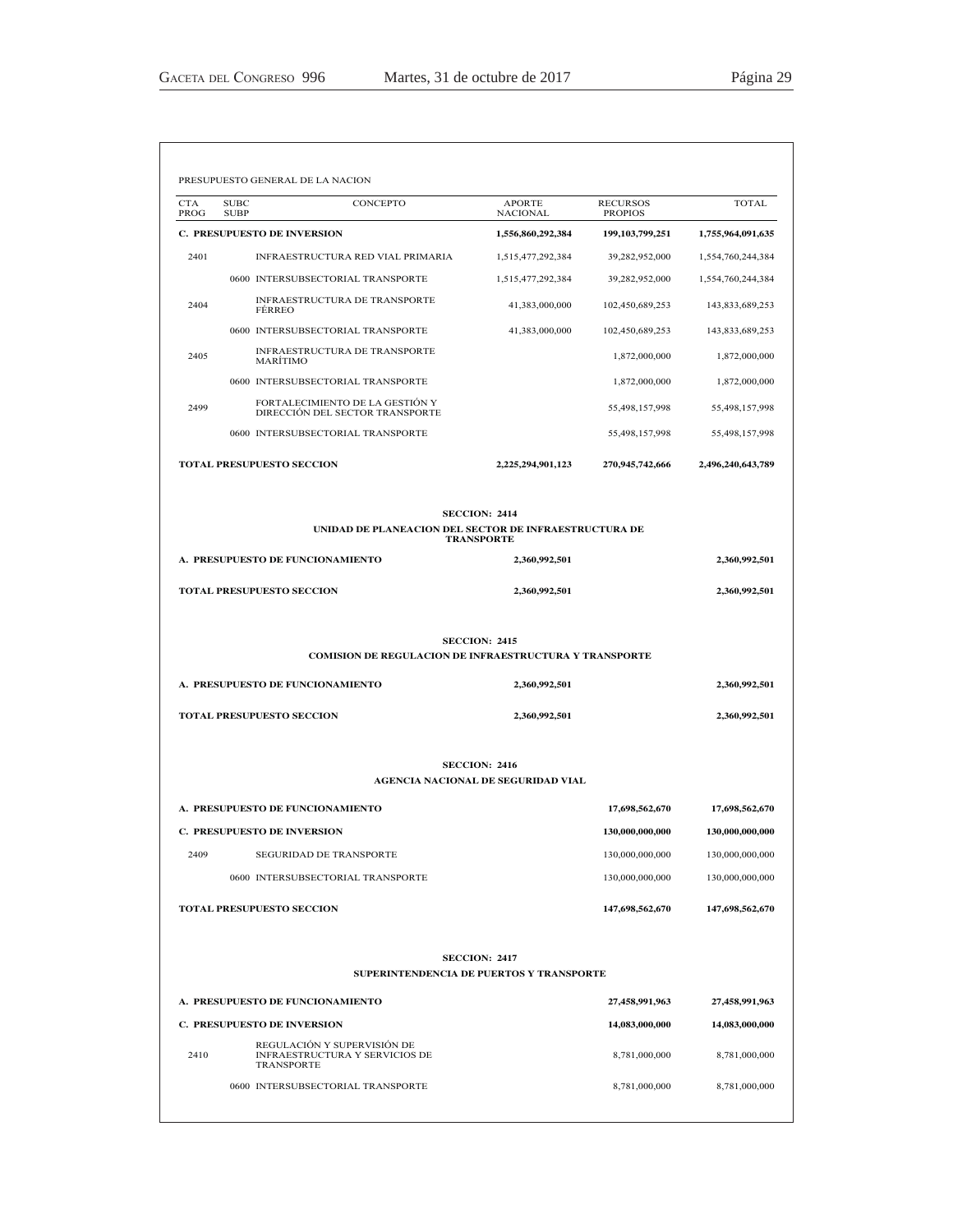| <b>CTA</b><br>PROG | <b>SUBC</b><br><b>SUBP</b>         | <b>CONCEPTO</b>                                                    | <b>APORTE</b><br><b>NACIONAL</b>                           | <b>RECURSOS</b><br><b>PROPIOS</b> | <b>TOTAL</b>                                                                                                                                    |
|--------------------|------------------------------------|--------------------------------------------------------------------|------------------------------------------------------------|-----------------------------------|-------------------------------------------------------------------------------------------------------------------------------------------------|
|                    | <b>C. PRESUPUESTO DE INVERSION</b> |                                                                    | 1,556,860,292,384                                          | 199, 103, 799, 251                | 1,755,964,091,635                                                                                                                               |
| 2401               |                                    | INFRAESTRUCTURA RED VIAL PRIMARIA                                  | 1,515,477,292,384                                          | 39,282,952,000                    | 1,554,760,244,384                                                                                                                               |
|                    |                                    | 0600 INTERSUBSECTORIAL TRANSPORTE                                  | 1,515,477,292,384                                          | 39,282,952,000                    | 1,554,760,244,384                                                                                                                               |
| 2404               | <b>FERREO</b>                      | INFRAESTRUCTURA DE TRANSPORTE                                      | 41,383,000,000                                             | 102,450,689,253                   | 143,833,689,253                                                                                                                                 |
|                    |                                    | 0600 INTERSUBSECTORIAL TRANSPORTE                                  | 41,383,000,000                                             | 102,450,689,253                   | 143,833,689,253                                                                                                                                 |
| 2405               | <b>MARITIMO</b>                    | INFRAESTRUCTURA DE TRANSPORTE                                      |                                                            | 1,872,000,000                     | 1,872,000,000                                                                                                                                   |
|                    |                                    | 0600 INTERSUBSECTORIAL TRANSPORTE                                  |                                                            | 1,872,000,000                     | 1,872,000,000                                                                                                                                   |
| 2499               |                                    | FORTALECIMIENTO DE LA GESTIÓN Y<br>DIRECCIÓN DEL SECTOR TRANSPORTE |                                                            | 55,498,157,998                    | 55,498,157,998                                                                                                                                  |
|                    |                                    | 0600 INTERSUBSECTORIAL TRANSPORTE                                  |                                                            | 55,498,157,998                    | 55,498,157,998                                                                                                                                  |
|                    | <b>TOTAL PRESUPUESTO SECCION</b>   |                                                                    | 2,225,294,901,123                                          | 270,945,742,666                   | 2,496,240,643,789                                                                                                                               |
|                    |                                    | UNIDAD DE PLANEACION DEL SECTOR DE INFRAESTRUCTURA DE              | <b>SECCION: 2414</b><br><b>TRANSPORTE</b>                  |                                   |                                                                                                                                                 |
|                    | A. PRESUPUESTO DE FUNCIONAMIENTO   |                                                                    | 2,360,992,501                                              |                                   | 2,360,992,501                                                                                                                                   |
|                    | <b>TOTAL PRESUPUESTO SECCION</b>   |                                                                    | 2,360,992,501                                              |                                   | 2,360,992,501                                                                                                                                   |
|                    |                                    |                                                                    |                                                            |                                   |                                                                                                                                                 |
|                    |                                    | <b>COMISION DE REGULACION DE INFRAESTRUCTURA Y TRANSPORTE</b>      | <b>SECCION: 2415</b>                                       |                                   |                                                                                                                                                 |
|                    | A. PRESUPUESTO DE FUNCIONAMIENTO   |                                                                    | 2,360,992,501                                              |                                   | 2,360,992,501                                                                                                                                   |
|                    | <b>TOTAL PRESUPUESTO SECCION</b>   |                                                                    | 2,360,992,501                                              |                                   | 2,360,992,501                                                                                                                                   |
|                    |                                    |                                                                    | <b>SECCION: 2416</b><br>AGENCIA NACIONAL DE SEGURIDAD VIAL |                                   |                                                                                                                                                 |
|                    | A. PRESUPUESTO DE FUNCIONAMIENTO   |                                                                    |                                                            | 17,698,562,670                    |                                                                                                                                                 |
|                    | <b>C. PRESUPUESTO DE INVERSION</b> |                                                                    |                                                            | 130,000,000,000                   |                                                                                                                                                 |
| 2409               |                                    | <b>SEGURIDAD DE TRANSPORTE</b>                                     |                                                            | 130,000,000,000                   |                                                                                                                                                 |
|                    |                                    | 0600 INTERSUBSECTORIAL TRANSPORTE                                  |                                                            | 130,000,000,000                   |                                                                                                                                                 |
|                    | TOTAL PRESUPUESTO SECCION          |                                                                    |                                                            | 147,698,562,670                   |                                                                                                                                                 |
|                    |                                    | SUPERINTENDENCIA DE PUERTOS Y TRANSPORTE                           | <b>SECCION: 2417</b>                                       |                                   |                                                                                                                                                 |
|                    | A. PRESUPUESTO DE FUNCIONAMIENTO   |                                                                    |                                                            | 27,458,991,963                    |                                                                                                                                                 |
|                    | <b>C. PRESUPUESTO DE INVERSION</b> |                                                                    |                                                            | 14,083,000,000                    |                                                                                                                                                 |
| 2410               | TRANSPORTE                         | REGULACIÓN Y SUPERVISIÓN DE<br>INFRAESTRUCTURA Y SERVICIOS DE      |                                                            | 8,781,000,000                     | 17,698,562,670<br>130,000,000,000<br>130,000,000,000<br>130,000,000,000<br>147,698,562,670<br>27,458,991,963<br>14,083,000,000<br>8,781,000,000 |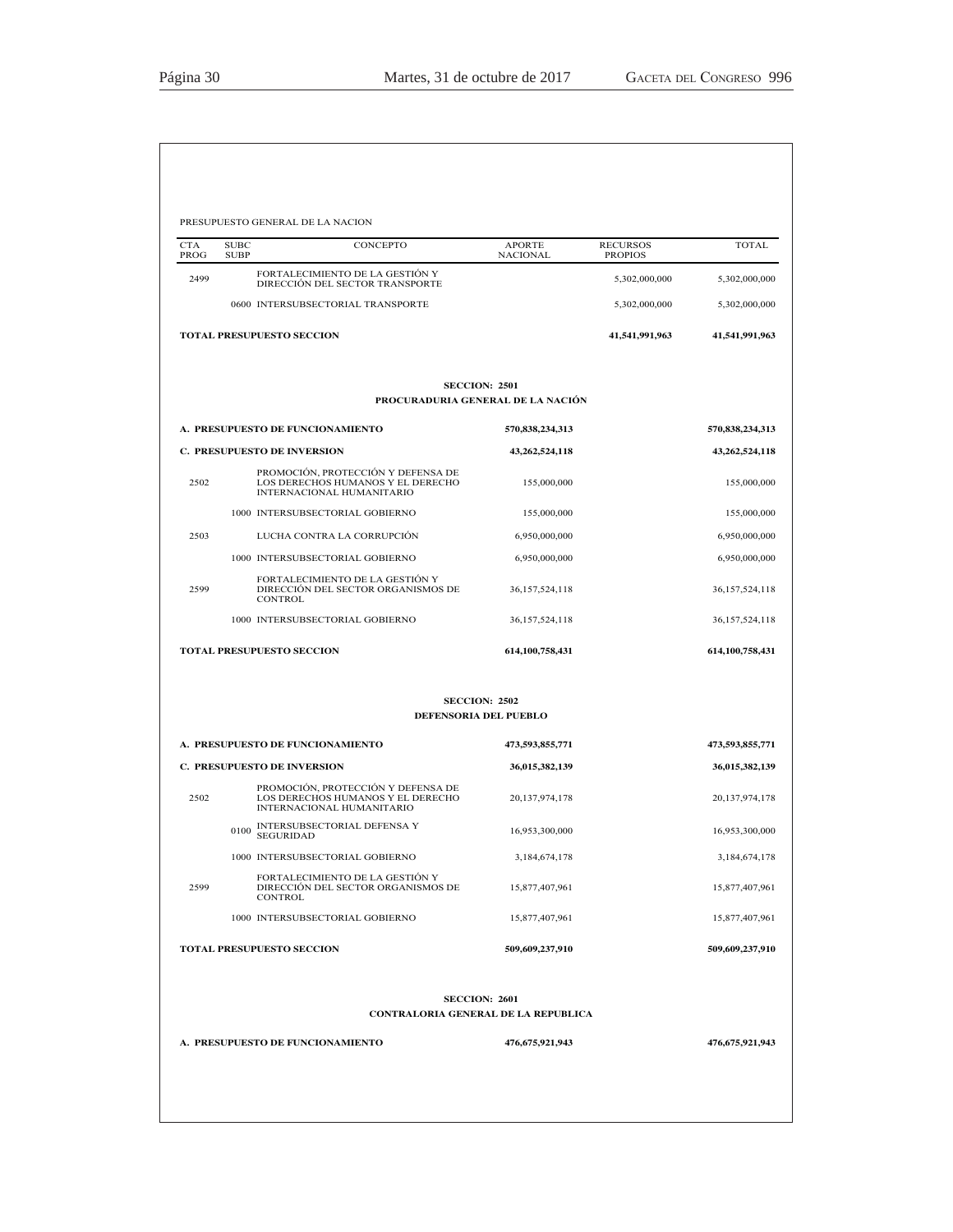|                    |                            | PRESUPUESTO GENERAL DE LA NACION                                                                     |                                               |                                   |                               |
|--------------------|----------------------------|------------------------------------------------------------------------------------------------------|-----------------------------------------------|-----------------------------------|-------------------------------|
| <b>CTA</b><br>PROG | <b>SUBC</b><br><b>SUBP</b> | CONCEPTO                                                                                             | <b>APORTE</b><br><b>NACIONAL</b>              | <b>RECURSOS</b><br><b>PROPIOS</b> | <b>TOTAL</b>                  |
| 2499               |                            | FORTALECIMIENTO DE LA GESTIÓN Y<br>DIRECCIÓN DEL SECTOR TRANSPORTE                                   |                                               | 5,302,000,000                     | 5,302,000,000                 |
|                    |                            | 0600 INTERSUBSECTORIAL TRANSPORTE                                                                    |                                               | 5,302,000,000                     | 5,302,000,000                 |
|                    |                            | <b>TOTAL PRESUPUESTO SECCION</b>                                                                     |                                               | 41,541,991,963                    | 41,541,991,963                |
|                    |                            |                                                                                                      | <b>SECCION: 2501</b>                          |                                   |                               |
|                    |                            |                                                                                                      | PROCURADURIA GENERAL DE LA NACIÓN             |                                   |                               |
|                    |                            | A. PRESUPUESTO DE FUNCIONAMIENTO<br><b>C. PRESUPUESTO DE INVERSION</b>                               | 570,838,234,313                               |                                   | 570,838,234,313               |
| 2502               |                            | PROMOCIÓN, PROTECCIÓN Y DEFENSA DE<br>LOS DERECHOS HUMANOS Y EL DERECHO<br>INTERNACIONAL HUMANITARIO | 43,262,524,118<br>155,000,000                 |                                   | 43,262,524,118<br>155,000,000 |
|                    |                            | 1000 INTERSUBSECTORIAL GOBIERNO                                                                      | 155,000,000                                   |                                   | 155,000,000                   |
| 2503               |                            | LUCHA CONTRA LA CORRUPCIÓN                                                                           | 6,950,000,000                                 |                                   | 6,950,000,000                 |
|                    |                            | 1000 INTERSUBSECTORIAL GOBIERNO                                                                      | 6,950,000,000                                 |                                   | 6,950,000,000                 |
| 2599               |                            | FORTALECIMIENTO DE LA GESTIÓN Y<br>DIRECCIÓN DEL SECTOR ORGANISMOS DE<br><b>CONTROL</b>              | 36,157,524,118                                |                                   | 36, 157, 524, 118             |
|                    |                            | 1000 INTERSUBSECTORIAL GOBIERNO                                                                      | 36, 157, 524, 118                             |                                   | 36, 157, 524, 118             |
|                    |                            | <b>TOTAL PRESUPUESTO SECCION</b>                                                                     | 614,100,758,431                               |                                   | 614,100,758,431               |
|                    |                            |                                                                                                      | <b>SECCION: 2502</b><br>DEFENSORIA DEL PUEBLO |                                   |                               |
|                    |                            | A. PRESUPUESTO DE FUNCIONAMIENTO                                                                     | 473,593,855,771                               |                                   | 473,593,855,771               |
|                    |                            | C. PRESUPUESTO DE INVERSION                                                                          | 36,015,382,139                                |                                   | 36,015,382,139                |
| 2502               |                            | PROMOCIÓN, PROTECCIÓN Y DEFENSA DE<br>LOS DERECHOS HUMANOS Y EL DERECHO<br>INTERNACIONAL HUMANITARIO | 20,137,974,178                                |                                   | 20,137,974,178                |
|                    | 0100                       | INTERSUBSECTORIAL DEFENSA Y<br><b>SEGURIDAD</b>                                                      | 16,953,300,000                                |                                   | 16,953,300,000                |
|                    |                            | 1000 INTERSUBSECTORIAL GOBIERNO                                                                      | 3,184,674,178                                 |                                   | 3,184,674,178                 |
| 2599               |                            | FORTALECIMIENTO DE LA GESTIÓN Y<br>DIRECCIÓN DEL SECTOR ORGANISMOS DE<br><b>CONTROL</b>              | 15,877,407,961                                |                                   | 15,877,407,961                |
|                    |                            | 1000 INTERSUBSECTORIAL GOBIERNO                                                                      | 15,877,407,961                                |                                   | 15,877,407,961                |
|                    |                            | TOTAL PRESUPUESTO SECCION                                                                            | 509,609,237,910                               |                                   | 509,609,237,910               |
|                    |                            | CONTRALORIA GENERAL DE LA REPUBLICA                                                                  | <b>SECCION: 2601</b>                          |                                   |                               |
|                    |                            | A. PRESUPUESTO DE FUNCIONAMIENTO                                                                     | 476,675,921,943                               |                                   | 476,675,921,943               |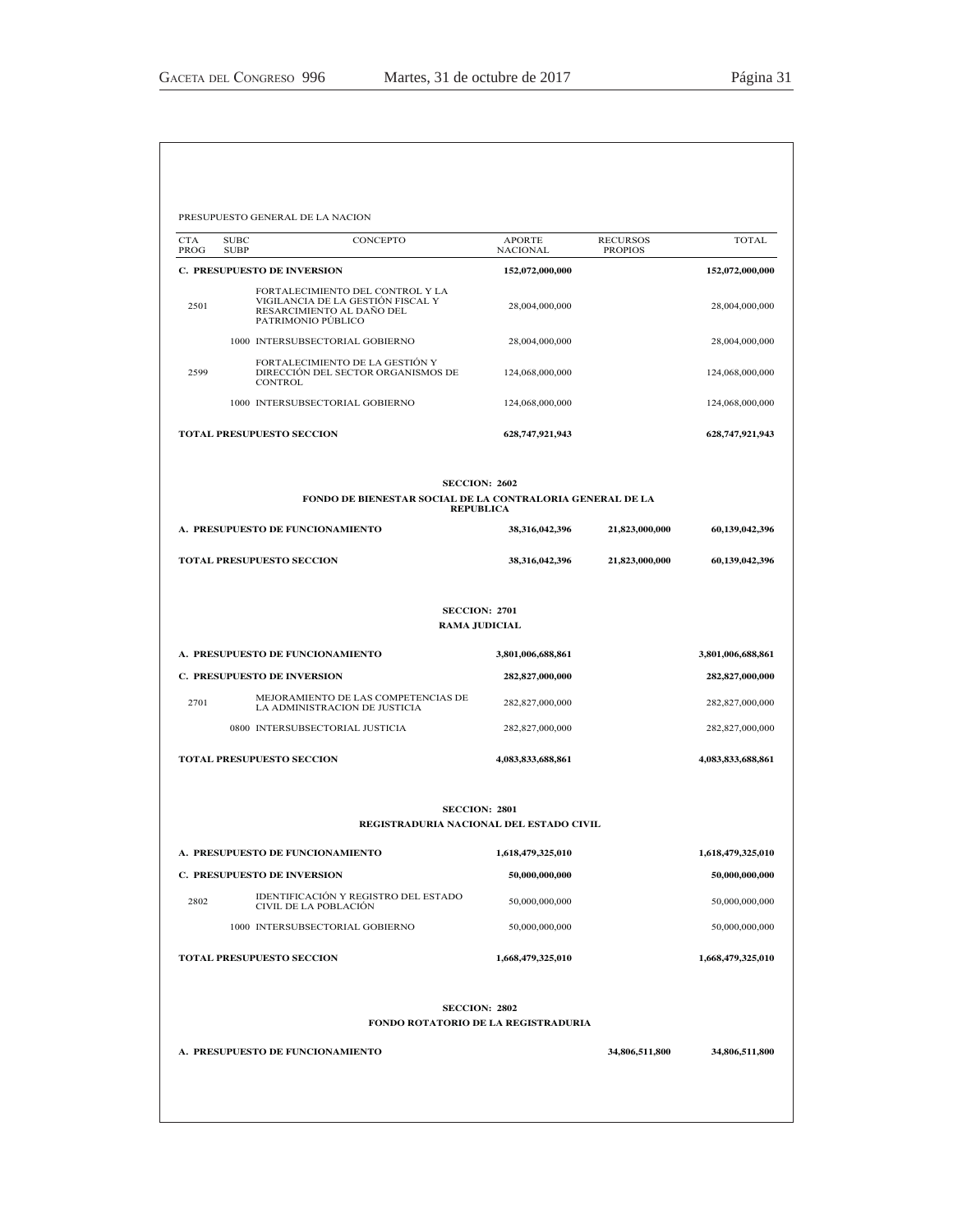| PROG | <b>SUBC</b><br>CONCEPTO<br><b>SUBP</b>                                                                                   | APORTE<br><b>NACIONAL</b>                                       | <b>RECURSOS</b><br><b>PROPIOS</b> | <b>TOTAL</b>      |
|------|--------------------------------------------------------------------------------------------------------------------------|-----------------------------------------------------------------|-----------------------------------|-------------------|
|      | C. PRESUPUESTO DE INVERSION                                                                                              | 152,072,000,000                                                 |                                   | 152,072,000,000   |
| 2501 | FORTALECIMIENTO DEL CONTROL Y LA<br>VIGILANCIA DE LA GESTIÓN FISCAL Y<br>RESARCIMIENTO AL DAÑO DEL<br>PATRIMONIO PÚBLICO | 28,004,000,000                                                  |                                   | 28,004,000,000    |
|      | 1000 INTERSUBSECTORIAL GOBIERNO                                                                                          | 28,004,000,000                                                  |                                   | 28,004,000,000    |
| 2599 | FORTALECIMIENTO DE LA GESTIÓN Y<br>DIRECCIÓN DEL SECTOR ORGANISMOS DE<br><b>CONTROL</b>                                  | 124,068,000,000                                                 |                                   | 124,068,000,000   |
|      | 1000 INTERSUBSECTORIAL GOBIERNO                                                                                          | 124,068,000,000                                                 |                                   | 124,068,000,000   |
|      | <b>TOTAL PRESUPUESTO SECCION</b>                                                                                         | 628,747,921,943                                                 |                                   | 628,747,921,943   |
|      | FONDO DE BIENESTAR SOCIAL DE LA CONTRALORIA GENERAL DE LA                                                                | <b>SECCION: 2602</b><br><b>REPUBLICA</b>                        |                                   |                   |
|      | A. PRESUPUESTO DE FUNCIONAMIENTO                                                                                         | 38,316,042,396                                                  | 21,823,000,000                    | 60,139,042,396    |
|      | <b>TOTAL PRESUPUESTO SECCION</b>                                                                                         | 38,316,042,396                                                  | 21,823,000,000                    | 60,139,042,396    |
|      |                                                                                                                          | <b>SECCION: 2701</b><br><b>RAMA JUDICIAL</b>                    |                                   |                   |
|      | A. PRESUPUESTO DE FUNCIONAMIENTO                                                                                         | 3,801,006,688,861                                               |                                   | 3,801,006,688,861 |
|      | <b>C. PRESUPUESTO DE INVERSION</b>                                                                                       | 282,827,000,000                                                 |                                   | 282,827,000,000   |
| 2701 | MEJORAMIENTO DE LAS COMPETENCIAS DE<br>LA ADMINISTRACION DE JUSTICIA                                                     | 282,827,000,000                                                 |                                   | 282,827,000,000   |
|      | 0800 INTERSUBSECTORIAL JUSTICIA                                                                                          | 282,827,000,000                                                 |                                   | 282,827,000,000   |
|      | TOTAL PRESUPUESTO SECCION                                                                                                | 4,083,833,688,861                                               |                                   | 4,083,833,688,861 |
|      |                                                                                                                          | <b>SECCION: 2801</b><br>REGISTRADURIA NACIONAL DEL ESTADO CIVIL |                                   |                   |
|      | A. PRESUPUESTO DE FUNCIONAMIENTO                                                                                         | 1,618,479,325,010                                               |                                   | 1,618,479,325,010 |
|      | <b>C. PRESUPUESTO DE INVERSION</b>                                                                                       | 50,000,000,000                                                  |                                   | 50,000,000,000    |
|      | IDENTIFICACIÓN Y REGISTRO DEL ESTADO<br>CIVIL DE LA POBLACIÓN                                                            | 50,000,000,000                                                  |                                   | 50,000,000,000    |
| 2802 | 1000 INTERSUBSECTORIAL GOBIERNO                                                                                          | 50,000,000,000                                                  |                                   | 50,000,000,000    |
|      |                                                                                                                          |                                                                 |                                   | 1,668,479,325,010 |
|      | <b>TOTAL PRESUPUESTO SECCION</b>                                                                                         | 1,668,479,325,010                                               |                                   |                   |
|      |                                                                                                                          | <b>SECCION: 2802</b><br>FONDO ROTATORIO DE LA REGISTRADURIA     |                                   |                   |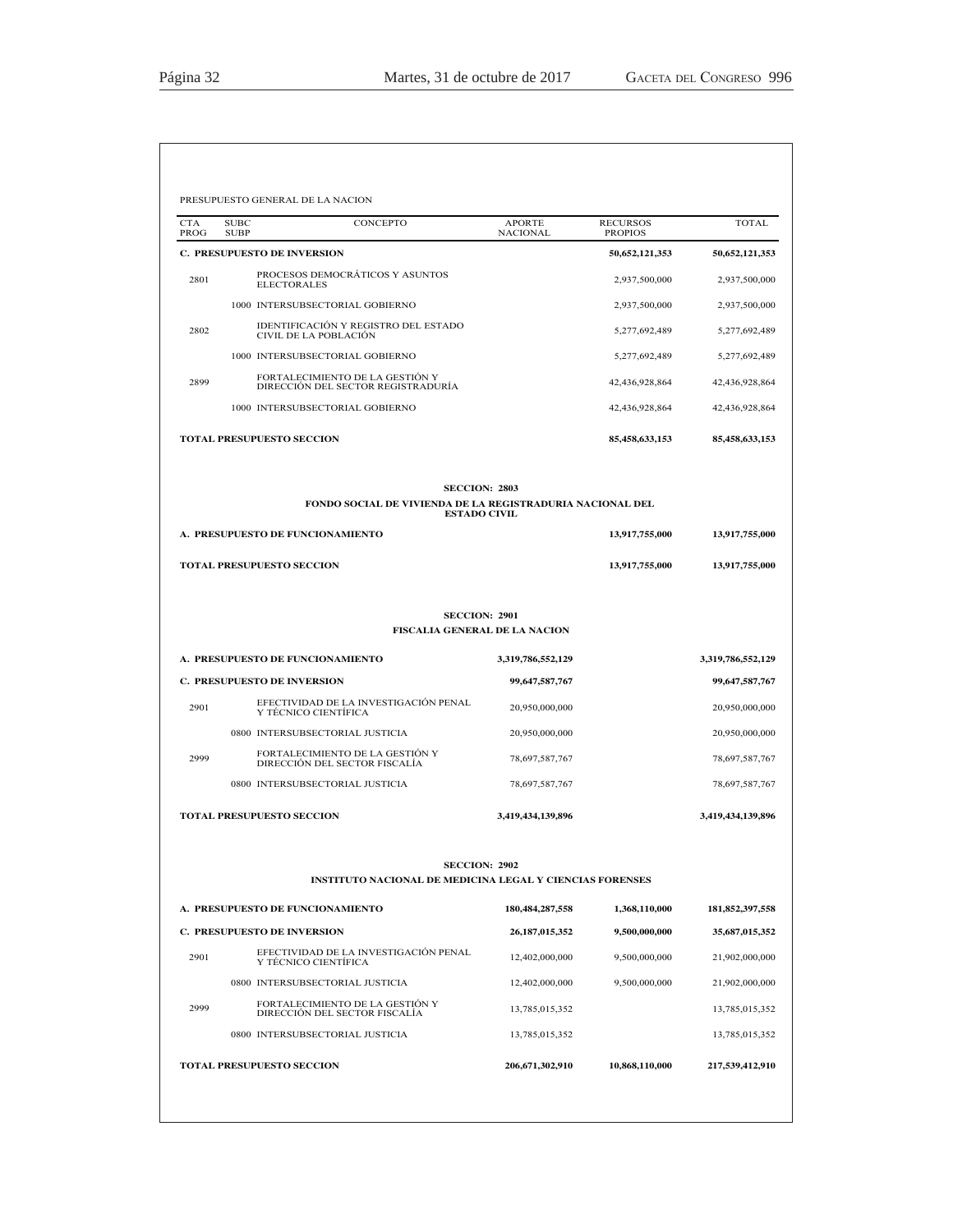| CTA<br>PROG | <b>SUBC</b><br>CONCEPTO<br><b>SUBP</b>                                | <b>APORTE</b><br><b>NACIONAL</b>     | <b>RECURSOS</b><br><b>PROPIOS</b> | <b>TOTAL</b>      |
|-------------|-----------------------------------------------------------------------|--------------------------------------|-----------------------------------|-------------------|
|             | <b>C. PRESUPUESTO DE INVERSION</b>                                    |                                      | 50,652,121,353                    | 50,652,121,353    |
| 2801        | PROCESOS DEMOCRÁTICOS Y ASUNTOS<br><b>ELECTORALES</b>                 |                                      | 2,937,500,000                     | 2,937,500,000     |
|             | 1000 INTERSUBSECTORIAL GOBIERNO                                       |                                      | 2,937,500,000                     | 2,937,500,000     |
| 2802        | IDENTIFICACIÓN Y REGISTRO DEL ESTADO<br>CIVIL DE LA POBLACIÓN         |                                      | 5,277,692,489                     | 5,277,692,489     |
|             | 1000 INTERSUBSECTORIAL GOBIERNO                                       |                                      | 5,277,692,489                     | 5,277,692,489     |
| 2899        | FORTALECIMIENTO DE LA GESTIÓN Y<br>DIRECCIÓN DEL SECTOR REGISTRADURÍA |                                      | 42,436,928,864                    | 42,436,928,864    |
|             | 1000 INTERSUBSECTORIAL GOBIERNO                                       |                                      | 42,436,928,864                    | 42,436,928,864    |
|             | <b>TOTAL PRESUPUESTO SECCION</b>                                      |                                      | 85,458,633,153                    | 85,458,633,153    |
|             |                                                                       | <b>SECCION: 2803</b>                 |                                   |                   |
|             | FONDO SOCIAL DE VIVIENDA DE LA REGISTRADURIA NACIONAL DEL             | <b>ESTADO CIVIL</b>                  |                                   |                   |
|             | A. PRESUPUESTO DE FUNCIONAMIENTO                                      |                                      | 13,917,755,000                    | 13,917,755,000    |
|             | <b>TOTAL PRESUPUESTO SECCION</b>                                      |                                      | 13,917,755,000                    | 13,917,755,000    |
|             |                                                                       | <b>SECCION: 2901</b>                 |                                   |                   |
|             |                                                                       | <b>FISCALIA GENERAL DE LA NACION</b> |                                   |                   |
|             | A. PRESUPUESTO DE FUNCIONAMIENTO                                      | 3,319,786,552,129                    |                                   | 3,319,786,552,129 |
|             | C. PRESUPUESTO DE INVERSION                                           | 99,647,587,767                       |                                   | 99,647,587,767    |
| 2901        | EFECTIVIDAD DE LA INVESTIGACIÓN PENAL<br>Y TÉCNICO CIENTÍFICA         | 20,950,000,000                       |                                   | 20,950,000,000    |
|             | 0800 INTERSUBSECTORIAL JUSTICIA                                       | 20,950,000,000                       |                                   | 20,950,000,000    |
| 2999        | FORTALECIMIENTO DE LA GESTIÓN Y<br>DIRECCIÓN DEL SECTOR FISCALÍA      | 78,697,587,767                       |                                   | 78,697,587,767    |
|             | 0800 INTERSUBSECTORIAL JUSTICIA                                       | 78,697,587,767                       |                                   | 78,697,587,767    |
|             | <b>TOTAL PRESUPUESTO SECCION</b>                                      | 3,419,434,139,896                    |                                   | 3,419,434,139,896 |
|             |                                                                       | <b>SECCION: 2902</b>                 |                                   |                   |
|             | <b>INSTITUTO NACIONAL DE MEDICINA LEGAL Y CIENCIAS FORENSES</b>       |                                      |                                   |                   |
|             | A. PRESUPUESTO DE FUNCIONAMIENTO                                      | 180, 484, 287, 558                   | 1,368,110,000                     | 181,852,397,558   |
|             |                                                                       |                                      | 9,500,000,000                     | 35,687,015,352    |
|             | C. PRESUPUESTO DE INVERSION                                           | 26, 187, 015, 352                    |                                   |                   |
| 2901        | EFECTIVIDAD DE LA INVESTIGACIÓN PENAL<br>Y TÉCNICO CIENTÍFICA         | 12,402,000,000                       | 9,500,000,000                     | 21,902,000,000    |

<sup>2999</sup> )257\$/(&,0,(172'(/\$\*(67,Ï1< ',5(&&,Ï1'(/6(&725),6&\$/Ë\$ 13,785,015,352 13,785,015,352 0800 INTERSUBSECTORIAL JUSTICIA 13,785,015,352 13,785,015,352 13,785,015,352 **TOTAL PRESUPUESTO SECCION 206,671,302,910 10,868,110,000 217,539,412,910**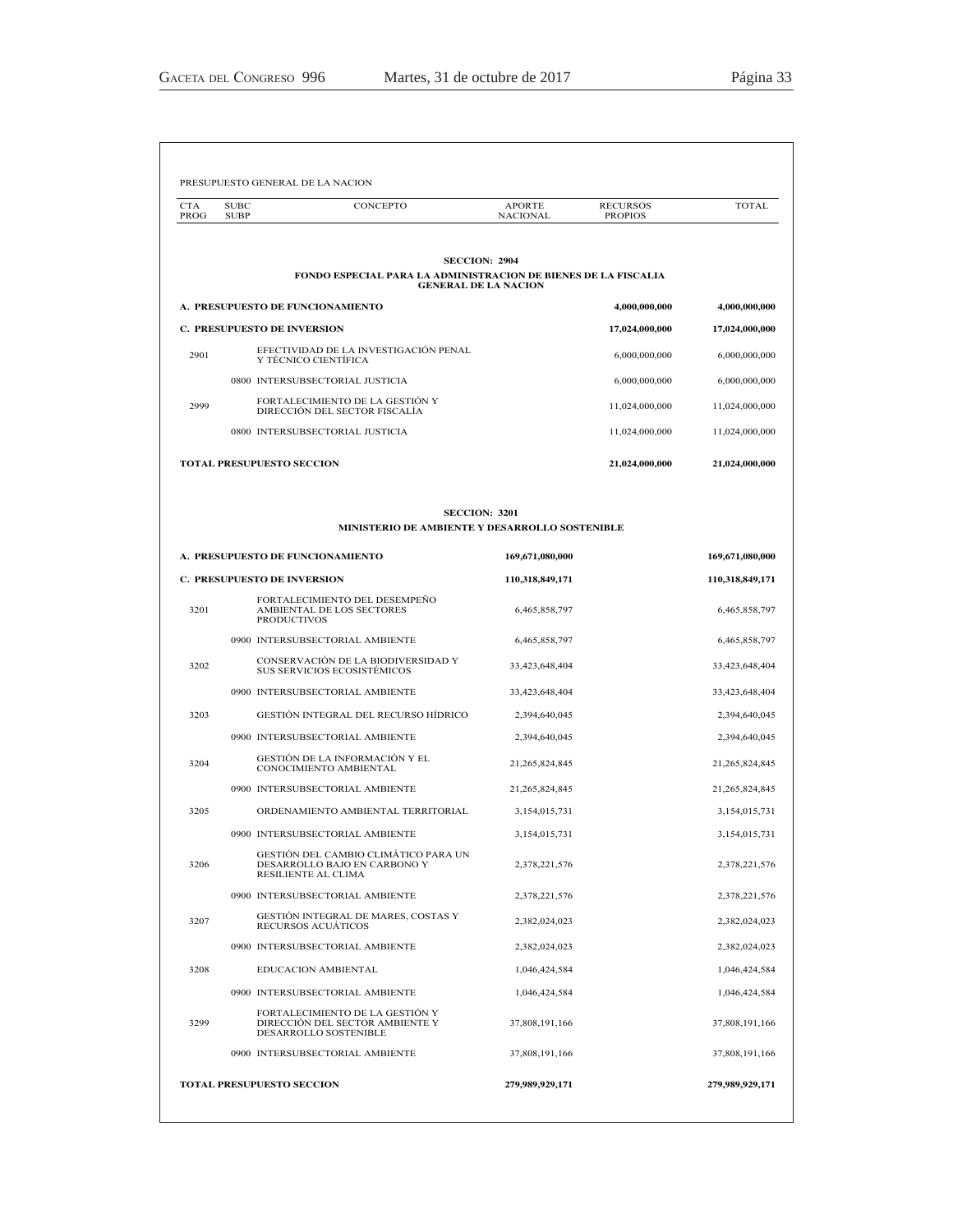| <b>CTA</b><br><b>PROG</b> | <b>SUBC</b><br><b>SUBP</b> | CONCEPTO                                                                                             | <b>APORTE</b><br><b>NACIONAL</b> | <b>RECURSOS</b><br><b>PROPIOS</b> | <b>TOTAL</b>    |
|---------------------------|----------------------------|------------------------------------------------------------------------------------------------------|----------------------------------|-----------------------------------|-----------------|
|                           |                            | <b>SECCION: 2904</b>                                                                                 |                                  |                                   |                 |
|                           |                            | <b>FONDO ESPECIAL PARA LA ADMINISTRACION DE BIENES DE LA FISCALIA</b><br><b>GENERAL DE LA NACION</b> |                                  |                                   |                 |
|                           |                            | A. PRESUPUESTO DE FUNCIONAMIENTO                                                                     |                                  | 4,000,000,000                     | 4,000,000,000   |
|                           |                            | <b>C. PRESUPUESTO DE INVERSION</b>                                                                   |                                  | 17,024,000,000                    | 17,024,000,000  |
| 2901                      |                            | EFECTIVIDAD DE LA INVESTIGACIÓN PENAL<br>Y TÉCNICO CIENTÍFICA                                        |                                  | 6,000,000,000                     | 6,000,000,000   |
|                           |                            | 0800 INTERSUBSECTORIAL JUSTICIA                                                                      |                                  | 6,000,000,000                     | 6,000,000,000   |
| 2999                      |                            | FORTALECIMIENTO DE LA GESTIÓN Y<br>DIRECCIÓN DEL SECTOR FISCALÍA                                     |                                  | 11,024,000,000                    | 11,024,000,000  |
|                           |                            | 0800 INTERSUBSECTORIAL JUSTICIA                                                                      |                                  | 11,024,000,000                    | 11,024,000,000  |
|                           |                            | <b>TOTAL PRESUPUESTO SECCION</b>                                                                     |                                  | 21,024,000,000                    | 21,024,000,000  |
|                           |                            | <b>SECCION: 3201</b>                                                                                 |                                  |                                   |                 |
|                           |                            | MINISTERIO DE AMBIENTE Y DESARROLLO SOSTENIBLE                                                       |                                  |                                   |                 |
|                           |                            | A. PRESUPUESTO DE FUNCIONAMIENTO                                                                     | 169,671,080,000                  |                                   | 169,671,080,000 |
|                           |                            | <b>C. PRESUPUESTO DE INVERSION</b>                                                                   | 110,318,849,171                  |                                   | 110,318,849,171 |
| 3201                      |                            | FORTALECIMIENTO DEL DESEMPEÑO<br>AMBIENTAL DE LOS SECTORES<br><b>PRODUCTIVOS</b>                     | 6,465,858,797                    |                                   | 6,465,858,797   |
|                           |                            | 0900 INTERSUBSECTORIAL AMBIENTE                                                                      | 6,465,858,797                    |                                   | 6,465,858,797   |
| 3202                      |                            | CONSERVACIÓN DE LA BIODIVERSIDAD Y<br>SUS SERVICIOS ECOSISTÉMICOS                                    | 33,423,648,404                   |                                   | 33,423,648,404  |
|                           |                            | 0900 INTERSUBSECTORIAL AMBIENTE                                                                      | 33,423,648,404                   |                                   | 33,423,648,404  |
| 3203                      |                            | GESTIÓN INTEGRAL DEL RECURSO HÍDRICO                                                                 | 2,394,640,045                    |                                   | 2,394,640,045   |
|                           |                            | 0900 INTERSUBSECTORIAL AMBIENTE                                                                      | 2,394,640,045                    |                                   | 2,394,640,045   |
| 3204                      |                            | GESTIÓN DE LA INFORMACIÓN Y EL<br>CONOCIMIENTO AMBIENTAL                                             | 21,265,824,845                   |                                   | 21,265,824,845  |
|                           |                            | 0900 INTERSUBSECTORIAL AMBIENTE                                                                      | 21,265,824,845                   |                                   | 21,265,824,845  |
| 3205                      |                            | ORDENAMIENTO AMBIENTAL TERRITORIAL                                                                   | 3,154,015,731                    |                                   | 3,154,015,731   |
|                           |                            | 0900 INTERSUBSECTORIAL AMBIENTE                                                                      | 3,154,015,731                    |                                   | 3,154,015,731   |
| 3206                      |                            | GESTIÓN DEL CAMBIO CLIMÁTICO PARA UN<br>DESARROLLO BAJO EN CARBONO Y<br>RESILIENTE AL CLIMA          | 2,378,221,576                    |                                   | 2,378,221,576   |
|                           |                            | 0900 INTERSUBSECTORIAL AMBIENTE                                                                      | 2,378,221,576                    |                                   | 2,378,221,576   |
| 3207                      |                            | GESTIÓN INTEGRAL DE MARES, COSTAS Y<br>RECURSOS ACUÁTICOS                                            | 2,382,024,023                    |                                   | 2,382,024,023   |
|                           |                            | 0900 INTERSUBSECTORIAL AMBIENTE                                                                      | 2,382,024,023                    |                                   | 2,382,024,023   |
| 3208                      |                            | EDUCACION AMBIENTAL                                                                                  | 1,046,424,584                    |                                   | 1,046,424,584   |
|                           |                            | 0900 INTERSUBSECTORIAL AMBIENTE                                                                      | 1,046,424,584                    |                                   | 1,046,424,584   |
| 3299                      |                            | FORTALECIMIENTO DE LA GESTIÓN Y<br>DIRECCIÓN DEL SECTOR AMBIENTE Y<br>DESARROLLO SOSTENIBLE          | 37,808,191,166                   |                                   | 37,808,191,166  |
|                           |                            |                                                                                                      |                                  |                                   | 37,808,191,166  |
|                           |                            | 0900 INTERSUBSECTORIAL AMBIENTE                                                                      | 37,808,191,166                   |                                   |                 |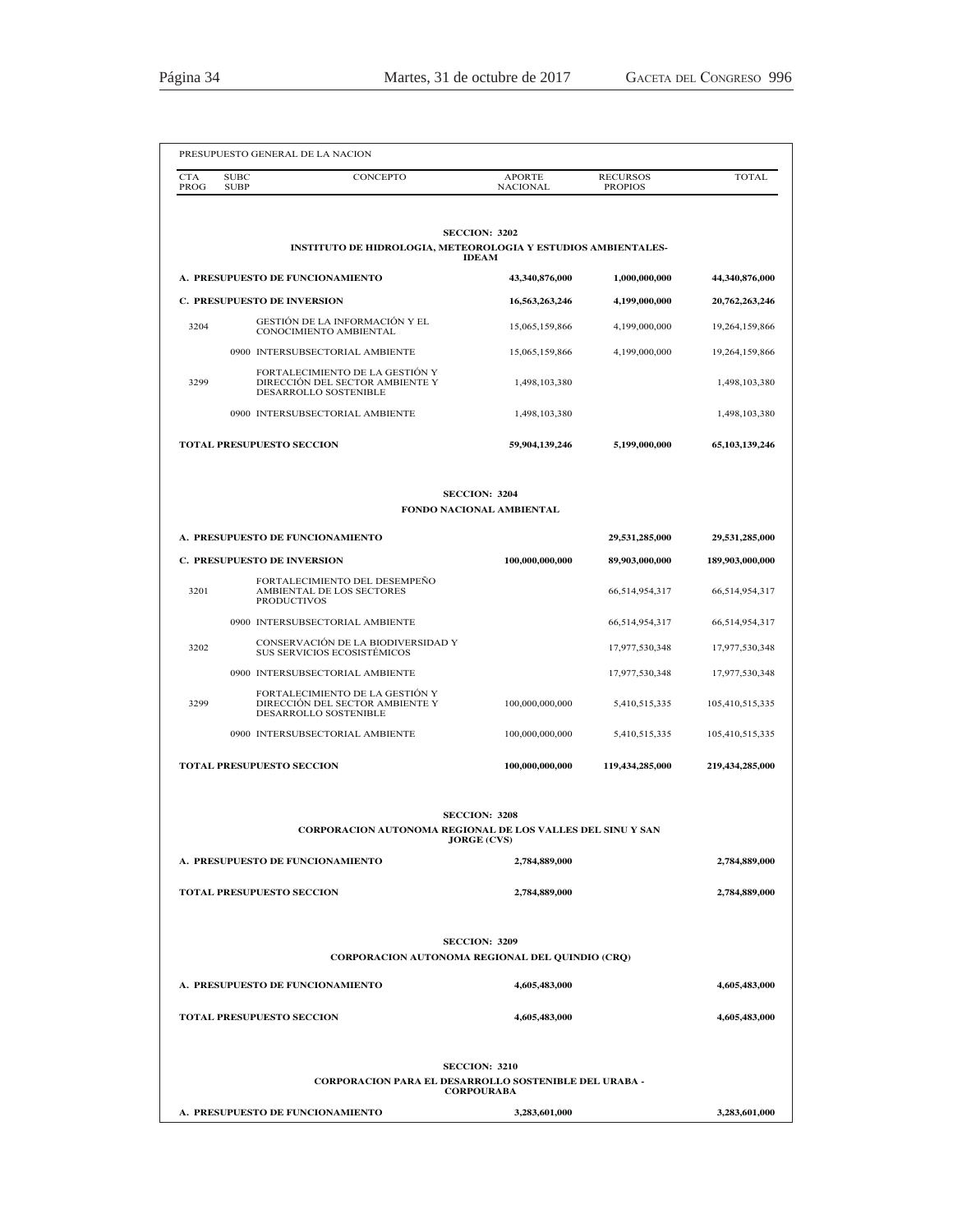|                    |                            | PRESUPUESTO GENERAL DE LA NACION                                                            |                                                  |                                   |                 |
|--------------------|----------------------------|---------------------------------------------------------------------------------------------|--------------------------------------------------|-----------------------------------|-----------------|
| <b>CTA</b><br>PROG | <b>SUBC</b><br><b>SUBP</b> | CONCEPTO                                                                                    | <b>APORTE</b><br><b>NACIONAL</b>                 | <b>RECURSOS</b><br><b>PROPIOS</b> | <b>TOTAL</b>    |
|                    |                            | <b>INSTITUTO DE HIDROLOGIA, METEOROLOGIA Y ESTUDIOS AMBIENTALES-</b>                        | <b>SECCION: 3202</b><br><b>IDEAM</b>             |                                   |                 |
|                    |                            | A. PRESUPUESTO DE FUNCIONAMIENTO                                                            | 43,340,876,000                                   | 1,000,000,000                     | 44,340,876,000  |
|                    |                            | <b>C. PRESUPUESTO DE INVERSION</b>                                                          | 16,563,263,246                                   | 4,199,000,000                     | 20,762,263,246  |
| 3204               |                            | GESTIÓN DE LA INFORMACIÓN Y EL<br>CONOCIMIENTO AMBIENTAL                                    | 15,065,159,866                                   | 4,199,000,000                     | 19,264,159,866  |
|                    |                            | 0900 INTERSUBSECTORIAL AMBIENTE                                                             | 15,065,159,866                                   | 4,199,000,000                     | 19,264,159,866  |
| 3299               |                            | FORTALECIMIENTO DE LA GESTIÓN Y<br>DIRECCIÓN DEL SECTOR AMBIENTE Y<br>DESARROLLO SOSTENIBLE | 1,498,103,380                                    |                                   | 1,498,103,380   |
|                    |                            | 0900 INTERSUBSECTORIAL AMBIENTE                                                             | 1,498,103,380                                    |                                   | 1,498,103,380   |
|                    |                            | TOTAL PRESUPUESTO SECCION                                                                   | 59,904,139,246                                   | 5,199,000,000                     | 65,103,139,246  |
|                    |                            |                                                                                             | <b>SECCION: 3204</b><br>FONDO NACIONAL AMBIENTAL |                                   |                 |
|                    |                            | A. PRESUPUESTO DE FUNCIONAMIENTO                                                            |                                                  | 29,531,285,000                    | 29,531,285,000  |
|                    |                            | <b>C. PRESUPUESTO DE INVERSION</b>                                                          | 100,000,000,000                                  | 89,903,000,000                    | 189,903,000,000 |
| 3201               |                            | FORTALECIMIENTO DEL DESEMPEÑO<br>AMBIENTAL DE LOS SECTORES<br><b>PRODUCTIVOS</b>            |                                                  | 66,514,954,317                    | 66,514,954,317  |
|                    |                            | 0900 INTERSUBSECTORIAL AMBIENTE                                                             |                                                  | 66,514,954,317                    | 66,514,954,317  |
| 3202               |                            | CONSERVACIÓN DE LA BIODIVERSIDAD Y<br>SUS SERVICIOS ECOSISTÉMICOS                           |                                                  | 17,977,530,348                    | 17,977,530,348  |
|                    |                            | 0900 INTERSUBSECTORIAL AMBIENTE                                                             |                                                  | 17,977,530,348                    | 17,977,530,348  |
| 3299               |                            | FORTALECIMIENTO DE LA GESTIÓN Y<br>DIRECCIÓN DEL SECTOR AMBIENTE Y<br>DESARROLLO SOSTENIBLE | 100,000,000,000                                  | 5,410,515,335                     | 105,410,515,335 |
|                    |                            | 0900 INTERSUBSECTORIAL AMBIENTE                                                             | 100,000,000,000                                  | 5,410,515,335                     | 105,410,515,335 |
|                    |                            | <b>TOTAL PRESUPUESTO SECCION</b>                                                            | 100,000,000,000                                  | 119,434,285,000                   | 219.434.285.000 |
|                    |                            | CORPORACION AUTONOMA REGIONAL DE LOS VALLES DEL SINU Y SAN                                  | <b>SECCION: 3208</b>                             |                                   |                 |
|                    |                            | A. PRESUPUESTO DE FUNCIONAMIENTO                                                            | <b>JORGE (CVS)</b><br>2,784,889,000              |                                   | 2,784,889,000   |
|                    |                            |                                                                                             |                                                  |                                   |                 |
|                    |                            | <b>TOTAL PRESUPUESTO SECCION</b>                                                            | 2,784,889,000                                    |                                   | 2,784,889,000   |
|                    |                            | <b>CORPORACION AUTONOMA REGIONAL DEL QUINDIO (CRQ)</b>                                      | <b>SECCION: 3209</b>                             |                                   |                 |
|                    |                            | A. PRESUPUESTO DE FUNCIONAMIENTO                                                            | 4,605,483,000                                    |                                   | 4,605,483,000   |
|                    |                            | <b>TOTAL PRESUPUESTO SECCION</b>                                                            | 4,605,483,000                                    |                                   | 4,605,483,000   |
|                    |                            | <b>CORPORACION PARA EL DESARROLLO SOSTENIBLE DEL URABA -</b>                                | <b>SECCION: 3210</b>                             |                                   |                 |
|                    |                            |                                                                                             | <b>CORPOURABA</b>                                |                                   |                 |
|                    |                            | A. PRESUPUESTO DE FUNCIONAMIENTO                                                            | 3,283,601,000                                    |                                   | 3,283,601,000   |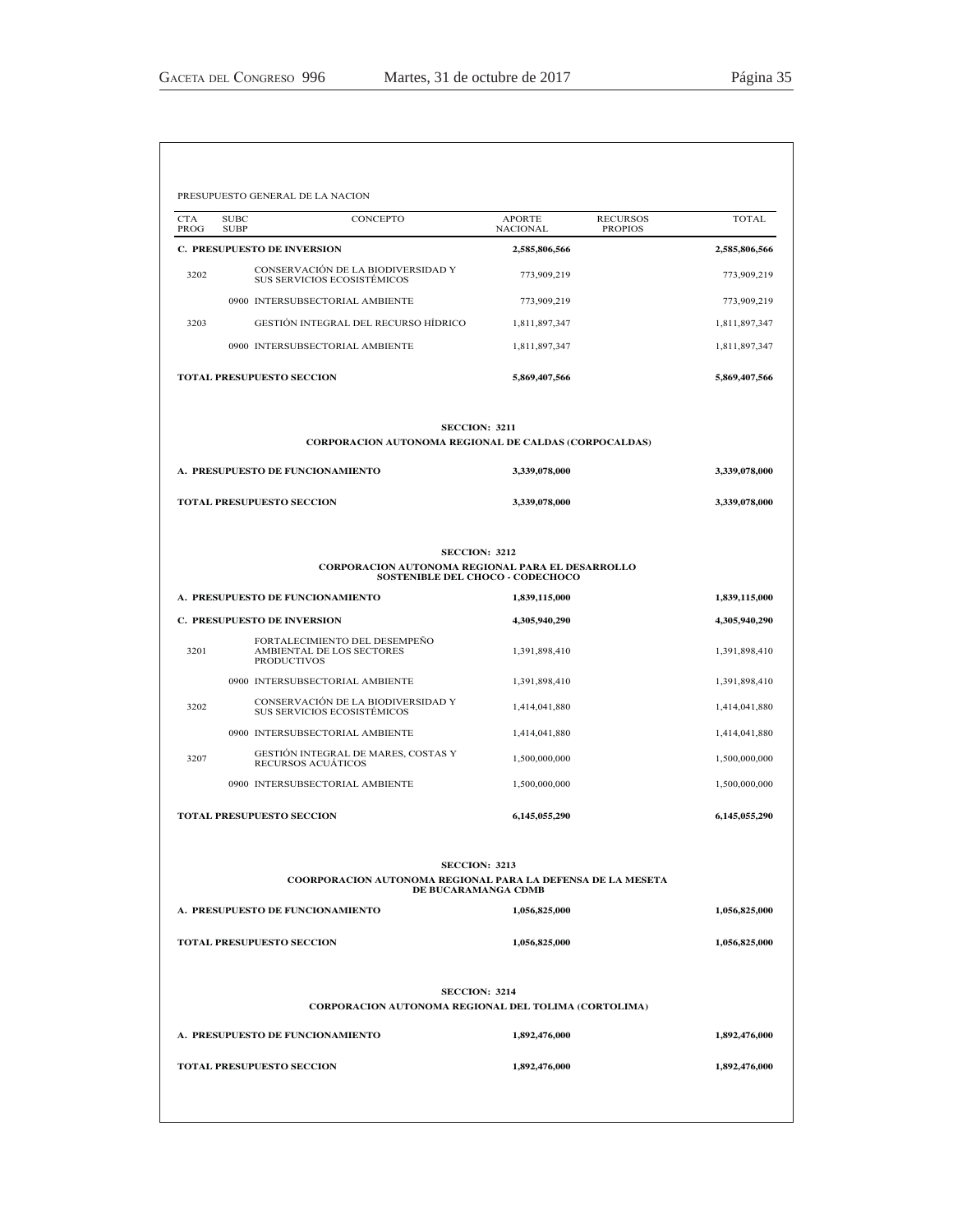| <b>CTA</b><br>PROG | <b>SUBC</b><br>CONCEPTO<br><b>SUBP</b>                                           | <b>APORTE</b><br><b>NACIONAL</b>                                | <b>RECURSOS</b><br><b>PROPIOS</b> | <b>TOTAL</b>  |
|--------------------|----------------------------------------------------------------------------------|-----------------------------------------------------------------|-----------------------------------|---------------|
|                    | <b>C. PRESUPUESTO DE INVERSION</b>                                               | 2,585,806,566                                                   |                                   | 2,585,806,566 |
| 3202               | CONSERVACIÓN DE LA BIODIVERSIDAD Y<br>SUS SERVICIOS ECOSISTÉMICOS                | 773,909,219                                                     |                                   | 773,909,219   |
|                    | 0900 INTERSUBSECTORIAL AMBIENTE                                                  | 773,909,219                                                     |                                   | 773,909,219   |
| 3203               | GESTIÓN INTEGRAL DEL RECURSO HÍDRICO                                             | 1,811,897,347                                                   |                                   | 1,811,897,347 |
|                    | 0900 INTERSUBSECTORIAL AMBIENTE                                                  | 1,811,897,347                                                   |                                   | 1,811,897,347 |
|                    | TOTAL PRESUPUESTO SECCION                                                        | 5,869,407,566                                                   |                                   | 5,869,407,566 |
|                    | <b>CORPORACION AUTONOMA REGIONAL DE CALDAS (CORPOCALDAS)</b>                     | <b>SECCION: 3211</b>                                            |                                   |               |
|                    | A. PRESUPUESTO DE FUNCIONAMIENTO                                                 | 3,339,078,000                                                   |                                   | 3,339,078,000 |
|                    | <b>TOTAL PRESUPUESTO SECCION</b>                                                 | 3,339,078,000                                                   |                                   | 3,339,078,000 |
|                    |                                                                                  |                                                                 |                                   |               |
|                    | CORPORACION AUTONOMA REGIONAL PARA EL DESARROLLO                                 | <b>SECCION: 3212</b><br><b>SOSTENIBLE DEL CHOCO - CODECHOCO</b> |                                   |               |
|                    | A. PRESUPUESTO DE FUNCIONAMIENTO                                                 | 1,839,115,000                                                   |                                   | 1,839,115,000 |
|                    | C. PRESUPUESTO DE INVERSION                                                      | 4,305,940,290                                                   |                                   | 4,305,940,290 |
| 3201               | FORTALECIMIENTO DEL DESEMPEÑO<br>AMBIENTAL DE LOS SECTORES<br><b>PRODUCTIVOS</b> | 1,391,898,410                                                   |                                   | 1,391,898,410 |
|                    | 0900 INTERSUBSECTORIAL AMBIENTE                                                  | 1,391,898,410                                                   |                                   | 1,391,898,410 |
| 3202               | CONSERVACIÓN DE LA BIODIVERSIDAD Y<br>SUS SERVICIOS ECOSISTÉMICOS                | 1,414,041,880                                                   |                                   | 1,414,041,880 |
|                    | 0900 INTERSUBSECTORIAL AMBIENTE                                                  | 1,414,041,880                                                   |                                   | 1,414,041,880 |
| 3207               | GESTIÓN INTEGRAL DE MARES, COSTAS Y<br>RECURSOS ACUÁTICOS                        | 1,500,000,000                                                   |                                   | 1,500,000,000 |
|                    | 0900 INTERSUBSECTORIAL AMBIENTE                                                  | 1,500,000,000                                                   |                                   | 1,500,000,000 |
|                    | <b>TOTAL PRESUPUESTO SECCION</b>                                                 | 6,145,055,290                                                   |                                   | 6,145,055,290 |
|                    | COORPORACION AUTONOMA REGIONAL PARA LA DEFENSA DE LA MESETA                      | <b>SECCION: 3213</b><br>DE BUCARAMANGA CDMB                     |                                   |               |
|                    | A. PRESUPUESTO DE FUNCIONAMIENTO                                                 | 1,056,825,000                                                   |                                   | 1,056,825,000 |
|                    | TOTAL PRESUPUESTO SECCION                                                        | 1,056,825,000                                                   |                                   | 1,056,825,000 |
|                    |                                                                                  | <b>SECCION: 3214</b>                                            |                                   |               |
|                    | CORPORACION AUTONOMA REGIONAL DEL TOLIMA (CORTOLIMA)                             |                                                                 |                                   |               |
|                    | A. PRESUPUESTO DE FUNCIONAMIENTO                                                 | 1,892,476,000                                                   |                                   | 1,892,476,000 |
|                    | <b>TOTAL PRESUPUESTO SECCION</b>                                                 | 1,892,476,000                                                   |                                   | 1,892,476,000 |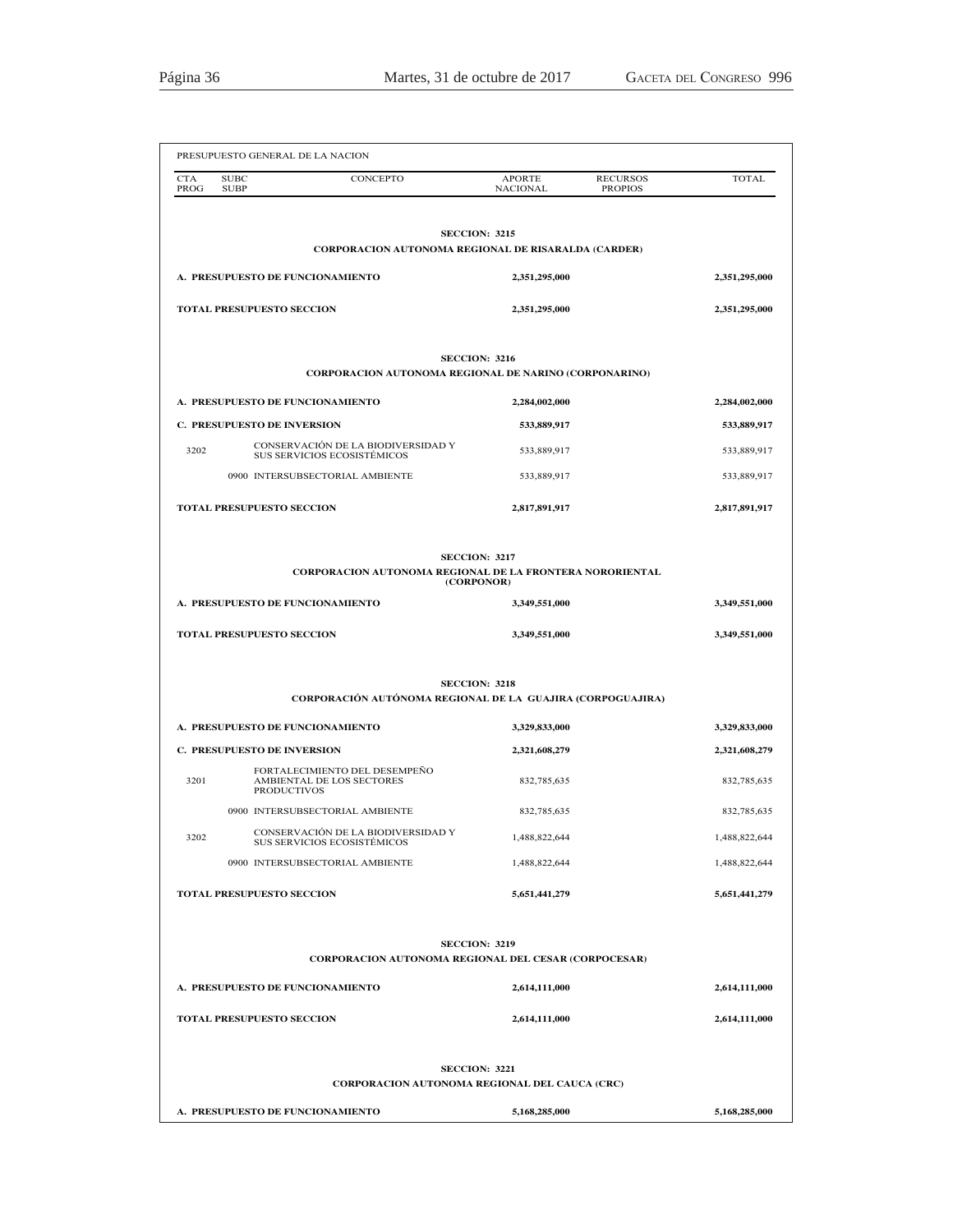| <b>CONCEPTO</b><br><b>CTA</b><br><b>SUBC</b><br>PROG<br><b>SUBP</b>                                 | <b>APORTE</b><br><b>NACIONAL</b>                    | <b>RECURSOS</b><br><b>PROPIOS</b> | <b>TOTAL</b>  |
|-----------------------------------------------------------------------------------------------------|-----------------------------------------------------|-----------------------------------|---------------|
| <b>CORPORACION AUTONOMA REGIONAL DE RISARALDA (CARDER)</b>                                          | <b>SECCION: 3215</b>                                |                                   |               |
| A. PRESUPUESTO DE FUNCIONAMIENTO                                                                    | 2,351,295,000                                       |                                   | 2,351,295,000 |
| <b>TOTAL PRESUPUESTO SECCION</b>                                                                    | 2,351,295,000                                       |                                   | 2,351,295,000 |
|                                                                                                     | <b>SECCION: 3216</b>                                |                                   |               |
| <b>CORPORACION AUTONOMA REGIONAL DE NARINO (CORPONARINO)</b>                                        |                                                     |                                   |               |
| A. PRESUPUESTO DE FUNCIONAMIENTO                                                                    | 2,284,002,000                                       |                                   | 2,284,002,000 |
| <b>C. PRESUPUESTO DE INVERSION</b>                                                                  | 533,889,917                                         |                                   | 533,889,917   |
| CONSERVACIÓN DE LA BIODIVERSIDAD Y<br>3202<br>SUS SERVICIOS ECOSISTÉMICOS                           | 533,889,917                                         |                                   | 533,889,917   |
| 0900 INTERSUBSECTORIAL AMBIENTE                                                                     | 533,889,917                                         |                                   | 533,889,917   |
| <b>TOTAL PRESUPUESTO SECCION</b>                                                                    | 2,817,891,917                                       |                                   | 2,817,891,917 |
| <b>CORPORACION AUTONOMA REGIONAL DE LA FRONTERA NORORIENTAL</b><br>A. PRESUPUESTO DE FUNCIONAMIENTO | <b>SECCION: 3217</b><br>(CORPONOR)<br>3,349,551,000 |                                   | 3,349,551,000 |
| TOTAL PRESUPUESTO SECCION                                                                           | 3,349,551,000                                       |                                   | 3,349,551,000 |
| CORPORACIÓN AUTÓNOMA REGIONAL DE LA GUAJIRA (CORPOGUAJIRA)                                          | <b>SECCION: 3218</b>                                |                                   |               |
| A. PRESUPUESTO DE FUNCIONAMIENTO                                                                    | 3,329,833,000                                       |                                   | 3,329,833,000 |
| <b>C. PRESUPUESTO DE INVERSION</b>                                                                  | 2,321,608,279                                       |                                   | 2,321,608,279 |
| FORTALECIMIENTO DEL DESEMPEÑO<br>3201<br>AMBIENTAL DE LOS SECTORES<br><b>PRODUCTIVOS</b>            | 832,785,635                                         |                                   | 832,785,635   |
| 0900 INTERSUBSECTORIAL AMBIENTE                                                                     | 832,785,635                                         |                                   | 832,785,635   |
| CONSERVACIÓN DE LA BIODIVERSIDAD Y<br>3202<br>SUS SERVICIOS ECOSISTÉMICOS                           | 1,488,822,644                                       |                                   | 1,488,822,644 |
| 0900 INTERSUBSECTORIAL AMBIENTE                                                                     | 1,488,822,644                                       |                                   | 1,488,822,644 |
| <b>TOTAL PRESUPUESTO SECCION</b>                                                                    | 5,651,441,279                                       |                                   | 5,651,441,279 |
|                                                                                                     | <b>SECCION: 3219</b>                                |                                   |               |
| <b>CORPORACION AUTONOMA REGIONAL DEL CESAR (CORPOCESAR)</b>                                         |                                                     |                                   |               |
| A. PRESUPUESTO DE FUNCIONAMIENTO                                                                    | 2,614,111,000                                       |                                   | 2,614,111,000 |
| <b>TOTAL PRESUPUESTO SECCION</b>                                                                    | 2,614,111,000                                       |                                   | 2,614,111,000 |
|                                                                                                     | <b>SECCION: 3221</b>                                |                                   |               |
| CORPORACION AUTONOMA REGIONAL DEL CAUCA (CRC)<br>A. PRESUPUESTO DE FUNCIONAMIENTO                   | 5,168,285,000                                       |                                   | 5,168,285,000 |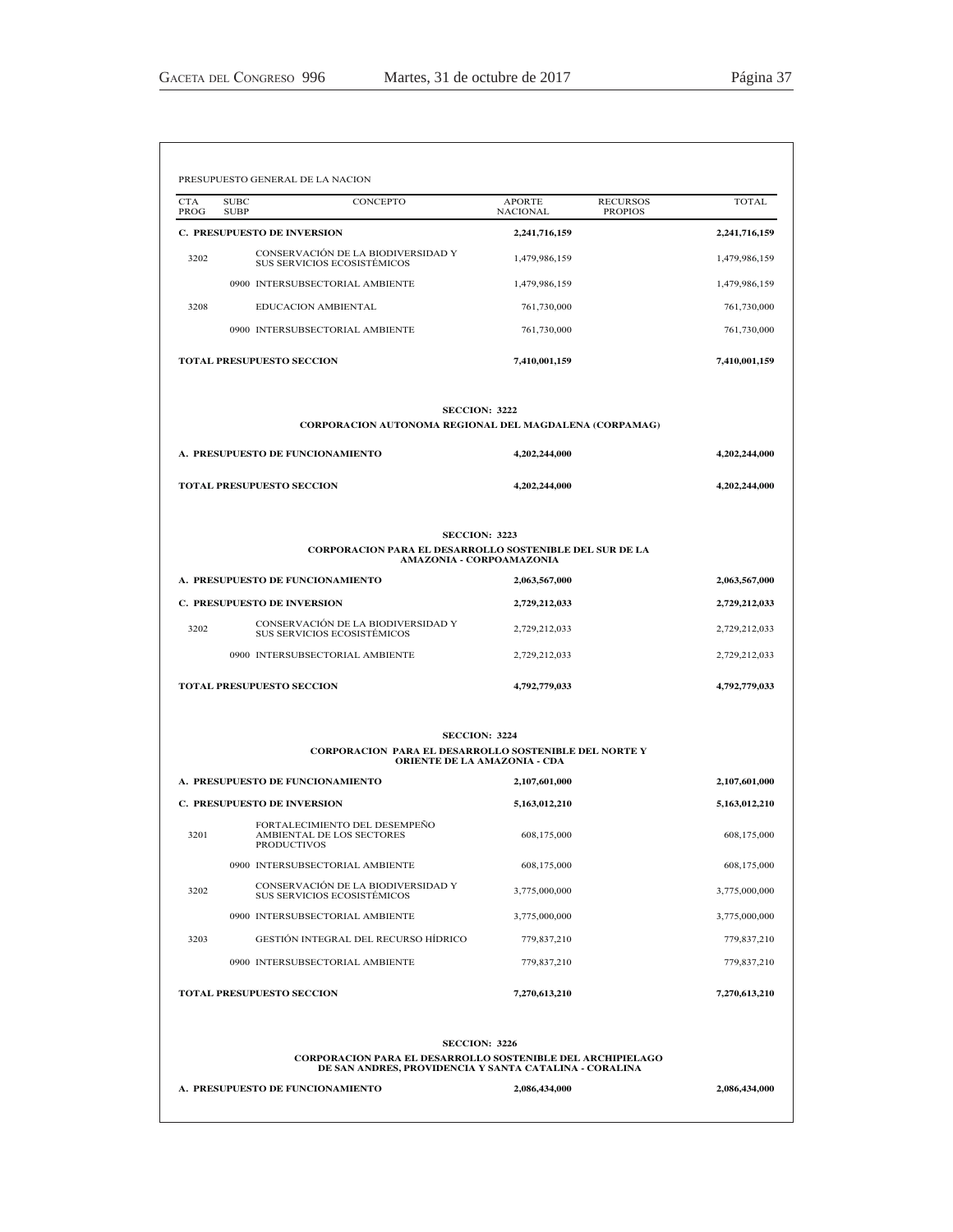|                    | PRESUPUESTO GENERAL DE LA NACION                                          |                                                  |                                   |               |
|--------------------|---------------------------------------------------------------------------|--------------------------------------------------|-----------------------------------|---------------|
| <b>CTA</b><br>PROG | <b>SUBC</b><br>CONCEPTO<br><b>SUBP</b>                                    | <b>APORTE</b><br><b>NACIONAL</b>                 | <b>RECURSOS</b><br><b>PROPIOS</b> | <b>TOTAL</b>  |
|                    | C. PRESUPUESTO DE INVERSION                                               | 2,241,716,159                                    |                                   | 2,241,716,159 |
| 3202               | CONSERVACIÓN DE LA BIODIVERSIDAD Y<br><b>SUS SERVICIOS ECOSISTÉMICOS</b>  | 1,479,986,159                                    |                                   | 1,479,986,159 |
|                    | 0900 INTERSUBSECTORIAL AMBIENTE                                           | 1,479,986,159                                    |                                   | 1,479,986,159 |
| 3208               | EDUCACION AMBIENTAL                                                       | 761,730,000                                      |                                   | 761,730,000   |
|                    | 0900 INTERSUBSECTORIAL AMBIENTE                                           | 761,730,000                                      |                                   | 761,730,000   |
|                    | <b>TOTAL PRESUPUESTO SECCION</b>                                          | 7,410,001,159                                    |                                   | 7,410,001,159 |
|                    | <b>CORPORACION AUTONOMA REGIONAL DEL MAGDALENA (CORPAMAG)</b>             | <b>SECCION: 3222</b>                             |                                   |               |
|                    | A. PRESUPUESTO DE FUNCIONAMIENTO                                          | 4,202,244,000                                    |                                   | 4,202,244,000 |
|                    | <b>TOTAL PRESUPUESTO SECCION</b>                                          | 4,202,244,000                                    |                                   | 4,202,244,000 |
|                    | <b>CORPORACION PARA EL DESARROLLO SOSTENIBLE DEL SUR DE LA</b>            | <b>SECCION: 3223</b><br>AMAZONIA - CORPOAMAZONIA |                                   |               |
|                    | A. PRESUPUESTO DE FUNCIONAMIENTO                                          | 2,063,567,000                                    |                                   | 2,063,567,000 |
|                    | <b>C. PRESUPUESTO DE INVERSION</b>                                        | 2,729,212,033                                    |                                   | 2,729,212,033 |
| 3202               | CONSERVACIÓN DE LA BIODIVERSIDAD Y<br>SUS SERVICIOS ECOSISTÉMICOS         | 2,729,212,033                                    |                                   | 2,729,212,033 |
|                    | 0900 INTERSUBSECTORIAL AMBIENTE                                           | 2,729,212,033                                    |                                   | 2,729,212,033 |
|                    | <b>TOTAL PRESUPUESTO SECCION</b>                                          | 4,792,779,033                                    |                                   | 4,792,779,033 |
|                    | <b>CORPORACION PARA EL DESARROLLO SOSTENIBLE DEL NORTE Y</b>              | <b>SECCION: 3224</b>                             |                                   |               |
|                    |                                                                           | <b>ORIENTE DE LA AMAZONIA - CDA</b>              |                                   |               |
|                    | A. PRESUPUESTO DE FUNCIONAMIENTO                                          | 2,107,601,000                                    |                                   | 2,107,601,000 |
|                    | <b>C. PRESUPUESTO DE INVERSION</b>                                        | 5,163,012,210                                    |                                   | 5,163,012,210 |
| 3201               | FORTALECIMIENTO DEL DESEMPEÑO<br>AMBIENTAL DE LOS SECTORES<br>PRODUCTIVOS | 608,175,000                                      |                                   | 608,175,000   |
|                    | 0900 INTERSUBSECTORIAL AMBIENTE                                           | 608,175,000                                      |                                   | 608,175,000   |
| 3202               | CONSERVACIÓN DE LA BIODIVERSIDAD Y<br>SUS SERVICIOS ECOSISTÉMICOS         | 3,775,000,000                                    |                                   | 3,775,000,000 |
|                    | 0900 INTERSUBSECTORIAL AMBIENTE                                           | 3,775,000,000                                    |                                   | 3,775,000,000 |
| 3203               | GESTIÓN INTEGRAL DEL RECURSO HÍDRICO                                      | 779,837,210                                      |                                   | 779,837,210   |
|                    | 0900 INTERSUBSECTORIAL AMBIENTE                                           | 779,837,210                                      |                                   | 779,837,210   |
|                    | TOTAL PRESUPUESTO SECCION                                                 | 7,270,613,210                                    |                                   | 7,270,613,210 |
|                    | <b>CORPORACION PARA EL DESARROLLO SOSTENIBLE DEL ARCHIPIELAGO</b>         | <b>SECCION: 3226</b>                             |                                   |               |
|                    | DE SAN ANDRES, PROVIDENCIA Y SANTA CATALINA - CORALINA                    |                                                  |                                   |               |
|                    | A. PRESUPUESTO DE FUNCIONAMIENTO                                          | 2,086,434,000                                    |                                   | 2,086,434,000 |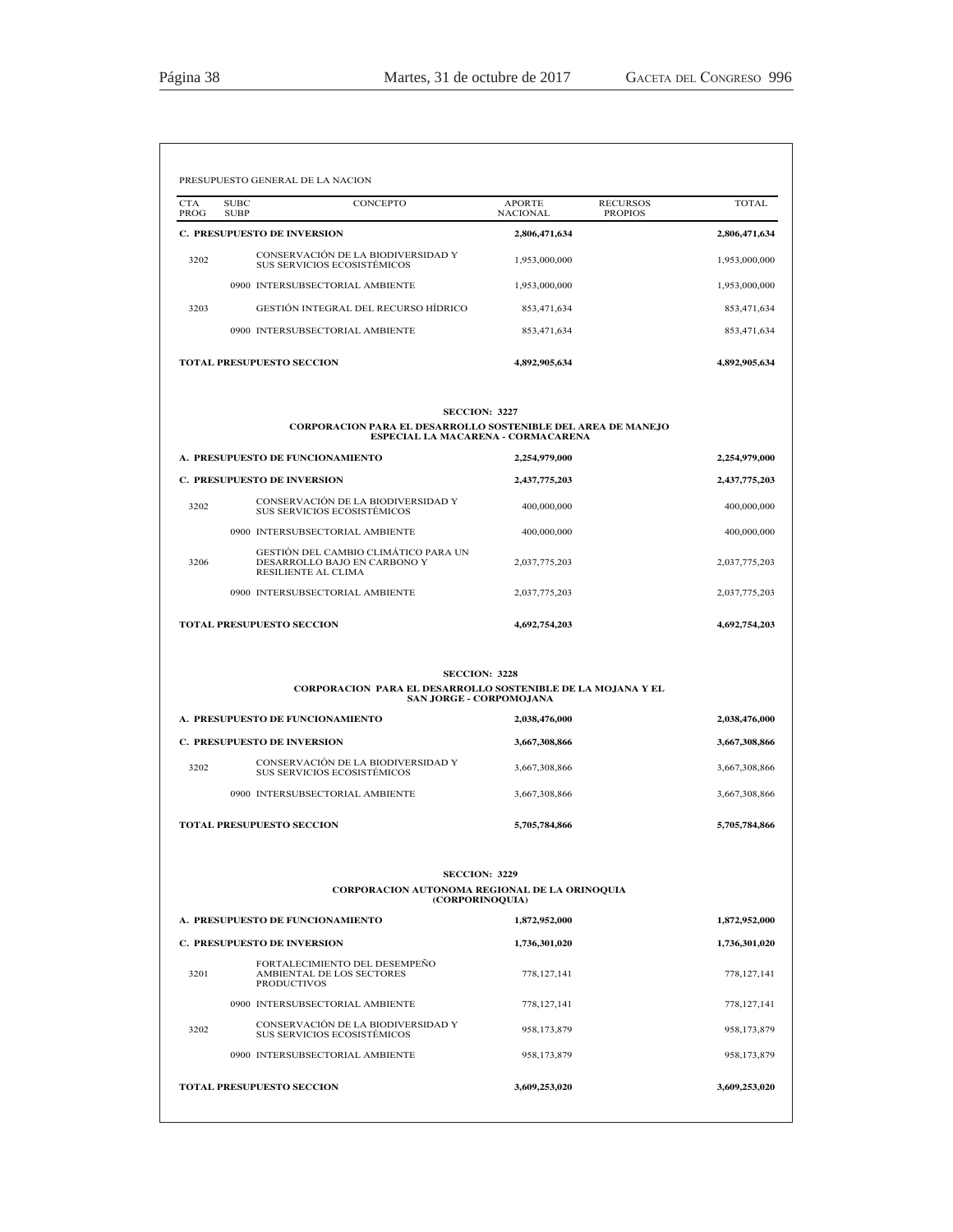| PROG | <b>SUBC</b><br>CONCEPTO<br><b>SUBP</b>                                                                                            | <b>APORTE</b><br><b>NACIONAL</b> | <b>RECURSOS</b><br><b>TOTAL</b><br><b>PROPIOS</b> |
|------|-----------------------------------------------------------------------------------------------------------------------------------|----------------------------------|---------------------------------------------------|
|      | <b>C. PRESUPUESTO DE INVERSION</b>                                                                                                | 2,806,471,634                    | 2,806,471,634                                     |
| 3202 | CONSERVACIÓN DE LA BIODIVERSIDAD Y<br>SUS SERVICIOS ECOSISTÉMICOS                                                                 | 1,953,000,000                    | 1,953,000,000                                     |
|      | 0900 INTERSUBSECTORIAL AMBIENTE                                                                                                   | 1,953,000,000                    | 1,953,000,000                                     |
| 3203 | <b>GESTION INTEGRAL DEL RECURSO HIDRICO</b>                                                                                       | 853,471,634                      | 853,471,634                                       |
|      | 0900 INTERSUBSECTORIAL AMBIENTE                                                                                                   | 853,471,634                      | 853,471,634                                       |
|      | <b>TOTAL PRESUPUESTO SECCION</b>                                                                                                  | 4,892,905,634                    | 4,892,905,634                                     |
|      | <b>SECCION: 3227</b><br><b>CORPORACION PARA EL DESARROLLO SOSTENIBLE DEL AREA DE MANEJO</b><br>ESPECIAL LA MACARENA - CORMACARENA |                                  |                                                   |
|      | A. PRESUPUESTO DE FUNCIONAMIENTO                                                                                                  | 2,254,979,000                    | 2,254,979,000                                     |
|      | C. PRESUPUESTO DE INVERSION                                                                                                       | 2,437,775,203                    | 2,437,775,203                                     |
| 3202 | CONSERVACIÓN DE LA BIODIVERSIDAD Y<br>SUS SERVICIOS ECOSISTÉMICOS                                                                 | 400,000,000                      | 400,000,000                                       |
|      | 0900 INTERSUBSECTORIAL AMBIENTE                                                                                                   | 400,000,000                      | 400,000,000                                       |
| 3206 | GESTIÓN DEL CAMBIO CLIMÁTICO PARA UN<br>DESARROLLO BAJO EN CARBONO Y<br>RESILIENTE AL CLIMA                                       | 2,037,775,203                    | 2,037,775,203                                     |
|      | 0900 INTERSUBSECTORIAL AMBIENTE                                                                                                   | 2,037,775,203                    | 2,037,775,203                                     |
|      | <b>TOTAL PRESUPUESTO SECCION</b>                                                                                                  | 4,692,754,203                    | 4,692,754,203                                     |
|      | <b>SECCION: 3228</b><br>CORPORACION PARA EL DESARROLLO SOSTENIBLE DE LA MOJANA Y EL<br>SAN JORGE - CORPOMOJANA                    |                                  |                                                   |
|      | A. PRESUPUESTO DE FUNCIONAMIENTO                                                                                                  | 2,038,476,000                    | 2,038,476,000                                     |
|      | <b>C. PRESUPUESTO DE INVERSION</b>                                                                                                | 3,667,308,866                    | 3,667,308,866                                     |
| 3202 | CONSERVACIÓN DE LA BIODIVERSIDAD Y<br>SUS SERVICIOS ECOSISTÉMICOS                                                                 | 3,667,308,866                    | 3,667,308,866                                     |
|      | 0900 INTERSUBSECTORIAL AMBIENTE                                                                                                   | 3,667,308,866                    | 3,667,308,866                                     |
|      | <b>TOTAL PRESUPUESTO SECCION</b>                                                                                                  | 5,705,784,866                    | 5,705,784,866                                     |
|      | <b>SECCION: 3229</b><br><b>CORPORACION AUTONOMA REGIONAL DE LA ORINOQUIA</b>                                                      |                                  |                                                   |
|      | (CORPORINOQUIA)<br>A. PRESUPUESTO DE FUNCIONAMIENTO                                                                               | 1,872,952,000                    | 1,872,952,000                                     |
|      | <b>C. PRESUPUESTO DE INVERSION</b>                                                                                                | 1,736,301,020                    | 1,736,301,020                                     |
|      |                                                                                                                                   |                                  | 778, 127, 141                                     |
| 3201 | FORTALECIMIENTO DEL DESEMPEÑO<br>AMBIENTAL DE LOS SECTORES<br><b>PRODUCTIVOS</b>                                                  | 778, 127, 141                    |                                                   |
|      | 0900 INTERSUBSECTORIAL AMBIENTE                                                                                                   | 778, 127, 141                    | 778, 127, 141                                     |
| 3202 | CONSERVACIÓN DE LA BIODIVERSIDAD Y<br>SUS SERVICIOS ECOSISTÉMICOS                                                                 | 958,173,879                      | 958,173,879                                       |
|      | 0900 INTERSUBSECTORIAL AMBIENTE                                                                                                   | 958,173,879                      | 958,173,879                                       |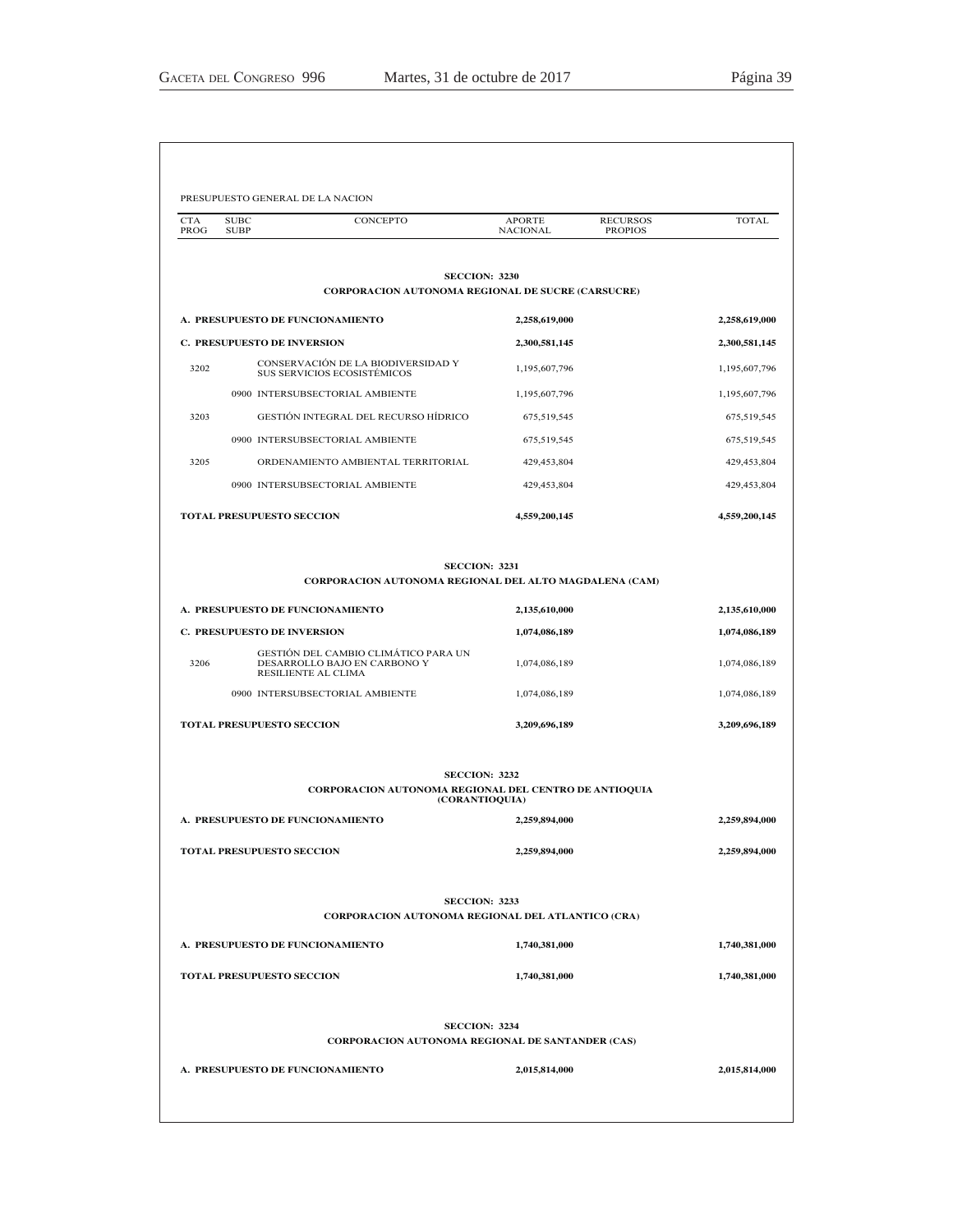| <b>CTA</b><br>PROG                 | <b>SUBC</b><br>CONCEPTO<br><b>SUBP</b>                                                      | <b>APORTE</b><br>NACIONAL | <b>RECURSOS</b><br><b>PROPIOS</b> | <b>TOTAL</b>  |
|------------------------------------|---------------------------------------------------------------------------------------------|---------------------------|-----------------------------------|---------------|
|                                    |                                                                                             |                           |                                   |               |
|                                    | <b>SECCION: 3230</b><br><b>CORPORACION AUTONOMA REGIONAL DE SUCRE (CARSUCRE)</b>            |                           |                                   |               |
|                                    | A. PRESUPUESTO DE FUNCIONAMIENTO                                                            | 2,258,619,000             |                                   | 2,258,619,000 |
|                                    | <b>C. PRESUPUESTO DE INVERSION</b>                                                          | 2,300,581,145             |                                   | 2,300,581,145 |
| 3202                               | CONSERVACIÓN DE LA BIODIVERSIDAD Y<br>SUS SERVICIOS ECOSISTÉMICOS                           | 1,195,607,796             |                                   | 1,195,607,796 |
|                                    | 0900 INTERSUBSECTORIAL AMBIENTE                                                             | 1,195,607,796             |                                   | 1,195,607,796 |
| 3203                               | GESTIÓN INTEGRAL DEL RECURSO HÍDRICO                                                        | 675,519,545               |                                   | 675,519,545   |
|                                    | 0900 INTERSUBSECTORIAL AMBIENTE                                                             | 675,519,545               |                                   | 675,519,545   |
| 3205                               | ORDENAMIENTO AMBIENTAL TERRITORIAL                                                          | 429,453,804               |                                   | 429,453,804   |
|                                    | 0900 INTERSUBSECTORIAL AMBIENTE                                                             | 429,453,804               |                                   | 429,453,804   |
|                                    | <b>TOTAL PRESUPUESTO SECCION</b>                                                            | 4,559,200,145             |                                   | 4,559,200,145 |
|                                    |                                                                                             |                           |                                   |               |
|                                    | <b>SECCION: 3231</b><br>CORPORACION AUTONOMA REGIONAL DEL ALTO MAGDALENA (CAM)              |                           |                                   |               |
|                                    | A. PRESUPUESTO DE FUNCIONAMIENTO                                                            | 2,135,610,000             |                                   | 2,135,610,000 |
| <b>C. PRESUPUESTO DE INVERSION</b> |                                                                                             | 1,074,086,189             |                                   | 1,074,086,189 |
| 3206                               | GESTIÓN DEL CAMBIO CLIMÁTICO PARA UN<br>DESARROLLO BAJO EN CARBONO Y<br>RESILIENTE AL CLIMA | 1,074,086,189             |                                   | 1,074,086,189 |
|                                    | 0900 INTERSUBSECTORIAL AMBIENTE                                                             | 1,074,086,189             |                                   | 1,074,086,189 |
|                                    | <b>TOTAL PRESUPUESTO SECCION</b>                                                            | 3,209,696,189             |                                   | 3,209,696,189 |
|                                    | <b>SECCION: 3232</b>                                                                        |                           |                                   |               |
|                                    | CORPORACION AUTONOMA REGIONAL DEL CENTRO DE ANTIOQUIA<br>(CORANTIOQUIA)                     |                           |                                   |               |
|                                    | A. PRESUPUESTO DE FUNCIONAMIENTO                                                            | 2,259,894,000             |                                   | 2,259,894,000 |
|                                    | <b>TOTAL PRESUPUESTO SECCION</b>                                                            | 2,259,894,000             |                                   | 2,259,894,000 |
|                                    | <b>SECCION: 3233</b>                                                                        |                           |                                   |               |
|                                    | CORPORACION AUTONOMA REGIONAL DEL ATLANTICO (CRA)                                           |                           |                                   |               |
|                                    | A. PRESUPUESTO DE FUNCIONAMIENTO                                                            | 1,740,381,000             |                                   | 1,740,381,000 |
|                                    | <b>TOTAL PRESUPUESTO SECCION</b>                                                            | 1,740,381,000             |                                   | 1,740,381,000 |
|                                    | <b>SECCION: 3234</b>                                                                        |                           |                                   |               |
|                                    | CORPORACION AUTONOMA REGIONAL DE SANTANDER (CAS)                                            |                           |                                   |               |
|                                    | A. PRESUPUESTO DE FUNCIONAMIENTO                                                            | 2,015,814,000             |                                   | 2,015,814,000 |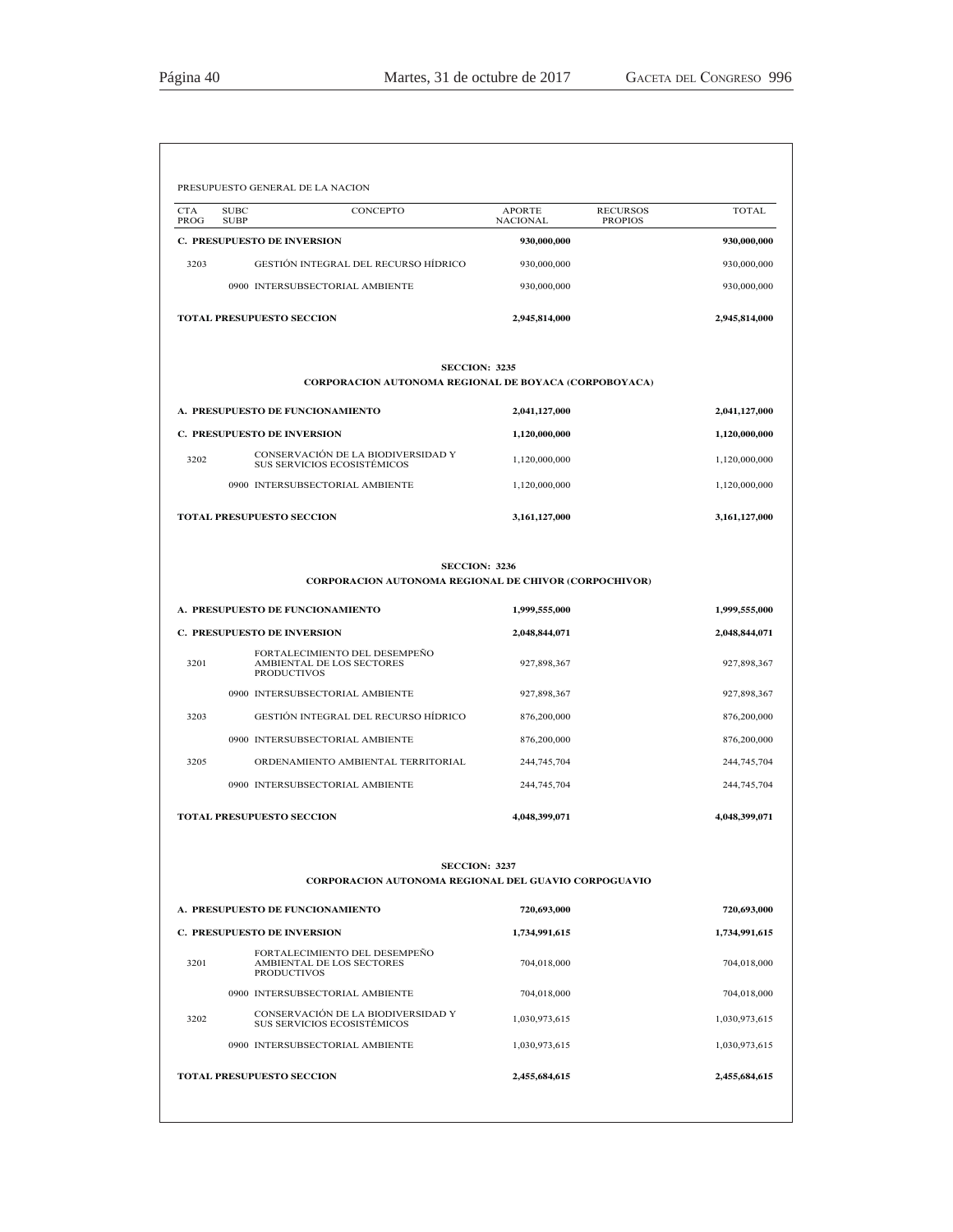| <b>CTA</b><br><b>SUBC</b><br>PROG<br><b>SUBP</b> | CONCEPTO                                                                         | <b>APORTE</b><br><b>NACIONAL</b> | <b>RECURSOS</b><br><b>PROPIOS</b> | <b>TOTAL</b>  |
|--------------------------------------------------|----------------------------------------------------------------------------------|----------------------------------|-----------------------------------|---------------|
|                                                  | <b>C. PRESUPUESTO DE INVERSION</b>                                               | 930,000,000                      |                                   | 930,000,000   |
| 3203                                             | GESTIÓN INTEGRAL DEL RECURSO HÍDRICO                                             | 930,000,000                      |                                   | 930,000,000   |
|                                                  | 0900 INTERSUBSECTORIAL AMBIENTE                                                  | 930,000,000                      |                                   | 930,000,000   |
|                                                  | TOTAL PRESUPUESTO SECCION                                                        | 2,945,814,000                    |                                   | 2,945,814,000 |
|                                                  | CORPORACION AUTONOMA REGIONAL DE BOYACA (CORPOBOYACA)                            | <b>SECCION: 3235</b>             |                                   |               |
|                                                  | A. PRESUPUESTO DE FUNCIONAMIENTO                                                 | 2,041,127,000                    |                                   | 2,041,127,000 |
|                                                  | C. PRESUPUESTO DE INVERSION                                                      | 1,120,000,000                    |                                   | 1,120,000,000 |
| 3202                                             | CONSERVACIÓN DE LA BIODIVERSIDAD Y<br>SUS SERVICIOS ECOSISTÉMICOS                | 1,120,000,000                    |                                   | 1,120,000,000 |
|                                                  | 0900 INTERSUBSECTORIAL AMBIENTE                                                  | 1,120,000,000                    |                                   | 1,120,000,000 |
|                                                  | TOTAL PRESUPUESTO SECCION                                                        | 3,161,127,000                    |                                   | 3,161,127,000 |
|                                                  | <b>CORPORACION AUTONOMA REGIONAL DE CHIVOR (CORPOCHIVOR)</b>                     | <b>SECCION: 3236</b>             |                                   |               |
|                                                  | A. PRESUPUESTO DE FUNCIONAMIENTO                                                 | 1,999,555,000                    |                                   | 1,999,555,000 |
|                                                  | C. PRESUPUESTO DE INVERSION                                                      | 2,048,844,071                    |                                   | 2,048,844,071 |
| 3201                                             | FORTALECIMIENTO DEL DESEMPEÑO<br>AMBIENTAL DE LOS SECTORES<br><b>PRODUCTIVOS</b> | 927,898,367                      |                                   | 927,898,367   |
|                                                  | 0900 INTERSUBSECTORIAL AMBIENTE                                                  | 927,898,367                      |                                   | 927,898,367   |
| 3203                                             | GESTIÓN INTEGRAL DEL RECURSO HÍDRICO                                             | 876,200,000                      |                                   | 876,200,000   |
|                                                  | 0900 INTERSUBSECTORIAL AMBIENTE                                                  | 876,200,000                      |                                   | 876,200,000   |
| 3205                                             | ORDENAMIENTO AMBIENTAL TERRITORIAL                                               | 244,745,704                      |                                   | 244,745,704   |
|                                                  | 0900 INTERSUBSECTORIAL AMBIENTE                                                  | 244,745,704                      |                                   | 244,745,704   |
|                                                  | <b>TOTAL PRESUPUESTO SECCION</b>                                                 | 4,048,399,071                    |                                   | 4,048,399,071 |
|                                                  | CORPORACION AUTONOMA REGIONAL DEL GUAVIO CORPOGUAVIO                             | <b>SECCION: 3237</b>             |                                   |               |
|                                                  | A. PRESUPUESTO DE FUNCIONAMIENTO                                                 | 720,693,000                      |                                   | 720,693,000   |
|                                                  | C. PRESUPUESTO DE INVERSION                                                      | 1,734,991,615                    |                                   | 1,734,991,615 |
| 3201                                             | FORTALECIMIENTO DEL DESEMPEÑO<br>AMBIENTAL DE LOS SECTORES<br><b>PRODUCTIVOS</b> | 704,018,000                      |                                   | 704,018,000   |
|                                                  | 0900 INTERSUBSECTORIAL AMBIENTE                                                  | 704,018,000                      |                                   | 704,018,000   |
| 3202                                             | CONSERVACIÓN DE LA BIODIVERSIDAD Y<br>SUS SERVICIOS ECOSISTÉMICOS                | 1,030,973,615                    |                                   | 1,030,973,615 |
|                                                  | 0900 INTERSUBSECTORIAL AMBIENTE                                                  | 1,030,973,615                    |                                   | 1,030,973,615 |
|                                                  |                                                                                  |                                  |                                   |               |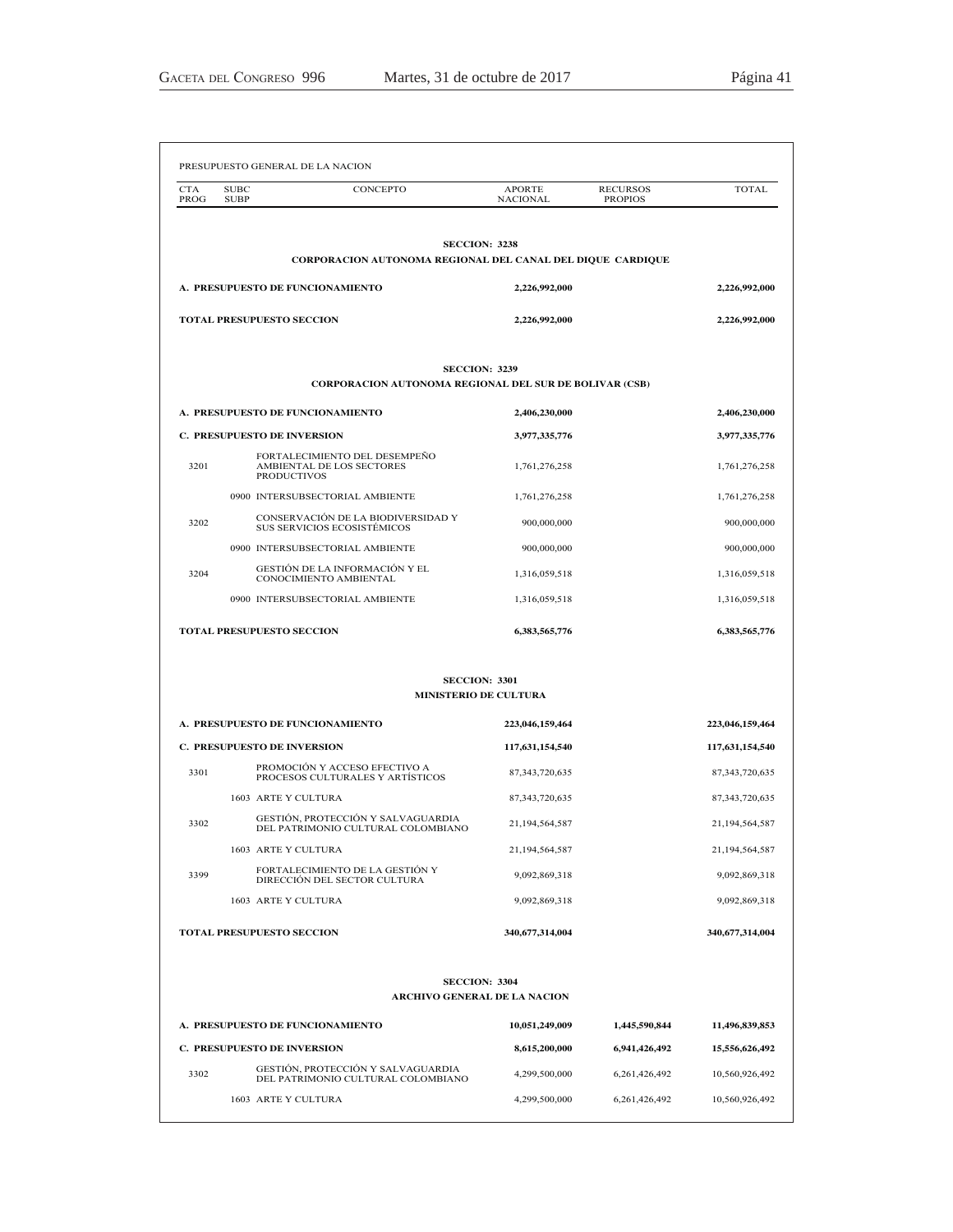| <b>CTA</b><br>PROG | <b>SUBC</b><br>CONCEPTO<br><b>SUBP</b>                                                | <b>APORTE</b><br><b>NACIONAL</b> | <b>RECURSOS</b><br><b>PROPIOS</b> | TOTAL.            |
|--------------------|---------------------------------------------------------------------------------------|----------------------------------|-----------------------------------|-------------------|
|                    | <b>SECCION: 3238</b>                                                                  |                                  |                                   |                   |
|                    | CORPORACION AUTONOMA REGIONAL DEL CANAL DEL DIQUE CARDIQUE                            |                                  |                                   |                   |
|                    | A. PRESUPUESTO DE FUNCIONAMIENTO                                                      | 2,226,992,000                    |                                   | 2,226,992,000     |
|                    | <b>TOTAL PRESUPUESTO SECCION</b>                                                      | 2,226,992,000                    |                                   | 2,226,992,000     |
|                    | <b>SECCION: 3239</b><br><b>CORPORACION AUTONOMA REGIONAL DEL SUR DE BOLIVAR (CSB)</b> |                                  |                                   |                   |
|                    | A. PRESUPUESTO DE FUNCIONAMIENTO                                                      | 2,406,230,000                    |                                   | 2,406,230,000     |
|                    | <b>C. PRESUPUESTO DE INVERSION</b>                                                    | 3,977,335,776                    |                                   | 3,977,335,776     |
| 3201               | FORTALECIMIENTO DEL DESEMPEÑO<br>AMBIENTAL DE LOS SECTORES<br><b>PRODUCTIVOS</b>      | 1,761,276,258                    |                                   | 1,761,276,258     |
|                    | 0900 INTERSUBSECTORIAL AMBIENTE                                                       | 1,761,276,258                    |                                   | 1,761,276,258     |
| 3202               | CONSERVACIÓN DE LA BIODIVERSIDAD Y<br>SUS SERVICIOS ECOSISTÉMICOS                     | 900,000,000                      |                                   | 900,000,000       |
|                    | 0900 INTERSUBSECTORIAL AMBIENTE                                                       | 900,000,000                      |                                   | 900,000,000       |
| 3204               | GESTION DE LA INFORMACION Y EL<br>CONOCIMIENTO AMBIENTAL                              | 1,316,059,518                    |                                   | 1,316,059,518     |
|                    | 0900 INTERSUBSECTORIAL AMBIENTE                                                       | 1,316,059,518                    |                                   | 1,316,059,518     |
|                    | <b>TOTAL PRESUPUESTO SECCION</b>                                                      | 6,383,565,776                    |                                   | 6,383,565,776     |
|                    | <b>SECCION: 3301</b><br><b>MINISTERIO DE CULTURA</b>                                  |                                  |                                   |                   |
|                    | A. PRESUPUESTO DE FUNCIONAMIENTO                                                      | 223,046,159,464                  |                                   | 223,046,159,464   |
|                    | <b>C. PRESUPUESTO DE INVERSION</b>                                                    | 117,631,154,540                  |                                   | 117,631,154,540   |
| 3301               | PROMOCIÓN Y ACCESO EFECTIVO A<br>PROCESOS CULTURALES Y ARTÍSTICOS                     | 87, 343, 720, 635                |                                   | 87, 343, 720, 635 |
|                    | 1603 ARTE Y CULTURA                                                                   | 87, 343, 720, 635                |                                   | 87, 343, 720, 635 |
| 3302               | GESTION, PROTECCIÓN Y SALVAGUARDIA<br>DEL PATRIMONIO CULTURAL COLOMBIANO              | 21,194,564,587                   |                                   | 21,194,564,587    |
|                    | 1603 ARTE Y CULTURA                                                                   | 21,194,564,587                   |                                   | 21,194,564,587    |
| 3399               | FORTALECIMIENTO DE LA GESTIÓN Y<br>DIRECCIÓN DEL SECTOR CULTURA                       | 9,092,869,318                    |                                   | 9,092,869,318     |
|                    | 1603 ARTE Y CULTURA                                                                   | 9,092,869,318                    |                                   | 9,092,869,318     |
|                    | TOTAL PRESUPUESTO SECCION                                                             | 340,677,314,004                  |                                   | 340,677,314,004   |
|                    | <b>SECCION: 3304</b><br><b>ARCHIVO GENERAL DE LA NACION</b>                           |                                  |                                   |                   |
|                    | A. PRESUPUESTO DE FUNCIONAMIENTO                                                      | 10,051,249,009                   | 1,445,590,844                     | 11,496,839,853    |
|                    | C. PRESUPUESTO DE INVERSION                                                           | 8,615,200,000                    | 6,941,426,492                     | 15,556,626,492    |
| 3302               | GESTIÓN, PROTECCIÓN Y SALVAGUARDIA<br>DEL PATRIMONIO CULTURAL COLOMBIANO              | 4,299,500,000                    | 6,261,426,492                     | 10,560,926,492    |
|                    | 1603 ARTE Y CULTURA                                                                   | 4,299,500,000                    | 6,261,426,492                     | 10,560,926,492    |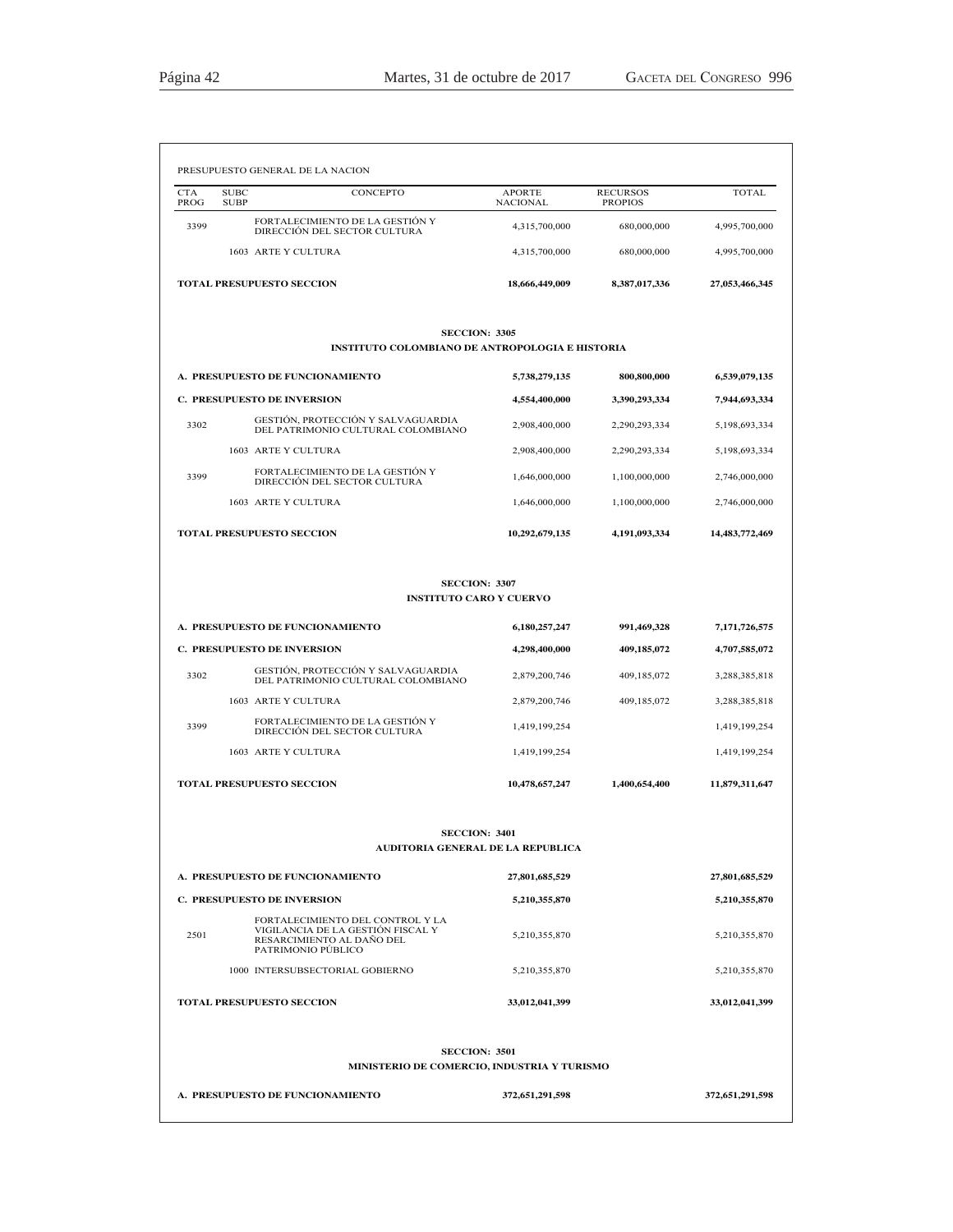| <b>CTA</b><br>PROG               | <b>SUBC</b><br><b>SUBP</b>         | <b>CONCEPTO</b>                                                                                                          | <b>APORTE</b><br><b>NACIONAL</b> | <b>RECURSOS</b><br><b>PROPIOS</b> | <b>TOTAL</b>    |
|----------------------------------|------------------------------------|--------------------------------------------------------------------------------------------------------------------------|----------------------------------|-----------------------------------|-----------------|
| 3399                             |                                    | FORTALECIMIENTO DE LA GESTIÓN Y<br>DIRECCIÓN DEL SECTOR CULTURA                                                          | 4,315,700,000                    | 680,000,000                       | 4,995,700,000   |
|                                  | 1603 ARTE Y CULTURA                |                                                                                                                          | 4,315,700,000                    | 680,000,000                       | 4,995,700,000   |
|                                  | TOTAL PRESUPUESTO SECCION          |                                                                                                                          | 18,666,449,009                   | 8,387,017,336                     | 27,053,466,345  |
|                                  |                                    | <b>SECCION: 3305</b><br><b>INSTITUTO COLOMBIANO DE ANTROPOLOGIA E HISTORIA</b>                                           |                                  |                                   |                 |
|                                  | A. PRESUPUESTO DE FUNCIONAMIENTO   |                                                                                                                          | 5,738,279,135                    | 800,800,000                       | 6,539,079,135   |
|                                  | <b>C. PRESUPUESTO DE INVERSION</b> |                                                                                                                          | 4,554,400,000                    | 3,390,293,334                     | 7,944,693,334   |
| 3302                             |                                    | GESTIÓN, PROTECCIÓN Y SALVAGUARDIA                                                                                       | 2,908,400,000                    | 2,290,293,334                     | 5,198,693,334   |
|                                  | 1603 ARTE Y CULTURA                | DEL PATRIMONIO CULTURAL COLOMBIANO                                                                                       | 2,908,400,000                    | 2,290,293,334                     | 5,198,693,334   |
| 3399                             |                                    | FORTALECIMIENTO DE LA GESTIÓN Y<br>DIRECCIÓN DEL SECTOR CULTURA                                                          | 1,646,000,000                    | 1.100.000.000                     | 2.746.000.000   |
|                                  | 1603 ARTE Y CULTURA                |                                                                                                                          | 1,646,000,000                    | 1.100.000.000                     | 2,746,000,000   |
| <b>TOTAL PRESUPUESTO SECCION</b> |                                    |                                                                                                                          | 10,292,679,135                   | 4,191,093,334                     | 14,483,772,469  |
|                                  |                                    | <b>SECCION: 3307</b><br><b>INSTITUTO CARO Y CUERVO</b>                                                                   |                                  |                                   |                 |
|                                  | A. PRESUPUESTO DE FUNCIONAMIENTO   |                                                                                                                          | 6,180,257,247                    | 991,469,328                       | 7,171,726,575   |
|                                  | C. PRESUPUESTO DE INVERSION        |                                                                                                                          | 4,298,400,000                    | 409,185,072                       | 4,707,585,072   |
| 3302                             |                                    | GESTIÓN, PROTECCIÓN Y SALVAGUARDIA<br>DEL PATRIMONIO CULTURAL COLOMBIANO                                                 | 2,879,200,746                    | 409,185,072                       | 3,288,385,818   |
|                                  | 1603 ARTE Y CULTURA                |                                                                                                                          | 2,879,200,746                    | 409,185,072                       | 3,288,385,818   |
| 3399                             |                                    | FORTALECIMIENTO DE LA GESTIÓN Y<br>DIRECCIÓN DEL SECTOR CULTURA                                                          | 1,419,199,254                    |                                   | 1,419,199,254   |
|                                  | 1603 ARTE Y CULTURA                |                                                                                                                          | 1,419,199,254                    |                                   | 1,419,199,254   |
|                                  | TOTAL PRESUPUESTO SECCION          |                                                                                                                          | 10,478,657,247                   | 1,400,654,400                     | 11,879,311,647  |
|                                  |                                    | <b>SECCION: 3401</b><br>AUDITORIA GENERAL DE LA REPUBLICA                                                                |                                  |                                   |                 |
|                                  | A. PRESUPUESTO DE FUNCIONAMIENTO   |                                                                                                                          | 27,801,685,529                   |                                   | 27,801,685,529  |
|                                  | <b>C. PRESUPUESTO DE INVERSION</b> |                                                                                                                          | 5,210,355,870                    |                                   | 5,210,355,870   |
| 2501                             |                                    | FORTALECIMIENTO DEL CONTROL Y LA<br>VIGILANCIA DE LA GESTIÓN FISCAL Y<br>RESARCIMIENTO AL DAÑO DEL<br>PATRIMONIO PÚBLICO | 5,210,355,870                    |                                   | 5,210,355,870   |
|                                  |                                    | 1000 INTERSUBSECTORIAL GOBIERNO                                                                                          | 5,210,355,870                    |                                   | 5,210,355,870   |
|                                  | TOTAL PRESUPUESTO SECCION          |                                                                                                                          | 33,012,041,399                   |                                   | 33,012,041,399  |
|                                  |                                    | <b>SECCION: 3501</b>                                                                                                     |                                  |                                   |                 |
|                                  |                                    | MINISTERIO DE COMERCIO, INDUSTRIA Y TURISMO                                                                              |                                  |                                   |                 |
|                                  | A. PRESUPUESTO DE FUNCIONAMIENTO   |                                                                                                                          | 372,651,291,598                  |                                   | 372,651,291,598 |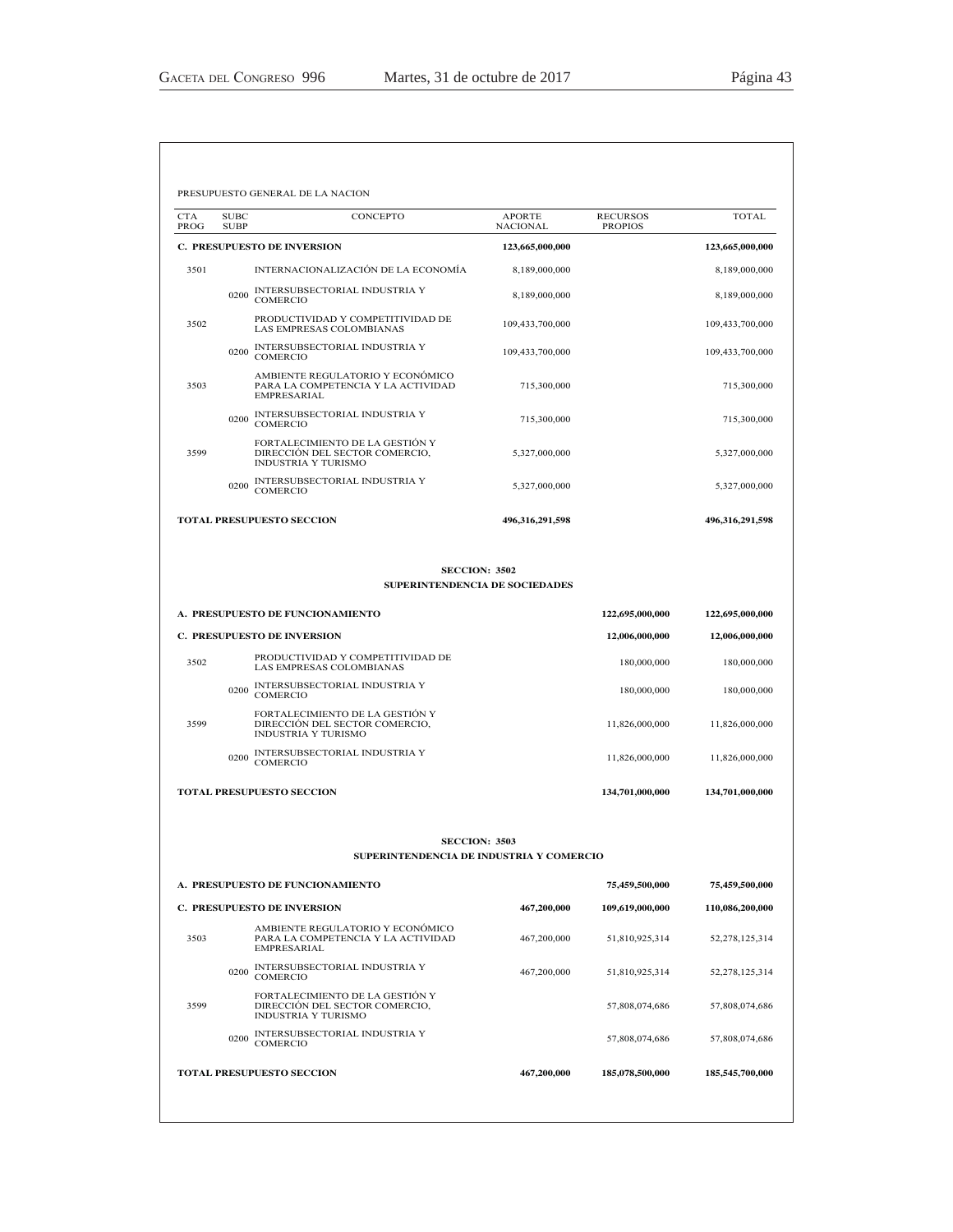| <b>CTA</b><br>PROG | <b>SUBC</b><br><b>SUBP</b> | CONCEPTO                                                                                          | <b>APORTE</b><br><b>NACIONAL</b> | <b>RECURSOS</b><br><b>PROPIOS</b> | <b>TOTAL</b>    |
|--------------------|----------------------------|---------------------------------------------------------------------------------------------------|----------------------------------|-----------------------------------|-----------------|
|                    |                            | <b>C. PRESUPUESTO DE INVERSION</b>                                                                | 123,665,000,000                  |                                   | 123,665,000,000 |
| 3501               |                            | INTERNACIONALIZACIÓN DE LA ECONOMÍA                                                               | 8,189,000,000                    |                                   | 8,189,000,000   |
|                    | 0200                       | INTERSUBSECTORIAL INDUSTRIA Y<br><b>COMERCIO</b>                                                  | 8,189,000,000                    |                                   | 8,189,000,000   |
| 3502               |                            | PRODUCTIVIDAD Y COMPETITIVIDAD DE<br>LAS EMPRESAS COLOMBIANAS                                     | 109,433,700,000                  |                                   | 109,433,700,000 |
|                    | 0200                       | INTERSUBSECTORIAL INDUSTRIA Y<br><b>COMERCIO</b>                                                  | 109,433,700,000                  |                                   | 109,433,700,000 |
| 3503               |                            | AMBIENTE REGULATORIO Y ECONÓMICO<br>PARA LA COMPETENCIA Y LA ACTIVIDAD<br><b>EMPRESARIAL</b>      | 715,300,000                      |                                   | 715,300,000     |
|                    | 0200                       | INTERSUBSECTORIAL INDUSTRIA Y<br>COMERCIO                                                         | 715,300,000                      |                                   | 715,300,000     |
| 3599               |                            | FORTALECIMIENTO DE LA GESTIÓN Y<br>DIRECCIÓN DEL SECTOR COMERCIO,<br>INDUSTRIA Y TURISMO          | 5,327,000,000                    |                                   | 5,327,000,000   |
|                    | 0200                       | INTERSUBSECTORIAL INDUSTRIA Y<br>COMERCIO                                                         | 5,327,000,000                    |                                   | 5,327,000,000   |
|                    |                            | <b>TOTAL PRESUPUESTO SECCION</b>                                                                  | 496,316,291,598                  |                                   | 496,316,291,598 |
|                    |                            | <b>SECCION: 3502</b><br><b>SUPERINTENDENCIA DE SOCIEDADES</b><br>A. PRESUPUESTO DE FUNCIONAMIENTO |                                  | 122,695,000,000                   | 122,695,000,000 |
|                    |                            | <b>C. PRESUPUESTO DE INVERSION</b>                                                                |                                  | 12,006,000,000                    | 12,006,000,000  |
| 3502               |                            | PRODUCTIVIDAD Y COMPETITIVIDAD DE<br>LAS EMPRESAS COLOMBIANAS                                     |                                  | 180,000,000                       | 180,000,000     |
|                    | 0200                       | INTERSUBSECTORIAL INDUSTRIA Y<br><b>COMERCIO</b>                                                  |                                  | 180,000,000                       | 180,000,000     |
| 3599               |                            | FORTALECIMIENTO DE LA GESTIÓN Y<br>DIRECCIÓN DEL SECTOR COMERCIO,<br><b>INDUSTRIA Y TURISMO</b>   |                                  | 11,826,000,000                    | 11,826,000,000  |
|                    | 0200                       | INTERSUBSECTORIAL INDUSTRIA Y<br>COMERCIO                                                         |                                  | 11,826,000,000                    | 11,826,000,000  |
|                    |                            | <b>TOTAL PRESUPUESTO SECCION</b>                                                                  |                                  | 134,701,000,000                   | 134,701,000,000 |
|                    |                            | <b>SECCION: 3503</b><br>SUPERINTENDENCIA DE INDUSTRIA Y COMERCIO                                  |                                  |                                   |                 |
|                    |                            | A. PRESUPUESTO DE FUNCIONAMIENTO                                                                  |                                  | 75,459,500,000                    | 75,459,500,000  |
|                    |                            | C. PRESUPUESTO DE INVERSION                                                                       | 467,200,000                      | 109,619,000,000                   | 110,086,200,000 |
| 3503               |                            | AMBIENTE REGULATORIO Y ECONÓMICO<br>PARA LA COMPETENCIA Y LA ACTIVIDAD<br>EMPRESARIAL             | 467,200,000                      | 51,810,925,314                    | 52,278,125,314  |
|                    | 0200                       | INTERSUBSECTORIAL INDUSTRIA Y<br>COMERCIO                                                         | 467,200,000                      | 51,810,925,314                    | 52,278,125,314  |
| 3599               |                            | FORTALECIMIENTO DE LA GESTIÓN Y<br>DIRECCIÓN DEL SECTOR COMERCIO.<br><b>INDUSTRIA Y TURISMO</b>   |                                  | 57,808,074,686                    | 57,808,074,686  |
|                    | 0200                       | INTERSUBSECTORIAL INDUSTRIA Y                                                                     |                                  | 57,808,074,686                    | 57,808,074,686  |
|                    |                            | <b>COMERCIO</b>                                                                                   |                                  |                                   |                 |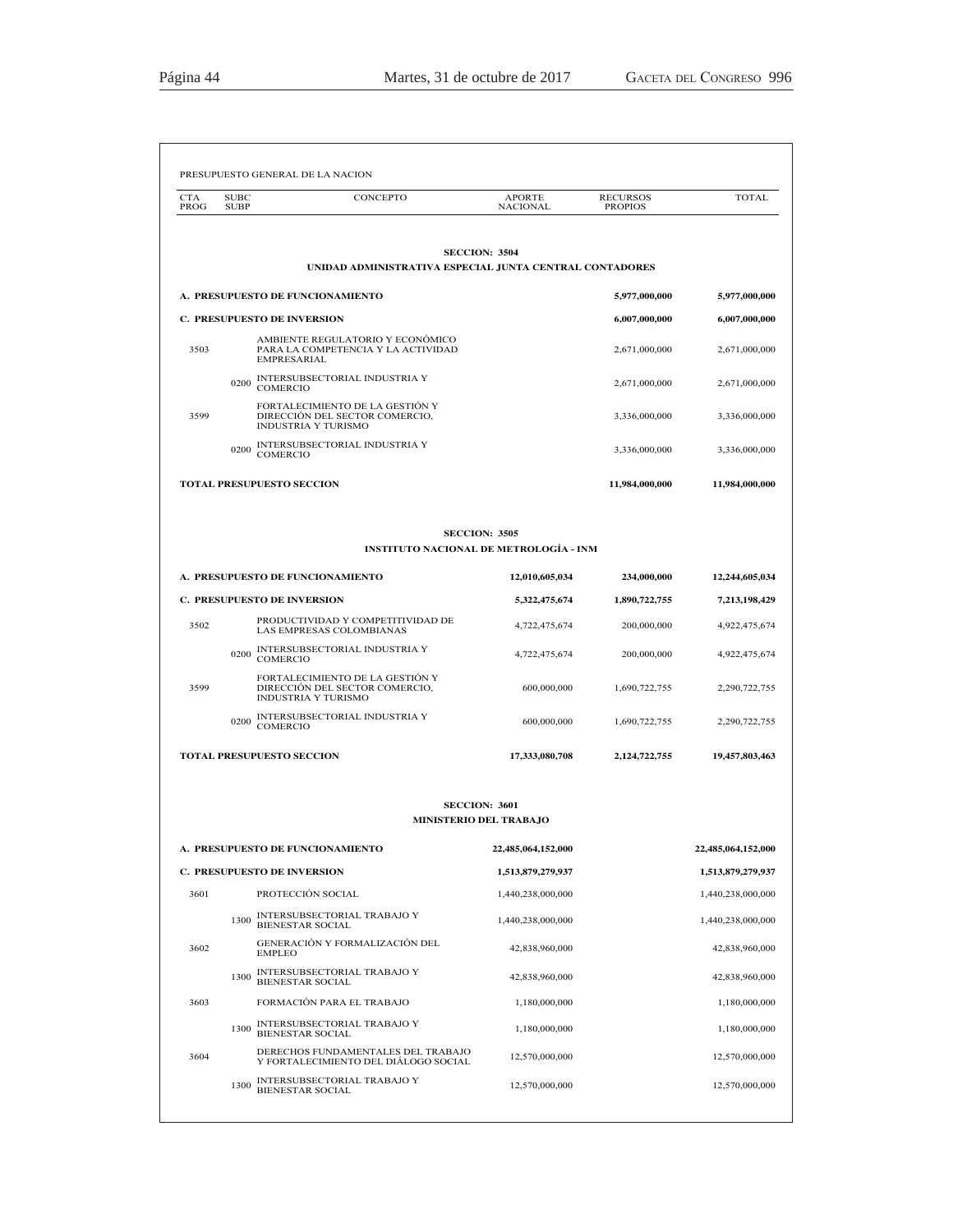| <b>CTA</b><br>PROG | <b>SUBC</b><br><b>SUBP</b> | CONCEPTO                                                                                        | APORTE<br><b>NACIONAL</b>              | <b>RECURSOS</b><br><b>PROPIOS</b> | <b>TOTAL</b>                           |
|--------------------|----------------------------|-------------------------------------------------------------------------------------------------|----------------------------------------|-----------------------------------|----------------------------------------|
|                    |                            |                                                                                                 |                                        |                                   |                                        |
|                    |                            | UNIDAD ADMINISTRATIVA ESPECIAL JUNTA CENTRAL CONTADORES                                         | <b>SECCION: 3504</b>                   |                                   |                                        |
|                    |                            | A. PRESUPUESTO DE FUNCIONAMIENTO                                                                |                                        | 5,977,000,000                     | 5,977,000,000                          |
|                    |                            | <b>C. PRESUPUESTO DE INVERSION</b>                                                              |                                        | 6,007,000,000                     | 6,007,000,000                          |
| 3503               |                            | AMBIENTE REGULATORIO Y ECONÓMICO<br>PARA LA COMPETENCIA Y LA ACTIVIDAD<br><b>EMPRESARIAL</b>    |                                        | 2,671,000,000                     | 2,671,000,000                          |
|                    | 0200                       | INTERSUBSECTORIAL INDUSTRIA Y<br>COMERCIO                                                       |                                        | 2,671,000,000                     | 2,671,000,000                          |
| 3599               |                            | FORTALECIMIENTO DE LA GESTIÓN Y<br>DIRECCIÓN DEL SECTOR COMERCIO,<br>INDUSTRIA Y TURISMO        |                                        | 3,336,000,000                     | 3,336,000,000                          |
|                    | 0200                       | INTERSUBSECTORIAL INDUSTRIA Y<br><b>COMERCIO</b>                                                |                                        | 3,336,000,000                     | 3,336,000,000                          |
|                    |                            | <b>TOTAL PRESUPUESTO SECCION</b>                                                                |                                        | 11,984,000,000                    | 11,984,000,000                         |
|                    |                            |                                                                                                 | <b>SECCION: 3505</b>                   |                                   |                                        |
|                    |                            | <b>INSTITUTO NACIONAL DE METROLOGÍA - INM</b>                                                   |                                        |                                   |                                        |
|                    |                            | A. PRESUPUESTO DE FUNCIONAMIENTO                                                                | 12,010,605,034                         | 234,000,000                       | 12,244,605,034                         |
|                    |                            | <b>C. PRESUPUESTO DE INVERSION</b>                                                              | 5,322,475,674                          | 1,890,722,755                     | 7,213,198,429                          |
| 3502               |                            | PRODUCTIVIDAD Y COMPETITIVIDAD DE<br>LAS EMPRESAS COLOMBIANAS                                   | 4,722,475,674                          | 200,000,000                       | 4,922,475,674                          |
|                    | 0200                       | INTERSUBSECTORIAL INDUSTRIA Y<br>COMERCIO                                                       | 4,722,475,674                          | 200,000,000                       | 4,922,475,674                          |
| 3599               |                            | FORTALECIMIENTO DE LA GESTIÓN Y<br>DIRECCIÓN DEL SECTOR COMERCIO,<br><b>INDUSTRIA Y TURISMO</b> | 600,000,000                            | 1,690,722,755                     | 2,290,722,755                          |
|                    | 0200                       | INTERSUBSECTORIAL INDUSTRIA Y<br>COMERCIO                                                       | 600,000,000                            | 1,690,722,755                     | 2,290,722,755                          |
|                    |                            | <b>TOTAL PRESUPUESTO SECCION</b>                                                                | 17,333,080,708                         | 2,124,722,755                     | 19,457,803,463                         |
|                    |                            |                                                                                                 | <b>SECCION: 3601</b>                   |                                   |                                        |
|                    |                            |                                                                                                 | <b>MINISTERIO DEL TRABAJO</b>          |                                   |                                        |
|                    |                            | A. PRESUPUESTO DE FUNCIONAMIENTO                                                                | 22,485,064,152,000                     |                                   | 22,485,064,152,000                     |
|                    |                            | <b>C. PRESUPUESTO DE INVERSION</b>                                                              | 1,513,879,279,937                      |                                   | 1,513,879,279,937                      |
| 3601               | 1300                       | PROTECCIÓN SOCIAL<br>INTERSUBSECTORIAL TRABAJO Y                                                | 1,440,238,000,000<br>1,440,238,000,000 |                                   | 1,440,238,000,000<br>1,440,238,000,000 |
|                    |                            | <b>BIENESTAR SOCIAL</b><br>GENERACIÓN Y FORMALIZACIÓN DEL                                       |                                        |                                   |                                        |
| 3602               |                            | <b>EMPLEO</b><br>INTERSUBSECTORIAL TRABAJO Y                                                    | 42,838,960,000                         |                                   | 42,838,960,000                         |
|                    | 1300                       | <b>BIENESTAR SOCIAL</b>                                                                         | 42,838,960,000                         |                                   | 42,838,960,000                         |
| 3603               |                            | FORMACIÓN PARA EL TRABAJO                                                                       | 1,180,000,000                          |                                   | 1,180,000,000                          |
|                    | 1300                       | INTERSUBSECTORIAL TRABAJO Y<br><b>BIENESTAR SOCIAL</b>                                          | 1,180,000,000                          |                                   | 1,180,000,000                          |
| 3604               |                            | DERECHOS FUNDAMENTALES DEL TRABAJO<br>Y FORTALECIMIENTO DEL DIÁLOGO SOCIAL                      | 12,570,000,000                         |                                   | 12,570,000,000                         |
|                    | 1300                       | INTERSUBSECTORIAL TRABAJO Y<br><b>BIENESTAR SOCIAL</b>                                          | 12,570,000,000                         |                                   | 12,570,000,000                         |
|                    |                            |                                                                                                 |                                        |                                   |                                        |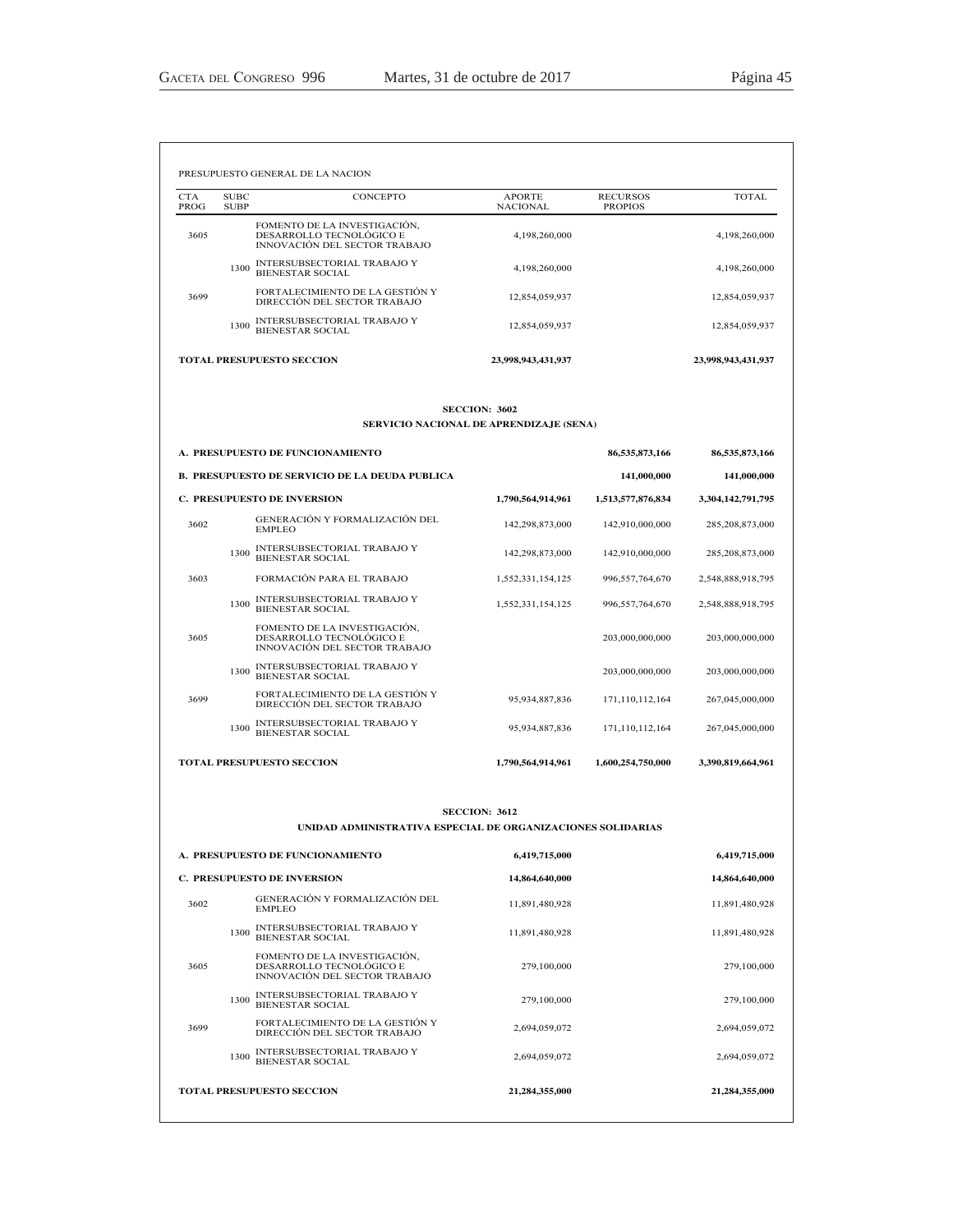3605

FOMENTO DE LA INVESTIGACIÓN,<br>DESARROLLO TECNOLÓGICO E<br>INNOVACIÓN DEL SECTOR TRABAJO

| <b>CTA</b><br>PROG | <b>SUBC</b><br><b>SUBP</b> | <b>CONCEPTO</b>                                                                           | <b>APORTE</b><br><b>NACIONAL</b>        | <b>RECURSOS</b><br><b>PROPIOS</b> | <b>TOTAL</b>       |
|--------------------|----------------------------|-------------------------------------------------------------------------------------------|-----------------------------------------|-----------------------------------|--------------------|
| 3605               |                            | FOMENTO DE LA INVESTIGACIÓN,<br>DESARROLLO TECNOLÓGICO E<br>INNOVACIÓN DEL SECTOR TRABAJO | 4,198,260,000                           |                                   | 4,198,260,000      |
|                    | 1300                       | INTERSUBSECTORIAL TRABAJO Y<br><b>BIENESTAR SOCIAL</b>                                    | 4,198,260,000                           |                                   | 4,198,260,000      |
| 3699               |                            | FORTALECIMIENTO DE LA GESTIÓN Y<br>DIRECCIÓN DEL SECTOR TRABAJO                           | 12,854,059,937                          |                                   | 12,854,059,937     |
|                    | 1300                       | INTERSUBSECTORIAL TRABAJO Y<br><b>BIENESTAR SOCIAL</b>                                    | 12,854,059,937                          |                                   | 12,854,059,937     |
|                    |                            | <b>TOTAL PRESUPUESTO SECCION</b>                                                          | 23,998,943,431,937                      |                                   | 23,998,943,431,937 |
|                    |                            |                                                                                           | <b>SECCION: 3602</b>                    |                                   |                    |
|                    |                            |                                                                                           | SERVICIO NACIONAL DE APRENDIZAJE (SENA) |                                   |                    |
|                    |                            | A. PRESUPUESTO DE FUNCIONAMIENTO                                                          |                                         | 86,535,873,166                    | 86,535,873,166     |
|                    |                            | <b>B. PRESUPUESTO DE SERVICIO DE LA DEUDA PUBLICA</b>                                     |                                         | 141,000,000                       | 141,000,000        |
|                    |                            | <b>C. PRESUPUESTO DE INVERSION</b>                                                        | 1,790,564,914,961                       | 1,513,577,876,834                 | 3,304,142,791,795  |
| 3602               |                            | GENERACIÓN Y FORMALIZACIÓN DEL<br><b>EMPLEO</b>                                           | 142,298,873,000                         | 142,910,000,000                   | 285,208,873,000    |
|                    | 1300                       | INTERSUBSECTORIAL TRABAJO Y<br><b>BIENESTAR SOCIAL</b>                                    | 142,298,873,000                         | 142,910,000,000                   | 285, 208, 873, 000 |
| 3603               |                            | FORMACIÓN PARA EL TRABAJO                                                                 | 1,552,331,154,125                       | 996,557,764,670                   | 2,548,888,918,795  |
|                    | 1300                       | INTERSUBSECTORIAL TRABAJO Y<br>BIENESTAR SOCIAL                                           | 1,552,331,154,125                       | 996,557,764,670                   | 2,548,888,918,795  |
| 3605               |                            | FOMENTO DE LA INVESTIGACIÓN,<br>DESARROLLO TECNOLÓGICO E<br>INNOVACIÓN DEL SECTOR TRABAJO |                                         | 203,000,000,000                   | 203,000,000,000    |
|                    | 1300                       | INTERSUBSECTORIAL TRABAJO Y<br><b>BIENESTAR SOCIAL</b>                                    |                                         | 203,000,000,000                   | 203,000,000,000    |
| 3699               |                            | FORTALECIMIENTO DE LA GESTIÓN Y<br>DIRECCIÓN DEL SECTOR TRABAJO                           | 95,934,887,836                          | 171,110,112,164                   | 267,045,000,000    |
|                    | 1300                       | INTERSUBSECTORIAL TRABAJO Y<br><b>BIENESTAR SOCIAL</b>                                    | 95,934,887,836                          | 171,110,112,164                   | 267,045,000,000    |
|                    |                            | <b>TOTAL PRESUPUESTO SECCION</b>                                                          | 1,790,564,914,961                       | 1,600,254,750,000                 | 3,390,819,664,961  |
|                    |                            |                                                                                           |                                         |                                   |                    |
|                    |                            | UNIDAD ADMINISTRATIVA ESPECIAL DE ORGANIZACIONES SOLIDARIAS                               | <b>SECCION: 3612</b>                    |                                   |                    |
|                    |                            | A. PRESUPUESTO DE FUNCIONAMIENTO                                                          | 6,419,715,000                           |                                   | 6,419,715,000      |
|                    |                            | <b>C. PRESUPUESTO DE INVERSION</b>                                                        | 14,864,640,000                          |                                   | 14,864,640,000     |
| 3602               |                            | GENERACIÓN Y FORMALIZACIÓN DEL<br><b>EMPLEO</b>                                           | 11,891,480,928                          |                                   | 11,891,480,928     |
|                    |                            | INTERSUBSECTORIAL TRABAJO Y<br>1300                                                       | 11,891,480,928                          |                                   | 11,891,480,928     |

<sup>1300</sup> INTERSUBSECTORIAL TRABAJO Y BIENESTAR SOCIAL 279,100,000 279,100,000

<sup>1300</sup> INTERSUBSECTORIAL TRABAJO Y BIENESTAR SOCIAL 2,694,059,072 2,694,059,072

<sup>3699</sup> )257\$/(&,0,(172'(/\$\*(67,Ï1< ',5(&&,Ï1'(/6(&72575\$%\$-2 2,694,059,072 2,694,059,072

**TOTAL PRESUPUESTO SECCION 21,284,355,000 21,284,355,000**

279,100,000 279,100,000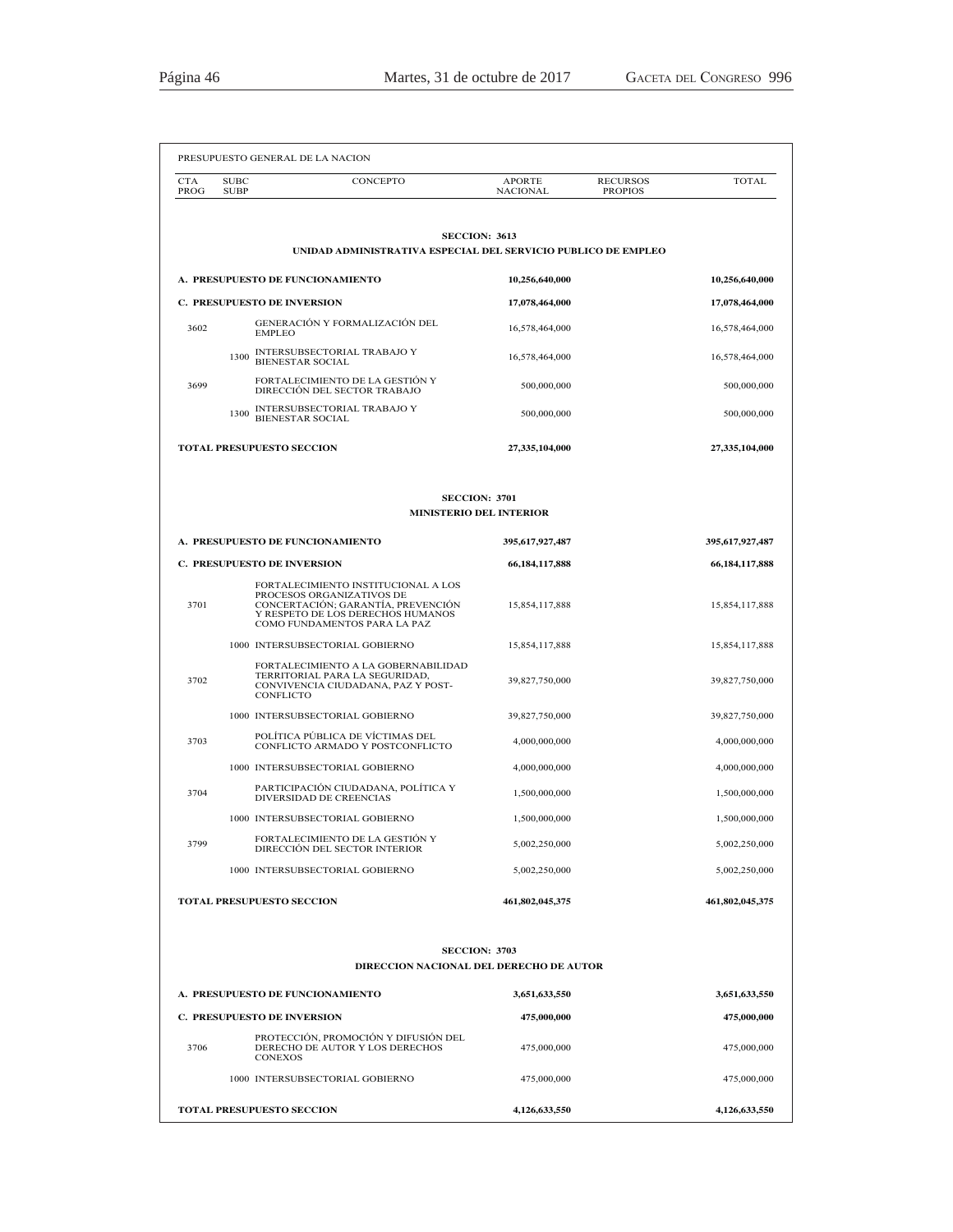| <b>CTA</b><br>PROG                 | <b>SUBC</b><br><b>SUBP</b> | CONCEPTO                                                                                                                                                                    | <b>APORTE</b><br><b>NACIONAL</b> | <b>RECURSOS</b><br><b>PROPIOS</b> | <b>TOTAL</b>    |
|------------------------------------|----------------------------|-----------------------------------------------------------------------------------------------------------------------------------------------------------------------------|----------------------------------|-----------------------------------|-----------------|
|                                    |                            |                                                                                                                                                                             |                                  |                                   |                 |
|                                    |                            | <b>SECCION: 3613</b><br>UNIDAD ADMINISTRATIVA ESPECIAL DEL SERVICIO PUBLICO DE EMPLEO                                                                                       |                                  |                                   |                 |
|                                    |                            | A. PRESUPUESTO DE FUNCIONAMIENTO                                                                                                                                            | 10,256,640,000                   |                                   | 10,256,640,000  |
|                                    |                            | <b>C. PRESUPUESTO DE INVERSION</b>                                                                                                                                          | 17,078,464,000                   |                                   | 17,078,464,000  |
| 3602                               |                            | GENERACIÓN Y FORMALIZACIÓN DEL<br><b>EMPLEO</b>                                                                                                                             | 16,578,464,000                   |                                   | 16,578,464,000  |
|                                    | 1300                       | INTERSUBSECTORIAL TRABAJO Y<br><b>BIENESTAR SOCIAL</b>                                                                                                                      | 16,578,464,000                   |                                   | 16,578,464,000  |
| 3699                               |                            | FORTALECIMIENTO DE LA GESTIÓN Y<br>DIRECCIÓN DEL SECTOR TRABAJO                                                                                                             | 500,000,000                      |                                   | 500,000,000     |
|                                    | 1300                       | INTERSUBSECTORIAL TRABAJO Y<br><b>BIENESTAR SOCIAL</b>                                                                                                                      | 500,000,000                      |                                   | 500,000,000     |
|                                    |                            | <b>TOTAL PRESUPUESTO SECCION</b>                                                                                                                                            | 27,335,104,000                   |                                   | 27,335,104,000  |
|                                    |                            |                                                                                                                                                                             |                                  |                                   |                 |
|                                    |                            | <b>SECCION: 3701</b><br><b>MINISTERIO DEL INTERIOR</b>                                                                                                                      |                                  |                                   |                 |
|                                    |                            | A. PRESUPUESTO DE FUNCIONAMIENTO                                                                                                                                            | 395,617,927,487                  |                                   | 395,617,927,487 |
| <b>C. PRESUPUESTO DE INVERSION</b> |                            | 66,184,117,888                                                                                                                                                              |                                  | 66,184,117,888                    |                 |
| 3701                               |                            | FORTALECIMIENTO INSTITUCIONAL A LOS<br>PROCESOS ORGANIZATIVOS DE<br>CONCERTACIÓN; GARANTÍA, PREVENCIÓN<br>Y RESPETO DE LOS DERECHOS HUMANOS<br>COMO FUNDAMENTOS PARA LA PAZ | 15,854,117,888                   |                                   | 15,854,117,888  |
|                                    |                            | 1000 INTERSUBSECTORIAL GOBIERNO                                                                                                                                             | 15,854,117,888                   |                                   | 15,854,117,888  |
| 3702                               |                            | FORTALECIMIENTO A LA GOBERNABILIDAD<br>TERRITORIAL PARA LA SEGURIDAD,<br>CONVIVENCIA CIUDADANA, PAZ Y POST-<br><b>CONFLICTO</b>                                             | 39,827,750,000                   |                                   | 39,827,750,000  |
|                                    |                            | 1000 INTERSUBSECTORIAL GOBIERNO                                                                                                                                             | 39,827,750,000                   |                                   | 39,827,750,000  |
| 3703                               |                            | POLÍTICA PÚBLICA DE VÍCTIMAS DEL<br>CONFLICTO ARMADO Y POSTCONFLICTO                                                                                                        | 4,000,000,000                    |                                   | 4,000,000,000   |
|                                    |                            | 1000 INTERSUBSECTORIAL GOBIERNO                                                                                                                                             | 4,000,000,000                    |                                   | 4,000,000,000   |
| 3704                               |                            | PARTICIPACIÓN CIUDADANA. POLÍTICA Y<br>DIVERSIDAD DE CREENCIAS                                                                                                              | 1,500,000,000                    |                                   | 1,500,000,000   |
|                                    |                            | 1000 INTERSUBSECTORIAL GOBIERNO                                                                                                                                             | 1,500,000,000                    |                                   | 1,500,000,000   |
| 3799                               |                            | FORTALECIMIENTO DE LA GESTIÓN Y<br>DIRECCIÓN DEL SECTOR INTERIOR                                                                                                            | 5,002,250,000                    |                                   | 5,002,250,000   |
|                                    |                            | 1000 INTERSUBSECTORIAL GOBIERNO                                                                                                                                             | 5.002.250.000                    |                                   | 5,002,250,000   |
|                                    |                            | <b>TOTAL PRESUPUESTO SECCION</b>                                                                                                                                            | 461,802,045,375                  |                                   | 461,802,045,375 |
|                                    |                            |                                                                                                                                                                             |                                  |                                   |                 |
|                                    |                            | <b>SECCION: 3703</b><br>DIRECCION NACIONAL DEL DERECHO DE AUTOR                                                                                                             |                                  |                                   |                 |
|                                    |                            | A. PRESUPUESTO DE FUNCIONAMIENTO                                                                                                                                            | 3,651,633,550                    |                                   | 3,651,633,550   |
|                                    |                            | C. PRESUPUESTO DE INVERSION                                                                                                                                                 | 475,000,000                      |                                   | 475,000,000     |
| 3706                               |                            | PROTECCIÓN, PROMOCIÓN Y DIFUSIÓN DEL<br>DERECHO DE AUTOR Y LOS DERECHOS<br><b>CONEXOS</b>                                                                                   | 475,000,000                      |                                   | 475,000,000     |
|                                    |                            | 1000 INTERSUBSECTORIAL GOBIERNO                                                                                                                                             | 475,000,000                      |                                   | 475,000,000     |
|                                    |                            | TOTAL PRESUPUESTO SECCION                                                                                                                                                   | 4,126,633,550                    |                                   | 4,126,633,550   |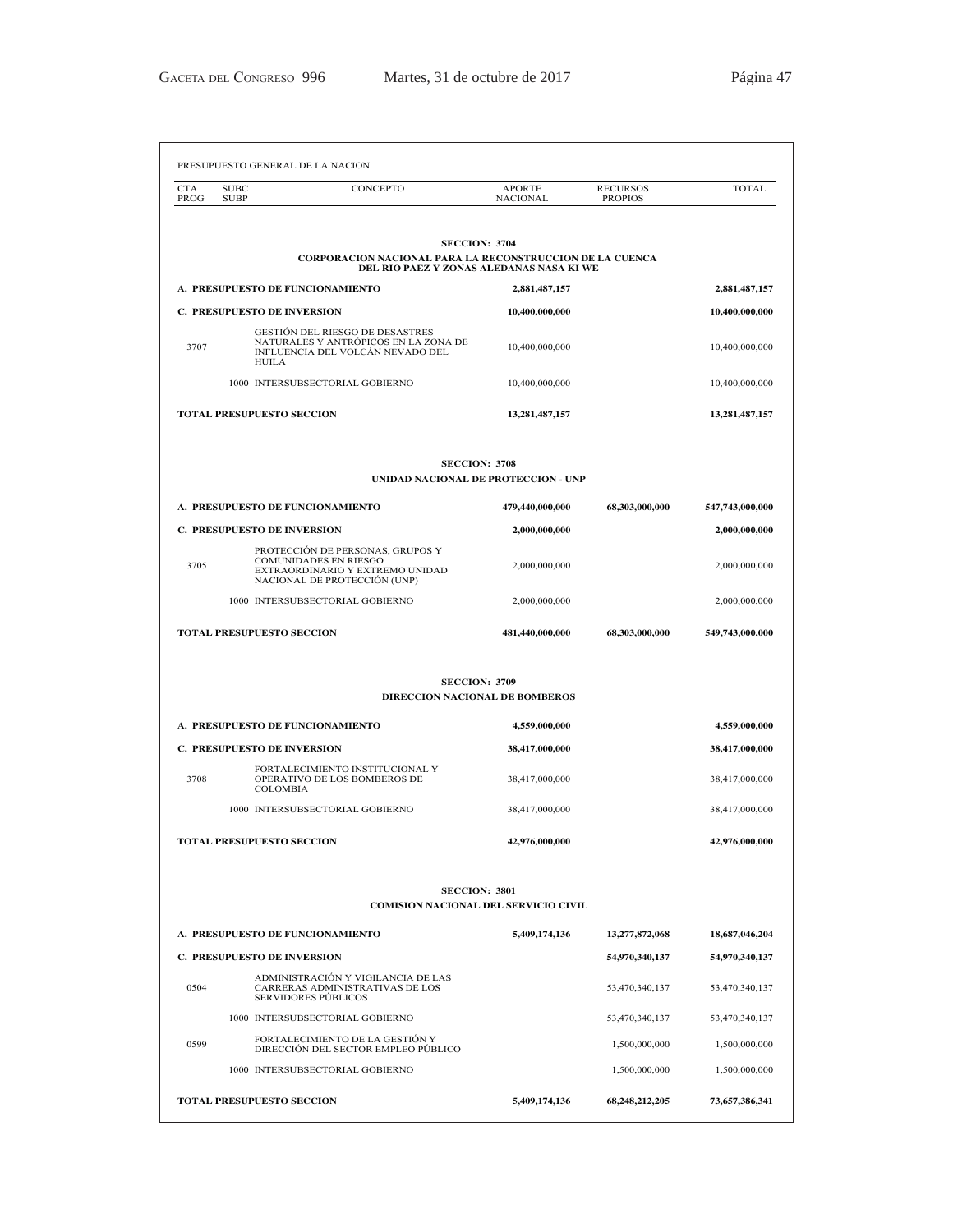| <b>CTA</b><br>PROG                                                                                                                  | <b>SUBC</b><br><b>SUBP</b>         | CONCEPTO                                                                                                                     | <b>APORTE</b><br><b>NACIONAL</b>                             | <b>RECURSOS</b><br><b>PROPIOS</b> | <b>TOTAL</b>    |
|-------------------------------------------------------------------------------------------------------------------------------------|------------------------------------|------------------------------------------------------------------------------------------------------------------------------|--------------------------------------------------------------|-----------------------------------|-----------------|
|                                                                                                                                     |                                    |                                                                                                                              | <b>SECCION: 3704</b>                                         |                                   |                 |
|                                                                                                                                     |                                    | CORPORACION NACIONAL PARA LA RECONSTRUCCION DE LA CUENCA                                                                     | DEL RIO PAEZ Y ZONAS ALEDANAS NASA KI WE                     |                                   |                 |
|                                                                                                                                     |                                    | A. PRESUPUESTO DE FUNCIONAMIENTO                                                                                             | 2,881,487,157                                                |                                   | 2,881,487,157   |
|                                                                                                                                     | <b>C. PRESUPUESTO DE INVERSION</b> |                                                                                                                              | 10,400,000,000                                               |                                   | 10,400,000,000  |
| <b>GESTIÓN DEL RIESGO DE DESASTRES</b><br>NATURALES Y ANTRÓPICOS EN LA ZONA DE<br>3707<br>INFLUENCIA DEL VOLCÀN NEVADO DEL<br>HUILA |                                    | 10,400,000,000                                                                                                               |                                                              | 10,400,000,000                    |                 |
|                                                                                                                                     |                                    | 1000 INTERSUBSECTORIAL GOBIERNO                                                                                              | 10,400,000,000                                               |                                   | 10,400,000,000  |
|                                                                                                                                     | TOTAL PRESUPUESTO SECCION          |                                                                                                                              | 13, 281, 487, 157                                            |                                   | 13,281,487,157  |
|                                                                                                                                     |                                    |                                                                                                                              | <b>SECCION: 3708</b><br>UNIDAD NACIONAL DE PROTECCION - UNP  |                                   |                 |
|                                                                                                                                     |                                    | A. PRESUPUESTO DE FUNCIONAMIENTO                                                                                             | 479,440,000,000                                              | 68,303,000,000                    | 547,743,000,000 |
|                                                                                                                                     | <b>C. PRESUPUESTO DE INVERSION</b> |                                                                                                                              | 2,000,000,000                                                |                                   | 2,000,000,000   |
| 3705                                                                                                                                |                                    | PROTECCIÓN DE PERSONAS, GRUPOS Y<br>COMUNIDADES EN RIESGO<br>EXTRAORDINARIO Y EXTREMO UNIDAD<br>NACIONAL DE PROTECCIÓN (UNP) | 2,000,000,000                                                |                                   | 2,000,000,000   |
|                                                                                                                                     |                                    | 1000 INTERSUBSECTORIAL GOBIERNO                                                                                              | 2,000,000,000                                                |                                   | 2,000,000,000   |
|                                                                                                                                     | <b>TOTAL PRESUPUESTO SECCION</b>   |                                                                                                                              | 481,440,000,000                                              | 68,303,000,000                    | 549,743,000,000 |
|                                                                                                                                     |                                    |                                                                                                                              | <b>SECCION: 3709</b>                                         |                                   |                 |
|                                                                                                                                     |                                    |                                                                                                                              | <b>DIRECCION NACIONAL DE BOMBEROS</b>                        |                                   |                 |
|                                                                                                                                     |                                    | A. PRESUPUESTO DE FUNCIONAMIENTO                                                                                             | 4,559,000,000                                                |                                   | 4,559,000,000   |
|                                                                                                                                     | <b>C. PRESUPUESTO DE INVERSION</b> |                                                                                                                              | 38,417,000,000                                               |                                   | 38,417,000,000  |
| 3708                                                                                                                                | <b>COLOMBIA</b>                    | FORTALECIMIENTO INSTITUCIONAL Y<br>OPERATIVO DE LOS BOMBEROS DE                                                              | 38,417,000,000                                               |                                   | 38,417,000,000  |
|                                                                                                                                     |                                    | 1000 INTERSUBSECTORIAL GOBIERNO                                                                                              | 38,417,000,000                                               |                                   | 38,417,000,000  |
|                                                                                                                                     | <b>TOTAL PRESUPUESTO SECCION</b>   |                                                                                                                              | 42,976,000,000                                               |                                   | 42,976,000,000  |
|                                                                                                                                     |                                    |                                                                                                                              | <b>SECCION: 3801</b><br>COMISION NACIONAL DEL SERVICIO CIVIL |                                   |                 |
|                                                                                                                                     |                                    | A. PRESUPUESTO DE FUNCIONAMIENTO                                                                                             | 5,409,174,136                                                | 13,277,872,068                    | 18,687,046,204  |
|                                                                                                                                     | <b>C. PRESUPUESTO DE INVERSION</b> |                                                                                                                              |                                                              | 54,970,340,137                    | 54,970,340,137  |
| 0504                                                                                                                                |                                    | ADMINISTRACIÓN Y VIGILANCIA DE LAS<br>CARRERAS ADMINISTRATIVAS DE LOS<br><b>SERVIDORES PÚBLICOS</b>                          |                                                              | 53,470,340,137                    | 53,470,340,137  |
|                                                                                                                                     |                                    | 1000 INTERSUBSECTORIAL GOBIERNO                                                                                              |                                                              | 53,470,340,137                    | 53,470,340,137  |
| 0599                                                                                                                                |                                    | FORTALECIMIENTO DE LA GESTIÓN Y<br>DIRECCIÓN DEL SECTOR EMPLEO PÚBLICO                                                       |                                                              | 1,500,000,000                     | 1,500,000,000   |
|                                                                                                                                     |                                    | 1000 INTERSUBSECTORIAL GOBIERNO                                                                                              |                                                              | 1,500,000,000                     | 1,500,000,000   |
|                                                                                                                                     |                                    |                                                                                                                              |                                                              |                                   |                 |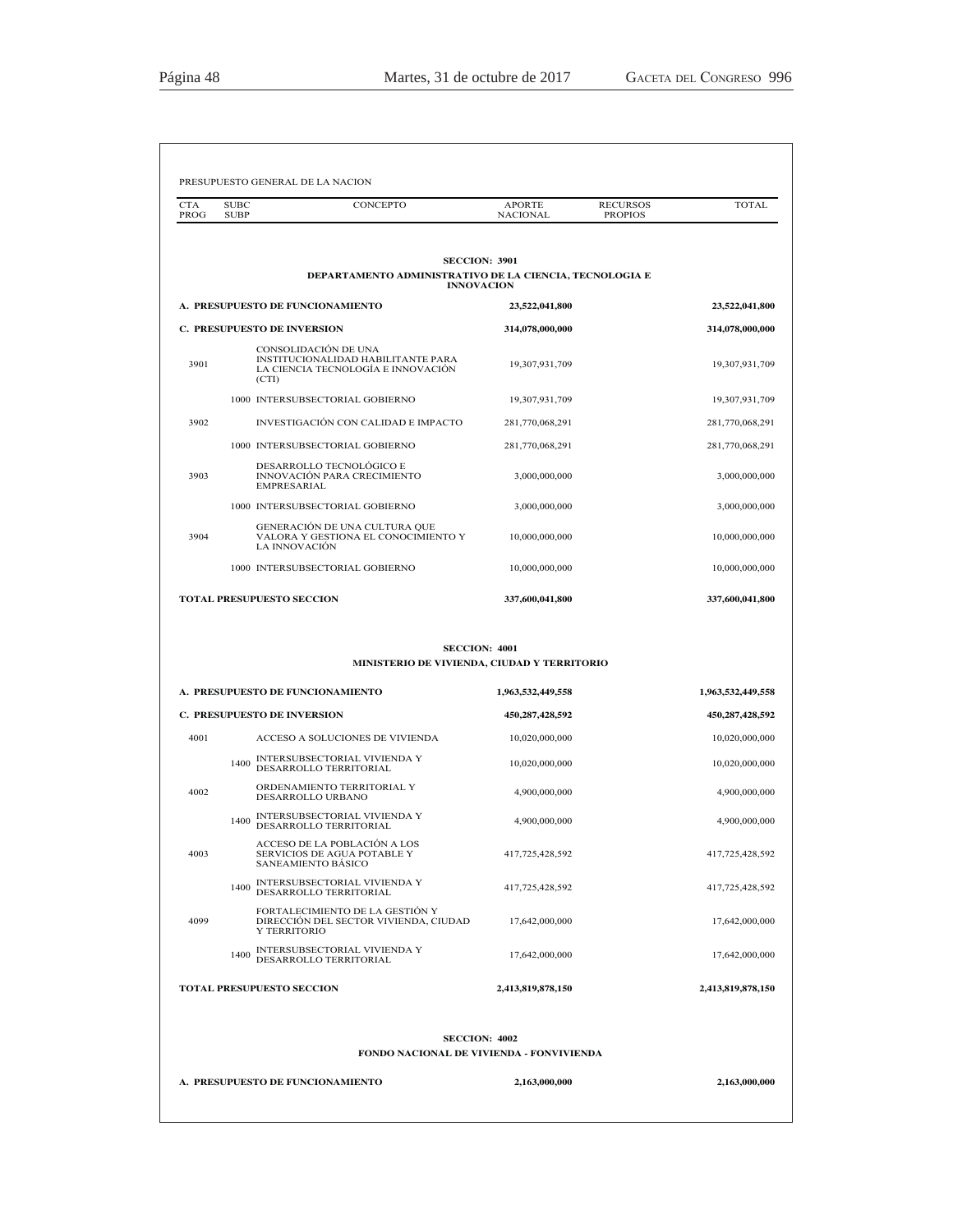| PROG | <b>SUBC</b><br>CONCEPTO<br><b>SUBP</b>                                                                    | <b>APORTE</b><br>NACIONAL            | <b>RECURSOS</b><br><b>TOTAL</b><br><b>PROPIOS</b> |
|------|-----------------------------------------------------------------------------------------------------------|--------------------------------------|---------------------------------------------------|
|      |                                                                                                           | <b>SECCION: 3901</b>                 |                                                   |
|      | DEPARTAMENTO ADMINISTRATIVO DE LA CIENCIA, TECNOLOGIA E                                                   | <b>INNOVACION</b>                    |                                                   |
|      | A. PRESUPUESTO DE FUNCIONAMIENTO                                                                          | 23,522,041,800                       | 23,522,041,800                                    |
|      | <b>C. PRESUPUESTO DE INVERSION</b>                                                                        | 314,078,000,000                      | 314,078,000,000                                   |
| 3901 | CONSOLIDACIÓN DE UNA<br>INSTITUCIONALIDAD HABILITANTE PARA<br>LA CIENCIA TECNOLOGÍA E INNOVACIÓN<br>(CTI) | 19,307,931,709                       | 19,307,931,709                                    |
|      | 1000 INTERSUBSECTORIAL GOBIERNO                                                                           | 19,307,931,709                       | 19,307,931,709                                    |
| 3902 | INVESTIGACIÓN CON CALIDAD E IMPACTO                                                                       | 281,770,068,291                      | 281,770,068,291                                   |
|      | 1000 INTERSUBSECTORIAL GOBIERNO                                                                           | 281,770,068,291                      | 281,770,068,291                                   |
| 3903 | DESARROLLO TECNOLÓGICO E<br>INNOVACIÓN PARA CRECIMIENTO<br><b>EMPRESARIAL</b>                             | 3,000,000,000                        | 3,000,000,000                                     |
|      | 1000 INTERSUBSECTORIAL GOBIERNO                                                                           | 3,000,000,000                        | 3,000,000,000                                     |
| 3904 | GENERACIÓN DE UNA CULTURA QUE<br>VALORA Y GESTIONA EL CONOCIMIENTO Y<br><b>LA INNOVACIÓN</b>              | 10,000,000,000                       | 10,000,000,000                                    |
|      | 1000 INTERSUBSECTORIAL GOBIERNO                                                                           | 10.000.000.000                       | 10,000,000,000                                    |
|      | TOTAL PRESUPUESTO SECCION                                                                                 | 337,600,041,800                      | 337,600,041,800                                   |
|      |                                                                                                           |                                      |                                                   |
|      | MINISTERIO DE VIVIENDA, CIUDAD Y TERRITORIO<br>A. PRESUPUESTO DE FUNCIONAMIENTO                           | <b>SECCION: 4001</b>                 |                                                   |
|      | <b>C. PRESUPUESTO DE INVERSION</b>                                                                        | 1,963,532,449,558<br>450,287,428,592 | 1,963,532,449,558<br>450,287,428,592              |
| 4001 | ACCESO A SOLUCIONES DE VIVIENDA                                                                           | 10,020,000,000                       | 10,020,000,000                                    |
|      | INTERSUBSECTORIAL VIVIENDA Y<br>1400<br>DESARROLLO TERRITORIAL                                            | 10,020,000,000                       | 10,020,000,000                                    |
| 4002 | ORDENAMIENTO TERRITORIAL Y<br>DESARROLLO URBANO                                                           | 4.900.000.000                        | 4,900,000,000                                     |
|      | INTERSUBSECTORIAL VIVIENDA Y<br>1400<br>DESARROLLO TERRITORIAL                                            | 4,900,000,000                        | 4,900,000,000                                     |
| 4003 | ACCESO DE LA POBLACION A LOS<br>SERVICIOS DE AGUA POTABLE Y<br>SANEAMIENTO BASICO                         | 417,725,428,592                      | 417,725,428,592                                   |
|      | <b>INTERSUBSECTORIAL VIVIENDA Y</b><br>1400<br>DESARROLLO TERRITORIAL                                     | 417,725,428,592                      | 417,725,428,592                                   |
| 4099 | FORTALECIMIENTO DE LA GESTIÓN Y<br>DIRECCIÓN DEL SECTOR VIVIENDA, CIUDAD<br>Y TERRITORIO                  | 17,642,000,000                       | 17,642,000,000                                    |
|      | INTERSUBSECTORIAL VIVIENDA Y<br>1400<br>DESARROLLO TERRITORIAL                                            | 17,642,000,000                       | 17,642,000,000                                    |
|      | <b>TOTAL PRESUPUESTO SECCION</b>                                                                          | 2,413,819,878,150                    | 2,413,819,878,150                                 |
|      | <b>FONDO NACIONAL DE VIVIENDA - FONVIVIENDA</b>                                                           | <b>SECCION: 4002</b>                 |                                                   |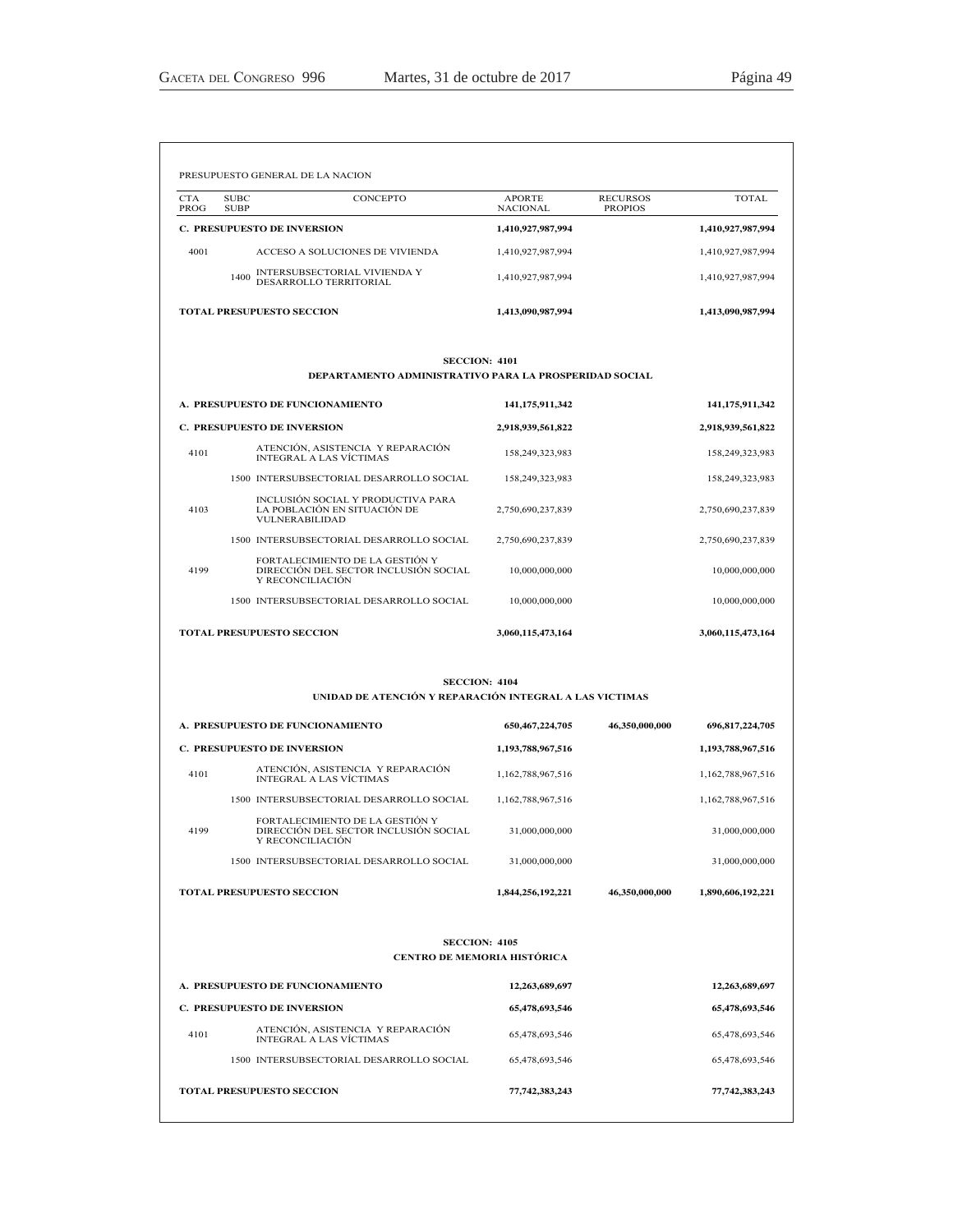|                    | PRESUPUESTO GENERAL DE LA NACION                                                             |                                  |                                   |                                  |
|--------------------|----------------------------------------------------------------------------------------------|----------------------------------|-----------------------------------|----------------------------------|
| <b>CTA</b><br>PROG | CONCEPTO<br><b>SUBC</b><br><b>SUBP</b>                                                       | <b>APORTE</b><br><b>NACIONAL</b> | <b>RECURSOS</b><br><b>PROPIOS</b> | <b>TOTAL</b>                     |
|                    | <b>C. PRESUPUESTO DE INVERSION</b>                                                           | 1,410,927,987,994                |                                   | 1,410,927,987,994                |
| 4001               | ACCESO A SOLUCIONES DE VIVIENDA                                                              | 1,410,927,987,994                |                                   | 1,410,927,987,994                |
|                    | INTERSUBSECTORIAL VIVIENDA Y<br>1400<br>DESARROLLO TERRITORIAL                               | 1,410,927,987,994                |                                   | 1,410,927,987,994                |
|                    | <b>TOTAL PRESUPUESTO SECCION</b>                                                             | 1,413,090,987,994                |                                   | 1,413,090,987,994                |
|                    | <b>SECCION: 4101</b><br>DEPARTAMENTO ADMINISTRATIVO PARA LA PROSPERIDAD SOCIAL               |                                  |                                   |                                  |
|                    | A. PRESUPUESTO DE FUNCIONAMIENTO                                                             | 141, 175, 911, 342               |                                   | 141,175,911,342                  |
|                    | <b>C. PRESUPUESTO DE INVERSION</b>                                                           | 2,918,939,561,822                |                                   | 2,918,939,561,822                |
| 4101               | ATENCIÓN, ASISTENCIA Y REPARACIÓN<br><b>INTEGRAL A LAS VÍCTIMAS</b>                          | 158,249,323,983                  |                                   | 158,249,323,983                  |
|                    | 1500 INTERSUBSECTORIAL DESARROLLO SOCIAL                                                     | 158,249,323,983                  |                                   | 158,249,323,983                  |
| 4103               | INCLUSIÓN SOCIAL Y PRODUCTIVA PARA<br>LA POBLACIÓN EN SITUACIÓN DE<br><b>VULNERABILIDAD</b>  | 2,750,690,237,839                |                                   | 2,750,690,237,839                |
|                    | 1500 INTERSUBSECTORIAL DESARROLLO SOCIAL                                                     | 2,750,690,237,839                |                                   | 2,750,690,237,839                |
| 4199               | FORTALECIMIENTO DE LA GESTIÓN Y<br>DIRECCIÓN DEL SECTOR INCLUSIÓN SOCIAL<br>Y RECONCILIACIÓN | 10.000.000.000                   |                                   | 10.000.000.000                   |
|                    | 1500 INTERSUBSECTORIAL DESARROLLO SOCIAL                                                     | 10,000,000,000                   |                                   | 10,000,000,000                   |
|                    | <b>TOTAL PRESUPUESTO SECCION</b>                                                             | 3,060,115,473,164                |                                   | 3,060,115,473,164                |
|                    | <b>SECCION: 4104</b><br>UNIDAD DE ATENCIÓN Y REPARACIÓN INTEGRAL A LAS VICTIMAS              |                                  |                                   |                                  |
|                    | A. PRESUPUESTO DE FUNCIONAMIENTO                                                             | 650, 467, 224, 705               | 46,350,000,000                    | 696,817,224,705                  |
|                    | C. PRESUPUESTO DE INVERSION                                                                  | 1,193,788,967,516                |                                   | 1,193,788,967,516                |
| 4101               | ATENCIÓN, ASISTENCIA Y REPARACIÓN<br><b>INTEGRAL A LAS VÍCTIMAS</b>                          | 1,162,788,967,516                |                                   | 1,162,788,967,516                |
|                    | 1500 INTERSUBSECTORIAL DESARROLLO SOCIAL                                                     | 1,162,788,967,516                |                                   | 1,162,788,967,516                |
| 4199               | FORTALECIMIENTO DE LA GESTIÓN Y<br>DIRECCIÓN DEL SECTOR INCLUSIÓN SOCIAL<br>Y RECONCILIACIÓN | 31,000,000,000                   |                                   | 31,000,000,000                   |
|                    | 1500 INTERSUBSECTORIAL DESARROLLO SOCIAL                                                     | 31,000,000,000                   |                                   | 31,000,000,000                   |
|                    | <b>TOTAL PRESUPUESTO SECCION</b>                                                             | 1,844,256,192,221                | 46.350.000.000                    | 1,890,606,192,221                |
|                    | <b>SECCION: 4105</b><br><b>CENTRO DE MEMORIA HISTÓRICA</b>                                   |                                  |                                   |                                  |
|                    |                                                                                              |                                  |                                   |                                  |
|                    | A. PRESUPUESTO DE FUNCIONAMIENTO<br>C. PRESUPUESTO DE INVERSION                              | 12,263,689,697<br>65,478,693,546 |                                   | 12,263,689,697<br>65,478,693,546 |
|                    | ATENCIÓN, ASISTENCIA Y REPARACIÓN                                                            |                                  |                                   |                                  |
| 4101               | <b>INTEGRAL A LAS VÍCTIMAS</b>                                                               | 65,478,693,546                   |                                   | 65,478,693,546                   |
|                    | 1500 INTERSUBSECTORIAL DESARROLLO SOCIAL                                                     | 65,478,693,546                   |                                   | 65,478,693,546                   |
|                    | <b>TOTAL PRESUPUESTO SECCION</b>                                                             | 77,742,383,243                   |                                   | 77,742,383,243                   |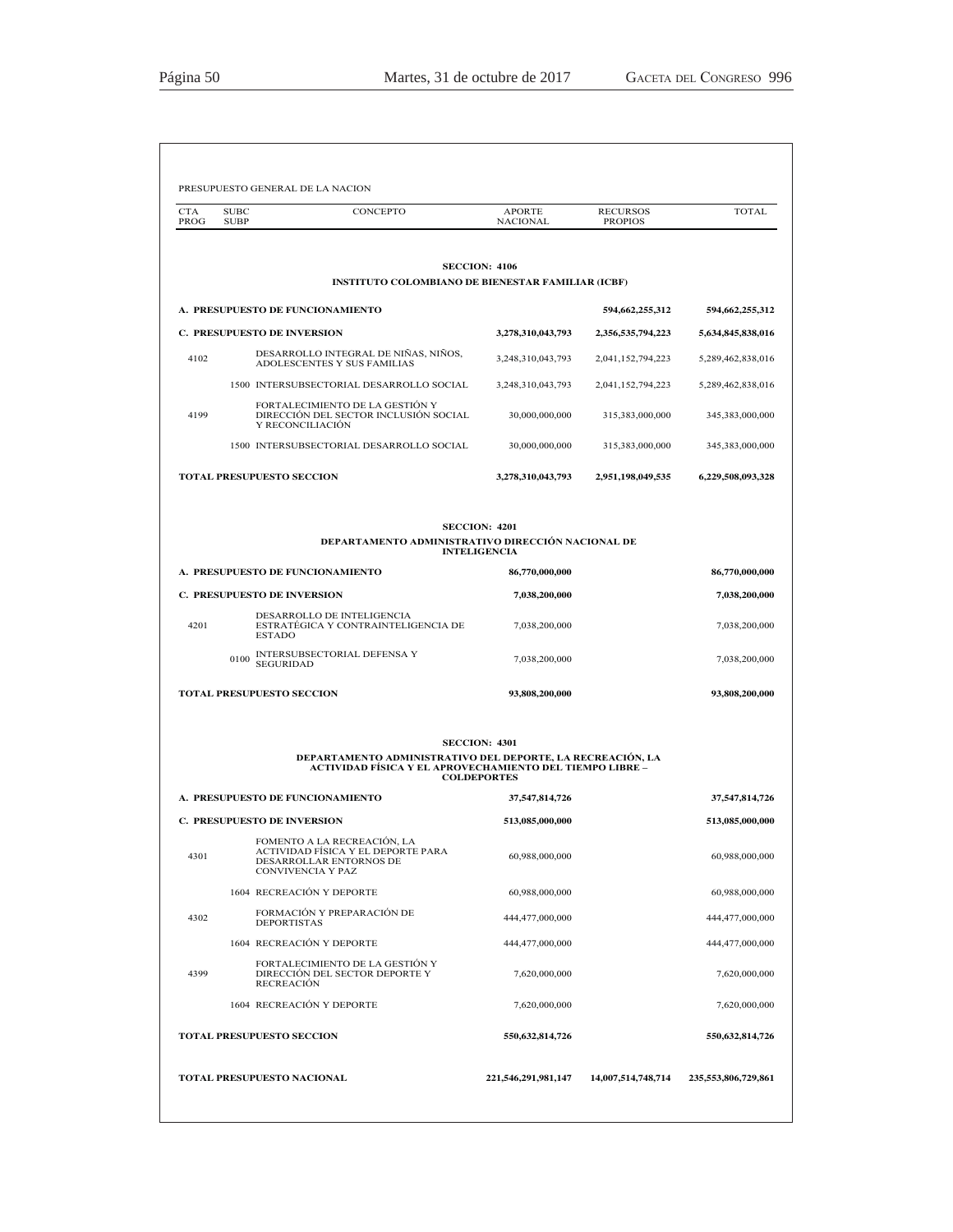| PROG                             | <b>SUBC</b><br><b>SUBP</b>         | CONCEPTO                                                                                                                 | <b>APORTE</b><br><b>NACIONAL</b>            | <b>RECURSOS</b><br><b>PROPIOS</b> | <b>TOTAL</b>                                      |
|----------------------------------|------------------------------------|--------------------------------------------------------------------------------------------------------------------------|---------------------------------------------|-----------------------------------|---------------------------------------------------|
|                                  |                                    |                                                                                                                          | <b>SECCION: 4106</b>                        |                                   |                                                   |
|                                  |                                    | <b>INSTITUTO COLOMBIANO DE BIENESTAR FAMILIAR (ICBF)</b>                                                                 |                                             |                                   |                                                   |
|                                  |                                    | A. PRESUPUESTO DE FUNCIONAMIENTO                                                                                         |                                             | 594,662,255,312                   | 594,662,255,312                                   |
|                                  | <b>C. PRESUPUESTO DE INVERSION</b> |                                                                                                                          | 3,278,310,043,793                           | 2,356,535,794,223                 | 5,634,845,838,016                                 |
| 4102                             |                                    | DESARROLLO INTEGRAL DE NIÑAS, NIÑOS,<br>ADOLESCENTES Y SUS FAMILIAS                                                      | 3,248,310,043,793                           | 2,041,152,794,223                 | 5,289,462,838,016                                 |
|                                  |                                    | 1500 INTERSUBSECTORIAL DESARROLLO SOCIAL                                                                                 | 3,248,310,043,793                           | 2,041,152,794,223                 | 5,289,462,838,016                                 |
| 4199                             |                                    | FORTALECIMIENTO DE LA GESTIÓN Y<br>DIRECCIÓN DEL SECTOR INCLUSIÓN SOCIAL<br>Y RECONCILIACIÓN                             | 30,000,000,000                              | 315,383,000,000                   | 345,383,000,000                                   |
|                                  |                                    | 1500 INTERSUBSECTORIAL DESARROLLO SOCIAL                                                                                 | 30,000,000,000                              | 315,383,000,000                   | 345,383,000,000                                   |
|                                  | <b>TOTAL PRESUPUESTO SECCION</b>   |                                                                                                                          | 3,278,310,043,793                           | 2,951,198,049,535                 | 6,229,508,093,328                                 |
|                                  |                                    | DEPARTAMENTO ADMINISTRATIVO DIRECCIÓN NACIONAL DE                                                                        | <b>SECCION: 4201</b><br><b>INTELIGENCIA</b> |                                   |                                                   |
| A. PRESUPUESTO DE FUNCIONAMIENTO |                                    |                                                                                                                          | 86,770,000,000                              |                                   | 86,770,000,000                                    |
|                                  | <b>C. PRESUPUESTO DE INVERSION</b> |                                                                                                                          | 7,038,200,000                               |                                   | 7,038,200,000                                     |
| 4201                             | <b>ESTADO</b>                      | DESARROLLO DE INTELIGENCIA<br>ESTRATEGICA Y CONTRAINTELIGENCIA DE                                                        | 7,038,200,000                               |                                   | 7,038,200,000                                     |
|                                  | 0100<br><b>SEGURIDAD</b>           | INTERSUBSECTORIAL DEFENSA Y                                                                                              | 7,038,200,000                               |                                   | 7,038,200,000                                     |
|                                  | <b>TOTAL PRESUPUESTO SECCION</b>   |                                                                                                                          | 93,808,200,000                              |                                   | 93,808,200,000                                    |
|                                  |                                    | DEPARTAMENTO ADMINISTRATIVO DEL DEPORTE, LA RECREACIÓN, LA<br>ACTIVIDAD FÍSICA Y EL APROVECHAMIENTO DEL TIEMPO LIBRE –   | <b>SECCION: 4301</b><br><b>COLDEPORTES</b>  |                                   |                                                   |
|                                  |                                    | A. PRESUPUESTO DE FUNCIONAMIENTO                                                                                         | 37,547,814,726                              |                                   | 37,547,814,726                                    |
|                                  | <b>C. PRESUPUESTO DE INVERSION</b> |                                                                                                                          | 513,085,000,000                             |                                   | 513,085,000,000                                   |
| 4301                             |                                    | FOMENTO A LA RECREACIÓN. LA<br>ACTIVIDAD FÍSICA Y EL DEPORTE PARA<br>DESARROLLAR ENTORNOS DE<br><b>CONVIVENCIA Y PAZ</b> | 60,988,000,000                              |                                   | 60,988,000,000                                    |
|                                  |                                    | 1604 RECREACIÓN Y DEPORTE                                                                                                | 60,988,000,000                              |                                   | 60,988,000,000                                    |
|                                  |                                    | FORMACIÓN Y PREPARACIÓN DE                                                                                               | 444,477,000,000                             |                                   | 444,477,000,000                                   |
| 4302                             | <b>DEPORTISTAS</b>                 |                                                                                                                          |                                             |                                   | 444,477,000,000                                   |
|                                  |                                    | 1604 RECREACIÓN Y DEPORTE                                                                                                | 444,477,000,000                             |                                   |                                                   |
| 4399                             | <b>RECREACIÓN</b>                  | FORTALECIMIENTO DE LA GESTIÓN Y<br>DIRECCIÓN DEL SECTOR DEPORTE Y                                                        | 7,620,000,000                               |                                   |                                                   |
|                                  |                                    | 1604 RECREACIÓN Y DEPORTE                                                                                                | 7,620,000,000                               |                                   |                                                   |
|                                  | <b>TOTAL PRESUPUESTO SECCION</b>   |                                                                                                                          | 550,632,814,726                             |                                   | 7,620,000,000<br>7,620,000,000<br>550,632,814,726 |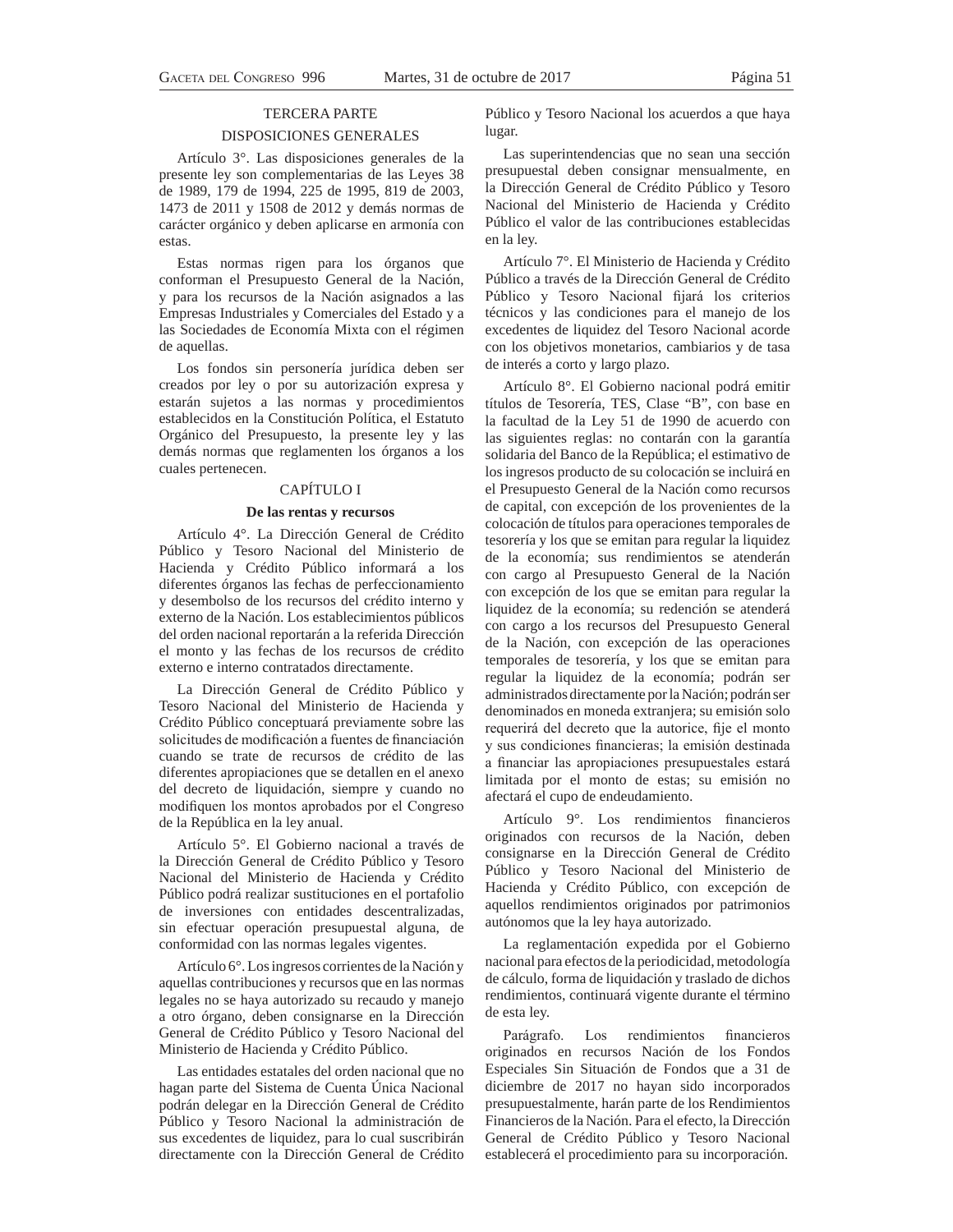### TERCERA PARTE

### DISPOSICIONES GENERALES

Artículo 3°. Las disposiciones generales de la presente ley son complementarias de las Leyes 38 de 1989, 179 de 1994, 225 de 1995, 819 de 2003, 1473 de 2011 y 1508 de 2012 y demás normas de carácter orgánico y deben aplicarse en armonía con estas.

Estas normas rigen para los órganos que conforman el Presupuesto General de la Nación, y para los recursos de la Nación asignados a las Empresas Industriales y Comerciales del Estado y a las Sociedades de Economía Mixta con el régimen de aquellas.

Los fondos sin personería jurídica deben ser creados por ley o por su autorización expresa y estarán sujetos a las normas y procedimientos establecidos en la Constitución Política, el Estatuto Orgánico del Presupuesto, la presente ley y las demás normas que reglamenten los órganos a los cuales pertenecen.

### CAPÍTULO I

### **De las rentas y recursos**

Artículo 4°. La Dirección General de Crédito Público y Tesoro Nacional del Ministerio de Hacienda y Crédito Público informará a los diferentes órganos las fechas de perfeccionamiento y desembolso de los recursos del crédito interno y externo de la Nación. Los establecimientos públicos del orden nacional reportarán a la referida Dirección el monto y las fechas de los recursos de crédito externo e interno contratados directamente.

La Dirección General de Crédito Público y Tesoro Nacional del Ministerio de Hacienda y Crédito Público conceptuará previamente sobre las solicitudes de modificación a fuentes de financiación cuando se trate de recursos de crédito de las diferentes apropiaciones que se detallen en el anexo del decreto de liquidación, siempre y cuando no modifiquen los montos aprobados por el Congreso de la República en la ley anual.

Artículo 5°. El Gobierno nacional a través de la Dirección General de Crédito Público y Tesoro Nacional del Ministerio de Hacienda y Crédito Público podrá realizar sustituciones en el portafolio de inversiones con entidades descentralizadas, sin efectuar operación presupuestal alguna, de conformidad con las normas legales vigentes.

Artículo 6°. Los ingresos corrientes de la Nación y aquellas contribuciones y recursos que en las normas legales no se haya autorizado su recaudo y manejo a otro órgano, deben consignarse en la Dirección General de Crédito Público y Tesoro Nacional del Ministerio de Hacienda y Crédito Público.

Las entidades estatales del orden nacional que no hagan parte del Sistema de Cuenta Única Nacional podrán delegar en la Dirección General de Crédito Público y Tesoro Nacional la administración de sus excedentes de liquidez, para lo cual suscribirán directamente con la Dirección General de Crédito

Público y Tesoro Nacional los acuerdos a que haya lugar.

Las superintendencias que no sean una sección presupuestal deben consignar mensualmente, en la Dirección General de Crédito Público y Tesoro Nacional del Ministerio de Hacienda y Crédito Público el valor de las contribuciones establecidas en la ley.

Artículo 7°. El Ministerio de Hacienda y Crédito Público a través de la Dirección General de Crédito Público y Tesoro Nacional fijará los criterios técnicos y las condiciones para el manejo de los excedentes de liquidez del Tesoro Nacional acorde con los objetivos monetarios, cambiarios y de tasa de interés a corto y largo plazo.

Artículo 8°. El Gobierno nacional podrá emitir títulos de Tesorería, TES, Clase "B", con base en la facultad de la Ley 51 de 1990 de acuerdo con las siguientes reglas: no contarán con la garantía solidaria del Banco de la República; el estimativo de los ingresos producto de su colocación se incluirá en el Presupuesto General de la Nación como recursos de capital, con excepción de los provenientes de la colocación de títulos para operaciones temporales de tesorería y los que se emitan para regular la liquidez de la economía; sus rendimientos se atenderán con cargo al Presupuesto General de la Nación con excepción de los que se emitan para regular la liquidez de la economía; su redención se atenderá con cargo a los recursos del Presupuesto General de la Nación, con excepción de las operaciones temporales de tesorería, y los que se emitan para regular la liquidez de la economía; podrán ser administrados directamente por la Nación; podrán ser denominados en moneda extranjera; su emisión solo requerirá del decreto que la autorice, fije el monto y sus condiciones financieras; la emisión destinada a financiar las apropiaciones presupuestales estará limitada por el monto de estas; su emisión no afectará el cupo de endeudamiento.

Artículo 9°. Los rendimientos financieros originados con recursos de la Nación, deben consignarse en la Dirección General de Crédito Público y Tesoro Nacional del Ministerio de Hacienda y Crédito Público, con excepción de aquellos rendimientos originados por patrimonios autónomos que la ley haya autorizado.

La reglamentación expedida por el Gobierno nacional para efectos de la periodicidad, metodología de cálculo, forma de liquidación y traslado de dichos rendimientos, continuará vigente durante el término de esta ley.

Parágrafo. Los rendimientos financieros originados en recursos Nación de los Fondos Especiales Sin Situación de Fondos que a 31 de diciembre de 2017 no hayan sido incorporados presupuestalmente, harán parte de los Rendimientos Financieros de la Nación. Para el efecto, la Dirección General de Crédito Público y Tesoro Nacional establecerá el procedimiento para su incorporación.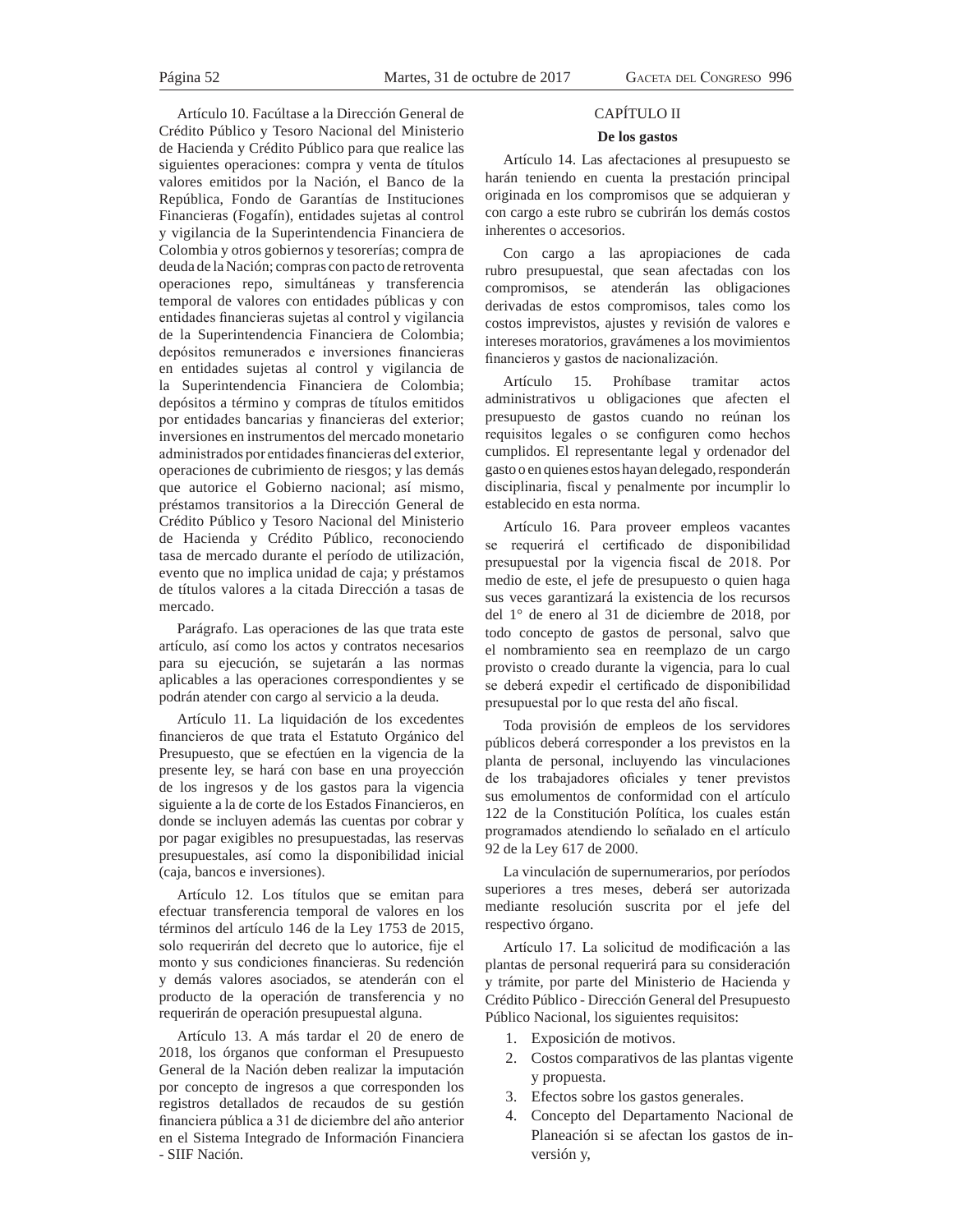Artículo 10. Facúltase a la Dirección General de Crédito Público y Tesoro Nacional del Ministerio de Hacienda y Crédito Público para que realice las siguientes operaciones: compra y venta de títulos valores emitidos por la Nación, el Banco de la República, Fondo de Garantías de Instituciones Financieras (Fogafín), entidades sujetas al control y vigilancia de la Superintendencia Financiera de Colombia y otros gobiernos y tesorerías; compra de deuda de la Nación; compras con pacto de retroventa operaciones repo, simultáneas y transferencia temporal de valores con entidades públicas y con entidades financieras sujetas al control y vigilancia de la Superintendencia Financiera de Colombia; depósitos remunerados e inversiones financieras en entidades sujetas al control y vigilancia de la Superintendencia Financiera de Colombia; depósitos a término y compras de títulos emitidos por entidades bancarias y financieras del exterior; inversiones en instrumentos del mercado monetario administrados por entidades financieras del exterior, operaciones de cubrimiento de riesgos; y las demás que autorice el Gobierno nacional; así mismo, préstamos transitorios a la Dirección General de Crédito Público y Tesoro Nacional del Ministerio de Hacienda y Crédito Público, reconociendo tasa de mercado durante el período de utilización, evento que no implica unidad de caja; y préstamos de títulos valores a la citada Dirección a tasas de mercado.

Parágrafo. Las operaciones de las que trata este artículo, así como los actos y contratos necesarios para su ejecución, se sujetarán a las normas aplicables a las operaciones correspondientes y se podrán atender con cargo al servicio a la deuda.

Artículo 11. La liquidación de los excedentes financieros de que trata el Estatuto Orgánico del Presupuesto, que se efectúen en la vigencia de la presente ley, se hará con base en una proyección de los ingresos y de los gastos para la vigencia siguiente a la de corte de los Estados Financieros, en donde se incluyen además las cuentas por cobrar y por pagar exigibles no presupuestadas, las reservas presupuestales, así como la disponibilidad inicial (caja, bancos e inversiones).

Artículo 12. Los títulos que se emitan para efectuar transferencia temporal de valores en los términos del artículo 146 de la Ley 1753 de 2015, solo requerirán del decreto que lo autorice, fije el monto y sus condiciones financieras. Su redención y demás valores asociados, se atenderán con el producto de la operación de transferencia y no requerirán de operación presupuestal alguna.

Artículo 13. A más tardar el 20 de enero de 2018, los órganos que conforman el Presupuesto General de la Nación deben realizar la imputación por concepto de ingresos a que corresponden los registros detallados de recaudos de su gestión financiera pública a 31 de diciembre del año anterior en el Sistema Integrado de Información Financiera - SIIF Nación.

### CAPÍTULO II

### **De los gastos**

Artículo 14. Las afectaciones al presupuesto se harán teniendo en cuenta la prestación principal originada en los compromisos que se adquieran y con cargo a este rubro se cubrirán los demás costos inherentes o accesorios.

Con cargo a las apropiaciones de cada rubro presupuestal, que sean afectadas con los compromisos, se atenderán las obligaciones derivadas de estos compromisos, tales como los costos imprevistos, ajustes y revisión de valores e intereses moratorios, gravámenes a los movimientos financieros y gastos de nacionalización.

Artículo 15. Prohíbase tramitar actos administrativos u obligaciones que afecten el presupuesto de gastos cuando no reúnan los requisitos legales o se configuren como hechos cumplidos. El representante legal y ordenador del gasto o en quienes estos hayan delegado, responderán disciplinaria, fiscal y penalmente por incumplir lo establecido en esta norma.

Artículo 16. Para proveer empleos vacantes se requerirá el certificado de disponibilidad presupuestal por la vigencia fiscal de 2018. Por medio de este, el jefe de presupuesto o quien haga sus veces garantizará la existencia de los recursos del 1° de enero al 31 de diciembre de 2018, por todo concepto de gastos de personal, salvo que el nombramiento sea en reemplazo de un cargo provisto o creado durante la vigencia, para lo cual se deberá expedir el certificado de disponibilidad presupuestal por lo que resta del año fiscal.

Toda provisión de empleos de los servidores públicos deberá corresponder a los previstos en la planta de personal, incluyendo las vinculaciones de los trabajadores oficiales y tener previstos sus emolumentos de conformidad con el artículo 122 de la Constitución Política, los cuales están programados atendiendo lo señalado en el artículo 92 de la Ley 617 de 2000.

La vinculación de supernumerarios, por períodos superiores a tres meses, deberá ser autorizada mediante resolución suscrita por el jefe del respectivo órgano.

Artículo 17. La solicitud de modificación a las plantas de personal requerirá para su consideración y trámite, por parte del Ministerio de Hacienda y Crédito Público - Dirección General del Presupuesto Público Nacional, los siguientes requisitos:

- 1. Exposición de motivos.
- 2. Costos comparativos de las plantas vigente y propuesta.
- 3. Efectos sobre los gastos generales.
- 4. Concepto del Departamento Nacional de Planeación si se afectan los gastos de inversión y,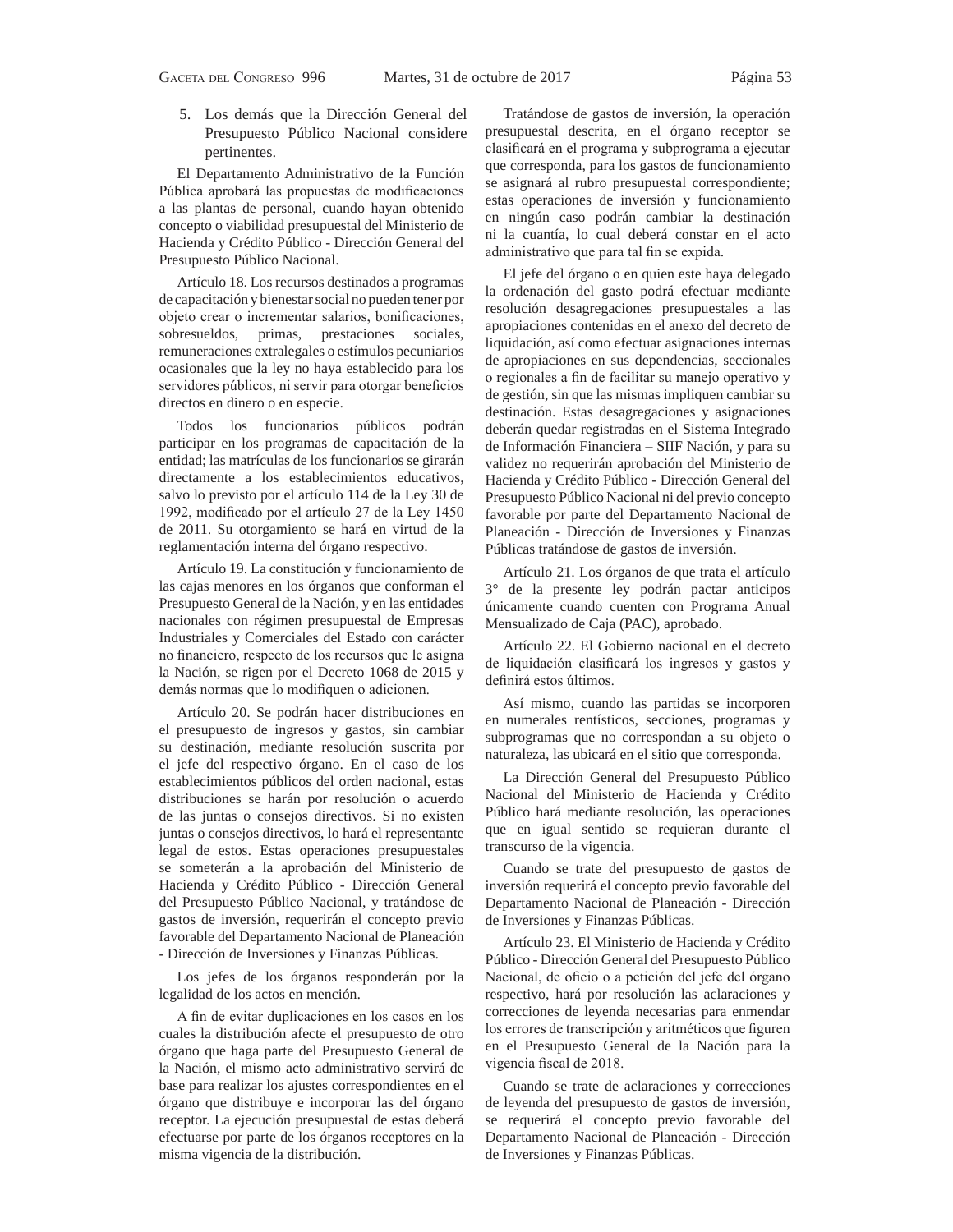5. Los demás que la Dirección General del Presupuesto Público Nacional considere pertinentes.

El Departamento Administrativo de la Función Pública aprobará las propuestas de modificaciones a las plantas de personal, cuando hayan obtenido concepto o viabilidad presupuestal del Ministerio de Hacienda y Crédito Público - Dirección General del Presupuesto Público Nacional.

Artículo 18. Los recursos destinados a programas de capacitación y bienestar social no pueden tener por objeto crear o incrementar salarios, bonificaciones, sobresueldos, primas, prestaciones sociales, remuneraciones extralegales o estímulos pecuniarios ocasionales que la ley no haya establecido para los servidores públicos, ni servir para otorgar beneficios directos en dinero o en especie.

Todos los funcionarios públicos podrán participar en los programas de capacitación de la entidad; las matrículas de los funcionarios se girarán directamente a los establecimientos educativos, salvo lo previsto por el artículo 114 de la Ley 30 de 1992, modificado por el artículo 27 de la Ley 1450 de 2011. Su otorgamiento se hará en virtud de la reglamentación interna del órgano respectivo.

Artículo 19. La constitución y funcionamiento de las cajas menores en los órganos que conforman el Presupuesto General de la Nación, y en las entidades nacionales con régimen presupuestal de Empresas Industriales y Comerciales del Estado con carácter no financiero, respecto de los recursos que le asigna la Nación, se rigen por el Decreto 1068 de 2015 y demás normas que lo modifiquen o adicionen.

Artículo 20. Se podrán hacer distribuciones en el presupuesto de ingresos y gastos, sin cambiar su destinación, mediante resolución suscrita por el jefe del respectivo órgano. En el caso de los establecimientos públicos del orden nacional, estas distribuciones se harán por resolución o acuerdo de las juntas o consejos directivos. Si no existen juntas o consejos directivos, lo hará el representante legal de estos. Estas operaciones presupuestales se someterán a la aprobación del Ministerio de Hacienda y Crédito Público - Dirección General del Presupuesto Público Nacional, y tratándose de gastos de inversión, requerirán el concepto previo favorable del Departamento Nacional de Planeación - Dirección de Inversiones y Finanzas Públicas.

Los jefes de los órganos responderán por la legalidad de los actos en mención.

A fin de evitar duplicaciones en los casos en los cuales la distribución afecte el presupuesto de otro órgano que haga parte del Presupuesto General de la Nación, el mismo acto administrativo servirá de base para realizar los ajustes correspondientes en el órgano que distribuye e incorporar las del órgano receptor. La ejecución presupuestal de estas deberá efectuarse por parte de los órganos receptores en la misma vigencia de la distribución.

Tratándose de gastos de inversión, la operación presupuestal descrita, en el órgano receptor se clasificará en el programa y subprograma a ejecutar que corresponda, para los gastos de funcionamiento se asignará al rubro presupuestal correspondiente; estas operaciones de inversión y funcionamiento en ningún caso podrán cambiar la destinación ni la cuantía, lo cual deberá constar en el acto administrativo que para tal fin se expida.

El jefe del órgano o en quien este haya delegado la ordenación del gasto podrá efectuar mediante resolución desagregaciones presupuestales a las apropiaciones contenidas en el anexo del decreto de liquidación, así como efectuar asignaciones internas de apropiaciones en sus dependencias, seccionales o regionales a fin de facilitar su manejo operativo y de gestión, sin que las mismas impliquen cambiar su destinación. Estas desagregaciones y asignaciones deberán quedar registradas en el Sistema Integrado de Información Financiera – SIIF Nación, y para su validez no requerirán aprobación del Ministerio de Hacienda y Crédito Público - Dirección General del Presupuesto Público Nacional ni del previo concepto favorable por parte del Departamento Nacional de Planeación - Dirección de Inversiones y Finanzas Públicas tratándose de gastos de inversión.

Artículo 21. Los órganos de que trata el artículo 3° de la presente ley podrán pactar anticipos únicamente cuando cuenten con Programa Anual Mensualizado de Caja (PAC), aprobado.

Artículo 22. El Gobierno nacional en el decreto de liquidación clasificará los ingresos y gastos y definirá estos últimos.

Así mismo, cuando las partidas se incorporen en numerales rentísticos, secciones, programas y subprogramas que no correspondan a su objeto o naturaleza, las ubicará en el sitio que corresponda.

La Dirección General del Presupuesto Público Nacional del Ministerio de Hacienda y Crédito Público hará mediante resolución, las operaciones que en igual sentido se requieran durante el transcurso de la vigencia.

Cuando se trate del presupuesto de gastos de inversión requerirá el concepto previo favorable del Departamento Nacional de Planeación - Dirección de Inversiones y Finanzas Públicas.

Artículo 23. El Ministerio de Hacienda y Crédito Público - Dirección General del Presupuesto Público Nacional, de oficio o a petición del jefe del órgano respectivo, hará por resolución las aclaraciones y correcciones de leyenda necesarias para enmendar los errores de transcripción y aritméticos que figuren en el Presupuesto General de la Nación para la vigencia fiscal de 2018.

Cuando se trate de aclaraciones y correcciones de leyenda del presupuesto de gastos de inversión, se requerirá el concepto previo favorable del Departamento Nacional de Planeación - Dirección de Inversiones y Finanzas Públicas.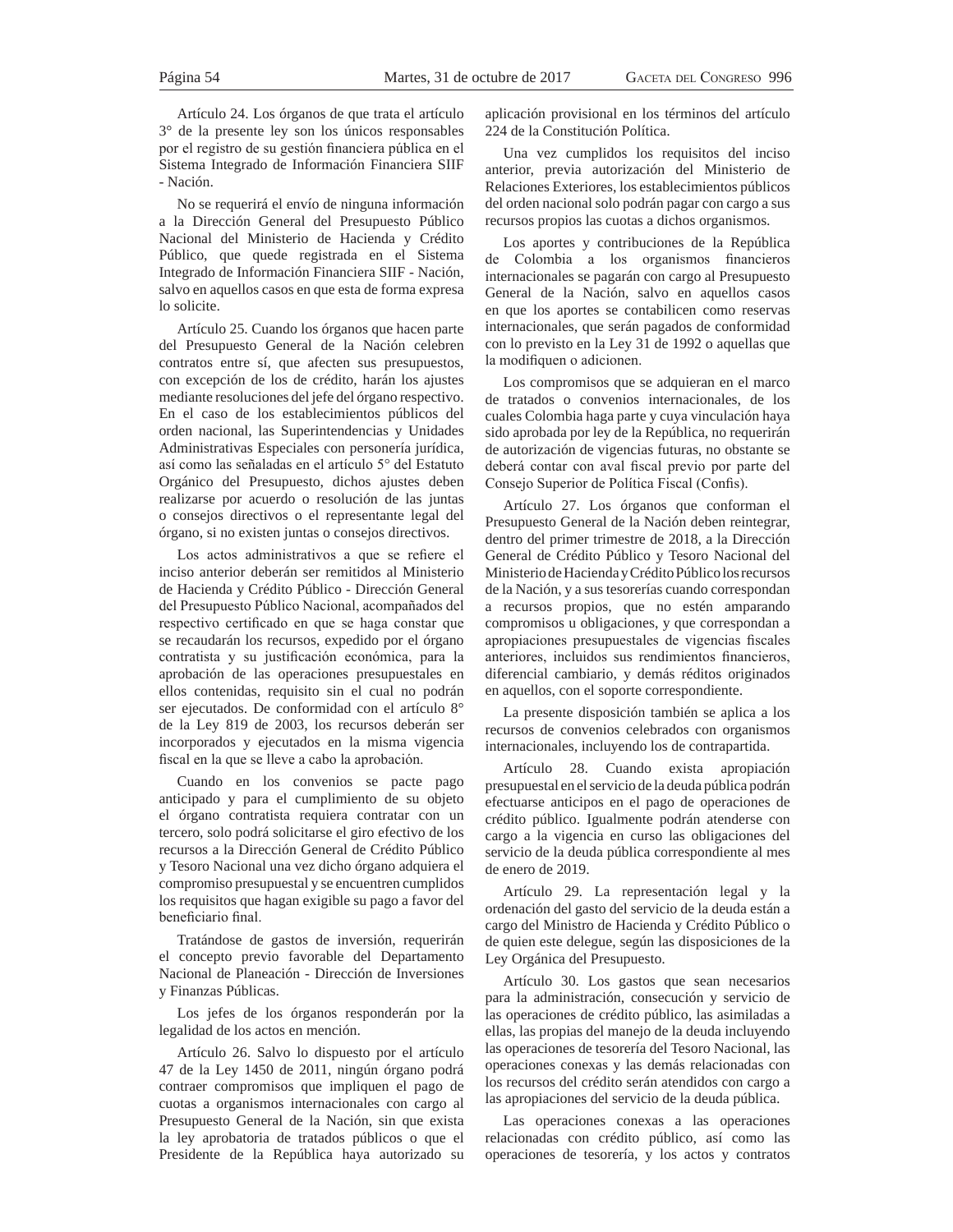Artículo 24. Los órganos de que trata el artículo 3° de la presente ley son los únicos responsables por el registro de su gestión financiera pública en el Sistema Integrado de Información Financiera SIIF - Nación.

No se requerirá el envío de ninguna información a la Dirección General del Presupuesto Público Nacional del Ministerio de Hacienda y Crédito Público, que quede registrada en el Sistema Integrado de Información Financiera SIIF - Nación, salvo en aquellos casos en que esta de forma expresa lo solicite.

Artículo 25. Cuando los órganos que hacen parte del Presupuesto General de la Nación celebren contratos entre sí, que afecten sus presupuestos, con excepción de los de crédito, harán los ajustes mediante resoluciones del jefe del órgano respectivo. En el caso de los establecimientos públicos del orden nacional, las Superintendencias y Unidades Administrativas Especiales con personería jurídica, así como las señaladas en el artículo 5° del Estatuto Orgánico del Presupuesto, dichos ajustes deben realizarse por acuerdo o resolución de las juntas o consejos directivos o el representante legal del órgano, si no existen juntas o consejos directivos.

Los actos administrativos a que se refiere el inciso anterior deberán ser remitidos al Ministerio de Hacienda y Crédito Público - Dirección General del Presupuesto Público Nacional, acompañados del respectivo certificado en que se haga constar que se recaudarán los recursos, expedido por el órgano contratista y su justificación económica, para la aprobación de las operaciones presupuestales en ellos contenidas, requisito sin el cual no podrán ser ejecutados. De conformidad con el artículo 8° de la Ley 819 de 2003, los recursos deberán ser incorporados y ejecutados en la misma vigencia fiscal en la que se lleve a cabo la aprobación.

Cuando en los convenios se pacte pago anticipado y para el cumplimiento de su objeto el órgano contratista requiera contratar con un tercero, solo podrá solicitarse el giro efectivo de los recursos a la Dirección General de Crédito Público y Tesoro Nacional una vez dicho órgano adquiera el compromiso presupuestal y se encuentren cumplidos los requisitos que hagan exigible su pago a favor del beneficiario final.

Tratándose de gastos de inversión, requerirán el concepto previo favorable del Departamento Nacional de Planeación - Dirección de Inversiones y Finanzas Públicas.

Los jefes de los órganos responderán por la legalidad de los actos en mención.

Artículo 26. Salvo lo dispuesto por el artículo 47 de la Ley 1450 de 2011, ningún órgano podrá contraer compromisos que impliquen el pago de cuotas a organismos internacionales con cargo al Presupuesto General de la Nación, sin que exista la ley aprobatoria de tratados públicos o que el Presidente de la República haya autorizado su

aplicación provisional en los términos del artículo 224 de la Constitución Política.

Una vez cumplidos los requisitos del inciso anterior, previa autorización del Ministerio de Relaciones Exteriores, los establecimientos públicos del orden nacional solo podrán pagar con cargo a sus recursos propios las cuotas a dichos organismos.

Los aportes y contribuciones de la República de Colombia a los organismos financieros internacionales se pagarán con cargo al Presupuesto General de la Nación, salvo en aquellos casos en que los aportes se contabilicen como reservas internacionales, que serán pagados de conformidad con lo previsto en la Ley 31 de 1992 o aquellas que la modifiquen o adicionen.

Los compromisos que se adquieran en el marco de tratados o convenios internacionales, de los cuales Colombia haga parte y cuya vinculación haya sido aprobada por ley de la República, no requerirán de autorización de vigencias futuras, no obstante se deberá contar con aval fiscal previo por parte del Consejo Superior de Política Fiscal (Confis).

Artículo 27. Los órganos que conforman el Presupuesto General de la Nación deben reintegrar, dentro del primer trimestre de 2018, a la Dirección General de Crédito Público y Tesoro Nacional del Ministerio de Hacienda y Crédito Público los recursos de la Nación, y a sus tesorerías cuando correspondan a recursos propios, que no estén amparando compromisos u obligaciones, y que correspondan a apropiaciones presupuestales de vigencias fiscales anteriores, incluidos sus rendimientos financieros, diferencial cambiario, y demás réditos originados en aquellos, con el soporte correspondiente.

La presente disposición también se aplica a los recursos de convenios celebrados con organismos internacionales, incluyendo los de contrapartida.

Artículo 28. Cuando exista apropiación presupuestal en el servicio de la deuda pública podrán efectuarse anticipos en el pago de operaciones de crédito público. Igualmente podrán atenderse con cargo a la vigencia en curso las obligaciones del servicio de la deuda pública correspondiente al mes de enero de 2019.

Artículo 29. La representación legal y la ordenación del gasto del servicio de la deuda están a cargo del Ministro de Hacienda y Crédito Público o de quien este delegue, según las disposiciones de la Ley Orgánica del Presupuesto.

Artículo 30. Los gastos que sean necesarios para la administración, consecución y servicio de las operaciones de crédito público, las asimiladas a ellas, las propias del manejo de la deuda incluyendo las operaciones de tesorería del Tesoro Nacional, las operaciones conexas y las demás relacionadas con los recursos del crédito serán atendidos con cargo a las apropiaciones del servicio de la deuda pública.

Las operaciones conexas a las operaciones relacionadas con crédito público, así como las operaciones de tesorería, y los actos y contratos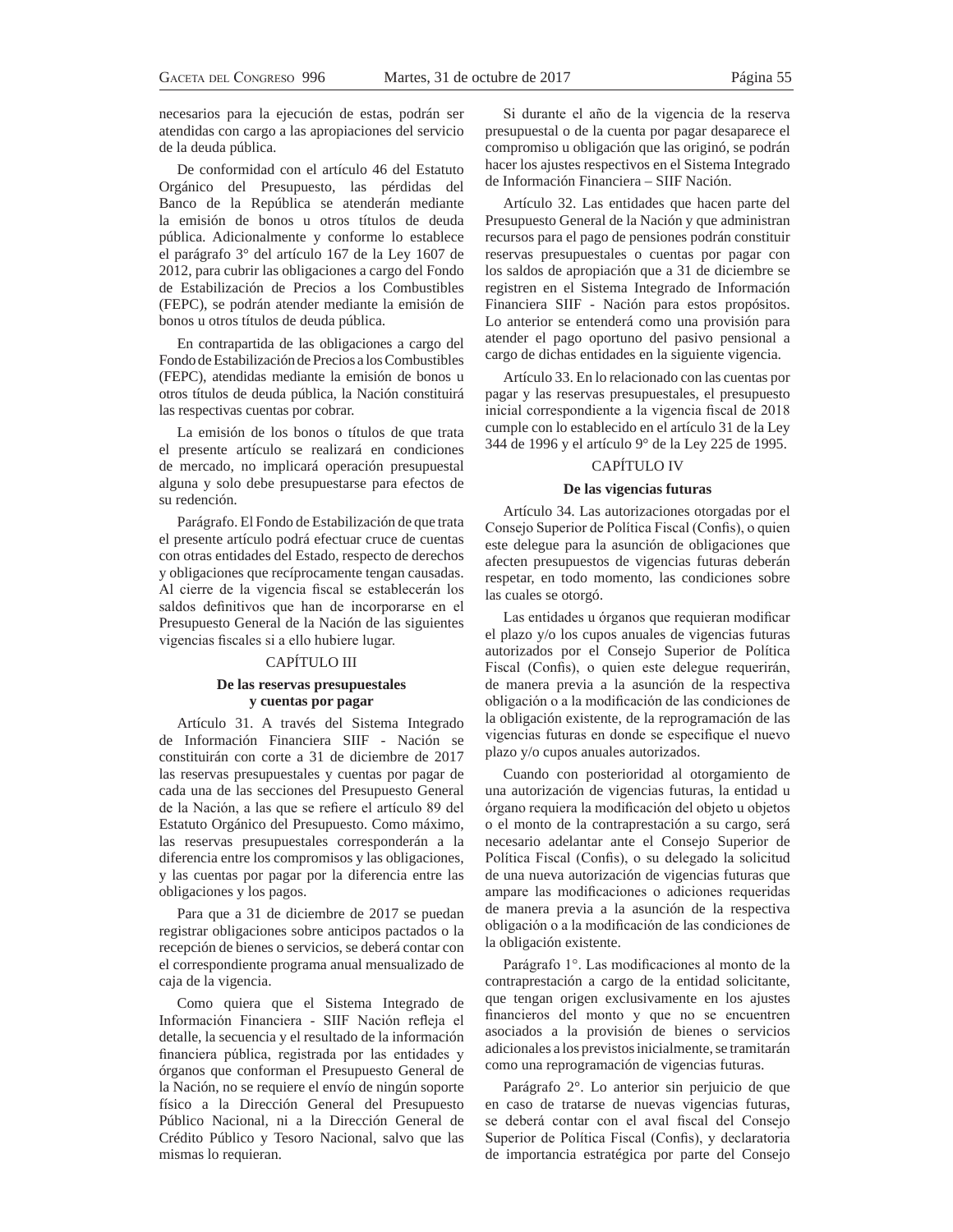necesarios para la ejecución de estas, podrán ser atendidas con cargo a las apropiaciones del servicio de la deuda pública.

De conformidad con el artículo 46 del Estatuto Orgánico del Presupuesto, las pérdidas del Banco de la República se atenderán mediante la emisión de bonos u otros títulos de deuda pública. Adicionalmente y conforme lo establece el parágrafo 3° del artículo 167 de la Ley 1607 de 2012, para cubrir las obligaciones a cargo del Fondo de Estabilización de Precios a los Combustibles (FEPC), se podrán atender mediante la emisión de bonos u otros títulos de deuda pública.

En contrapartida de las obligaciones a cargo del Fondo de Estabilización de Precios a los Combustibles (FEPC), atendidas mediante la emisión de bonos u otros títulos de deuda pública, la Nación constituirá las respectivas cuentas por cobrar.

La emisión de los bonos o títulos de que trata el presente artículo se realizará en condiciones de mercado, no implicará operación presupuestal alguna y solo debe presupuestarse para efectos de su redención.

Parágrafo. El Fondo de Estabilización de que trata el presente artículo podrá efectuar cruce de cuentas con otras entidades del Estado, respecto de derechos y obligaciones que recíprocamente tengan causadas. Al cierre de la vigencia fiscal se establecerán los saldos definitivos que han de incorporarse en el Presupuesto General de la Nación de las siguientes vigencias fiscales si a ello hubiere lugar.

### CAPÍTULO III

### **De las reservas presupuestales y cuentas por pagar**

Artículo 31. A través del Sistema Integrado de Información Financiera SIIF - Nación se constituirán con corte a 31 de diciembre de 2017 las reservas presupuestales y cuentas por pagar de cada una de las secciones del Presupuesto General de la Nación, a las que se refiere el artículo 89 del Estatuto Orgánico del Presupuesto. Como máximo, las reservas presupuestales corresponderán a la diferencia entre los compromisos y las obligaciones, y las cuentas por pagar por la diferencia entre las obligaciones y los pagos.

Para que a 31 de diciembre de 2017 se puedan registrar obligaciones sobre anticipos pactados o la recepción de bienes o servicios, se deberá contar con el correspondiente programa anual mensualizado de caja de la vigencia.

Como quiera que el Sistema Integrado de Información Financiera - SIIF Nación refleja el detalle, la secuencia y el resultado de la información financiera pública, registrada por las entidades y órganos que conforman el Presupuesto General de la Nación, no se requiere el envío de ningún soporte físico a la Dirección General del Presupuesto Público Nacional, ni a la Dirección General de Crédito Público y Tesoro Nacional, salvo que las mismas lo requieran.

Si durante el año de la vigencia de la reserva presupuestal o de la cuenta por pagar desaparece el compromiso u obligación que las originó, se podrán hacer los ajustes respectivos en el Sistema Integrado de Información Financiera – SIIF Nación.

Artículo 32. Las entidades que hacen parte del Presupuesto General de la Nación y que administran recursos para el pago de pensiones podrán constituir reservas presupuestales o cuentas por pagar con los saldos de apropiación que a 31 de diciembre se registren en el Sistema Integrado de Información Financiera SIIF - Nación para estos propósitos. Lo anterior se entenderá como una provisión para atender el pago oportuno del pasivo pensional a cargo de dichas entidades en la siguiente vigencia.

Artículo 33. En lo relacionado con las cuentas por pagar y las reservas presupuestales, el presupuesto inicial correspondiente a la vigencia fiscal de 2018 cumple con lo establecido en el artículo 31 de la Ley 344 de 1996 y el artículo 9° de la Ley 225 de 1995.

### CAPÍTULO IV

### **De las vigencias futuras**

Artículo 34. Las autorizaciones otorgadas por el Consejo Superior de Política Fiscal (Confis), o quien este delegue para la asunción de obligaciones que afecten presupuestos de vigencias futuras deberán respetar, en todo momento, las condiciones sobre las cuales se otorgó.

Las entidades u órganos que requieran modificar el plazo y/o los cupos anuales de vigencias futuras autorizados por el Consejo Superior de Política Fiscal (Confis), o quien este delegue requerirán, de manera previa a la asunción de la respectiva obligación o a la modificación de las condiciones de la obligación existente, de la reprogramación de las vigencias futuras en donde se especifique el nuevo plazo y/o cupos anuales autorizados.

Cuando con posterioridad al otorgamiento de una autorización de vigencias futuras, la entidad u órgano requiera la modificación del objeto u objetos o el monto de la contraprestación a su cargo, será necesario adelantar ante el Consejo Superior de Política Fiscal (Confis), o su delegado la solicitud de una nueva autorización de vigencias futuras que ampare las modificaciones o adiciones requeridas de manera previa a la asunción de la respectiva obligación o a la modificación de las condiciones de la obligación existente.

Parágrafo 1°. Las modificaciones al monto de la contraprestación a cargo de la entidad solicitante, que tengan origen exclusivamente en los ajustes financieros del monto y que no se encuentren asociados a la provisión de bienes o servicios adicionales a los previstos inicialmente, se tramitarán como una reprogramación de vigencias futuras.

Parágrafo 2°. Lo anterior sin perjuicio de que en caso de tratarse de nuevas vigencias futuras, se deberá contar con el aval fiscal del Consejo Superior de Política Fiscal (Confis), y declaratoria de importancia estratégica por parte del Consejo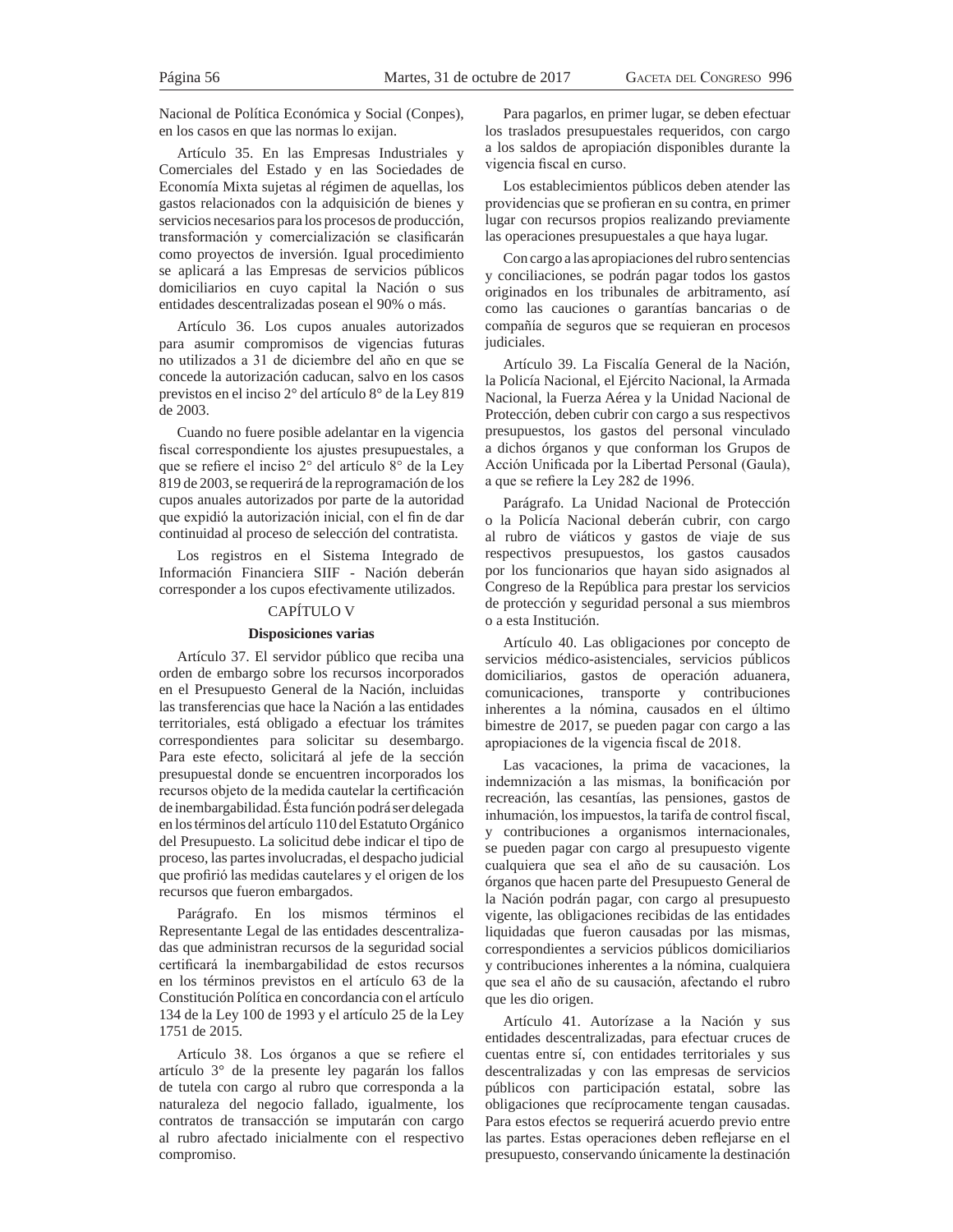Nacional de Política Económica y Social (Conpes), en los casos en que las normas lo exijan.

Artículo 35. En las Empresas Industriales y Comerciales del Estado y en las Sociedades de Economía Mixta sujetas al régimen de aquellas, los gastos relacionados con la adquisición de bienes y servicios necesarios para los procesos de producción, transformación y comercialización se clasificarán como proyectos de inversión. Igual procedimiento se aplicará a las Empresas de servicios públicos domiciliarios en cuyo capital la Nación o sus entidades descentralizadas posean el 90% o más.

Artículo 36. Los cupos anuales autorizados para asumir compromisos de vigencias futuras no utilizados a 31 de diciembre del año en que se concede la autorización caducan, salvo en los casos previstos en el inciso 2° del artículo 8° de la Ley 819 de 2003.

Cuando no fuere posible adelantar en la vigencia fiscal correspondiente los ajustes presupuestales, a que se refiere el inciso 2° del artículo 8° de la Ley 819 de 2003, se requerirá de la reprogramación de los cupos anuales autorizados por parte de la autoridad que expidió la autorización inicial, con el fin de dar continuidad al proceso de selección del contratista.

Los registros en el Sistema Integrado de Información Financiera SIIF - Nación deberán corresponder a los cupos efectivamente utilizados.

### CAPÍTULO V

### **Disposiciones varias**

Artículo 37. El servidor público que reciba una orden de embargo sobre los recursos incorporados en el Presupuesto General de la Nación, incluidas las transferencias que hace la Nación a las entidades territoriales, está obligado a efectuar los trámites correspondientes para solicitar su desembargo. Para este efecto, solicitará al jefe de la sección presupuestal donde se encuentren incorporados los recursos objeto de la medida cautelar la certificación de inembargabilidad. Ésta función podrá ser delegada en los términos del artículo 110 del Estatuto Orgánico del Presupuesto. La solicitud debe indicar el tipo de proceso, las partes involucradas, el despacho judicial que profirió las medidas cautelares y el origen de los recursos que fueron embargados.

Parágrafo. En los mismos términos el Representante Legal de las entidades descentralizadas que administran recursos de la seguridad social certificará la inembargabilidad de estos recursos en los términos previstos en el artículo 63 de la Constitución Política en concordancia con el artículo 134 de la Ley 100 de 1993 y el artículo 25 de la Ley 1751 de 2015.

Artículo 38. Los órganos a que se refiere el artículo 3° de la presente ley pagarán los fallos de tutela con cargo al rubro que corresponda a la naturaleza del negocio fallado, igualmente, los contratos de transacción se imputarán con cargo al rubro afectado inicialmente con el respectivo compromiso.

Para pagarlos, en primer lugar, se deben efectuar los traslados presupuestales requeridos, con cargo a los saldos de apropiación disponibles durante la vigencia fiscal en curso.

Los establecimientos públicos deben atender las providencias que se profieran en su contra, en primer lugar con recursos propios realizando previamente las operaciones presupuestales a que haya lugar.

Con cargo a las apropiaciones del rubro sentencias y conciliaciones, se podrán pagar todos los gastos originados en los tribunales de arbitramento, así como las cauciones o garantías bancarias o de compañía de seguros que se requieran en procesos judiciales.

Artículo 39. La Fiscalía General de la Nación, la Policía Nacional, el Ejército Nacional, la Armada Nacional, la Fuerza Aérea y la Unidad Nacional de Protección, deben cubrir con cargo a sus respectivos presupuestos, los gastos del personal vinculado a dichos órganos y que conforman los Grupos de Acción Unificada por la Libertad Personal (Gaula), a que se refiere la Ley 282 de 1996.

Parágrafo. La Unidad Nacional de Protección o la Policía Nacional deberán cubrir, con cargo al rubro de viáticos y gastos de viaje de sus respectivos presupuestos, los gastos causados por los funcionarios que hayan sido asignados al Congreso de la República para prestar los servicios de protección y seguridad personal a sus miembros o a esta Institución.

Artículo 40. Las obligaciones por concepto de servicios médico-asistenciales, servicios públicos domiciliarios, gastos de operación aduanera, comunicaciones, transporte y contribuciones inherentes a la nómina, causados en el último bimestre de 2017, se pueden pagar con cargo a las apropiaciones de la vigencia fiscal de 2018.

Las vacaciones, la prima de vacaciones, la indemnización a las mismas, la bonificación por recreación, las cesantías, las pensiones, gastos de inhumación, los impuestos, la tarifa de control fiscal, y contribuciones a organismos internacionales, se pueden pagar con cargo al presupuesto vigente cualquiera que sea el año de su causación. Los órganos que hacen parte del Presupuesto General de la Nación podrán pagar, con cargo al presupuesto vigente, las obligaciones recibidas de las entidades liquidadas que fueron causadas por las mismas, correspondientes a servicios públicos domiciliarios y contribuciones inherentes a la nómina, cualquiera que sea el año de su causación, afectando el rubro que les dio origen.

Artículo 41. Autorízase a la Nación y sus entidades descentralizadas, para efectuar cruces de cuentas entre sí, con entidades territoriales y sus descentralizadas y con las empresas de servicios públicos con participación estatal, sobre las obligaciones que recíprocamente tengan causadas. Para estos efectos se requerirá acuerdo previo entre las partes. Estas operaciones deben reflejarse en el presupuesto, conservando únicamente la destinación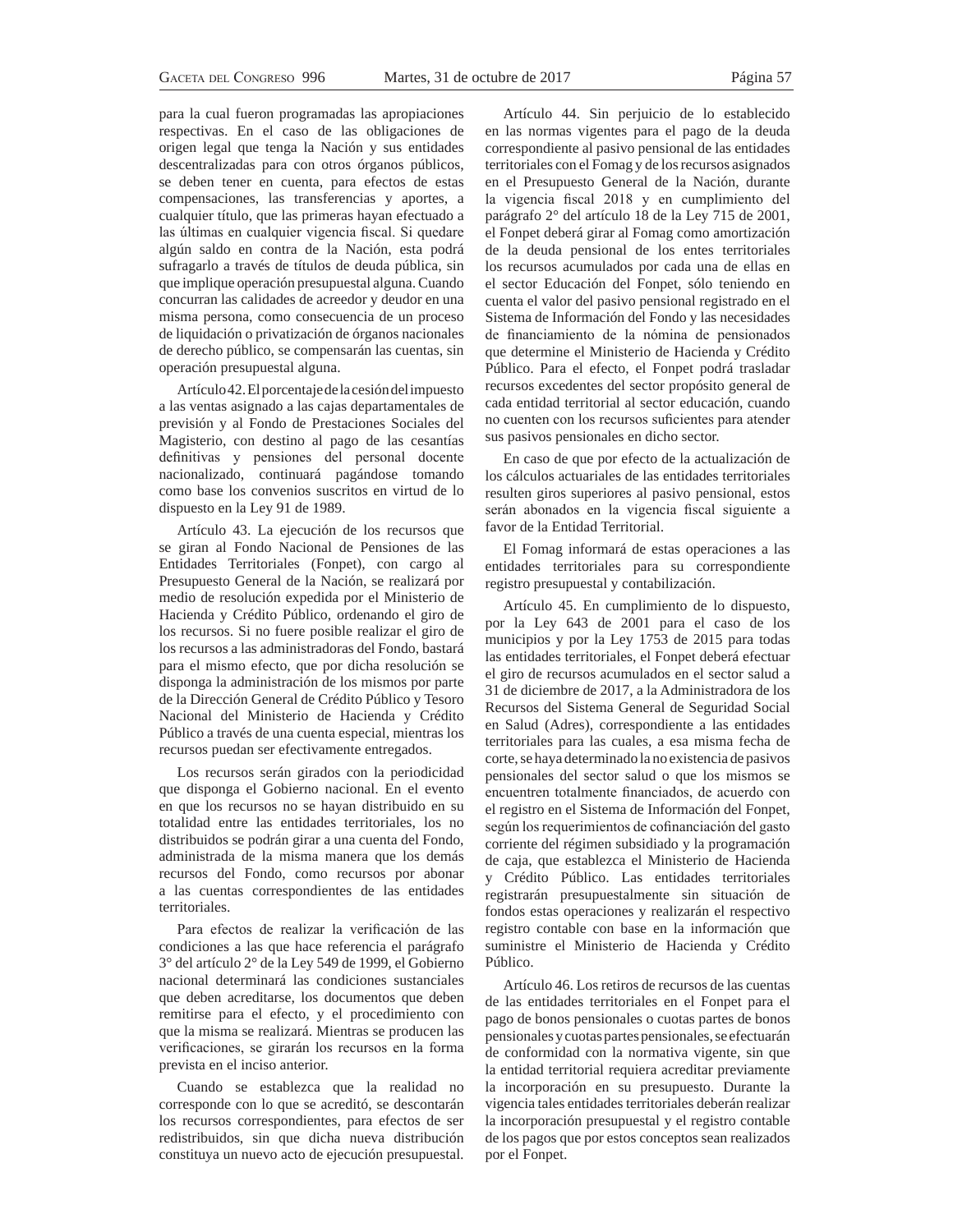para la cual fueron programadas las apropiaciones respectivas. En el caso de las obligaciones de origen legal que tenga la Nación y sus entidades descentralizadas para con otros órganos públicos, se deben tener en cuenta, para efectos de estas compensaciones, las transferencias y aportes, a cualquier título, que las primeras hayan efectuado a las últimas en cualquier vigencia fiscal. Si quedare algún saldo en contra de la Nación, esta podrá sufragarlo a través de títulos de deuda pública, sin que implique operación presupuestal alguna. Cuando concurran las calidades de acreedor y deudor en una misma persona, como consecuencia de un proceso de liquidación o privatización de órganos nacionales de derecho público, se compensarán las cuentas, sin operación presupuestal alguna.

Artículo 42. El porcentaje de la cesión del impuesto a las ventas asignado a las cajas departamentales de previsión y al Fondo de Prestaciones Sociales del Magisterio, con destino al pago de las cesantías definitivas y pensiones del personal docente nacionalizado, continuará pagándose tomando como base los convenios suscritos en virtud de lo dispuesto en la Ley 91 de 1989.

Artículo 43. La ejecución de los recursos que se giran al Fondo Nacional de Pensiones de las Entidades Territoriales (Fonpet), con cargo al Presupuesto General de la Nación, se realizará por medio de resolución expedida por el Ministerio de Hacienda y Crédito Público, ordenando el giro de los recursos. Si no fuere posible realizar el giro de los recursos a las administradoras del Fondo, bastará para el mismo efecto, que por dicha resolución se disponga la administración de los mismos por parte de la Dirección General de Crédito Público y Tesoro Nacional del Ministerio de Hacienda y Crédito Público a través de una cuenta especial, mientras los recursos puedan ser efectivamente entregados.

Los recursos serán girados con la periodicidad que disponga el Gobierno nacional. En el evento en que los recursos no se hayan distribuido en su totalidad entre las entidades territoriales, los no distribuidos se podrán girar a una cuenta del Fondo, administrada de la misma manera que los demás recursos del Fondo, como recursos por abonar a las cuentas correspondientes de las entidades territoriales.

Para efectos de realizar la verificación de las condiciones a las que hace referencia el parágrafo 3° del artículo 2° de la Ley 549 de 1999, el Gobierno nacional determinará las condiciones sustanciales que deben acreditarse, los documentos que deben remitirse para el efecto, y el procedimiento con que la misma se realizará. Mientras se producen las verificaciones, se girarán los recursos en la forma prevista en el inciso anterior.

Cuando se establezca que la realidad no corresponde con lo que se acreditó, se descontarán los recursos correspondientes, para efectos de ser redistribuidos, sin que dicha nueva distribución constituya un nuevo acto de ejecución presupuestal.

Artículo 44. Sin perjuicio de lo establecido en las normas vigentes para el pago de la deuda correspondiente al pasivo pensional de las entidades territoriales con el Fomag y de los recursos asignados en el Presupuesto General de la Nación, durante la vigencia fiscal 2018 y en cumplimiento del parágrafo 2° del artículo 18 de la Ley 715 de 2001, el Fonpet deberá girar al Fomag como amortización de la deuda pensional de los entes territoriales los recursos acumulados por cada una de ellas en el sector Educación del Fonpet, sólo teniendo en cuenta el valor del pasivo pensional registrado en el Sistema de Información del Fondo y las necesidades de financiamiento de la nómina de pensionados que determine el Ministerio de Hacienda y Crédito Público. Para el efecto, el Fonpet podrá trasladar recursos excedentes del sector propósito general de cada entidad territorial al sector educación, cuando no cuenten con los recursos suficientes para atender sus pasivos pensionales en dicho sector.

En caso de que por efecto de la actualización de los cálculos actuariales de las entidades territoriales resulten giros superiores al pasivo pensional, estos serán abonados en la vigencia fiscal siguiente a favor de la Entidad Territorial.

El Fomag informará de estas operaciones a las entidades territoriales para su correspondiente registro presupuestal y contabilización.

Artículo 45. En cumplimiento de lo dispuesto, por la Ley 643 de 2001 para el caso de los municipios y por la Ley 1753 de 2015 para todas las entidades territoriales, el Fonpet deberá efectuar el giro de recursos acumulados en el sector salud a 31 de diciembre de 2017, a la Administradora de los Recursos del Sistema General de Seguridad Social en Salud (Adres), correspondiente a las entidades territoriales para las cuales, a esa misma fecha de corte, se haya determinado la no existencia de pasivos pensionales del sector salud o que los mismos se encuentren totalmente financiados, de acuerdo con el registro en el Sistema de Información del Fonpet, según los requerimientos de cofinanciación del gasto corriente del régimen subsidiado y la programación de caja, que establezca el Ministerio de Hacienda y Crédito Público. Las entidades territoriales registrarán presupuestalmente sin situación de fondos estas operaciones y realizarán el respectivo registro contable con base en la información que suministre el Ministerio de Hacienda y Crédito Público.

Artículo 46. Los retiros de recursos de las cuentas de las entidades territoriales en el Fonpet para el pago de bonos pensionales o cuotas partes de bonos pensionales y cuotas partes pensionales, se efectuarán de conformidad con la normativa vigente, sin que la entidad territorial requiera acreditar previamente la incorporación en su presupuesto. Durante la vigencia tales entidades territoriales deberán realizar la incorporación presupuestal y el registro contable de los pagos que por estos conceptos sean realizados por el Fonpet.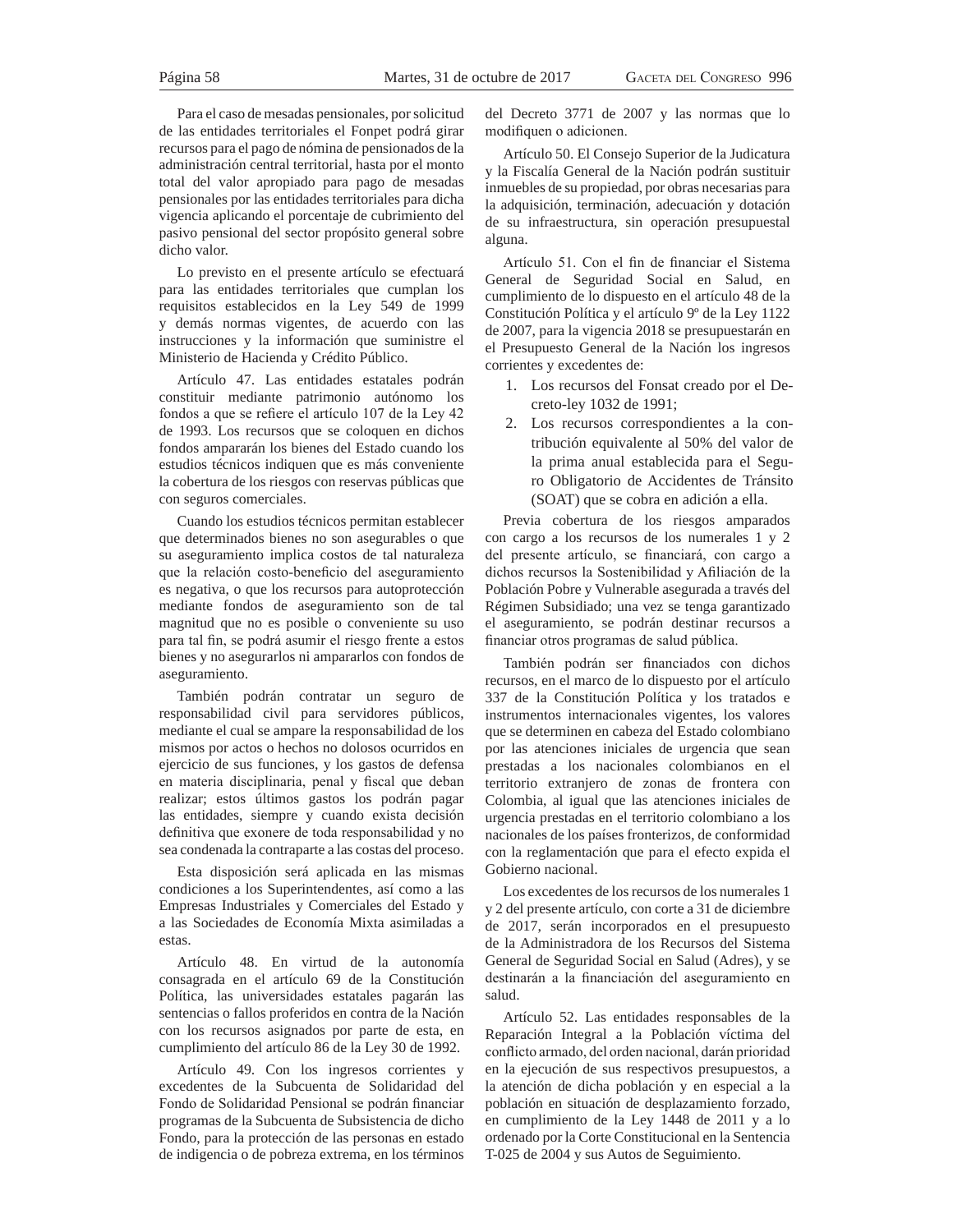Para el caso de mesadas pensionales, por solicitud de las entidades territoriales el Fonpet podrá girar recursos para el pago de nómina de pensionados de la administración central territorial, hasta por el monto total del valor apropiado para pago de mesadas pensionales por las entidades territoriales para dicha vigencia aplicando el porcentaje de cubrimiento del pasivo pensional del sector propósito general sobre dicho valor.

Lo previsto en el presente artículo se efectuará para las entidades territoriales que cumplan los requisitos establecidos en la Ley 549 de 1999 y demás normas vigentes, de acuerdo con las instrucciones y la información que suministre el Ministerio de Hacienda y Crédito Público.

Artículo 47. Las entidades estatales podrán constituir mediante patrimonio autónomo los fondos a que se refiere el artículo 107 de la Ley 42 de 1993. Los recursos que se coloquen en dichos fondos ampararán los bienes del Estado cuando los estudios técnicos indiquen que es más conveniente la cobertura de los riesgos con reservas públicas que con seguros comerciales.

Cuando los estudios técnicos permitan establecer que determinados bienes no son asegurables o que su aseguramiento implica costos de tal naturaleza que la relación costo-beneficio del aseguramiento es negativa, o que los recursos para autoprotección mediante fondos de aseguramiento son de tal magnitud que no es posible o conveniente su uso para tal fin, se podrá asumir el riesgo frente a estos bienes y no asegurarlos ni ampararlos con fondos de aseguramiento.

También podrán contratar un seguro de responsabilidad civil para servidores públicos, mediante el cual se ampare la responsabilidad de los mismos por actos o hechos no dolosos ocurridos en ejercicio de sus funciones, y los gastos de defensa en materia disciplinaria, penal y fiscal que deban realizar; estos últimos gastos los podrán pagar las entidades, siempre y cuando exista decisión definitiva que exonere de toda responsabilidad y no sea condenada la contraparte a las costas del proceso.

Esta disposición será aplicada en las mismas condiciones a los Superintendentes, así como a las Empresas Industriales y Comerciales del Estado y a las Sociedades de Economía Mixta asimiladas a estas.

Artículo 48. En virtud de la autonomía consagrada en el artículo 69 de la Constitución Política, las universidades estatales pagarán las sentencias o fallos proferidos en contra de la Nación con los recursos asignados por parte de esta, en cumplimiento del artículo 86 de la Ley 30 de 1992.

Artículo 49. Con los ingresos corrientes y excedentes de la Subcuenta de Solidaridad del Fondo de Solidaridad Pensional se podrán financiar programas de la Subcuenta de Subsistencia de dicho Fondo, para la protección de las personas en estado de indigencia o de pobreza extrema, en los términos

del Decreto 3771 de 2007 y las normas que lo modifiquen o adicionen.

Artículo 50. El Consejo Superior de la Judicatura y la Fiscalía General de la Nación podrán sustituir inmuebles de su propiedad, por obras necesarias para la adquisición, terminación, adecuación y dotación de su infraestructura, sin operación presupuestal alguna.

Artículo 51. Con el fin de financiar el Sistema General de Seguridad Social en Salud, en cumplimiento de lo dispuesto en el artículo 48 de la Constitución Política y el artículo 9º de la Ley 1122 de 2007, para la vigencia 2018 se presupuestarán en el Presupuesto General de la Nación los ingresos corrientes y excedentes de:

- 1. Los recursos del Fonsat creado por el Decreto-ley 1032 de 1991;
- 2. Los recursos correspondientes a la contribución equivalente al 50% del valor de la prima anual establecida para el Seguro Obligatorio de Accidentes de Tránsito (SOAT) que se cobra en adición a ella.

Previa cobertura de los riesgos amparados con cargo a los recursos de los numerales 1 y 2 del presente artículo, se financiará, con cargo a dichos recursos la Sostenibilidad y Afiliación de la Población Pobre y Vulnerable asegurada a través del Régimen Subsidiado; una vez se tenga garantizado el aseguramiento, se podrán destinar recursos a financiar otros programas de salud pública.

También podrán ser financiados con dichos recursos, en el marco de lo dispuesto por el artículo 337 de la Constitución Política y los tratados e instrumentos internacionales vigentes, los valores que se determinen en cabeza del Estado colombiano por las atenciones iniciales de urgencia que sean prestadas a los nacionales colombianos en el territorio extranjero de zonas de frontera con Colombia, al igual que las atenciones iniciales de urgencia prestadas en el territorio colombiano a los nacionales de los países fronterizos, de conformidad con la reglamentación que para el efecto expida el Gobierno nacional.

Los excedentes de los recursos de los numerales 1 y 2 del presente artículo, con corte a 31 de diciembre de 2017, serán incorporados en el presupuesto de la Administradora de los Recursos del Sistema General de Seguridad Social en Salud (Adres), y se destinarán a la financiación del aseguramiento en salud.

Artículo 52. Las entidades responsables de la Reparación Integral a la Población víctima del conflicto armado, del orden nacional, darán prioridad en la ejecución de sus respectivos presupuestos, a la atención de dicha población y en especial a la población en situación de desplazamiento forzado, en cumplimiento de la Ley 1448 de 2011 y a lo ordenado por la Corte Constitucional en la Sentencia T-025 de 2004 y sus Autos de Seguimiento.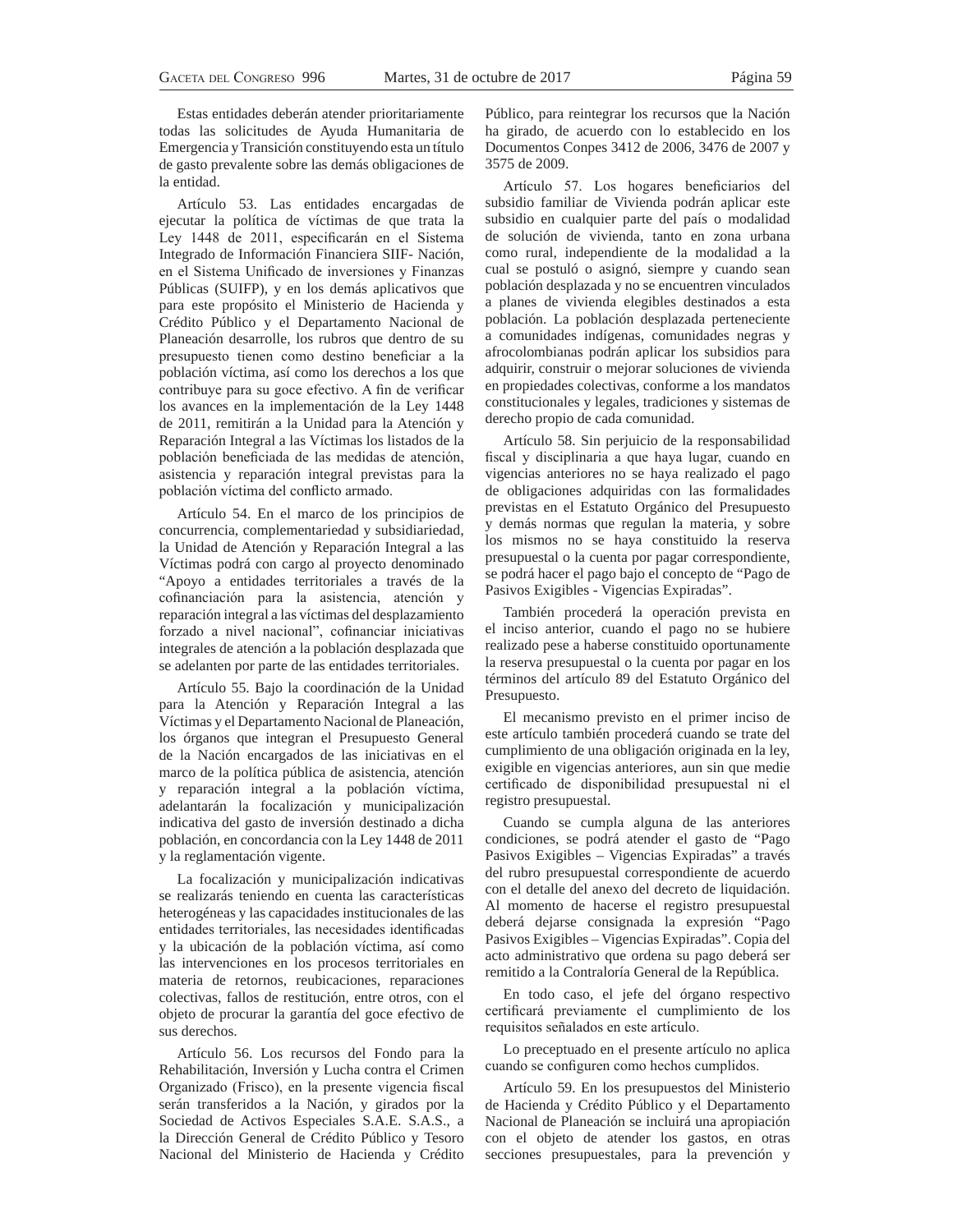Estas entidades deberán atender prioritariamente todas las solicitudes de Ayuda Humanitaria de Emergencia y Transición constituyendo esta un título de gasto prevalente sobre las demás obligaciones de la entidad.

Artículo 53. Las entidades encargadas de ejecutar la política de víctimas de que trata la Ley 1448 de 2011, especificarán en el Sistema Integrado de Información Financiera SIIF- Nación, en el Sistema Unificado de inversiones y Finanzas Públicas (SUIFP), y en los demás aplicativos que para este propósito el Ministerio de Hacienda y Crédito Público y el Departamento Nacional de Planeación desarrolle, los rubros que dentro de su presupuesto tienen como destino beneficiar a la población víctima, así como los derechos a los que contribuye para su goce efectivo. A fin de verificar los avances en la implementación de la Ley 1448 de 2011, remitirán a la Unidad para la Atención y Reparación Integral a las Víctimas los listados de la población beneficiada de las medidas de atención, asistencia y reparación integral previstas para la población víctima del conflicto armado.

Artículo 54. En el marco de los principios de concurrencia, complementariedad y subsidiariedad, la Unidad de Atención y Reparación Integral a las Víctimas podrá con cargo al proyecto denominado "Apoyo a entidades territoriales a través de la cofinanciación para la asistencia, atención y reparación integral a las víctimas del desplazamiento forzado a nivel nacional", cofinanciar iniciativas integrales de atención a la población desplazada que se adelanten por parte de las entidades territoriales.

Artículo 55. Bajo la coordinación de la Unidad para la Atención y Reparación Integral a las Víctimas y el Departamento Nacional de Planeación, los órganos que integran el Presupuesto General de la Nación encargados de las iniciativas en el marco de la política pública de asistencia, atención y reparación integral a la población víctima, adelantarán la focalización y municipalización indicativa del gasto de inversión destinado a dicha población, en concordancia con la Ley 1448 de 2011 y la reglamentación vigente.

La focalización y municipalización indicativas se realizarás teniendo en cuenta las características heterogéneas y las capacidades institucionales de las entidades territoriales, las necesidades identificadas y la ubicación de la población víctima, así como las intervenciones en los procesos territoriales en materia de retornos, reubicaciones, reparaciones colectivas, fallos de restitución, entre otros, con el objeto de procurar la garantía del goce efectivo de sus derechos.

Artículo 56. Los recursos del Fondo para la Rehabilitación, Inversión y Lucha contra el Crimen Organizado (Frisco), en la presente vigencia fiscal serán transferidos a la Nación, y girados por la Sociedad de Activos Especiales S.A.E. S.A.S., a la Dirección General de Crédito Público y Tesoro Nacional del Ministerio de Hacienda y Crédito

Público, para reintegrar los recursos que la Nación ha girado, de acuerdo con lo establecido en los Documentos Conpes 3412 de 2006, 3476 de 2007 y 3575 de 2009.

Artículo 57. Los hogares beneficiarios del subsidio familiar de Vivienda podrán aplicar este subsidio en cualquier parte del país o modalidad de solución de vivienda, tanto en zona urbana como rural, independiente de la modalidad a la cual se postuló o asignó, siempre y cuando sean población desplazada y no se encuentren vinculados a planes de vivienda elegibles destinados a esta población. La población desplazada perteneciente a comunidades indígenas, comunidades negras y afrocolombianas podrán aplicar los subsidios para adquirir, construir o mejorar soluciones de vivienda en propiedades colectivas, conforme a los mandatos constitucionales y legales, tradiciones y sistemas de derecho propio de cada comunidad.

Artículo 58. Sin perjuicio de la responsabilidad fiscal y disciplinaria a que haya lugar, cuando en vigencias anteriores no se haya realizado el pago de obligaciones adquiridas con las formalidades previstas en el Estatuto Orgánico del Presupuesto y demás normas que regulan la materia, y sobre los mismos no se haya constituido la reserva presupuestal o la cuenta por pagar correspondiente, se podrá hacer el pago bajo el concepto de "Pago de Pasivos Exigibles - Vigencias Expiradas".

También procederá la operación prevista en el inciso anterior, cuando el pago no se hubiere realizado pese a haberse constituido oportunamente la reserva presupuestal o la cuenta por pagar en los términos del artículo 89 del Estatuto Orgánico del Presupuesto.

El mecanismo previsto en el primer inciso de este artículo también procederá cuando se trate del cumplimiento de una obligación originada en la ley, exigible en vigencias anteriores, aun sin que medie certificado de disponibilidad presupuestal ni el registro presupuestal.

Cuando se cumpla alguna de las anteriores condiciones, se podrá atender el gasto de "Pago Pasivos Exigibles – Vigencias Expiradas" a través del rubro presupuestal correspondiente de acuerdo con el detalle del anexo del decreto de liquidación. Al momento de hacerse el registro presupuestal deberá dejarse consignada la expresión "Pago Pasivos Exigibles – Vigencias Expiradas". Copia del acto administrativo que ordena su pago deberá ser remitido a la Contraloría General de la República.

En todo caso, el jefe del órgano respectivo certificará previamente el cumplimiento de los requisitos señalados en este artículo.

Lo preceptuado en el presente artículo no aplica cuando se configuren como hechos cumplidos.

Artículo 59. En los presupuestos del Ministerio de Hacienda y Crédito Público y el Departamento Nacional de Planeación se incluirá una apropiación con el objeto de atender los gastos, en otras secciones presupuestales, para la prevención y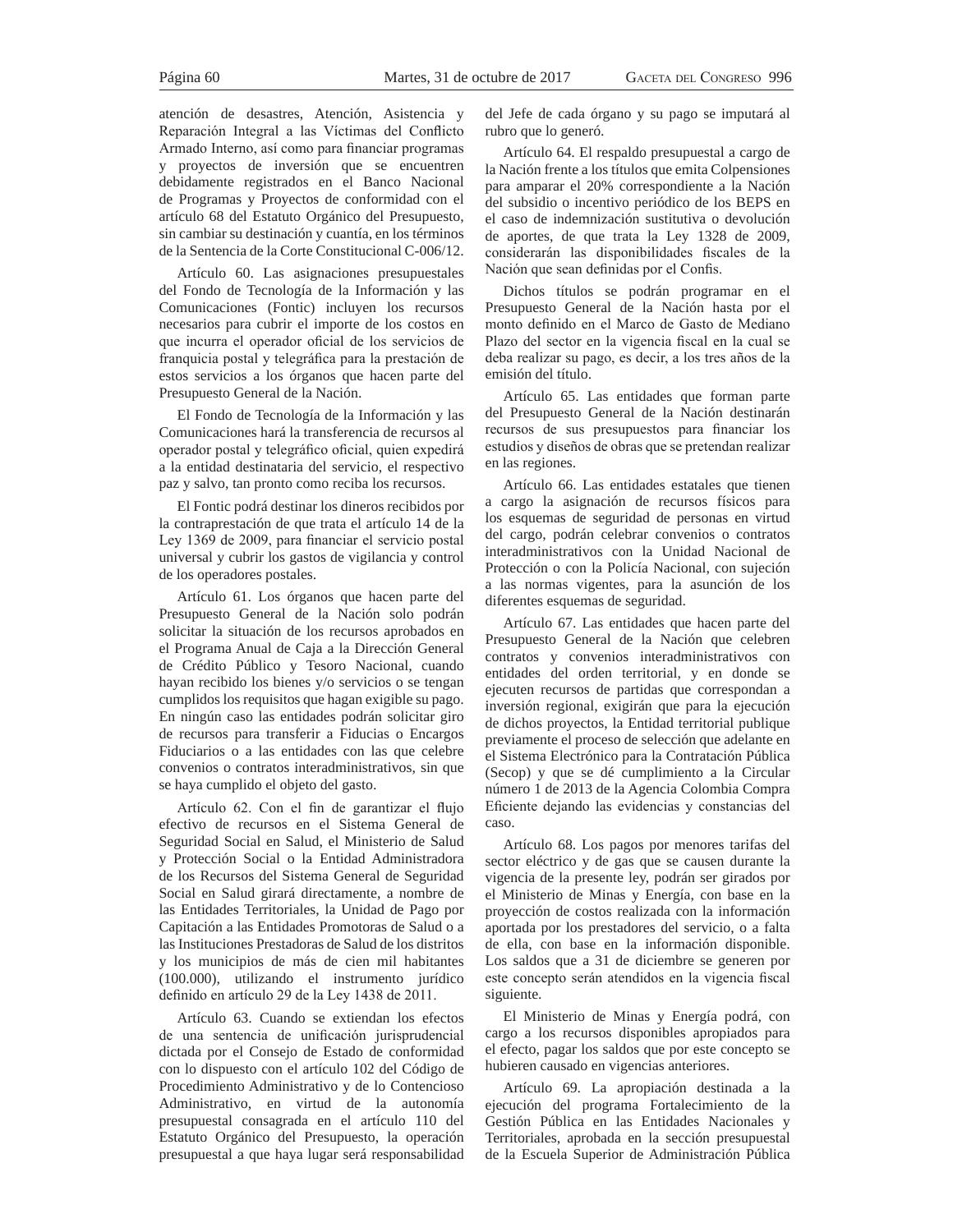atención de desastres, Atención, Asistencia y Reparación Integral a las Víctimas del Conflicto Armado Interno, así como para financiar programas y proyectos de inversión que se encuentren debidamente registrados en el Banco Nacional de Programas y Proyectos de conformidad con el artículo 68 del Estatuto Orgánico del Presupuesto, sin cambiar su destinación y cuantía, en los términos de la Sentencia de la Corte Constitucional C-006/12.

Artículo 60. Las asignaciones presupuestales del Fondo de Tecnología de la Información y las Comunicaciones (Fontic) incluyen los recursos necesarios para cubrir el importe de los costos en que incurra el operador oficial de los servicios de franquicia postal y telegráfica para la prestación de estos servicios a los órganos que hacen parte del Presupuesto General de la Nación.

El Fondo de Tecnología de la Información y las Comunicaciones hará la transferencia de recursos al operador postal y telegráfico oficial, quien expedirá a la entidad destinataria del servicio, el respectivo paz y salvo, tan pronto como reciba los recursos.

El Fontic podrá destinar los dineros recibidos por la contraprestación de que trata el artículo 14 de la Ley 1369 de 2009, para financiar el servicio postal universal y cubrir los gastos de vigilancia y control de los operadores postales.

Artículo 61. Los órganos que hacen parte del Presupuesto General de la Nación solo podrán solicitar la situación de los recursos aprobados en el Programa Anual de Caja a la Dirección General de Crédito Público y Tesoro Nacional, cuando hayan recibido los bienes y/o servicios o se tengan cumplidos los requisitos que hagan exigible su pago. En ningún caso las entidades podrán solicitar giro de recursos para transferir a Fiducias o Encargos Fiduciarios o a las entidades con las que celebre convenios o contratos interadministrativos, sin que se haya cumplido el objeto del gasto.

Artículo 62. Con el fin de garantizar el flujo efectivo de recursos en el Sistema General de Seguridad Social en Salud, el Ministerio de Salud y Protección Social o la Entidad Administradora de los Recursos del Sistema General de Seguridad Social en Salud girará directamente, a nombre de las Entidades Territoriales, la Unidad de Pago por Capitación a las Entidades Promotoras de Salud o a las Instituciones Prestadoras de Salud de los distritos y los municipios de más de cien mil habitantes (100.000), utilizando el instrumento jurídico definido en artículo 29 de la Ley 1438 de 2011.

Artículo 63. Cuando se extiendan los efectos de una sentencia de unificación jurisprudencial dictada por el Consejo de Estado de conformidad con lo dispuesto con el artículo 102 del Código de Procedimiento Administrativo y de lo Contencioso Administrativo, en virtud de la autonomía presupuestal consagrada en el artículo 110 del Estatuto Orgánico del Presupuesto, la operación presupuestal a que haya lugar será responsabilidad

del Jefe de cada órgano y su pago se imputará al rubro que lo generó.

Artículo 64. El respaldo presupuestal a cargo de la Nación frente a los títulos que emita Colpensiones para amparar el 20% correspondiente a la Nación del subsidio o incentivo periódico de los BEPS en el caso de indemnización sustitutiva o devolución de aportes, de que trata la Ley 1328 de 2009, considerarán las disponibilidades fiscales de la Nación que sean definidas por el Confis.

Dichos títulos se podrán programar en el Presupuesto General de la Nación hasta por el monto definido en el Marco de Gasto de Mediano Plazo del sector en la vigencia fiscal en la cual se deba realizar su pago, es decir, a los tres años de la emisión del título.

Artículo 65. Las entidades que forman parte del Presupuesto General de la Nación destinarán recursos de sus presupuestos para financiar los estudios y diseños de obras que se pretendan realizar en las regiones.

Artículo 66. Las entidades estatales que tienen a cargo la asignación de recursos físicos para los esquemas de seguridad de personas en virtud del cargo, podrán celebrar convenios o contratos interadministrativos con la Unidad Nacional de Protección o con la Policía Nacional, con sujeción a las normas vigentes, para la asunción de los diferentes esquemas de seguridad.

Artículo 67. Las entidades que hacen parte del Presupuesto General de la Nación que celebren contratos y convenios interadministrativos con entidades del orden territorial, y en donde se ejecuten recursos de partidas que correspondan a inversión regional, exigirán que para la ejecución de dichos proyectos, la Entidad territorial publique previamente el proceso de selección que adelante en el Sistema Electrónico para la Contratación Pública (Secop) y que se dé cumplimiento a la Circular número 1 de 2013 de la Agencia Colombia Compra Eficiente dejando las evidencias y constancias del caso.

Artículo 68. Los pagos por menores tarifas del sector eléctrico y de gas que se causen durante la vigencia de la presente ley, podrán ser girados por el Ministerio de Minas y Energía, con base en la proyección de costos realizada con la información aportada por los prestadores del servicio, o a falta de ella, con base en la información disponible. Los saldos que a 31 de diciembre se generen por este concepto serán atendidos en la vigencia fiscal siguiente.

El Ministerio de Minas y Energía podrá, con cargo a los recursos disponibles apropiados para el efecto, pagar los saldos que por este concepto se hubieren causado en vigencias anteriores.

Artículo 69. La apropiación destinada a la ejecución del programa Fortalecimiento de la Gestión Pública en las Entidades Nacionales y Territoriales, aprobada en la sección presupuestal de la Escuela Superior de Administración Pública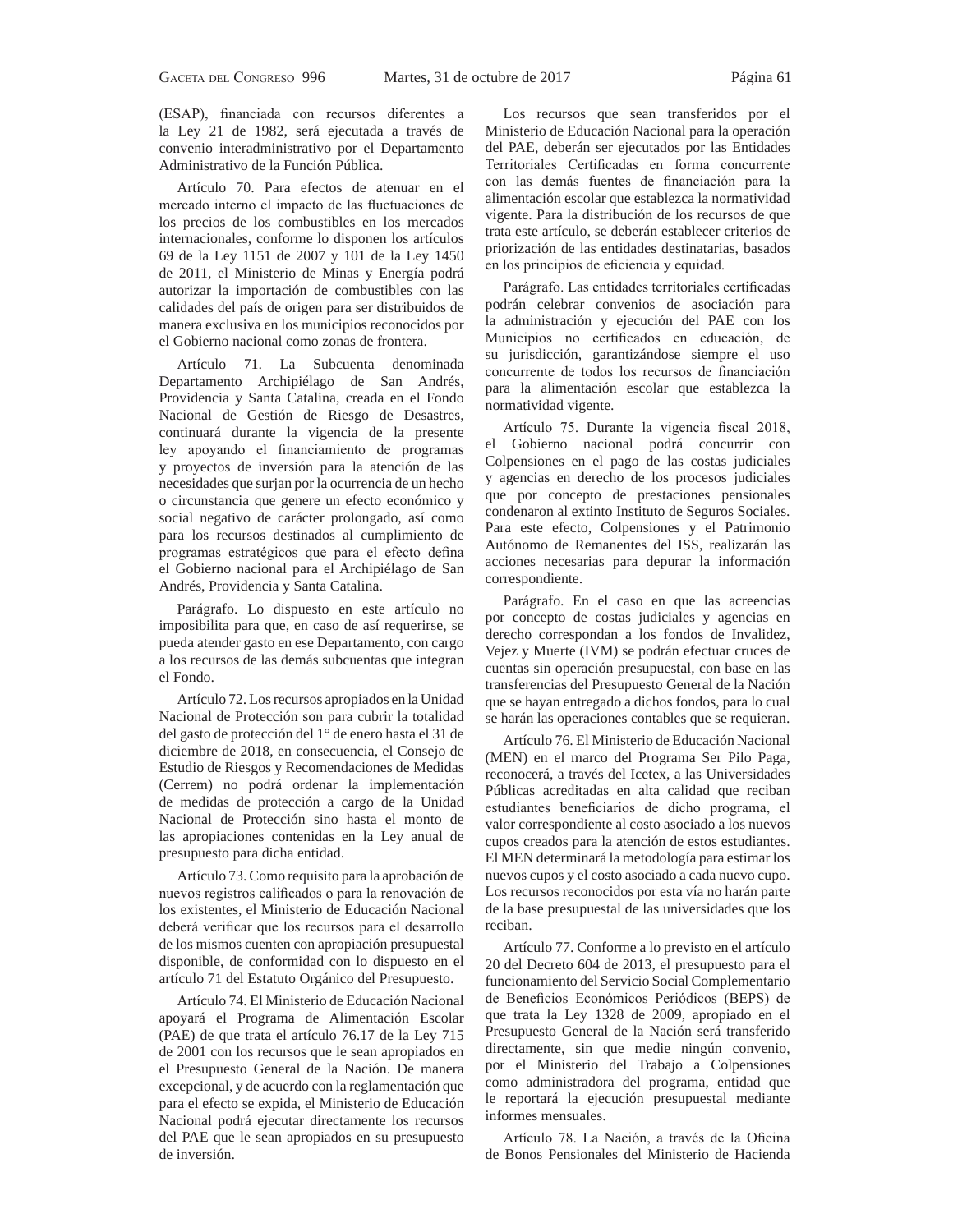(ESAP), financiada con recursos diferentes a la Ley 21 de 1982, será ejecutada a través de convenio interadministrativo por el Departamento Administrativo de la Función Pública.

Artículo 70. Para efectos de atenuar en el mercado interno el impacto de las fluctuaciones de los precios de los combustibles en los mercados internacionales, conforme lo disponen los artículos 69 de la Ley 1151 de 2007 y 101 de la Ley 1450 de 2011, el Ministerio de Minas y Energía podrá autorizar la importación de combustibles con las calidades del país de origen para ser distribuidos de manera exclusiva en los municipios reconocidos por el Gobierno nacional como zonas de frontera.

Artículo 71. La Subcuenta denominada Departamento Archipiélago de San Andrés, Providencia y Santa Catalina, creada en el Fondo Nacional de Gestión de Riesgo de Desastres, continuará durante la vigencia de la presente ley apoyando el financiamiento de programas y proyectos de inversión para la atención de las necesidades que surjan por la ocurrencia de un hecho o circunstancia que genere un efecto económico y social negativo de carácter prolongado, así como para los recursos destinados al cumplimiento de programas estratégicos que para el efecto defina el Gobierno nacional para el Archipiélago de San Andrés, Providencia y Santa Catalina.

Parágrafo. Lo dispuesto en este artículo no imposibilita para que, en caso de así requerirse, se pueda atender gasto en ese Departamento, con cargo a los recursos de las demás subcuentas que integran el Fondo.

Artículo 72. Los recursos apropiados en la Unidad Nacional de Protección son para cubrir la totalidad del gasto de protección del 1° de enero hasta el 31 de diciembre de 2018, en consecuencia, el Consejo de Estudio de Riesgos y Recomendaciones de Medidas (Cerrem) no podrá ordenar la implementación de medidas de protección a cargo de la Unidad Nacional de Protección sino hasta el monto de las apropiaciones contenidas en la Ley anual de presupuesto para dicha entidad.

Artículo 73. Como requisito para la aprobación de nuevos registros calificados o para la renovación de los existentes, el Ministerio de Educación Nacional deberá verificar que los recursos para el desarrollo de los mismos cuenten con apropiación presupuestal disponible, de conformidad con lo dispuesto en el artículo 71 del Estatuto Orgánico del Presupuesto.

Artículo 74. El Ministerio de Educación Nacional apoyará el Programa de Alimentación Escolar (PAE) de que trata el artículo 76.17 de la Ley 715 de 2001 con los recursos que le sean apropiados en el Presupuesto General de la Nación. De manera excepcional, y de acuerdo con la reglamentación que para el efecto se expida, el Ministerio de Educación Nacional podrá ejecutar directamente los recursos del PAE que le sean apropiados en su presupuesto de inversión.

Los recursos que sean transferidos por el Ministerio de Educación Nacional para la operación del PAE, deberán ser ejecutados por las Entidades Territoriales Certificadas en forma concurrente con las demás fuentes de financiación para la alimentación escolar que establezca la normatividad vigente. Para la distribución de los recursos de que trata este artículo, se deberán establecer criterios de priorización de las entidades destinatarias, basados en los principios de eficiencia y equidad.

Parágrafo. Las entidades territoriales certificadas podrán celebrar convenios de asociación para la administración y ejecución del PAE con los Municipios no certificados en educación, de su jurisdicción, garantizándose siempre el uso concurrente de todos los recursos de financiación para la alimentación escolar que establezca la normatividad vigente.

Artículo 75. Durante la vigencia fiscal 2018, el Gobierno nacional podrá concurrir con Colpensiones en el pago de las costas judiciales y agencias en derecho de los procesos judiciales que por concepto de prestaciones pensionales condenaron al extinto Instituto de Seguros Sociales. Para este efecto, Colpensiones y el Patrimonio Autónomo de Remanentes del ISS, realizarán las acciones necesarias para depurar la información correspondiente.

Parágrafo. En el caso en que las acreencias por concepto de costas judiciales y agencias en derecho correspondan a los fondos de Invalidez, Vejez y Muerte (IVM) se podrán efectuar cruces de cuentas sin operación presupuestal, con base en las transferencias del Presupuesto General de la Nación que se hayan entregado a dichos fondos, para lo cual se harán las operaciones contables que se requieran.

Artículo 76. El Ministerio de Educación Nacional (MEN) en el marco del Programa Ser Pilo Paga, reconocerá, a través del Icetex, a las Universidades Públicas acreditadas en alta calidad que reciban estudiantes beneficiarios de dicho programa, el valor correspondiente al costo asociado a los nuevos cupos creados para la atención de estos estudiantes. El MEN determinará la metodología para estimar los nuevos cupos y el costo asociado a cada nuevo cupo. Los recursos reconocidos por esta vía no harán parte de la base presupuestal de las universidades que los reciban.

Artículo 77. Conforme a lo previsto en el artículo 20 del Decreto 604 de 2013, el presupuesto para el funcionamiento del Servicio Social Complementario de Beneficios Económicos Periódicos (BEPS) de que trata la Ley 1328 de 2009, apropiado en el Presupuesto General de la Nación será transferido directamente, sin que medie ningún convenio, por el Ministerio del Trabajo a Colpensiones como administradora del programa, entidad que le reportará la ejecución presupuestal mediante informes mensuales.

Artículo 78. La Nación, a través de la Oficina de Bonos Pensionales del Ministerio de Hacienda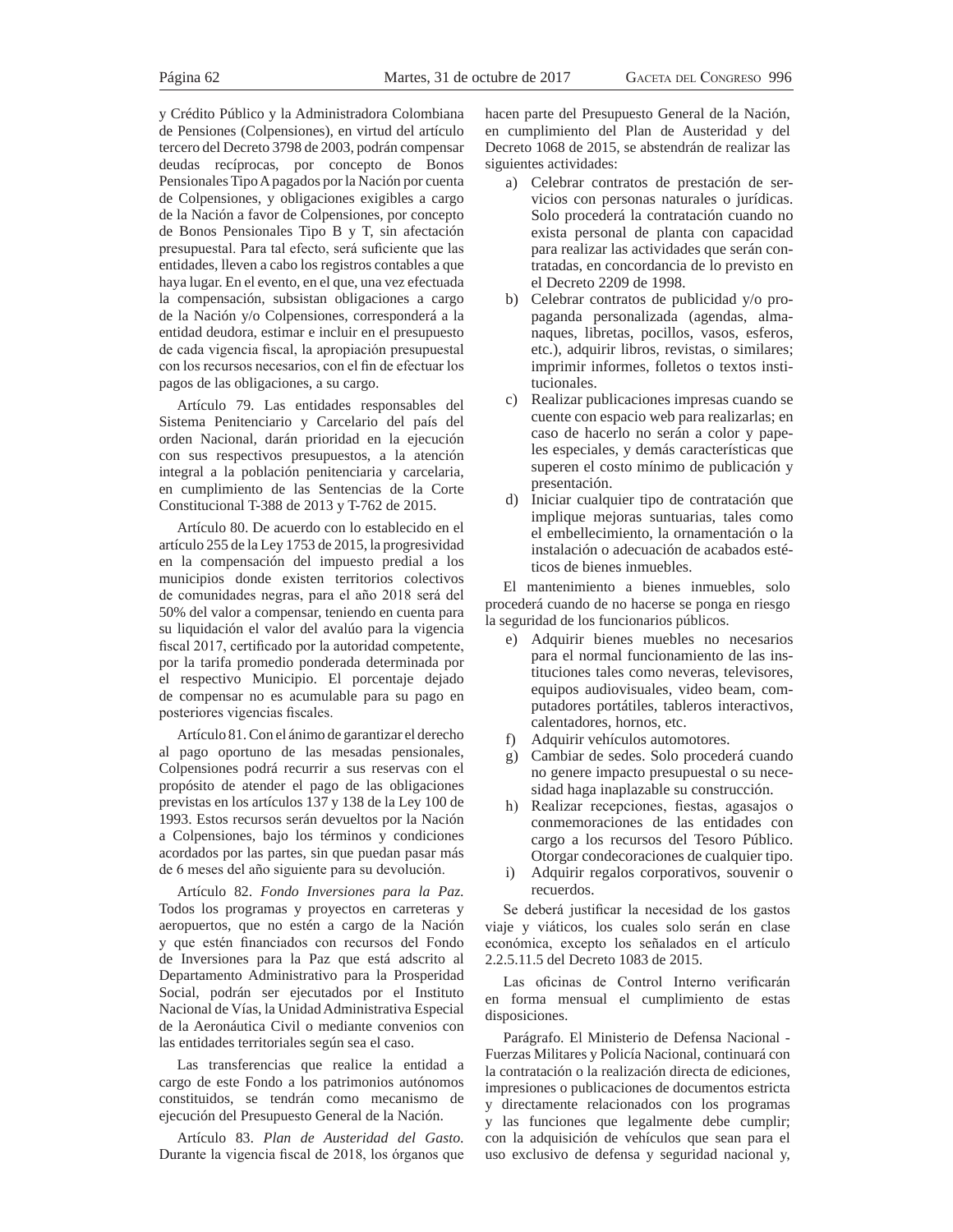y Crédito Público y la Administradora Colombiana de Pensiones (Colpensiones), en virtud del artículo tercero del Decreto 3798 de 2003, podrán compensar deudas recíprocas, por concepto de Bonos Pensionales Tipo A pagados por la Nación por cuenta de Colpensiones, y obligaciones exigibles a cargo de la Nación a favor de Colpensiones, por concepto de Bonos Pensionales Tipo B y T, sin afectación presupuestal. Para tal efecto, será suficiente que las entidades, lleven a cabo los registros contables a que haya lugar. En el evento, en el que, una vez efectuada la compensación, subsistan obligaciones a cargo de la Nación y/o Colpensiones, corresponderá a la entidad deudora, estimar e incluir en el presupuesto de cada vigencia fiscal, la apropiación presupuestal con los recursos necesarios, con el fin de efectuar los pagos de las obligaciones, a su cargo.

Artículo 79. Las entidades responsables del Sistema Penitenciario y Carcelario del país del orden Nacional, darán prioridad en la ejecución con sus respectivos presupuestos, a la atención integral a la población penitenciaria y carcelaria, en cumplimiento de las Sentencias de la Corte Constitucional T-388 de 2013 y T-762 de 2015.

Artículo 80. De acuerdo con lo establecido en el artículo 255 de la Ley 1753 de 2015, la progresividad en la compensación del impuesto predial a los municipios donde existen territorios colectivos de comunidades negras, para el año 2018 será del 50% del valor a compensar, teniendo en cuenta para su liquidación el valor del avalúo para la vigencia fiscal 2017, certificado por la autoridad competente, por la tarifa promedio ponderada determinada por el respectivo Municipio. El porcentaje dejado de compensar no es acumulable para su pago en posteriores vigencias fiscales.

Artículo 81. Con el ánimo de garantizar el derecho al pago oportuno de las mesadas pensionales, Colpensiones podrá recurrir a sus reservas con el propósito de atender el pago de las obligaciones previstas en los artículos 137 y 138 de la Ley 100 de 1993. Estos recursos serán devueltos por la Nación a Colpensiones, bajo los términos y condiciones acordados por las partes, sin que puedan pasar más de 6 meses del año siguiente para su devolución.

Artículo 82. *Fondo Inversiones para la Paz*. Todos los programas y proyectos en carreteras y aeropuertos, que no estén a cargo de la Nación y que estén financiados con recursos del Fondo de Inversiones para la Paz que está adscrito al Departamento Administrativo para la Prosperidad Social, podrán ser ejecutados por el Instituto Nacional de Vías, la Unidad Administrativa Especial de la Aeronáutica Civil o mediante convenios con las entidades territoriales según sea el caso.

Las transferencias que realice la entidad a cargo de este Fondo a los patrimonios autónomos constituidos, se tendrán como mecanismo de ejecución del Presupuesto General de la Nación.

Artículo 83. *Plan de Austeridad del Gasto*. Durante la vigencia fiscal de 2018, los órganos que hacen parte del Presupuesto General de la Nación, en cumplimiento del Plan de Austeridad y del Decreto 1068 de 2015, se abstendrán de realizar las siguientes actividades:

- a) Celebrar contratos de prestación de servicios con personas naturales o jurídicas. Solo procederá la contratación cuando no exista personal de planta con capacidad para realizar las actividades que serán contratadas, en concordancia de lo previsto en el Decreto 2209 de 1998.
- b) Celebrar contratos de publicidad y/o propaganda personalizada (agendas, almanaques, libretas, pocillos, vasos, esferos, etc.), adquirir libros, revistas, o similares; imprimir informes, folletos o textos institucionales.
- c) Realizar publicaciones impresas cuando se cuente con espacio web para realizarlas; en caso de hacerlo no serán a color y papeles especiales, y demás características que superen el costo mínimo de publicación y presentación.
- d) Iniciar cualquier tipo de contratación que implique mejoras suntuarias, tales como el embellecimiento, la ornamentación o la instalación o adecuación de acabados estéticos de bienes inmuebles.

El mantenimiento a bienes inmuebles, solo procederá cuando de no hacerse se ponga en riesgo la seguridad de los funcionarios públicos.

- e) Adquirir bienes muebles no necesarios para el normal funcionamiento de las instituciones tales como neveras, televisores, equipos audiovisuales, video beam, computadores portátiles, tableros interactivos, calentadores, hornos, etc.
- f) Adquirir vehículos automotores.
- g) Cambiar de sedes. Solo procederá cuando no genere impacto presupuestal o su necesidad haga inaplazable su construcción.
- h) Realizar recepciones, fiestas, agasajos o conmemoraciones de las entidades con cargo a los recursos del Tesoro Público. Otorgar condecoraciones de cualquier tipo.
- i) Adquirir regalos corporativos, souvenir o recuerdos.

Se deberá justificar la necesidad de los gastos viaje y viáticos, los cuales solo serán en clase económica, excepto los señalados en el artículo 2.2.5.11.5 del Decreto 1083 de 2015.

Las oficinas de Control Interno verificarán en forma mensual el cumplimiento de estas disposiciones.

Parágrafo. El Ministerio de Defensa Nacional - Fuerzas Militares y Policía Nacional, continuará con la contratación o la realización directa de ediciones, impresiones o publicaciones de documentos estricta y directamente relacionados con los programas y las funciones que legalmente debe cumplir; con la adquisición de vehículos que sean para el uso exclusivo de defensa y seguridad nacional y,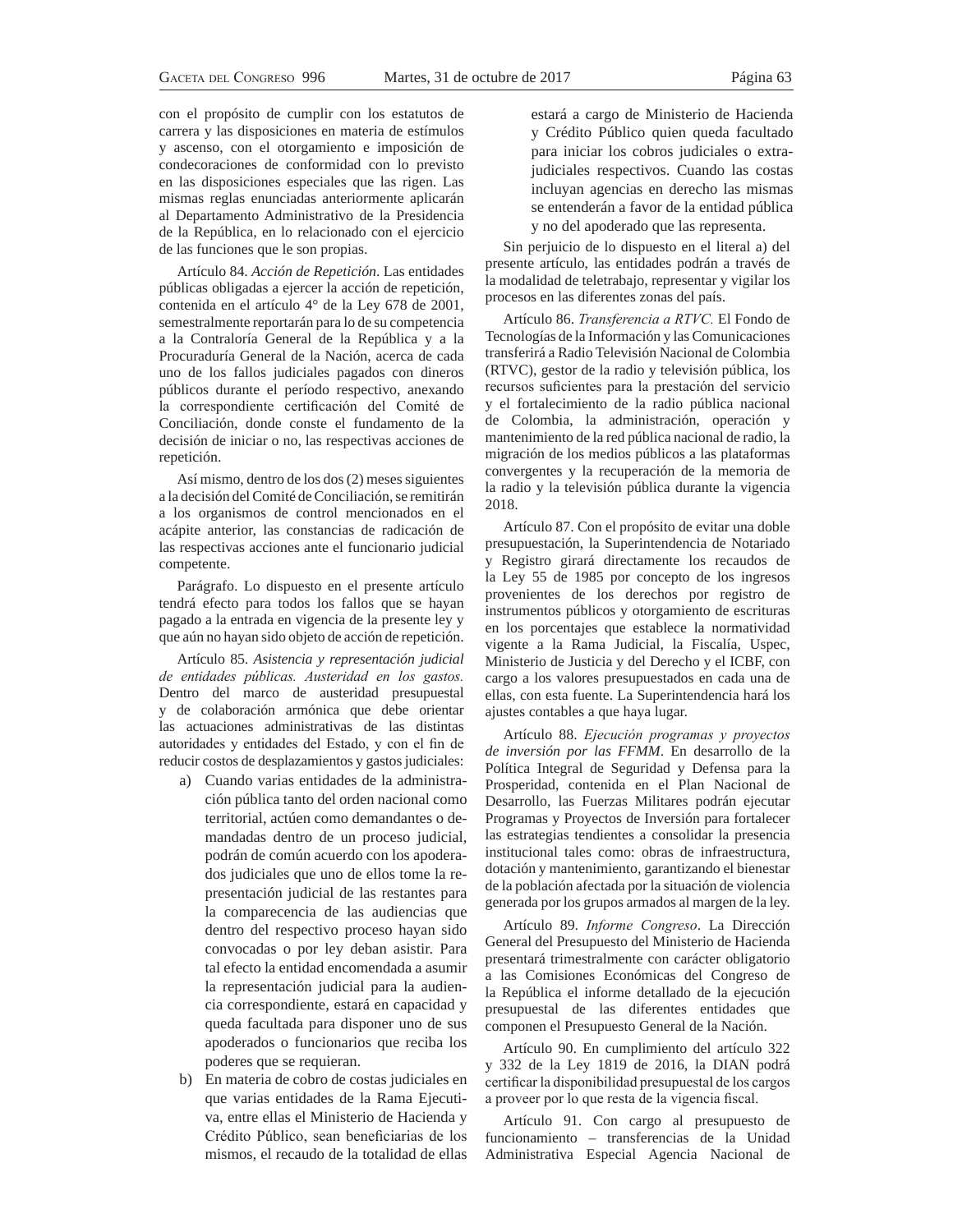con el propósito de cumplir con los estatutos de carrera y las disposiciones en materia de estímulos y ascenso, con el otorgamiento e imposición de condecoraciones de conformidad con lo previsto en las disposiciones especiales que las rigen. Las mismas reglas enunciadas anteriormente aplicarán al Departamento Administrativo de la Presidencia de la República, en lo relacionado con el ejercicio de las funciones que le son propias.

Artículo 84. *Acción de Repetición*. Las entidades públicas obligadas a ejercer la acción de repetición, contenida en el artículo 4° de la Ley 678 de 2001, semestralmente reportarán para lo de su competencia a la Contraloría General de la República y a la Procuraduría General de la Nación, acerca de cada uno de los fallos judiciales pagados con dineros públicos durante el período respectivo, anexando la correspondiente certificación del Comité de Conciliación, donde conste el fundamento de la decisión de iniciar o no, las respectivas acciones de repetición.

Así mismo, dentro de los dos (2) meses siguientes a la decisión del Comité de Conciliación, se remitirán a los organismos de control mencionados en el acápite anterior, las constancias de radicación de las respectivas acciones ante el funcionario judicial competente.

Parágrafo. Lo dispuesto en el presente artículo tendrá efecto para todos los fallos que se hayan pagado a la entrada en vigencia de la presente ley y que aún no hayan sido objeto de acción de repetición.

Artículo 85. *Asistencia y representación judicial*  de entidades públicas. Austeridad en los gastos. Dentro del marco de austeridad presupuestal y de colaboración armónica que debe orientar las actuaciones administrativas de las distintas autoridades y entidades del Estado, y con el fin de reducir costos de desplazamientos y gastos judiciales:

- a) Cuando varias entidades de la administración pública tanto del orden nacional como territorial, actúen como demandantes o demandadas dentro de un proceso judicial, podrán de común acuerdo con los apoderados judiciales que uno de ellos tome la representación judicial de las restantes para la comparecencia de las audiencias que dentro del respectivo proceso hayan sido convocadas o por ley deban asistir. Para tal efecto la entidad encomendada a asumir la representación judicial para la audiencia correspondiente, estará en capacidad y queda facultada para disponer uno de sus apoderados o funcionarios que reciba los poderes que se requieran.
- b) En materia de cobro de costas judiciales en que varias entidades de la Rama Ejecutiva, entre ellas el Ministerio de Hacienda y Crédito Público, sean beneficiarias de los mismos, el recaudo de la totalidad de ellas

estará a cargo de Ministerio de Hacienda y Crédito Público quien queda facultado para iniciar los cobros judiciales o extrajudiciales respectivos. Cuando las costas incluyan agencias en derecho las mismas se entenderán a favor de la entidad pública y no del apoderado que las representa.

Sin perjuicio de lo dispuesto en el literal a) del presente artículo, las entidades podrán a través de la modalidad de teletrabajo, representar y vigilar los procesos en las diferentes zonas del país.

Artículo 86. *Transferencia a RTVC*. El Fondo de Tecnologías de la Información y las Comunicaciones transferirá a Radio Televisión Nacional de Colombia (RTVC), gestor de la radio y televisión pública, los recursos suficientes para la prestación del servicio y el fortalecimiento de la radio pública nacional de Colombia, la administración, operación y mantenimiento de la red pública nacional de radio, la migración de los medios públicos a las plataformas convergentes y la recuperación de la memoria de la radio y la televisión pública durante la vigencia 2018.

Artículo 87. Con el propósito de evitar una doble presupuestación, la Superintendencia de Notariado y Registro girará directamente los recaudos de la Ley 55 de 1985 por concepto de los ingresos provenientes de los derechos por registro de instrumentos públicos y otorgamiento de escrituras en los porcentajes que establece la normatividad vigente a la Rama Judicial, la Fiscalía, Uspec, Ministerio de Justicia y del Derecho y el ICBF, con cargo a los valores presupuestados en cada una de ellas, con esta fuente. La Superintendencia hará los ajustes contables a que haya lugar.

Artículo 88. *Ejecución programas y proyectos de inversión por las FFMM*. En desarrollo de la Política Integral de Seguridad y Defensa para la Prosperidad, contenida en el Plan Nacional de Desarrollo, las Fuerzas Militares podrán ejecutar Programas y Proyectos de Inversión para fortalecer las estrategias tendientes a consolidar la presencia institucional tales como: obras de infraestructura, dotación y mantenimiento, garantizando el bienestar de la población afectada por la situación de violencia generada por los grupos armados al margen de la ley.

Artículo 89. *Informe Congreso*. La Dirección General del Presupuesto del Ministerio de Hacienda presentará trimestralmente con carácter obligatorio a las Comisiones Económicas del Congreso de la República el informe detallado de la ejecución presupuestal de las diferentes entidades que componen el Presupuesto General de la Nación.

Artículo 90. En cumplimiento del artículo 322 y 332 de la Ley 1819 de 2016, la DIAN podrá certificar la disponibilidad presupuestal de los cargos a proveer por lo que resta de la vigencia fiscal.

Artículo 91. Con cargo al presupuesto de funcionamiento – transferencias de la Unidad Administrativa Especial Agencia Nacional de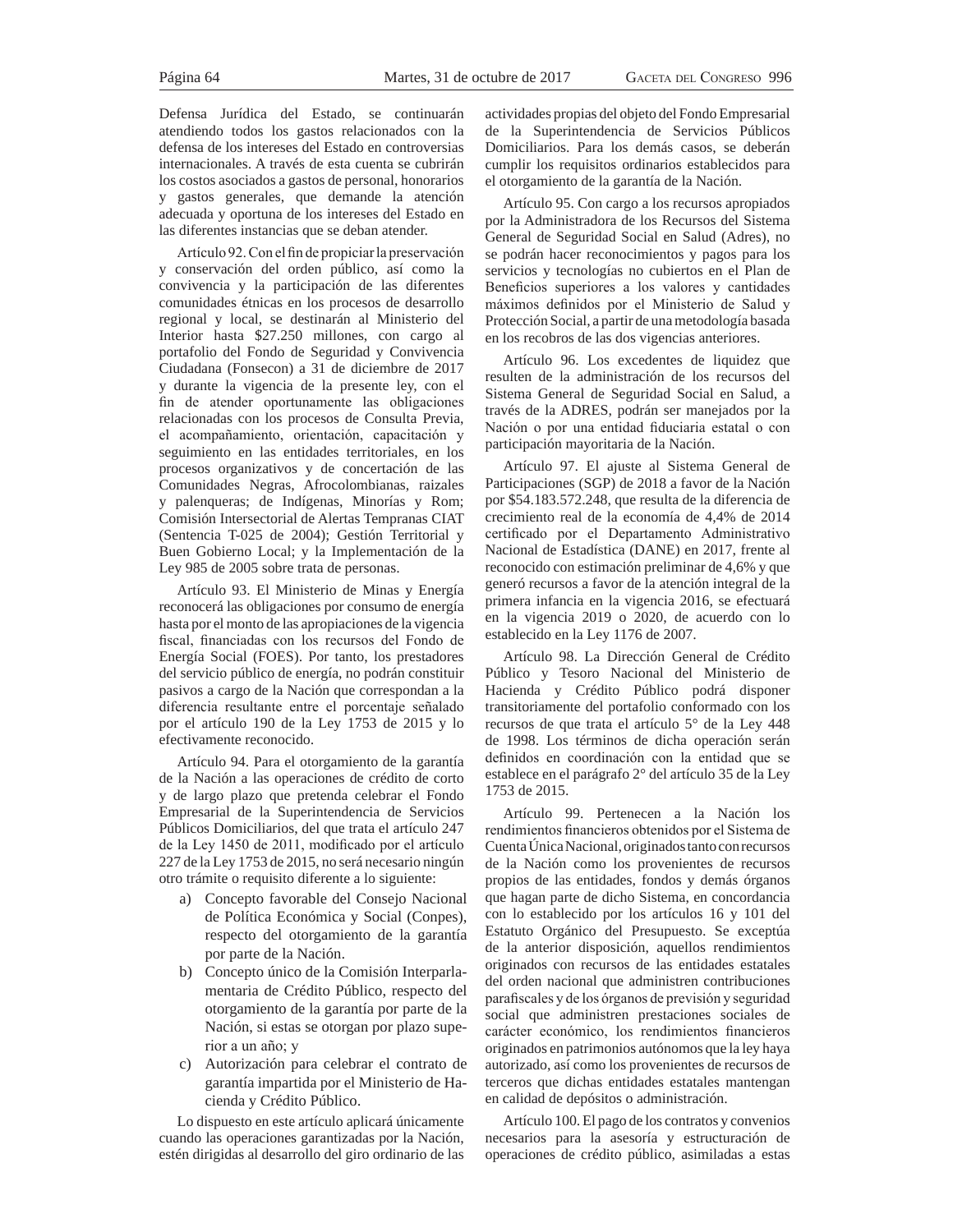Defensa Jurídica del Estado, se continuarán atendiendo todos los gastos relacionados con la defensa de los intereses del Estado en controversias internacionales. A través de esta cuenta se cubrirán los costos asociados a gastos de personal, honorarios y gastos generales, que demande la atención adecuada y oportuna de los intereses del Estado en las diferentes instancias que se deban atender.

Artículo 92. Con el fin de propiciar la preservación y conservación del orden público, así como la convivencia y la participación de las diferentes comunidades étnicas en los procesos de desarrollo regional y local, se destinarán al Ministerio del Interior hasta \$27.250 millones, con cargo al portafolio del Fondo de Seguridad y Convivencia Ciudadana (Fonsecon) a 31 de diciembre de 2017 y durante la vigencia de la presente ley, con el fin de atender oportunamente las obligaciones relacionadas con los procesos de Consulta Previa, el acompañamiento, orientación, capacitación y seguimiento en las entidades territoriales, en los procesos organizativos y de concertación de las Comunidades Negras, Afrocolombianas, raizales y palenqueras; de Indígenas, Minorías y Rom; Comisión Intersectorial de Alertas Tempranas CIAT (Sentencia T-025 de 2004); Gestión Territorial y Buen Gobierno Local; y la Implementación de la Ley 985 de 2005 sobre trata de personas.

Artículo 93. El Ministerio de Minas y Energía reconocerá las obligaciones por consumo de energía hasta por el monto de las apropiaciones de la vigencia fiscal, financiadas con los recursos del Fondo de Energía Social (FOES). Por tanto, los prestadores del servicio público de energía, no podrán constituir pasivos a cargo de la Nación que correspondan a la diferencia resultante entre el porcentaje señalado por el artículo 190 de la Ley 1753 de 2015 y lo efectivamente reconocido.

Artículo 94. Para el otorgamiento de la garantía de la Nación a las operaciones de crédito de corto y de largo plazo que pretenda celebrar el Fondo Empresarial de la Superintendencia de Servicios Públicos Domiciliarios, del que trata el artículo 247 de la Ley 1450 de 2011, modificado por el artículo 227 de la Ley 1753 de 2015, no será necesario ningún otro trámite o requisito diferente a lo siguiente:

- a) Concepto favorable del Consejo Nacional de Política Económica y Social (Conpes), respecto del otorgamiento de la garantía por parte de la Nación.
- b) Concepto único de la Comisión Interparlamentaria de Crédito Público, respecto del otorgamiento de la garantía por parte de la Nación, si estas se otorgan por plazo superior a un año; y
- c) Autorización para celebrar el contrato de garantía impartida por el Ministerio de Hacienda y Crédito Público.

Lo dispuesto en este artículo aplicará únicamente cuando las operaciones garantizadas por la Nación, estén dirigidas al desarrollo del giro ordinario de las

actividades propias del objeto del Fondo Empresarial de la Superintendencia de Servicios Públicos Domiciliarios. Para los demás casos, se deberán cumplir los requisitos ordinarios establecidos para el otorgamiento de la garantía de la Nación.

Artículo 95. Con cargo a los recursos apropiados por la Administradora de los Recursos del Sistema General de Seguridad Social en Salud (Adres), no se podrán hacer reconocimientos y pagos para los servicios y tecnologías no cubiertos en el Plan de Beneficios superiores a los valores y cantidades máximos definidos por el Ministerio de Salud y Protección Social, a partir de una metodología basada en los recobros de las dos vigencias anteriores.

Artículo 96. Los excedentes de liquidez que resulten de la administración de los recursos del Sistema General de Seguridad Social en Salud, a través de la ADRES, podrán ser manejados por la Nación o por una entidad fiduciaria estatal o con participación mayoritaria de la Nación.

Artículo 97. El ajuste al Sistema General de Participaciones (SGP) de 2018 a favor de la Nación por \$54.183.572.248, que resulta de la diferencia de crecimiento real de la economía de 4,4% de 2014 certificado por el Departamento Administrativo Nacional de Estadística (DANE) en 2017, frente al reconocido con estimación preliminar de 4,6% y que generó recursos a favor de la atención integral de la primera infancia en la vigencia 2016, se efectuará en la vigencia 2019 o 2020, de acuerdo con lo establecido en la Ley 1176 de 2007.

Artículo 98. La Dirección General de Crédito Público y Tesoro Nacional del Ministerio de Hacienda y Crédito Público podrá disponer transitoriamente del portafolio conformado con los recursos de que trata el artículo 5° de la Ley 448 de 1998. Los términos de dicha operación serán definidos en coordinación con la entidad que se establece en el parágrafo 2° del artículo 35 de la Ley 1753 de 2015.

Artículo 99. Pertenecen a la Nación los rendimientos financieros obtenidos por el Sistema de Cuenta Única Nacional, originados tanto con recursos de la Nación como los provenientes de recursos propios de las entidades, fondos y demás órganos que hagan parte de dicho Sistema, en concordancia con lo establecido por los artículos 16 y 101 del Estatuto Orgánico del Presupuesto. Se exceptúa de la anterior disposición, aquellos rendimientos originados con recursos de las entidades estatales del orden nacional que administren contribuciones parafiscales y de los órganos de previsión y seguridad social que administren prestaciones sociales de carácter económico, los rendimientos financieros originados en patrimonios autónomos que la ley haya autorizado, así como los provenientes de recursos de terceros que dichas entidades estatales mantengan en calidad de depósitos o administración.

Artículo 100. El pago de los contratos y convenios necesarios para la asesoría y estructuración de operaciones de crédito público, asimiladas a estas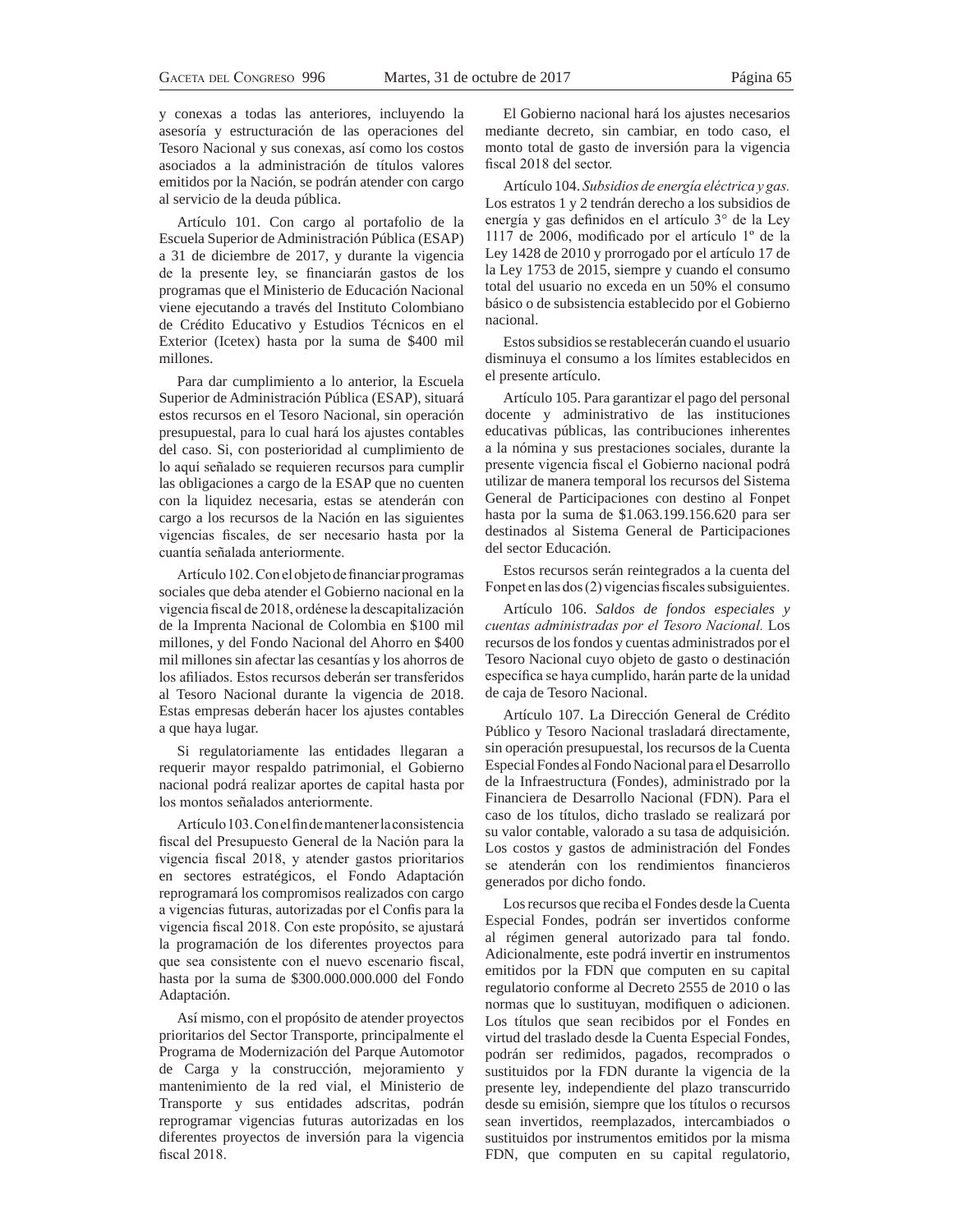y conexas a todas las anteriores, incluyendo la asesoría y estructuración de las operaciones del Tesoro Nacional y sus conexas, así como los costos asociados a la administración de títulos valores emitidos por la Nación, se podrán atender con cargo al servicio de la deuda pública.

Artículo 101. Con cargo al portafolio de la Escuela Superior de Administración Pública (ESAP) a 31 de diciembre de 2017, y durante la vigencia de la presente ley, se financiarán gastos de los programas que el Ministerio de Educación Nacional viene ejecutando a través del Instituto Colombiano de Crédito Educativo y Estudios Técnicos en el Exterior (Icetex) hasta por la suma de \$400 mil millones.

Para dar cumplimiento a lo anterior, la Escuela Superior de Administración Pública (ESAP), situará estos recursos en el Tesoro Nacional, sin operación presupuestal, para lo cual hará los ajustes contables del caso. Si, con posterioridad al cumplimiento de lo aquí señalado se requieren recursos para cumplir las obligaciones a cargo de la ESAP que no cuenten con la liquidez necesaria, estas se atenderán con cargo a los recursos de la Nación en las siguientes vigencias fiscales, de ser necesario hasta por la cuantía señalada anteriormente.

Artículo 102. Con el objeto de financiar programas sociales que deba atender el Gobierno nacional en la vigencia fiscal de 2018, ordénese la descapitalización de la Imprenta Nacional de Colombia en \$100 mil millones, y del Fondo Nacional del Ahorro en \$400 mil millones sin afectar las cesantías y los ahorros de los afiliados. Estos recursos deberán ser transferidos al Tesoro Nacional durante la vigencia de 2018. Estas empresas deberán hacer los ajustes contables a que haya lugar.

Si regulatoriamente las entidades llegaran a requerir mayor respaldo patrimonial, el Gobierno nacional podrá realizar aportes de capital hasta por los montos señalados anteriormente.

Artículo 103. Con el fin de mantener la consistencia fiscal del Presupuesto General de la Nación para la vigencia fiscal 2018, y atender gastos prioritarios en sectores estratégicos, el Fondo Adaptación reprogramará los compromisos realizados con cargo a vigencias futuras, autorizadas por el Confis para la vigencia fiscal 2018. Con este propósito, se ajustará la programación de los diferentes proyectos para que sea consistente con el nuevo escenario fiscal, hasta por la suma de \$300.000.000.000 del Fondo Adaptación.

Así mismo, con el propósito de atender proyectos prioritarios del Sector Transporte, principalmente el Programa de Modernización del Parque Automotor de Carga y la construcción, mejoramiento y mantenimiento de la red vial, el Ministerio de Transporte y sus entidades adscritas, podrán reprogramar vigencias futuras autorizadas en los diferentes proyectos de inversión para la vigencia fiscal 2018.

El Gobierno nacional hará los ajustes necesarios mediante decreto, sin cambiar, en todo caso, el monto total de gasto de inversión para la vigencia fiscal 2018 del sector.

Artículo 104. Subsidios de energía eléctrica y gas. Los estratos 1 y 2 tendrán derecho a los subsidios de energía y gas definidos en el artículo 3° de la Ley 1117 de 2006, modificado por el artículo 1º de la Ley 1428 de 2010 y prorrogado por el artículo 17 de la Ley 1753 de 2015, siempre y cuando el consumo total del usuario no exceda en un 50% el consumo básico o de subsistencia establecido por el Gobierno nacional.

Estos subsidios se restablecerán cuando el usuario disminuya el consumo a los límites establecidos en el presente artículo.

Artículo 105. Para garantizar el pago del personal docente y administrativo de las instituciones educativas públicas, las contribuciones inherentes a la nómina y sus prestaciones sociales, durante la presente vigencia fiscal el Gobierno nacional podrá utilizar de manera temporal los recursos del Sistema General de Participaciones con destino al Fonpet hasta por la suma de \$1.063.199.156.620 para ser destinados al Sistema General de Participaciones del sector Educación.

Estos recursos serán reintegrados a la cuenta del Fonpet en las dos (2) vigencias fiscales subsiguientes.

Artículo 106. *Saldos de fondos especiales y*  cuentas administradas por el Tesoro Nacional. Los recursos de los fondos y cuentas administrados por el Tesoro Nacional cuyo objeto de gasto o destinación específica se haya cumplido, harán parte de la unidad de caja de Tesoro Nacional.

Artículo 107. La Dirección General de Crédito Público y Tesoro Nacional trasladará directamente, sin operación presupuestal, los recursos de la Cuenta Especial Fondes al Fondo Nacional para el Desarrollo de la Infraestructura (Fondes), administrado por la Financiera de Desarrollo Nacional (FDN). Para el caso de los títulos, dicho traslado se realizará por su valor contable, valorado a su tasa de adquisición. Los costos y gastos de administración del Fondes se atenderán con los rendimientos financieros generados por dicho fondo.

Los recursos que reciba el Fondes desde la Cuenta Especial Fondes, podrán ser invertidos conforme al régimen general autorizado para tal fondo. Adicionalmente, este podrá invertir en instrumentos emitidos por la FDN que computen en su capital regulatorio conforme al Decreto 2555 de 2010 o las normas que lo sustituyan, modifiquen o adicionen. Los títulos que sean recibidos por el Fondes en virtud del traslado desde la Cuenta Especial Fondes, podrán ser redimidos, pagados, recomprados o sustituidos por la FDN durante la vigencia de la presente ley, independiente del plazo transcurrido desde su emisión, siempre que los títulos o recursos sean invertidos, reemplazados, intercambiados o sustituidos por instrumentos emitidos por la misma FDN, que computen en su capital regulatorio,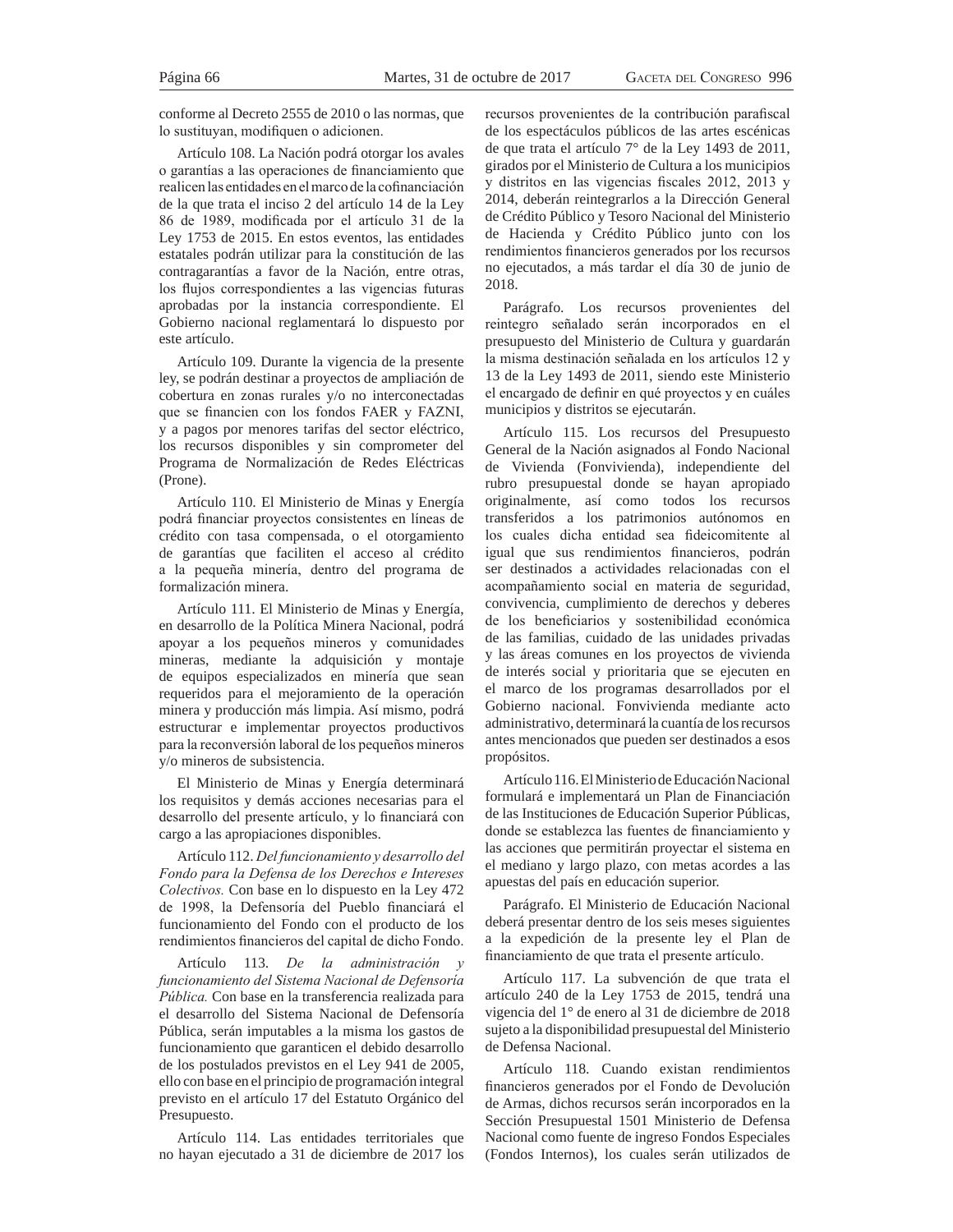conforme al Decreto 2555 de 2010 o las normas, que lo sustituvan, modifiquen o adicionen.

Artículo 108. La Nación podrá otorgar los avales o garantías a las operaciones de financiamiento que realicen las entidades en el marco de la cofinanciación de la que trata el inciso 2 del artículo 14 de la Ley 86 de 1989, modificada por el artículo 31 de la Ley 1753 de 2015. En estos eventos, las entidades estatales podrán utilizar para la constitución de las contragarantías a favor de la Nación, entre otras, los flujos correspondientes a las vigencias futuras aprobadas por la instancia correspondiente. El Gobierno nacional reglamentará lo dispuesto por este artículo.

Artículo 109. Durante la vigencia de la presente ley, se podrán destinar a proyectos de ampliación de cobertura en zonas rurales y/o no interconectadas que se financien con los fondos FAER y FAZNI, y a pagos por menores tarifas del sector eléctrico, los recursos disponibles y sin comprometer del Programa de Normalización de Redes Eléctricas (Prone).

Artículo 110. El Ministerio de Minas y Energía podrá financiar proyectos consistentes en líneas de crédito con tasa compensada, o el otorgamiento de garantías que faciliten el acceso al crédito a la pequeña minería, dentro del programa de formalización minera.

Artículo 111. El Ministerio de Minas y Energía, en desarrollo de la Política Minera Nacional, podrá apoyar a los pequeños mineros y comunidades mineras, mediante la adquisición y montaje de equipos especializados en minería que sean requeridos para el mejoramiento de la operación minera y producción más limpia. Así mismo, podrá estructurar e implementar proyectos productivos para la reconversión laboral de los pequeños mineros y/o mineros de subsistencia.

El Ministerio de Minas y Energía determinará los requisitos y demás acciones necesarias para el desarrollo del presente artículo, y lo financiará con cargo a las apropiaciones disponibles.

Artículo 112. Del funcionamiento y desarrollo del Fondo para la Defensa de los Derechos e Intereses Colectivos. Con base en lo dispuesto en la Ley 472 de 1998, la Defensoría del Pueblo financiará el funcionamiento del Fondo con el producto de los rendimientos financieros del capital de dicho Fondo.

Artículo 113. *De la administración* y funcionamiento del Sistema Nacional de Defensoría *Pública*. Con base en la transferencia realizada para el desarrollo del Sistema Nacional de Defensoría Pública, serán imputables a la misma los gastos de funcionamiento que garanticen el debido desarrollo de los postulados previstos en el Ley 941 de 2005, ello con base en el principio de programación integral previsto en el artículo 17 del Estatuto Orgánico del Presupuesto.

Artículo 114. Las entidades territoriales que no hayan ejecutado a 31 de diciembre de 2017 los recursos provenientes de la contribución parafiscal de los espectáculos públicos de las artes escénicas de que trata el artículo 7° de la Ley 1493 de 2011, girados por el Ministerio de Cultura a los municipios  $y$  distritos en las vigencias fiscales 2012, 2013  $y$ 2014, deberán reintegrarlos a la Dirección General de Crédito Público y Tesoro Nacional del Ministerio de Hacienda y Crédito Público junto con los rendimientos financieros generados por los recursos no ejecutados, a más tardar el día 30 de junio de 2018.

Parágrafo. Los recursos provenientes del reintegro señalado serán incorporados en el presupuesto del Ministerio de Cultura y guardarán la misma destinación señalada en los artículos 12 y 13 de la Ley 1493 de 2011, siendo este Ministerio el encargado de definir en qué proyectos y en cuáles municipios y distritos se ejecutarán.

Artículo 115. Los recursos del Presupuesto General de la Nación asignados al Fondo Nacional de Vivienda (Fonvivienda), independiente del rubro presupuestal donde se hayan apropiado originalmente, así como todos los recursos transferidos a los patrimonios autónomos en los cuales dicha entidad sea fideicomitente al igual que sus rendimientos financieros, podrán ser destinados a actividades relacionadas con el acompañamiento social en materia de seguridad, convivencia, cumplimiento de derechos y deberes de los beneficiarios y sostenibilidad económica de las familias, cuidado de las unidades privadas y las áreas comunes en los proyectos de vivienda de interés social y prioritaria que se ejecuten en el marco de los programas desarrollados por el Gobierno nacional. Fonvivienda mediante acto administrativo, determinará la cuantía de los recursos antes mencionados que pueden ser destinados a esos propósitos.

Artículo 116. El Ministerio de Educación Nacional formulará e implementará un Plan de Financiación de las Instituciones de Educación Superior Públicas, donde se establezca las fuentes de financiamiento y las acciones que permitirán proyectar el sistema en el mediano y largo plazo, con metas acordes a las apuestas del país en educación superior.

Parágrafo. El Ministerio de Educación Nacional deberá presentar dentro de los seis meses siguientes a la expedición de la presente ley el Plan de financiamiento de que trata el presente artículo.

Artículo 117. La subvención de que trata el artículo 240 de la Ley 1753 de 2015, tendrá una vigencia del 1° de enero al 31 de diciembre de 2018 sujeto a la disponibilidad presupuestal del Ministerio de Defensa Nacional.

Artículo 118. Cuando existan rendimientos financieros generados por el Fondo de Devolución de Armas, dichos recursos serán incorporados en la Sección Presupuestal 1501 Ministerio de Defensa Nacional como fuente de ingreso Fondos Especiales (Fondos Internos), los cuales serán utilizados de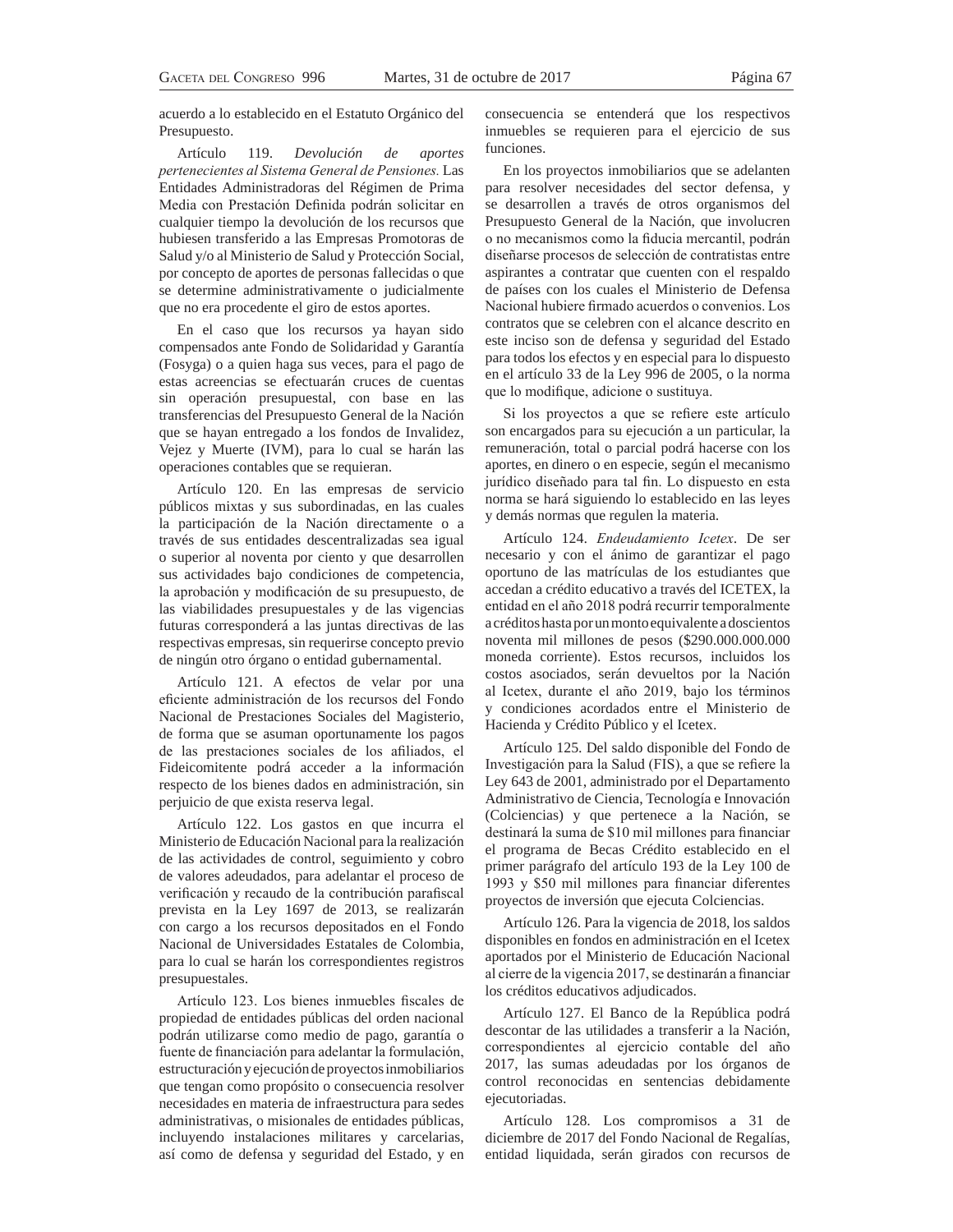acuerdo a lo establecido en el Estatuto Orgánico del Presupuesto.

Artículo 119. *Devolución de aportes pertenecientes al Sistema General de Pensiones.* Las Entidades Administradoras del Régimen de Prima Media con Prestación Definida podrán solicitar en cualquier tiempo la devolución de los recursos que hubiesen transferido a las Empresas Promotoras de Salud y/o al Ministerio de Salud y Protección Social, por concepto de aportes de personas fallecidas o que se determine administrativamente o judicialmente que no era procedente el giro de estos aportes.

En el caso que los recursos ya hayan sido compensados ante Fondo de Solidaridad y Garantía (Fosyga) o a quien haga sus veces, para el pago de estas acreencias se efectuarán cruces de cuentas sin operación presupuestal, con base en las transferencias del Presupuesto General de la Nación que se hayan entregado a los fondos de Invalidez, Vejez y Muerte (IVM), para lo cual se harán las operaciones contables que se requieran.

Artículo 120. En las empresas de servicio públicos mixtas y sus subordinadas, en las cuales la participación de la Nación directamente o a través de sus entidades descentralizadas sea igual o superior al noventa por ciento y que desarrollen sus actividades bajo condiciones de competencia, la aprobación y modificación de su presupuesto, de las viabilidades presupuestales y de las vigencias futuras corresponderá a las juntas directivas de las respectivas empresas, sin requerirse concepto previo de ningún otro órgano o entidad gubernamental.

Artículo 121. A efectos de velar por una eficiente administración de los recursos del Fondo Nacional de Prestaciones Sociales del Magisterio, de forma que se asuman oportunamente los pagos de las prestaciones sociales de los afiliados, el Fideicomitente podrá acceder a la información respecto de los bienes dados en administración, sin perjuicio de que exista reserva legal.

Artículo 122. Los gastos en que incurra el Ministerio de Educación Nacional para la realización de las actividades de control, seguimiento y cobro de valores adeudados, para adelantar el proceso de verificación y recaudo de la contribución parafiscal prevista en la Ley 1697 de 2013, se realizarán con cargo a los recursos depositados en el Fondo Nacional de Universidades Estatales de Colombia, para lo cual se harán los correspondientes registros presupuestales.

Artículo 123. Los bienes inmuebles fiscales de propiedad de entidades públicas del orden nacional podrán utilizarse como medio de pago, garantía o fuente de financiación para adelantar la formulación, estructuración y ejecución de proyectos inmobiliarios que tengan como propósito o consecuencia resolver necesidades en materia de infraestructura para sedes administrativas, o misionales de entidades públicas, incluyendo instalaciones militares y carcelarias, así como de defensa y seguridad del Estado, y en consecuencia se entenderá que los respectivos inmuebles se requieren para el ejercicio de sus funciones.

En los proyectos inmobiliarios que se adelanten para resolver necesidades del sector defensa, y se desarrollen a través de otros organismos del Presupuesto General de la Nación, que involucren o no mecanismos como la fiducia mercantil, podrán diseñarse procesos de selección de contratistas entre aspirantes a contratar que cuenten con el respaldo de países con los cuales el Ministerio de Defensa Nacional hubiere firmado acuerdos o convenios. Los contratos que se celebren con el alcance descrito en este inciso son de defensa y seguridad del Estado para todos los efectos y en especial para lo dispuesto en el artículo 33 de la Ley 996 de 2005, o la norma que lo modifique, adicione o sustituya.

Si los proyectos a que se refiere este artículo son encargados para su ejecución a un particular, la remuneración, total o parcial podrá hacerse con los aportes, en dinero o en especie, según el mecanismo jurídico diseñado para tal fin. Lo dispuesto en esta norma se hará siguiendo lo establecido en las leyes y demás normas que regulen la materia.

Artículo 124. *Endeudamiento Icetex*. De ser necesario y con el ánimo de garantizar el pago oportuno de las matrículas de los estudiantes que accedan a crédito educativo a través del ICETEX, la entidad en el año 2018 podrá recurrir temporalmente a créditos hasta por un monto equivalente a doscientos noventa mil millones de pesos (\$290.000.000.000 moneda corriente). Estos recursos, incluidos los costos asociados, serán devueltos por la Nación al Icetex, durante el año 2019, bajo los términos y condiciones acordados entre el Ministerio de Hacienda y Crédito Público y el Icetex.

Artículo 125. Del saldo disponible del Fondo de Investigación para la Salud (FIS), a que se refiere la Ley 643 de 2001, administrado por el Departamento Administrativo de Ciencia, Tecnología e Innovación (Colciencias) y que pertenece a la Nación, se destinará la suma de \$10 mil millones para financiar el programa de Becas Crédito establecido en el primer parágrafo del artículo 193 de la Ley 100 de  $1993$  y \$50 mil millones para financiar diferentes proyectos de inversión que ejecuta Colciencias.

Artículo 126. Para la vigencia de 2018, los saldos disponibles en fondos en administración en el Icetex aportados por el Ministerio de Educación Nacional al cierre de la vigencia 2017, se destinarán a financiar los créditos educativos adjudicados.

Artículo 127. El Banco de la República podrá descontar de las utilidades a transferir a la Nación, correspondientes al ejercicio contable del año 2017, las sumas adeudadas por los órganos de control reconocidas en sentencias debidamente ejecutoriadas.

Artículo 128. Los compromisos a 31 de diciembre de 2017 del Fondo Nacional de Regalías, entidad liquidada, serán girados con recursos de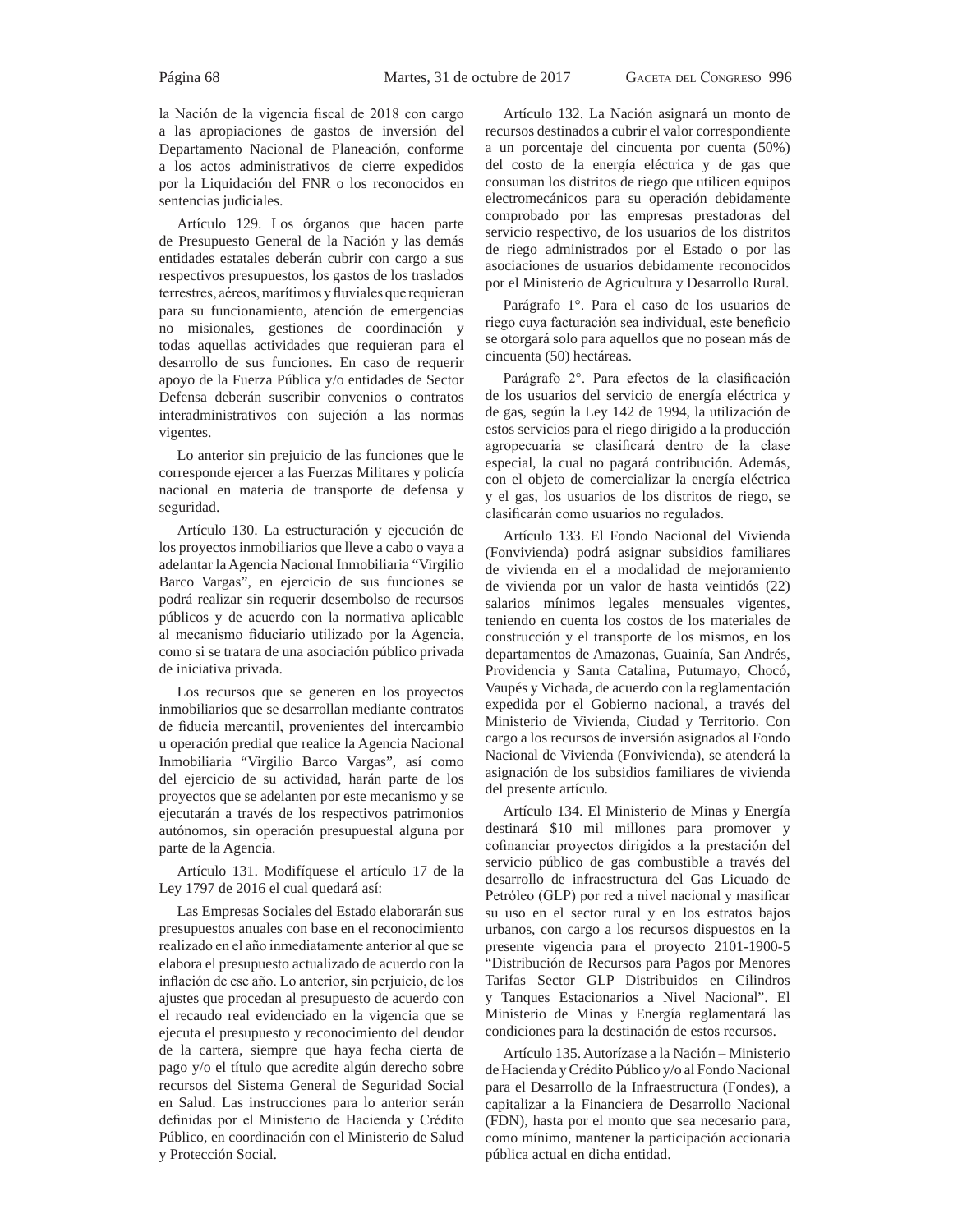la Nación de la vigencia fiscal de 2018 con cargo a las apropiaciones de gastos de inversión del Departamento Nacional de Planeación, conforme a los actos administrativos de cierre expedidos por la Liquidación del FNR o los reconocidos en sentencias judiciales.

Artículo 129. Los órganos que hacen parte de Presupuesto General de la Nación y las demás entidades estatales deberán cubrir con cargo a sus respectivos presupuestos, los gastos de los traslados terrestres, aéreos, marítimos y fluviales que requieran para su funcionamiento, atención de emergencias no misionales, gestiones de coordinación y todas aquellas actividades que requieran para el desarrollo de sus funciones. En caso de requerir apoyo de la Fuerza Pública y/o entidades de Sector Defensa deberán suscribir convenios o contratos interadministrativos con sujeción a las normas vigentes.

Lo anterior sin prejuicio de las funciones que le corresponde ejercer a las Fuerzas Militares y policía nacional en materia de transporte de defensa y seguridad.

Artículo 130. La estructuración y ejecución de los proyectos inmobiliarios que lleve a cabo o vaya a adelantar la Agencia Nacional Inmobiliaria "Virgilio Barco Vargas", en ejercicio de sus funciones se podrá realizar sin requerir desembolso de recursos públicos y de acuerdo con la normativa aplicable al mecanismo fiduciario utilizado por la Agencia, como si se tratara de una asociación público privada de iniciativa privada.

Los recursos que se generen en los proyectos inmobiliarios que se desarrollan mediante contratos de fiducia mercantil, provenientes del intercambio u operación predial que realice la Agencia Nacional Inmobiliaria "Virgilio Barco Vargas", así como del ejercicio de su actividad, harán parte de los proyectos que se adelanten por este mecanismo y se ejecutarán a través de los respectivos patrimonios autónomos, sin operación presupuestal alguna por parte de la Agencia.

Artículo 131. Modifíquese el artículo 17 de la Ley 1797 de 2016 el cual quedará así:

Las Empresas Sociales del Estado elaborarán sus presupuestos anuales con base en el reconocimiento realizado en el año inmediatamente anterior al que se elabora el presupuesto actualizado de acuerdo con la inflación de ese año. Lo anterior, sin perjuicio, de los ajustes que procedan al presupuesto de acuerdo con el recaudo real evidenciado en la vigencia que se ejecuta el presupuesto y reconocimiento del deudor de la cartera, siempre que haya fecha cierta de pago y/o el título que acredite algún derecho sobre recursos del Sistema General de Seguridad Social en Salud. Las instrucciones para lo anterior serán definidas por el Ministerio de Hacienda y Crédito Público, en coordinación con el Ministerio de Salud y Protección Social.

Artículo 132. La Nación asignará un monto de recursos destinados a cubrir el valor correspondiente a un porcentaje del cincuenta por cuenta (50%) del costo de la energía eléctrica y de gas que consuman los distritos de riego que utilicen equipos electromecánicos para su operación debidamente comprobado por las empresas prestadoras del servicio respectivo, de los usuarios de los distritos de riego administrados por el Estado o por las asociaciones de usuarios debidamente reconocidos por el Ministerio de Agricultura y Desarrollo Rural.

Parágrafo 1°. Para el caso de los usuarios de riego cuya facturación sea individual, este beneficio se otorgará solo para aquellos que no posean más de cincuenta (50) hectáreas.

Parágrafo 2°. Para efectos de la clasificación de los usuarios del servicio de energía eléctrica y de gas, según la Ley 142 de 1994, la utilización de estos servicios para el riego dirigido a la producción agropecuaria se clasificará dentro de la clase especial, la cual no pagará contribución. Además, con el objeto de comercializar la energía eléctrica y el gas, los usuarios de los distritos de riego, se clasificarán como usuarios no regulados.

Artículo 133. El Fondo Nacional del Vivienda (Fonvivienda) podrá asignar subsidios familiares de vivienda en el a modalidad de mejoramiento de vivienda por un valor de hasta veintidós (22) salarios mínimos legales mensuales vigentes, teniendo en cuenta los costos de los materiales de construcción y el transporte de los mismos, en los departamentos de Amazonas, Guainía, San Andrés, Providencia y Santa Catalina, Putumayo, Chocó, Vaupés y Vichada, de acuerdo con la reglamentación expedida por el Gobierno nacional, a través del Ministerio de Vivienda, Ciudad y Territorio. Con cargo a los recursos de inversión asignados al Fondo Nacional de Vivienda (Fonvivienda), se atenderá la asignación de los subsidios familiares de vivienda del presente artículo.

Artículo 134. El Ministerio de Minas y Energía destinará \$10 mil millones para promover y cofinanciar proyectos dirigidos a la prestación del servicio público de gas combustible a través del desarrollo de infraestructura del Gas Licuado de Petróleo (GLP) por red a nivel nacional y masificar su uso en el sector rural y en los estratos bajos urbanos, con cargo a los recursos dispuestos en la presente vigencia para el proyecto 2101-1900-5 "Distribución de Recursos para Pagos por Menores Tarifas Sector GLP Distribuidos en Cilindros y Tanques Estacionarios a Nivel Nacional". El Ministerio de Minas y Energía reglamentará las condiciones para la destinación de estos recursos.

Artículo 135. Autorízase a la Nación – Ministerio de Hacienda y Crédito Público y/o al Fondo Nacional para el Desarrollo de la Infraestructura (Fondes), a capitalizar a la Financiera de Desarrollo Nacional (FDN), hasta por el monto que sea necesario para, como mínimo, mantener la participación accionaria pública actual en dicha entidad.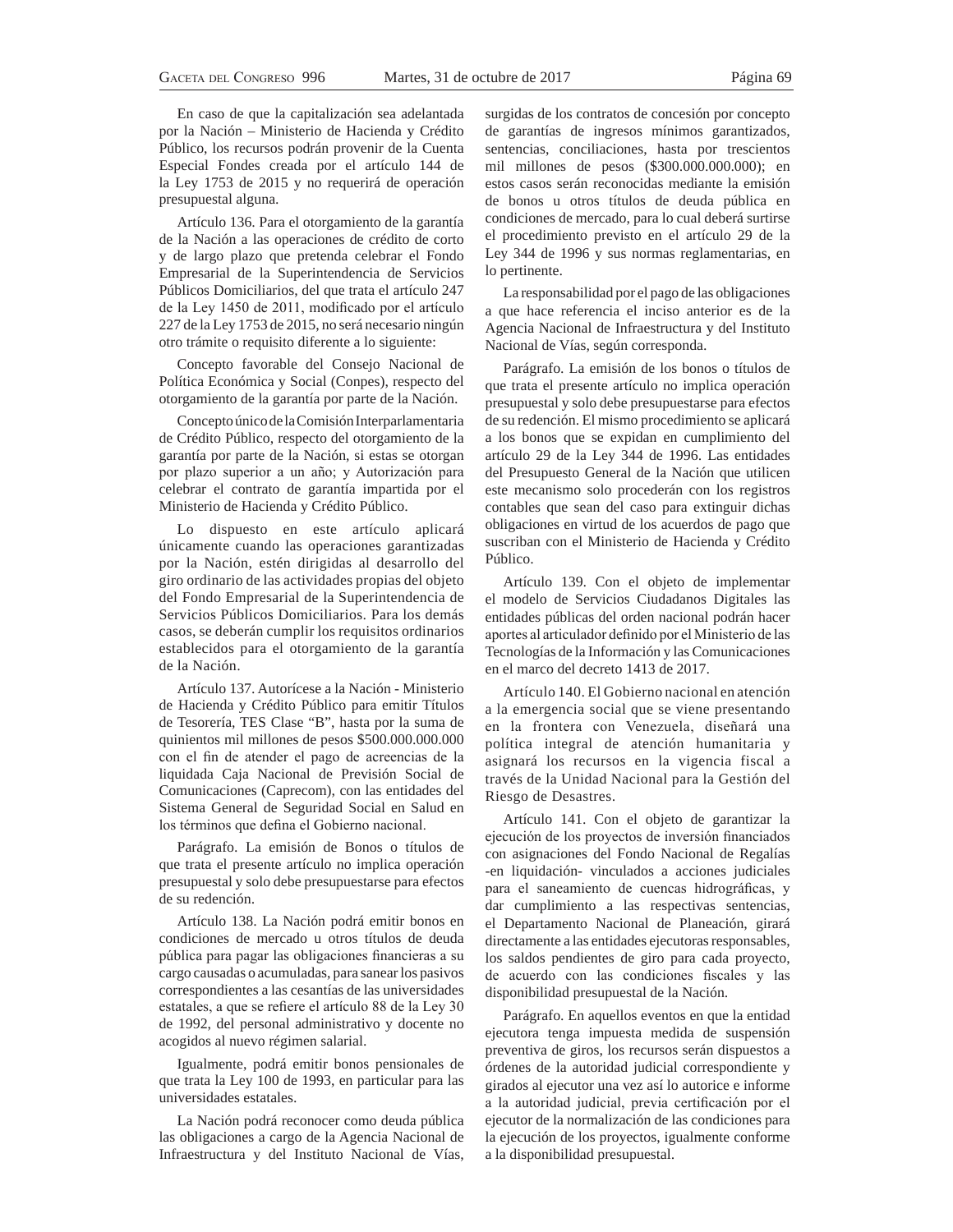En caso de que la capitalización sea adelantada por la Nación – Ministerio de Hacienda y Crédito Público, los recursos podrán provenir de la Cuenta Especial Fondes creada por el artículo 144 de la Ley 1753 de 2015 y no requerirá de operación presupuestal alguna.

Artículo 136. Para el otorgamiento de la garantía de la Nación a las operaciones de crédito de corto y de largo plazo que pretenda celebrar el Fondo Empresarial de la Superintendencia de Servicios Públicos Domiciliarios, del que trata el artículo 247 de la Ley 1450 de 2011, modificado por el artículo 227 de la Ley 1753 de 2015, no será necesario ningún otro trámite o requisito diferente a lo siguiente:

Concepto favorable del Consejo Nacional de Política Económica y Social (Conpes), respecto del otorgamiento de la garantía por parte de la Nación.

Concepto único de la Comisión Interparlamentaria de Crédito Público, respecto del otorgamiento de la garantía por parte de la Nación, si estas se otorgan por plazo superior a un año; y Autorización para celebrar el contrato de garantía impartida por el Ministerio de Hacienda y Crédito Público.

Lo dispuesto en este artículo aplicará únicamente cuando las operaciones garantizadas por la Nación, estén dirigidas al desarrollo del giro ordinario de las actividades propias del objeto del Fondo Empresarial de la Superintendencia de Servicios Públicos Domiciliarios. Para los demás casos, se deberán cumplir los requisitos ordinarios establecidos para el otorgamiento de la garantía de la Nación.

Artículo 137. Autorícese a la Nación - Ministerio de Hacienda y Crédito Público para emitir Títulos de Tesorería, TES Clase "B", hasta por la suma de quinientos mil millones de pesos \$500.000.000.000 con el fin de atender el pago de acreencias de la liquidada Caja Nacional de Previsión Social de Comunicaciones (Caprecom), con las entidades del Sistema General de Seguridad Social en Salud en los términos que defina el Gobierno nacional.

Parágrafo. La emisión de Bonos o títulos de que trata el presente artículo no implica operación presupuestal y solo debe presupuestarse para efectos de su redención.

Artículo 138. La Nación podrá emitir bonos en condiciones de mercado u otros títulos de deuda pública para pagar las obligaciones financieras a su cargo causadas o acumuladas, para sanear los pasivos correspondientes a las cesantías de las universidades estatales, a que se refiere el artículo 88 de la Ley 30 de 1992, del personal administrativo y docente no acogidos al nuevo régimen salarial.

Igualmente, podrá emitir bonos pensionales de que trata la Ley 100 de 1993, en particular para las universidades estatales.

La Nación podrá reconocer como deuda pública las obligaciones a cargo de la Agencia Nacional de Infraestructura y del Instituto Nacional de Vías,

surgidas de los contratos de concesión por concepto de garantías de ingresos mínimos garantizados, sentencias, conciliaciones, hasta por trescientos mil millones de pesos (\$300.000.000.000); en estos casos serán reconocidas mediante la emisión de bonos u otros títulos de deuda pública en condiciones de mercado, para lo cual deberá surtirse el procedimiento previsto en el artículo 29 de la Ley 344 de 1996 y sus normas reglamentarias, en lo pertinente.

La responsabilidad por el pago de las obligaciones a que hace referencia el inciso anterior es de la Agencia Nacional de Infraestructura y del Instituto Nacional de Vías, según corresponda.

Parágrafo. La emisión de los bonos o títulos de que trata el presente artículo no implica operación presupuestal y solo debe presupuestarse para efectos de su redención. El mismo procedimiento se aplicará a los bonos que se expidan en cumplimiento del artículo 29 de la Ley 344 de 1996. Las entidades del Presupuesto General de la Nación que utilicen este mecanismo solo procederán con los registros contables que sean del caso para extinguir dichas obligaciones en virtud de los acuerdos de pago que suscriban con el Ministerio de Hacienda y Crédito Público.

Artículo 139. Con el objeto de implementar el modelo de Servicios Ciudadanos Digitales las entidades públicas del orden nacional podrán hacer aportes al articulador definido por el Ministerio de las Tecnologías de la Información y las Comunicaciones en el marco del decreto 1413 de 2017.

Artículo 140. El Gobierno nacional en atención a la emergencia social que se viene presentando en la frontera con Venezuela, diseñará una política integral de atención humanitaria y asignará los recursos en la vigencia fiscal a través de la Unidad Nacional para la Gestión del Riesgo de Desastres.

Artículo 141. Con el objeto de garantizar la ejecución de los proyectos de inversión financiados con asignaciones del Fondo Nacional de Regalías -en liquidación- vinculados a acciones judiciales para el saneamiento de cuencas hidrográficas, y dar cumplimiento a las respectivas sentencias, el Departamento Nacional de Planeación, girará directamente a las entidades ejecutoras responsables, los saldos pendientes de giro para cada proyecto, de acuerdo con las condiciones fiscales y las disponibilidad presupuestal de la Nación.

Parágrafo. En aquellos eventos en que la entidad ejecutora tenga impuesta medida de suspensión preventiva de giros, los recursos serán dispuestos a órdenes de la autoridad judicial correspondiente y girados al ejecutor una vez así lo autorice e informe a la autoridad judicial, previa certificación por el ejecutor de la normalización de las condiciones para la ejecución de los proyectos, igualmente conforme a la disponibilidad presupuestal.